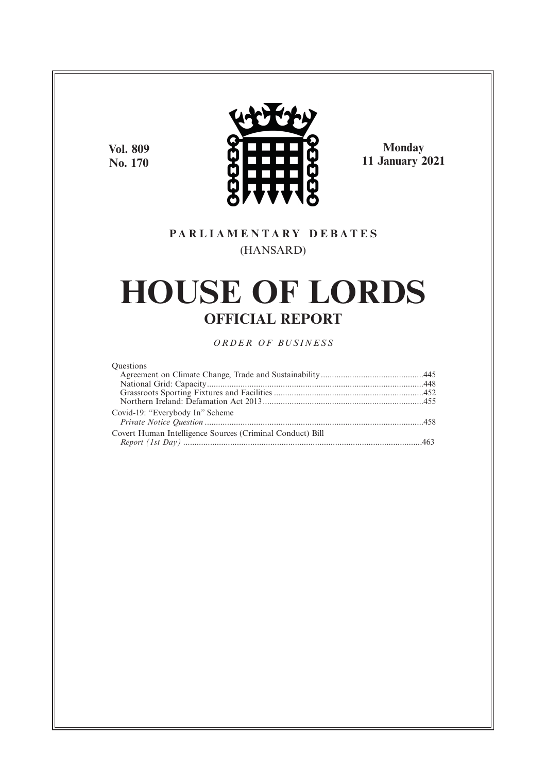**Vol. 809 No. 170**



**Monday 11 January 2021**

## **P A R L I A M E N T A R Y D E B A T E S** (HANSARD)

# **HOUSE OF LORDS OFFICIAL REPORT**

*O R D E R O F BU S I N E S S*

| <b>Questions</b>                                          |  |
|-----------------------------------------------------------|--|
|                                                           |  |
|                                                           |  |
|                                                           |  |
|                                                           |  |
| Covid-19: "Everybody In" Scheme                           |  |
|                                                           |  |
| Covert Human Intelligence Sources (Criminal Conduct) Bill |  |
|                                                           |  |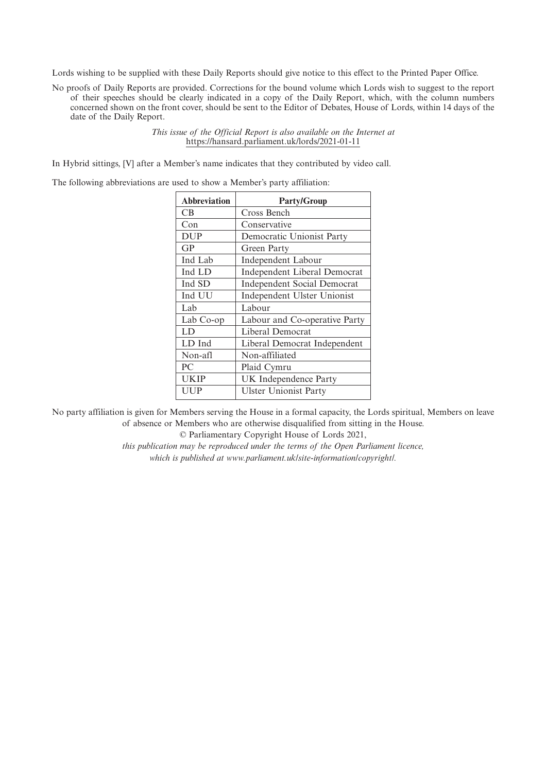Lords wishing to be supplied with these Daily Reports should give notice to this effect to the Printed Paper Office.

No proofs of Daily Reports are provided. Corrections for the bound volume which Lords wish to suggest to the report of their speeches should be clearly indicated in a copy of the Daily Report, which, with the column numbers concerned shown on the front cover, should be sent to the Editor of Debates, House of Lords, within 14 days of the date of the Daily Report.

> *This issue of the Official Report is also available on the Internet at* https://hansard.parliament.uk/lords/2021-01-11

In Hybrid sittings, [V] after a Member's name indicates that they contributed by video call.

The following abbreviations are used to show a Member's party affiliation:

| <b>Abbreviation</b> | <b>Party/Group</b>                 |
|---------------------|------------------------------------|
| CВ                  | Cross Bench                        |
| Con                 | Conservative                       |
| <b>DUP</b>          | Democratic Unionist Party          |
| GP                  | Green Party                        |
| Ind Lab             | Independent Labour                 |
| Ind LD              | Independent Liberal Democrat       |
| Ind SD              | <b>Independent Social Democrat</b> |
| Ind UU              | Independent Ulster Unionist        |
| Lab                 | Labour                             |
| Lab Co-op           | Labour and Co-operative Party      |
| LD                  | Liberal Democrat                   |
| LD Ind              | Liberal Democrat Independent       |
| Non-afl             | Non-affiliated                     |
| PC.                 | Plaid Cymru                        |
| UKIP                | UK Independence Party              |
| UUP                 | <b>Ulster Unionist Party</b>       |
|                     |                                    |

No party affiliation is given for Members serving the House in a formal capacity, the Lords spiritual, Members on leave of absence or Members who are otherwise disqualified from sitting in the House.

© Parliamentary Copyright House of Lords 2021,

*this publication may be reproduced under the terms of the Open Parliament licence, which is published at www.parliament.uk/site-information/copyright/.*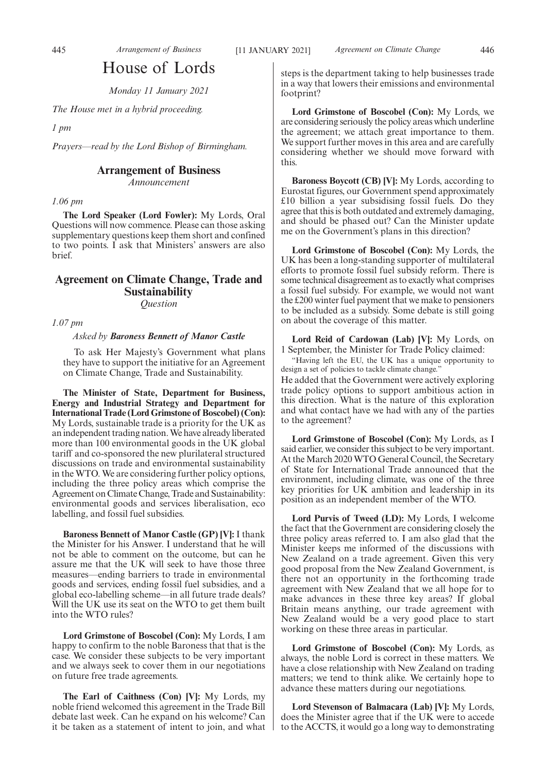## House of Lords

*Monday 11 January 2021*

*The House met in a hybrid proceeding.*

*1 pm*

*Prayers—read by the Lord Bishop of Birmingham.*

## **Arrangement of Business**

*Announcement*

*1.06 pm*

**The Lord Speaker (Lord Fowler):** My Lords, Oral Questions will now commence. Please can those asking supplementary questions keep them short and confined to two points. I ask that Ministers' answers are also brief.

## **Agreement on Climate Change, Trade and Sustainability** *Question*

*1.07 pm*

## *Asked by Baroness Bennett of Manor Castle*

To ask Her Majesty's Government what plans they have to support the initiative for an Agreement on Climate Change, Trade and Sustainability.

**The Minister of State, Department for Business, Energy and Industrial Strategy and Department for International Trade (Lord Grimstone of Boscobel) (Con):** My Lords, sustainable trade is a priority for the UK as an independent trading nation. We have already liberated more than 100 environmental goods in the UK global tariff and co-sponsored the new plurilateral structured discussions on trade and environmental sustainability in the WTO. We are considering further policy options, including the three policy areas which comprise the Agreement on Climate Change, Trade and Sustainability: environmental goods and services liberalisation, eco labelling, and fossil fuel subsidies.

**Baroness Bennett of Manor Castle (GP) [V]:** I thank the Minister for his Answer. I understand that he will not be able to comment on the outcome, but can he assure me that the UK will seek to have those three measures—ending barriers to trade in environmental goods and services, ending fossil fuel subsidies, and a global eco-labelling scheme—in all future trade deals? Will the UK use its seat on the WTO to get them built into the WTO rules?

**Lord Grimstone of Boscobel (Con):** My Lords, I am happy to confirm to the noble Baroness that that is the case. We consider these subjects to be very important and we always seek to cover them in our negotiations on future free trade agreements.

**The Earl of Caithness (Con) [V]:** My Lords, my noble friend welcomed this agreement in the Trade Bill debate last week. Can he expand on his welcome? Can it be taken as a statement of intent to join, and what steps is the department taking to help businesses trade in a way that lowers their emissions and environmental footprint?

**Lord Grimstone of Boscobel (Con):** My Lords, we are considering seriously the policy areas which underline the agreement; we attach great importance to them. We support further moves in this area and are carefully considering whether we should move forward with this.

**Baroness Boycott (CB) [V]:** My Lords, according to Eurostat figures, our Government spend approximately £10 billion a year subsidising fossil fuels. Do they agree that this is both outdated and extremely damaging, and should be phased out? Can the Minister update me on the Government's plans in this direction?

**Lord Grimstone of Boscobel (Con):** My Lords, the UK has been a long-standing supporter of multilateral efforts to promote fossil fuel subsidy reform. There is some technical disagreement as to exactly what comprises a fossil fuel subsidy. For example, we would not want the £200 winter fuel payment that we make to pensioners to be included as a subsidy. Some debate is still going on about the coverage of this matter.

**Lord Reid of Cardowan (Lab) [V]:** My Lords, on 1 September, the Minister for Trade Policy claimed:

"Having left the EU, the UK has a unique opportunity to design a set of policies to tackle climate change."

He added that the Government were actively exploring trade policy options to support ambitious action in this direction. What is the nature of this exploration and what contact have we had with any of the parties to the agreement?

**Lord Grimstone of Boscobel (Con):** My Lords, as I said earlier, we consider this subject to be very important. At the March 2020 WTO General Council, the Secretary of State for International Trade announced that the environment, including climate, was one of the three key priorities for UK ambition and leadership in its position as an independent member of the WTO.

**Lord Purvis of Tweed (LD):** My Lords, I welcome the fact that the Government are considering closely the three policy areas referred to. I am also glad that the Minister keeps me informed of the discussions with New Zealand on a trade agreement. Given this very good proposal from the New Zealand Government, is there not an opportunity in the forthcoming trade agreement with New Zealand that we all hope for to make advances in these three key areas? If global Britain means anything, our trade agreement with New Zealand would be a very good place to start working on these three areas in particular.

**Lord Grimstone of Boscobel (Con):** My Lords, as always, the noble Lord is correct in these matters. We have a close relationship with New Zealand on trading matters; we tend to think alike. We certainly hope to advance these matters during our negotiations.

**Lord Stevenson of Balmacara (Lab) [V]:** My Lords, does the Minister agree that if the UK were to accede to the ACCTS, it would go a long way to demonstrating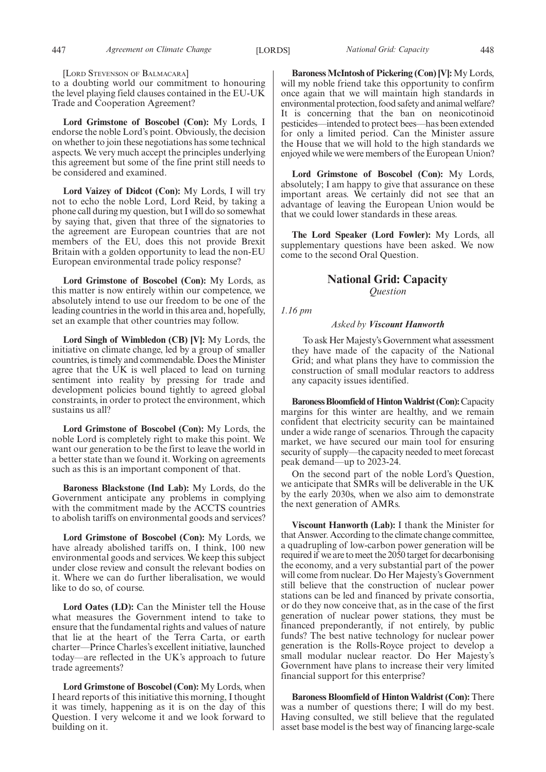[LORD STEVENSON OF BALMACARA]

to a doubting world our commitment to honouring the level playing field clauses contained in the EU-UK Trade and Cooperation Agreement?

**Lord Grimstone of Boscobel (Con):** My Lords, I endorse the noble Lord's point. Obviously, the decision on whether to join these negotiations has some technical aspects. We very much accept the principles underlying this agreement but some of the fine print still needs to be considered and examined.

**Lord Vaizey of Didcot (Con):** My Lords, I will try not to echo the noble Lord, Lord Reid, by taking a phone call during my question, but I will do so somewhat by saying that, given that three of the signatories to the agreement are European countries that are not members of the EU, does this not provide Brexit Britain with a golden opportunity to lead the non-EU European environmental trade policy response?

**Lord Grimstone of Boscobel (Con):** My Lords, as this matter is now entirely within our competence, we absolutely intend to use our freedom to be one of the leading countries in the world in this area and, hopefully, set an example that other countries may follow.

**Lord Singh of Wimbledon (CB) [V]:** My Lords, the initiative on climate change, led by a group of smaller countries, is timely and commendable. Does the Minister agree that the UK is well placed to lead on turning sentiment into reality by pressing for trade and development policies bound tightly to agreed global constraints, in order to protect the environment, which sustains us all?

**Lord Grimstone of Boscobel (Con):** My Lords, the noble Lord is completely right to make this point. We want our generation to be the first to leave the world in a better state than we found it. Working on agreements such as this is an important component of that.

**Baroness Blackstone (Ind Lab):** My Lords, do the Government anticipate any problems in complying with the commitment made by the ACCTS countries to abolish tariffs on environmental goods and services?

**Lord Grimstone of Boscobel (Con):** My Lords, we have already abolished tariffs on, I think, 100 new environmental goods and services. We keep this subject under close review and consult the relevant bodies on it. Where we can do further liberalisation, we would like to do so, of course.

**Lord Oates (LD):** Can the Minister tell the House what measures the Government intend to take to ensure that the fundamental rights and values of nature that lie at the heart of the Terra Carta, or earth charter—Prince Charles's excellent initiative, launched today—are reflected in the UK's approach to future trade agreements?

**Lord Grimstone of Boscobel (Con):** My Lords, when I heard reports of this initiative this morning, I thought it was timely, happening as it is on the day of this Question. I very welcome it and we look forward to building on it.

**Baroness McIntosh of Pickering (Con) [V]:** My Lords, will my noble friend take this opportunity to confirm once again that we will maintain high standards in environmental protection, food safety and animal welfare? It is concerning that the ban on neonicotinoid pesticides—intended to protect bees—has been extended for only a limited period. Can the Minister assure the House that we will hold to the high standards we enjoyed while we were members of the European Union?

**Lord Grimstone of Boscobel (Con):** My Lords, absolutely; I am happy to give that assurance on these important areas. We certainly did not see that an advantage of leaving the European Union would be that we could lower standards in these areas.

**The Lord Speaker (Lord Fowler):** My Lords, all supplementary questions have been asked. We now come to the second Oral Question.

## **National Grid: Capacity** *Question*

## *1.16 pm*

## *Asked by Viscount Hanworth*

To ask Her Majesty's Government what assessment they have made of the capacity of the National Grid; and what plans they have to commission the construction of small modular reactors to address any capacity issues identified.

**Baroness Bloomfield of Hinton Waldrist (Con):**Capacity margins for this winter are healthy, and we remain confident that electricity security can be maintained under a wide range of scenarios. Through the capacity market, we have secured our main tool for ensuring security of supply—the capacity needed to meet forecast peak demand—up to 2023-24.

On the second part of the noble Lord's Question, we anticipate that SMRs will be deliverable in the UK by the early 2030s, when we also aim to demonstrate the next generation of AMRs.

**Viscount Hanworth (Lab):** I thank the Minister for that Answer. According to the climate change committee, a quadrupling of low-carbon power generation will be required if we are to meet the 2050 target for decarbonising the economy, and a very substantial part of the power will come from nuclear. Do Her Majesty's Government still believe that the construction of nuclear power stations can be led and financed by private consortia, or do they now conceive that, as in the case of the first generation of nuclear power stations, they must be financed preponderantly, if not entirely, by public funds? The best native technology for nuclear power generation is the Rolls-Royce project to develop a small modular nuclear reactor. Do Her Majesty's Government have plans to increase their very limited financial support for this enterprise?

**Baroness Bloomfield of Hinton Waldrist (Con):** There was a number of questions there; I will do my best. Having consulted, we still believe that the regulated asset base model is the best way of financing large-scale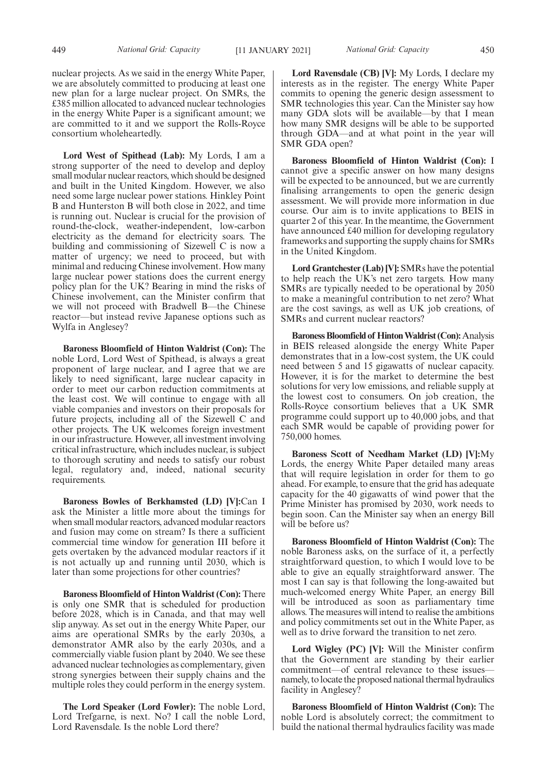nuclear projects. As we said in the energy White Paper, we are absolutely committed to producing at least one new plan for a large nuclear project. On SMRs, the £385 million allocated to advanced nuclear technologies in the energy White Paper is a significant amount; we are committed to it and we support the Rolls-Royce consortium wholeheartedly.

**Lord West of Spithead (Lab):** My Lords, I am a strong supporter of the need to develop and deploy small modular nuclear reactors, which should be designed and built in the United Kingdom. However, we also need some large nuclear power stations. Hinkley Point B and Hunterston B will both close in 2022, and time is running out. Nuclear is crucial for the provision of round-the-clock, weather-independent, low-carbon electricity as the demand for electricity soars. The building and commissioning of Sizewell C is now a matter of urgency; we need to proceed, but with minimal and reducing Chinese involvement. How many large nuclear power stations does the current energy policy plan for the UK? Bearing in mind the risks of Chinese involvement, can the Minister confirm that we will not proceed with Bradwell B—the Chinese reactor—but instead revive Japanese options such as Wylfa in Anglesey?

**Baroness Bloomfield of Hinton Waldrist (Con):** The noble Lord, Lord West of Spithead, is always a great proponent of large nuclear, and I agree that we are likely to need significant, large nuclear capacity in order to meet our carbon reduction commitments at the least cost. We will continue to engage with all viable companies and investors on their proposals for future projects, including all of the Sizewell C and other projects. The UK welcomes foreign investment in our infrastructure. However, all investment involving critical infrastructure, which includes nuclear, is subject to thorough scrutiny and needs to satisfy our robust legal, regulatory and, indeed, national security requirements.

**Baroness Bowles of Berkhamsted (LD) [V]:**Can I ask the Minister a little more about the timings for when small modular reactors, advanced modular reactors and fusion may come on stream? Is there a sufficient commercial time window for generation III before it gets overtaken by the advanced modular reactors if it is not actually up and running until 2030, which is later than some projections for other countries?

**Baroness Bloomfield of Hinton Waldrist (Con):** There is only one SMR that is scheduled for production before 2028, which is in Canada, and that may well slip anyway. As set out in the energy White Paper, our aims are operational SMRs by the early 2030s, a demonstrator AMR also by the early 2030s, and a commercially viable fusion plant by 2040. We see these advanced nuclear technologies as complementary, given strong synergies between their supply chains and the multiple roles they could perform in the energy system.

**The Lord Speaker (Lord Fowler):** The noble Lord, Lord Trefgarne, is next. No? I call the noble Lord, Lord Ravensdale. Is the noble Lord there?

**Lord Ravensdale (CB) [V]:** My Lords, I declare my interests as in the register. The energy White Paper commits to opening the generic design assessment to SMR technologies this year. Can the Minister say how many GDA slots will be available—by that I mean how many SMR designs will be able to be supported through GDA—and at what point in the year will SMR GDA open?

**Baroness Bloomfield of Hinton Waldrist (Con):** I cannot give a specific answer on how many designs will be expected to be announced, but we are currently finalising arrangements to open the generic design assessment. We will provide more information in due course. Our aim is to invite applications to BEIS in quarter 2 of this year. In the meantime, the Government have announced £40 million for developing regulatory frameworks and supporting the supply chains for SMRs in the United Kingdom.

**Lord Grantchester (Lab) [V]:** SMRs have the potential to help reach the UK's net zero targets. How many SMRs are typically needed to be operational by 2050 to make a meaningful contribution to net zero? What are the cost savings, as well as UK job creations, of SMRs and current nuclear reactors?

**Baroness Bloomfield of Hinton Waldrist (Con):**Analysis in BEIS released alongside the energy White Paper demonstrates that in a low-cost system, the UK could need between 5 and 15 gigawatts of nuclear capacity. However, it is for the market to determine the best solutions for very low emissions, and reliable supply at the lowest cost to consumers. On job creation, the Rolls-Royce consortium believes that a UK SMR programme could support up to 40,000 jobs, and that each SMR would be capable of providing power for 750,000 homes.

**Baroness Scott of Needham Market (LD) [V]:**My Lords, the energy White Paper detailed many areas that will require legislation in order for them to go ahead. For example, to ensure that the grid has adequate capacity for the 40 gigawatts of wind power that the Prime Minister has promised by 2030, work needs to begin soon. Can the Minister say when an energy Bill will be before us?

**Baroness Bloomfield of Hinton Waldrist (Con):** The noble Baroness asks, on the surface of it, a perfectly straightforward question, to which I would love to be able to give an equally straightforward answer. The most I can say is that following the long-awaited but much-welcomed energy White Paper, an energy Bill will be introduced as soon as parliamentary time allows. The measures will intend to realise the ambitions and policy commitments set out in the White Paper, as well as to drive forward the transition to net zero.

**Lord Wigley (PC) [V]:** Will the Minister confirm that the Government are standing by their earlier commitment—of central relevance to these issues namely, to locate the proposed national thermal hydraulics facility in Anglesey?

**Baroness Bloomfield of Hinton Waldrist (Con):** The noble Lord is absolutely correct; the commitment to build the national thermal hydraulics facility was made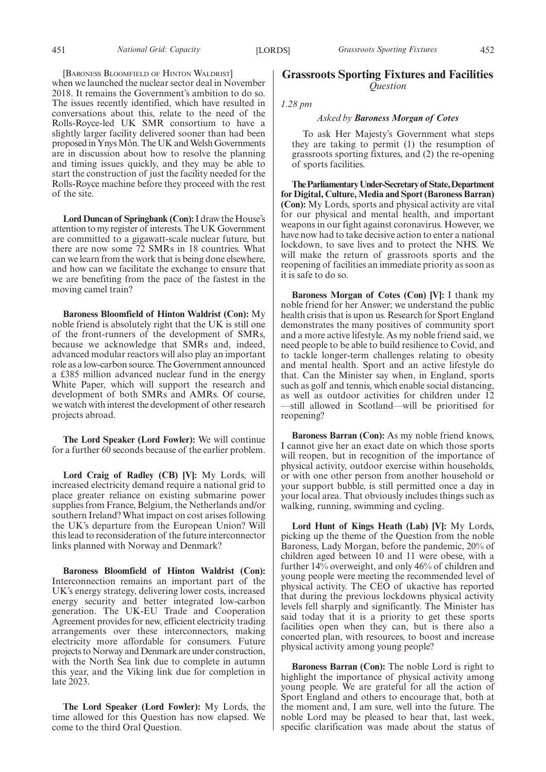[BARONESS BLOOMFIELD OF HINTON WALDRIST]

when we launched the nuclear sector deal in November 2018. It remains the Government's ambition to do so. The issues recently identified, which have resulted in conversations about this, relate to the need of the Rolls-Royce-led UK SMR consortium to have a slightly larger facility delivered sooner than had been proposed in Ynys Môn. The UK and Welsh Governments are in discussion about how to resolve the planning and timing issues quickly, and they may be able to start the construction of just the facility needed for the Rolls-Royce machine before they proceed with the rest of the site.

**Lord Duncan of Springbank (Con):**I draw the House's attention to my register of interests. The UK Government are committed to a gigawatt-scale nuclear future, but there are now some 72 SMRs in 18 countries. What can we learn from the work that is being done elsewhere, and how can we facilitate the exchange to ensure that we are benefiting from the pace of the fastest in the moving camel train?

**Baroness Bloomfield of Hinton Waldrist (Con):** My noble friend is absolutely right that the UK is still one of the front-runners of the development of SMRs, because we acknowledge that SMRs and, indeed, advanced modular reactors will also play an important role as a low-carbon source. The Government announced a £385 million advanced nuclear fund in the energy White Paper, which will support the research and development of both SMRs and AMRs. Of course, we watch with interest the development of other research projects abroad.

**The Lord Speaker (Lord Fowler):** We will continue for a further 60 seconds because of the earlier problem.

**Lord Craig of Radley (CB) [V]:** My Lords, will increased electricity demand require a national grid to place greater reliance on existing submarine power supplies from France, Belgium, the Netherlands and/or southern Ireland? What impact on cost arises following the UK's departure from the European Union? Will this lead to reconsideration of the future interconnector links planned with Norway and Denmark?

**Baroness Bloomfield of Hinton Waldrist (Con):** Interconnection remains an important part of the UK's energy strategy, delivering lower costs, increased energy security and better integrated low-carbon generation. The UK-EU Trade and Cooperation Agreement provides for new, efficient electricity trading arrangements over these interconnectors, making electricity more affordable for consumers. Future projects to Norway and Denmark are under construction, with the North Sea link due to complete in autumn this year, and the Viking link due for completion in late 2023.

**The Lord Speaker (Lord Fowler):** My Lords, the time allowed for this Question has now elapsed. We come to the third Oral Question.

## **Grassroots Sporting Fixtures and Facilities** *Question*

*1.28 pm*

## *Asked by Baroness Morgan of Cotes*

To ask Her Majesty's Government what steps they are taking to permit (1) the resumption of grassroots sporting fixtures, and (2) the re-opening of sports facilities.

**TheParliamentaryUnder-Secretaryof State,Department for Digital, Culture, Media and Sport (Baroness Barran) (Con):** My Lords, sports and physical activity are vital for our physical and mental health, and important weapons in our fight against coronavirus. However, we have now had to take decisive action to enter a national lockdown, to save lives and to protect the NHS. We will make the return of grassroots sports and the reopening of facilities an immediate priority as soon as it is safe to do so.

**Baroness Morgan of Cotes (Con) [V]:** I thank my noble friend for her Answer; we understand the public health crisis that is upon us. Research for Sport England demonstrates the many positives of community sport and a more active lifestyle. As my noble friend said, we need people to be able to build resilience to Covid, and to tackle longer-term challenges relating to obesity and mental health. Sport and an active lifestyle do that. Can the Minister say when, in England, sports such as golf and tennis, which enable social distancing, as well as outdoor activities for children under 12 —still allowed in Scotland—will be prioritised for reopening?

**Baroness Barran (Con):** As my noble friend knows, I cannot give her an exact date on which those sports will reopen, but in recognition of the importance of physical activity, outdoor exercise within households, or with one other person from another household or your support bubble, is still permitted once a day in your local area. That obviously includes things such as walking, running, swimming and cycling.

**Lord Hunt of Kings Heath (Lab) [V]:** My Lords, picking up the theme of the Question from the noble Baroness, Lady Morgan, before the pandemic, 20% of children aged between 10 and 11 were obese, with a further 14% overweight, and only 46% of children and young people were meeting the recommended level of physical activity. The CEO of ukactive has reported that during the previous lockdowns physical activity levels fell sharply and significantly. The Minister has said today that it is a priority to get these sports facilities open when they can, but is there also a concerted plan, with resources, to boost and increase physical activity among young people?

**Baroness Barran (Con):** The noble Lord is right to highlight the importance of physical activity among young people. We are grateful for all the action of Sport England and others to encourage that, both at the moment and, I am sure, well into the future. The noble Lord may be pleased to hear that, last week, specific clarification was made about the status of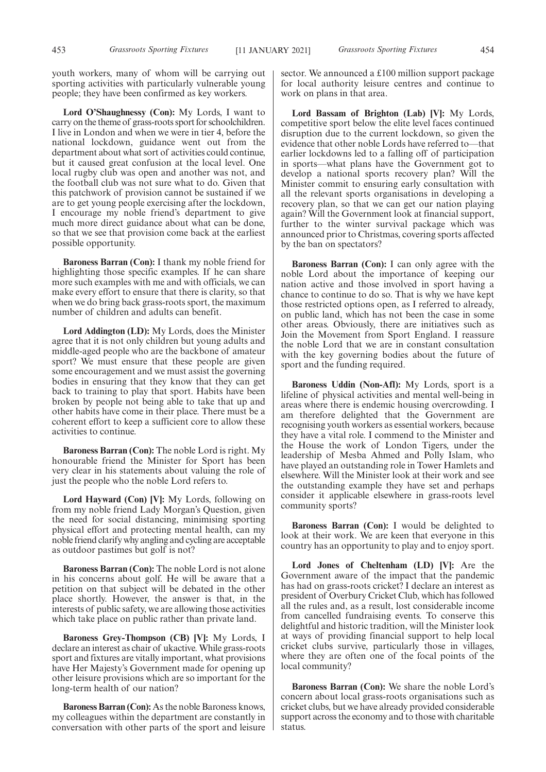youth workers, many of whom will be carrying out sporting activities with particularly vulnerable young people; they have been confirmed as key workers.

**Lord O'Shaughnessy (Con):** My Lords, I want to carry on the theme of grass-roots sport for schoolchildren. I live in London and when we were in tier 4, before the national lockdown, guidance went out from the department about what sort of activities could continue, but it caused great confusion at the local level. One local rugby club was open and another was not, and the football club was not sure what to do. Given that this patchwork of provision cannot be sustained if we are to get young people exercising after the lockdown, I encourage my noble friend's department to give much more direct guidance about what can be done, so that we see that provision come back at the earliest possible opportunity.

**Baroness Barran (Con):** I thank my noble friend for highlighting those specific examples. If he can share more such examples with me and with officials, we can make every effort to ensure that there is clarity, so that when we do bring back grass-roots sport, the maximum number of children and adults can benefit.

**Lord Addington (LD):** My Lords, does the Minister agree that it is not only children but young adults and middle-aged people who are the backbone of amateur sport? We must ensure that these people are given some encouragement and we must assist the governing bodies in ensuring that they know that they can get back to training to play that sport. Habits have been broken by people not being able to take that up and other habits have come in their place. There must be a coherent effort to keep a sufficient core to allow these activities to continue.

**Baroness Barran (Con):** The noble Lord is right. My honourable friend the Minister for Sport has been very clear in his statements about valuing the role of just the people who the noble Lord refers to.

**Lord Hayward (Con) [V]:** My Lords, following on from my noble friend Lady Morgan's Question, given the need for social distancing, minimising sporting physical effort and protecting mental health, can my noble friend clarify why angling and cycling are acceptable as outdoor pastimes but golf is not?

**Baroness Barran (Con):** The noble Lord is not alone in his concerns about golf. He will be aware that a petition on that subject will be debated in the other place shortly. However, the answer is that, in the interests of public safety, we are allowing those activities which take place on public rather than private land.

**Baroness Grey-Thompson (CB) [V]:** My Lords, I declare an interest as chair of ukactive. While grass-roots sport and fixtures are vitally important, what provisions have Her Majesty's Government made for opening up other leisure provisions which are so important for the long-term health of our nation?

**Baroness Barran (Con):** As the noble Baroness knows, my colleagues within the department are constantly in conversation with other parts of the sport and leisure sector. We announced a £100 million support package for local authority leisure centres and continue to work on plans in that area.

**Lord Bassam of Brighton (Lab) [V]:** My Lords, competitive sport below the elite level faces continued disruption due to the current lockdown, so given the evidence that other noble Lords have referred to—that earlier lockdowns led to a falling off of participation in sports—what plans have the Government got to develop a national sports recovery plan? Will the Minister commit to ensuring early consultation with all the relevant sports organisations in developing a recovery plan, so that we can get our nation playing again? Will the Government look at financial support, further to the winter survival package which was announced prior to Christmas, covering sports affected by the ban on spectators?

**Baroness Barran (Con):** I can only agree with the noble Lord about the importance of keeping our nation active and those involved in sport having a chance to continue to do so. That is why we have kept those restricted options open, as I referred to already, on public land, which has not been the case in some other areas. Obviously, there are initiatives such as Join the Movement from Sport England. I reassure the noble Lord that we are in constant consultation with the key governing bodies about the future of sport and the funding required.

**Baroness Uddin (Non-Afl):** My Lords, sport is a lifeline of physical activities and mental well-being in areas where there is endemic housing overcrowding. I am therefore delighted that the Government are recognising youth workers as essential workers, because they have a vital role. I commend to the Minister and the House the work of London Tigers, under the leadership of Mesba Ahmed and Polly Islam, who have played an outstanding role in Tower Hamlets and elsewhere. Will the Minister look at their work and see the outstanding example they have set and perhaps consider it applicable elsewhere in grass-roots level community sports?

**Baroness Barran (Con):** I would be delighted to look at their work. We are keen that everyone in this country has an opportunity to play and to enjoy sport.

**Lord Jones of Cheltenham (LD) [V]:** Are the Government aware of the impact that the pandemic has had on grass-roots cricket? I declare an interest as president of Overbury Cricket Club, which has followed all the rules and, as a result, lost considerable income from cancelled fundraising events. To conserve this delightful and historic tradition, will the Minister look at ways of providing financial support to help local cricket clubs survive, particularly those in villages, where they are often one of the focal points of the local community?

**Baroness Barran (Con):** We share the noble Lord's concern about local grass-roots organisations such as cricket clubs, but we have already provided considerable support across the economy and to those with charitable status.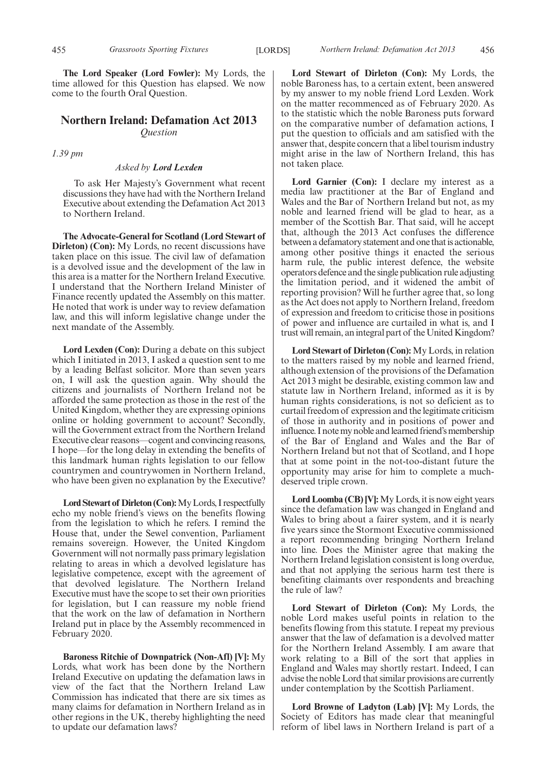**The Lord Speaker (Lord Fowler):** My Lords, the time allowed for this Question has elapsed. We now come to the fourth Oral Question.

## **Northern Ireland: Defamation Act 2013** *Question*

*1.39 pm*

#### *Asked by Lord Lexden*

To ask Her Majesty's Government what recent discussions they have had with the Northern Ireland Executive about extending the Defamation Act 2013 to Northern Ireland.

**The Advocate-General for Scotland (Lord Stewart of Dirleton) (Con):** My Lords, no recent discussions have taken place on this issue. The civil law of defamation is a devolved issue and the development of the law in this area is a matter for the Northern Ireland Executive. I understand that the Northern Ireland Minister of Finance recently updated the Assembly on this matter. He noted that work is under way to review defamation law, and this will inform legislative change under the next mandate of the Assembly.

**Lord Lexden (Con):** During a debate on this subject which I initiated in 2013, I asked a question sent to me by a leading Belfast solicitor. More than seven years on, I will ask the question again. Why should the citizens and journalists of Northern Ireland not be afforded the same protection as those in the rest of the United Kingdom, whether they are expressing opinions online or holding government to account? Secondly, will the Government extract from the Northern Ireland Executive clear reasons—cogent and convincing reasons, I hope—for the long delay in extending the benefits of this landmark human rights legislation to our fellow countrymen and countrywomen in Northern Ireland, who have been given no explanation by the Executive?

**Lord Stewart of Dirleton (Con):**My Lords, I respectfully echo my noble friend's views on the benefits flowing from the legislation to which he refers. I remind the House that, under the Sewel convention, Parliament remains sovereign. However, the United Kingdom Government will not normally pass primary legislation relating to areas in which a devolved legislature has legislative competence, except with the agreement of that devolved legislature. The Northern Ireland Executive must have the scope to set their own priorities for legislation, but I can reassure my noble friend that the work on the law of defamation in Northern Ireland put in place by the Assembly recommenced in February 2020.

**Baroness Ritchie of Downpatrick (Non-Afl) [V]:** My Lords, what work has been done by the Northern Ireland Executive on updating the defamation laws in view of the fact that the Northern Ireland Law Commission has indicated that there are six times as many claims for defamation in Northern Ireland as in other regions in the UK, thereby highlighting the need to update our defamation laws?

**Lord Stewart of Dirleton (Con):** My Lords, the noble Baroness has, to a certain extent, been answered by my answer to my noble friend Lord Lexden. Work on the matter recommenced as of February 2020. As to the statistic which the noble Baroness puts forward on the comparative number of defamation actions, I put the question to officials and am satisfied with the answer that, despite concern that a libel tourism industry might arise in the law of Northern Ireland, this has not taken place.

Lord Garnier (Con): I declare my interest as a media law practitioner at the Bar of England and Wales and the Bar of Northern Ireland but not, as my noble and learned friend will be glad to hear, as a member of the Scottish Bar. That said, will he accept that, although the 2013 Act confuses the difference between a defamatory statement and one that is actionable, among other positive things it enacted the serious harm rule, the public interest defence, the website operators defence and the single publication rule adjusting the limitation period, and it widened the ambit of reporting provision? Will he further agree that, so long as the Act does not apply to Northern Ireland, freedom of expression and freedom to criticise those in positions of power and influence are curtailed in what is, and I trust will remain, an integral part of the United Kingdom?

**Lord Stewart of Dirleton (Con):** My Lords, in relation to the matters raised by my noble and learned friend, although extension of the provisions of the Defamation Act 2013 might be desirable, existing common law and statute law in Northern Ireland, informed as it is by human rights considerations, is not so deficient as to curtail freedom of expression and the legitimate criticism of those in authority and in positions of power and influence. I note my noble and learned friend's membership of the Bar of England and Wales and the Bar of Northern Ireland but not that of Scotland, and I hope that at some point in the not-too-distant future the opportunity may arise for him to complete a muchdeserved triple crown.

**Lord Loomba (CB) [V]:**My Lords, it is now eight years since the defamation law was changed in England and Wales to bring about a fairer system, and it is nearly five years since the Stormont Executive commissioned a report recommending bringing Northern Ireland into line. Does the Minister agree that making the Northern Ireland legislation consistent is long overdue, and that not applying the serious harm test there is benefiting claimants over respondents and breaching the rule of law?

**Lord Stewart of Dirleton (Con):** My Lords, the noble Lord makes useful points in relation to the benefits flowing from this statute. I repeat my previous answer that the law of defamation is a devolved matter for the Northern Ireland Assembly. I am aware that work relating to a Bill of the sort that applies in England and Wales may shortly restart. Indeed, I can advise the noble Lord that similar provisions are currently under contemplation by the Scottish Parliament.

**Lord Browne of Ladyton (Lab) [V]:** My Lords, the Society of Editors has made clear that meaningful reform of libel laws in Northern Ireland is part of a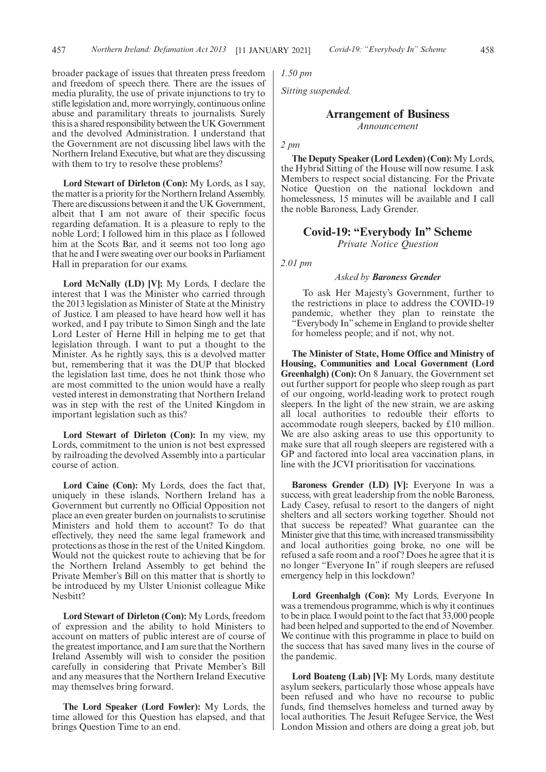broader package of issues that threaten press freedom and freedom of speech there. There are the issues of media plurality, the use of private injunctions to try to stifle legislation and, more worryingly, continuous online abuse and paramilitary threats to journalists. Surely this is a shared responsibility between the UK Government and the devolved Administration. I understand that the Government are not discussing libel laws with the Northern Ireland Executive, but what are they discussing with them to try to resolve these problems?

**Lord Stewart of Dirleton (Con):** My Lords, as I say, the matter is a priority for the Northern Ireland Assembly. There are discussions between it and the UK Government, albeit that I am not aware of their specific focus regarding defamation. It is a pleasure to reply to the noble Lord; I followed him in this place as I followed him at the Scots Bar, and it seems not too long ago that he and I were sweating over our books in Parliament Hall in preparation for our exams.

**Lord McNally (LD) [V]:** My Lords, I declare the interest that I was the Minister who carried through the 2013 legislation as Minister of State at the Ministry of Justice. I am pleased to have heard how well it has worked, and I pay tribute to Simon Singh and the late Lord Lester of Herne Hill in helping me to get that legislation through. I want to put a thought to the Minister. As he rightly says, this is a devolved matter but, remembering that it was the DUP that blocked the legislation last time, does he not think those who are most committed to the union would have a really vested interest in demonstrating that Northern Ireland was in step with the rest of the United Kingdom in important legislation such as this?

**Lord Stewart of Dirleton (Con):** In my view, my Lords, commitment to the union is not best expressed by railroading the devolved Assembly into a particular course of action.

**Lord Caine (Con):** My Lords, does the fact that, uniquely in these islands, Northern Ireland has a Government but currently no Official Opposition not place an even greater burden on journalists to scrutinise Ministers and hold them to account? To do that effectively, they need the same legal framework and protections as those in the rest of the United Kingdom. Would not the quickest route to achieving that be for the Northern Ireland Assembly to get behind the Private Member's Bill on this matter that is shortly to be introduced by my Ulster Unionist colleague Mike Nesbitt?

**Lord Stewart of Dirleton (Con):** My Lords, freedom of expression and the ability to hold Ministers to account on matters of public interest are of course of the greatest importance, and I am sure that the Northern Ireland Assembly will wish to consider the position carefully in considering that Private Member's Bill and any measures that the Northern Ireland Executive may themselves bring forward.

**The Lord Speaker (Lord Fowler):** My Lords, the time allowed for this Question has elapsed, and that brings Question Time to an end.

*1.50 pm*

*Sitting suspended.*

## **Arrangement of Business** *Announcement*

*2 pm*

**The Deputy Speaker (Lord Lexden) (Con):** My Lords, the Hybrid Sitting of the House will now resume. I ask Members to respect social distancing. For the Private Notice Question on the national lockdown and homelessness, 15 minutes will be available and I call the noble Baroness, Lady Grender.

## **Covid-19: "Everybody In" Scheme** *Private Notice Question*

*2.01 pm*

#### *Asked by Baroness Grender*

To ask Her Majesty's Government, further to the restrictions in place to address the COVID-19 pandemic, whether they plan to reinstate the "Everybody In"scheme in England to provide shelter for homeless people; and if not, why not.

**The Minister of State, Home Office and Ministry of Housing, Communities and Local Government (Lord Greenhalgh) (Con):** On 8 January, the Government set out further support for people who sleep rough as part of our ongoing, world-leading work to protect rough sleepers. In the light of the new strain, we are asking all local authorities to redouble their efforts to accommodate rough sleepers, backed by £10 million. We are also asking areas to use this opportunity to make sure that all rough sleepers are registered with a GP and factored into local area vaccination plans, in line with the JCVI prioritisation for vaccinations.

**Baroness Grender (LD) [V]:** Everyone In was a success, with great leadership from the noble Baroness, Lady Casey, refusal to resort to the dangers of night shelters and all sectors working together. Should not that success be repeated? What guarantee can the Minister give that this time, with increased transmissibility and local authorities going broke, no one will be refused a safe room and a roof? Does he agree that it is no longer "Everyone In" if rough sleepers are refused emergency help in this lockdown?

**Lord Greenhalgh (Con):** My Lords, Everyone In was a tremendous programme, which is why it continues to be in place. I would point to the fact that 33,000 people had been helped and supported to the end of November. We continue with this programme in place to build on the success that has saved many lives in the course of the pandemic.

**Lord Boateng (Lab) [V]:** My Lords, many destitute asylum seekers, particularly those whose appeals have been refused and who have no recourse to public funds, find themselves homeless and turned away by local authorities. The Jesuit Refugee Service, the West London Mission and others are doing a great job, but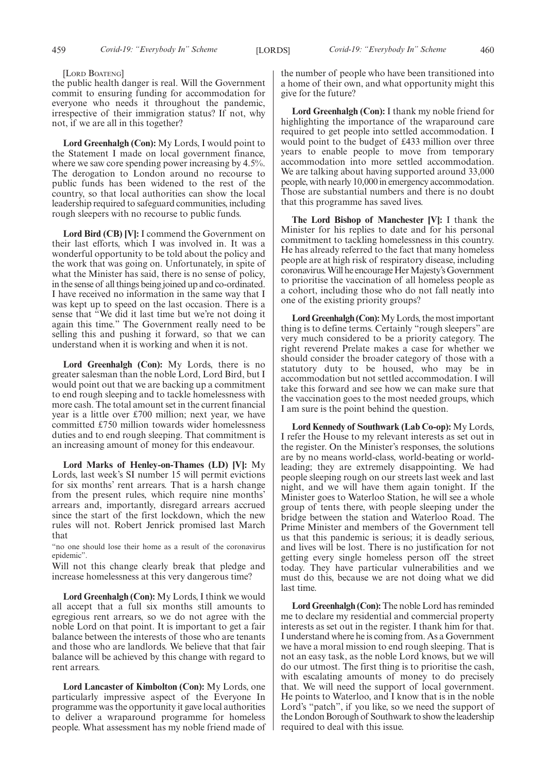#### [LORD BOATENG]

the public health danger is real. Will the Government commit to ensuring funding for accommodation for everyone who needs it throughout the pandemic, irrespective of their immigration status? If not, why not, if we are all in this together?

**Lord Greenhalgh (Con):** My Lords, I would point to the Statement I made on local government finance, where we saw core spending power increasing by 4.5%. The derogation to London around no recourse to public funds has been widened to the rest of the country, so that local authorities can show the local leadership required to safeguard communities, including rough sleepers with no recourse to public funds.

**Lord Bird (CB) [V]:** I commend the Government on their last efforts, which I was involved in. It was a wonderful opportunity to be told about the policy and the work that was going on. Unfortunately, in spite of what the Minister has said, there is no sense of policy, in the sense of all things being joined up and co-ordinated. I have received no information in the same way that I was kept up to speed on the last occasion. There is a sense that "We did it last time but we're not doing it again this time." The Government really need to be selling this and pushing it forward, so that we can understand when it is working and when it is not.

**Lord Greenhalgh (Con):** My Lords, there is no greater salesman than the noble Lord, Lord Bird, but I would point out that we are backing up a commitment to end rough sleeping and to tackle homelessness with more cash. The total amount set in the current financial year is a little over £700 million; next year, we have committed £750 million towards wider homelessness duties and to end rough sleeping. That commitment is an increasing amount of money for this endeavour.

**Lord Marks of Henley-on-Thames (LD) [V]:** My Lords, last week's SI number 15 will permit evictions for six months' rent arrears. That is a harsh change from the present rules, which require nine months' arrears and, importantly, disregard arrears accrued since the start of the first lockdown, which the new rules will not. Robert Jenrick promised last March that

"no one should lose their home as a result of the coronavirus epidemic".

Will not this change clearly break that pledge and increase homelessness at this very dangerous time?

**Lord Greenhalgh (Con):** My Lords, I think we would all accept that a full six months still amounts to egregious rent arrears, so we do not agree with the noble Lord on that point. It is important to get a fair balance between the interests of those who are tenants and those who are landlords. We believe that that fair balance will be achieved by this change with regard to rent arrears.

**Lord Lancaster of Kimbolton (Con):** My Lords, one particularly impressive aspect of the Everyone In programme was the opportunity it gave local authorities to deliver a wraparound programme for homeless people. What assessment has my noble friend made of the number of people who have been transitioned into a home of their own, and what opportunity might this give for the future?

**Lord Greenhalgh (Con):** I thank my noble friend for highlighting the importance of the wraparound care required to get people into settled accommodation. I would point to the budget of £433 million over three years to enable people to move from temporary accommodation into more settled accommodation. We are talking about having supported around 33,000 people, with nearly 10,000 in emergency accommodation. Those are substantial numbers and there is no doubt that this programme has saved lives.

**The Lord Bishop of Manchester [V]:** I thank the Minister for his replies to date and for his personal commitment to tackling homelessness in this country. He has already referred to the fact that many homeless people are at high risk of respiratory disease, including coronavirus. Will he encourage Her Majesty's Government to prioritise the vaccination of all homeless people as a cohort, including those who do not fall neatly into one of the existing priority groups?

**Lord Greenhalgh (Con):**My Lords, the most important thing is to define terms. Certainly "rough sleepers" are very much considered to be a priority category. The right reverend Prelate makes a case for whether we should consider the broader category of those with a statutory duty to be housed, who may be in accommodation but not settled accommodation. I will take this forward and see how we can make sure that the vaccination goes to the most needed groups, which I am sure is the point behind the question.

**Lord Kennedy of Southwark (Lab Co-op):** My Lords, I refer the House to my relevant interests as set out in the register. On the Minister's responses, the solutions are by no means world-class, world-beating or worldleading; they are extremely disappointing. We had people sleeping rough on our streets last week and last night, and we will have them again tonight. If the Minister goes to Waterloo Station, he will see a whole group of tents there, with people sleeping under the bridge between the station and Waterloo Road. The Prime Minister and members of the Government tell us that this pandemic is serious; it is deadly serious, and lives will be lost. There is no justification for not getting every single homeless person off the street today. They have particular vulnerabilities and we must do this, because we are not doing what we did last time.

**Lord Greenhalgh (Con):**The noble Lord has reminded me to declare my residential and commercial property interests as set out in the register. I thank him for that. I understand where he is coming from. As a Government we have a moral mission to end rough sleeping. That is not an easy task, as the noble Lord knows, but we will do our utmost. The first thing is to prioritise the cash, with escalating amounts of money to do precisely that. We will need the support of local government. He points to Waterloo, and I know that is in the noble Lord's "patch", if you like, so we need the support of the London Borough of Southwark to show the leadership required to deal with this issue.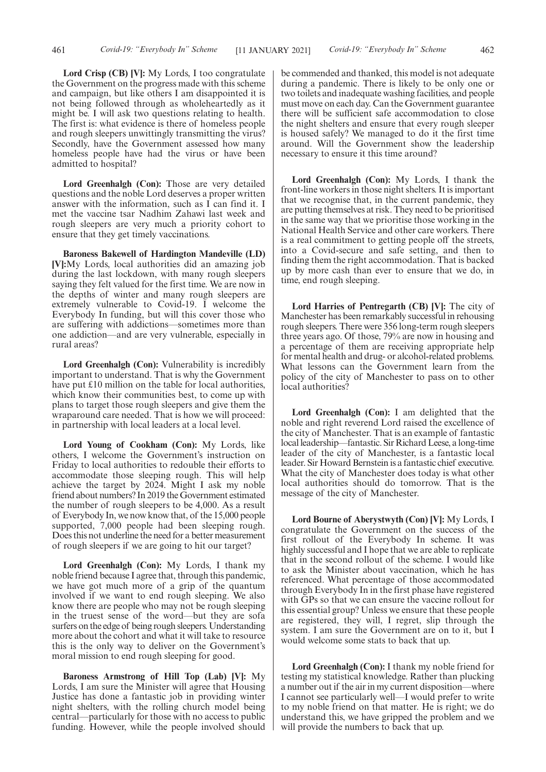**Lord Crisp (CB) [V]:** My Lords, I too congratulate the Government on the progress made with this scheme and campaign, but like others I am disappointed it is not being followed through as wholeheartedly as it might be. I will ask two questions relating to health. The first is: what evidence is there of homeless people and rough sleepers unwittingly transmitting the virus? Secondly, have the Government assessed how many homeless people have had the virus or have been admitted to hospital?

**Lord Greenhalgh (Con):** Those are very detailed questions and the noble Lord deserves a proper written answer with the information, such as I can find it. I met the vaccine tsar Nadhim Zahawi last week and rough sleepers are very much a priority cohort to ensure that they get timely vaccinations.

**Baroness Bakewell of Hardington Mandeville (LD) [V]:**My Lords, local authorities did an amazing job during the last lockdown, with many rough sleepers saying they felt valued for the first time. We are now in the depths of winter and many rough sleepers are extremely vulnerable to Covid-19. I welcome the Everybody In funding, but will this cover those who are suffering with addictions—sometimes more than one addiction—and are very vulnerable, especially in rural areas?

**Lord Greenhalgh (Con):** Vulnerability is incredibly important to understand. That is why the Government have put £10 million on the table for local authorities, which know their communities best, to come up with plans to target those rough sleepers and give them the wraparound care needed. That is how we will proceed: in partnership with local leaders at a local level.

**Lord Young of Cookham (Con):** My Lords, like others, I welcome the Government's instruction on Friday to local authorities to redouble their efforts to accommodate those sleeping rough. This will help achieve the target by 2024. Might I ask my noble friend about numbers? In 2019 the Government estimated the number of rough sleepers to be 4,000. As a result of Everybody In, we now know that, of the 15,000 people supported, 7,000 people had been sleeping rough. Does this not underline the need for a better measurement of rough sleepers if we are going to hit our target?

**Lord Greenhalgh (Con):** My Lords, I thank my noble friend because I agree that, through this pandemic, we have got much more of a grip of the quantum involved if we want to end rough sleeping. We also know there are people who may not be rough sleeping in the truest sense of the word—but they are sofa surfers on the edge of being rough sleepers. Understanding more about the cohort and what it will take to resource this is the only way to deliver on the Government's moral mission to end rough sleeping for good.

**Baroness Armstrong of Hill Top (Lab) [V]:** My Lords, I am sure the Minister will agree that Housing Justice has done a fantastic job in providing winter night shelters, with the rolling church model being central—particularly for those with no access to public funding. However, while the people involved should be commended and thanked, this model is not adequate during a pandemic. There is likely to be only one or two toilets and inadequate washing facilities, and people must move on each day. Can the Government guarantee there will be sufficient safe accommodation to close the night shelters and ensure that every rough sleeper is housed safely? We managed to do it the first time around. Will the Government show the leadership necessary to ensure it this time around?

**Lord Greenhalgh (Con):** My Lords, I thank the front-line workers in those night shelters. It is important that we recognise that, in the current pandemic, they are putting themselves at risk. They need to be prioritised in the same way that we prioritise those working in the National Health Service and other care workers. There is a real commitment to getting people off the streets, into a Covid-secure and safe setting, and then to finding them the right accommodation. That is backed up by more cash than ever to ensure that we do, in time, end rough sleeping.

**Lord Harries of Pentregarth (CB) [V]:** The city of Manchester has been remarkably successful in rehousing rough sleepers. There were 356 long-term rough sleepers three years ago. Of those, 79% are now in housing and a percentage of them are receiving appropriate help for mental health and drug- or alcohol-related problems. What lessons can the Government learn from the policy of the city of Manchester to pass on to other local authorities?

**Lord Greenhalgh (Con):** I am delighted that the noble and right reverend Lord raised the excellence of the city of Manchester. That is an example of fantastic local leadership—fantastic. Sir Richard Leese, a long-time leader of the city of Manchester, is a fantastic local leader. Sir Howard Bernstein is a fantastic chief executive. What the city of Manchester does today is what other local authorities should do tomorrow. That is the message of the city of Manchester.

**Lord Bourne of Aberystwyth (Con) [V]:** My Lords, I congratulate the Government on the success of the first rollout of the Everybody In scheme. It was highly successful and I hope that we are able to replicate that in the second rollout of the scheme. I would like to ask the Minister about vaccination, which he has referenced. What percentage of those accommodated through Everybody In in the first phase have registered with GPs so that we can ensure the vaccine rollout for this essential group? Unless we ensure that these people are registered, they will, I regret, slip through the system. I am sure the Government are on to it, but I would welcome some stats to back that up.

**Lord Greenhalgh (Con):** I thank my noble friend for testing my statistical knowledge. Rather than plucking a number out if the air in my current disposition—where I cannot see particularly well—I would prefer to write to my noble friend on that matter. He is right; we do understand this, we have gripped the problem and we will provide the numbers to back that up.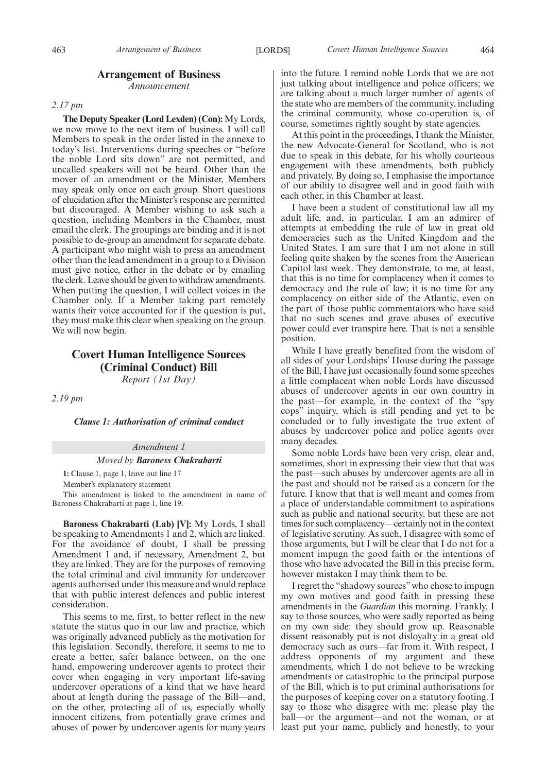## **Arrangement of Business**

*Announcement*

### *2.17 pm*

**The Deputy Speaker (Lord Lexden) (Con):** My Lords, we now move to the next item of business. I will call Members to speak in the order listed in the annexe to today's list. Interventions during speeches or "before the noble Lord sits down" are not permitted, and uncalled speakers will not be heard. Other than the mover of an amendment or the Minister, Members may speak only once on each group. Short questions of elucidation after the Minister's response are permitted but discouraged. A Member wishing to ask such a question, including Members in the Chamber, must email the clerk. The groupings are binding and it is not possible to de-group an amendment for separate debate. A participant who might wish to press an amendment other than the lead amendment in a group to a Division must give notice, either in the debate or by emailing the clerk. Leave should be given to withdraw amendments. When putting the question, I will collect voices in the Chamber only. If a Member taking part remotely wants their voice accounted for if the question is put, they must make this clear when speaking on the group. We will now begin.

## **Covert Human Intelligence Sources (Criminal Conduct) Bill** *Report (1st Day)*

*2.19 pm*

#### *Clause 1: Authorisation of criminal conduct*

## *Amendment 1*

## *Moved by Baroness Chakrabarti*

**1:** Clause 1, page 1, leave out line 17

Member's explanatory statement

This amendment is linked to the amendment in name of Baroness Chakrabarti at page 1, line 19.

**Baroness Chakrabarti (Lab) [V]:** My Lords, I shall be speaking to Amendments 1 and 2, which are linked. For the avoidance of doubt, I shall be pressing Amendment 1 and, if necessary, Amendment 2, but they are linked. They are for the purposes of removing the total criminal and civil immunity for undercover agents authorised under this measure and would replace that with public interest defences and public interest consideration.

This seems to me, first, to better reflect in the new statute the status quo in our law and practice, which was originally advanced publicly as the motivation for this legislation. Secondly, therefore, it seems to me to create a better, safer balance between, on the one hand, empowering undercover agents to protect their cover when engaging in very important life-saving undercover operations of a kind that we have heard about at length during the passage of the Bill—and, on the other, protecting all of us, especially wholly innocent citizens, from potentially grave crimes and abuses of power by undercover agents for many years into the future. I remind noble Lords that we are not just talking about intelligence and police officers; we are talking about a much larger number of agents of the state who are members of the community, including the criminal community, whose co-operation is, of course, sometimes rightly sought by state agencies.

At this point in the proceedings, I thank the Minister, the new Advocate-General for Scotland, who is not due to speak in this debate, for his wholly courteous engagement with these amendments, both publicly and privately. By doing so, I emphasise the importance of our ability to disagree well and in good faith with each other, in this Chamber at least.

I have been a student of constitutional law all my adult life, and, in particular, I am an admirer of attempts at embedding the rule of law in great old democracies such as the United Kingdom and the United States. I am sure that I am not alone in still feeling quite shaken by the scenes from the American Capitol last week. They demonstrate, to me, at least, that this is no time for complacency when it comes to democracy and the rule of law; it is no time for any complacency on either side of the Atlantic, even on the part of those public commentators who have said that no such scenes and grave abuses of executive power could ever transpire here. That is not a sensible position.

While I have greatly benefited from the wisdom of all sides of your Lordships' House during the passage of the Bill, I have just occasionally found some speeches a little complacent when noble Lords have discussed abuses of undercover agents in our own country in the past—for example, in the context of the "spy cops" inquiry, which is still pending and yet to be concluded or to fully investigate the true extent of abuses by undercover police and police agents over many decades.

Some noble Lords have been very crisp, clear and, sometimes, short in expressing their view that that was the past—such abuses by undercover agents are all in the past and should not be raised as a concern for the future. I know that that is well meant and comes from a place of understandable commitment to aspirations such as public and national security, but these are not times for such complacency—certainly not in the context of legislative scrutiny. As such, I disagree with some of those arguments, but I will be clear that I do not for a moment impugn the good faith or the intentions of those who have advocated the Bill in this precise form, however mistaken I may think them to be.

I regret the "shadowy sources" who chose to impugn my own motives and good faith in pressing these amendments in the *Guardian* this morning. Frankly, I say to those sources, who were sadly reported as being on my own side: they should grow up. Reasonable dissent reasonably put is not disloyalty in a great old democracy such as ours—far from it. With respect, I address opponents of my argument and these amendments, which I do not believe to be wrecking amendments or catastrophic to the principal purpose of the Bill, which is to put criminal authorisations for the purposes of keeping cover on a statutory footing. I say to those who disagree with me: please play the ball—or the argument—and not the woman, or at least put your name, publicly and honestly, to your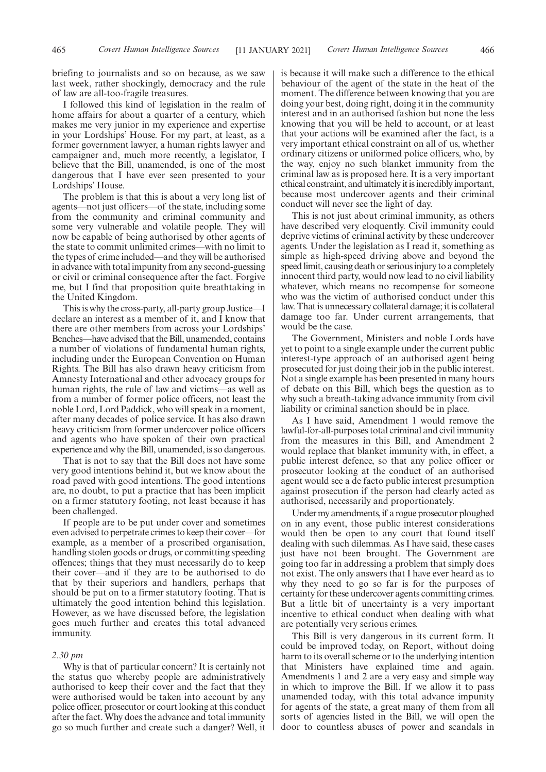I followed this kind of legislation in the realm of home affairs for about a quarter of a century, which makes me very junior in my experience and expertise in your Lordships' House. For my part, at least, as a former government lawyer, a human rights lawyer and campaigner and, much more recently, a legislator, I believe that the Bill, unamended, is one of the most dangerous that I have ever seen presented to your Lordships' House.

The problem is that this is about a very long list of agents—not just officers—of the state, including some from the community and criminal community and some very vulnerable and volatile people. They will now be capable of being authorised by other agents of the state to commit unlimited crimes—with no limit to the types of crime included—and they will be authorised in advance with total impunity from any second-guessing or civil or criminal consequence after the fact. Forgive me, but I find that proposition quite breathtaking in the United Kingdom.

This is why the cross-party, all-party group Justice—I declare an interest as a member of it, and I know that there are other members from across your Lordships' Benches—have advised that the Bill, unamended, contains a number of violations of fundamental human rights, including under the European Convention on Human Rights. The Bill has also drawn heavy criticism from Amnesty International and other advocacy groups for human rights, the rule of law and victims—as well as from a number of former police officers, not least the noble Lord, Lord Paddick, who will speak in a moment, after many decades of police service. It has also drawn heavy criticism from former undercover police officers and agents who have spoken of their own practical experience and why the Bill, unamended, is so dangerous.

That is not to say that the Bill does not have some very good intentions behind it, but we know about the road paved with good intentions. The good intentions are, no doubt, to put a practice that has been implicit on a firmer statutory footing, not least because it has been challenged.

If people are to be put under cover and sometimes even advised to perpetrate crimes to keep their cover—for example, as a member of a proscribed organisation, handling stolen goods or drugs, or committing speeding offences; things that they must necessarily do to keep their cover—and if they are to be authorised to do that by their superiors and handlers, perhaps that should be put on to a firmer statutory footing. That is ultimately the good intention behind this legislation. However, as we have discussed before, the legislation goes much further and creates this total advanced immunity.

## *2.30 pm*

Why is that of particular concern? It is certainly not the status quo whereby people are administratively authorised to keep their cover and the fact that they were authorised would be taken into account by any police officer, prosecutor or court looking at this conduct after the fact. Why does the advance and total immunity go so much further and create such a danger? Well, it is because it will make such a difference to the ethical behaviour of the agent of the state in the heat of the moment. The difference between knowing that you are doing your best, doing right, doing it in the community interest and in an authorised fashion but none the less knowing that you will be held to account, or at least that your actions will be examined after the fact, is a very important ethical constraint on all of us, whether ordinary citizens or uniformed police officers, who, by the way, enjoy no such blanket immunity from the criminal law as is proposed here. It is a very important ethical constraint, and ultimately it is incredibly important, because most undercover agents and their criminal conduct will never see the light of day.

This is not just about criminal immunity, as others have described very eloquently. Civil immunity could deprive victims of criminal activity by these undercover agents. Under the legislation as I read it, something as simple as high-speed driving above and beyond the speed limit, causing death or serious injury to a completely innocent third party, would now lead to no civil liability whatever, which means no recompense for someone who was the victim of authorised conduct under this law. That is unnecessary collateral damage; it is collateral damage too far. Under current arrangements, that would be the case.

The Government, Ministers and noble Lords have yet to point to a single example under the current public interest-type approach of an authorised agent being prosecuted for just doing their job in the public interest. Not a single example has been presented in many hours of debate on this Bill, which begs the question as to why such a breath-taking advance immunity from civil liability or criminal sanction should be in place.

As I have said, Amendment 1 would remove the lawful-for-all-purposes total criminal and civil immunity from the measures in this Bill, and Amendment 2 would replace that blanket immunity with, in effect, a public interest defence, so that any police officer or prosecutor looking at the conduct of an authorised agent would see a de facto public interest presumption against prosecution if the person had clearly acted as authorised, necessarily and proportionately.

Under my amendments, if a rogue prosecutor ploughed on in any event, those public interest considerations would then be open to any court that found itself dealing with such dilemmas. As I have said, these cases just have not been brought. The Government are going too far in addressing a problem that simply does not exist. The only answers that I have ever heard as to why they need to go so far is for the purposes of certainty for these undercover agents committing crimes. But a little bit of uncertainty is a very important incentive to ethical conduct when dealing with what are potentially very serious crimes.

This Bill is very dangerous in its current form. It could be improved today, on Report, without doing harm to its overall scheme or to the underlying intention that Ministers have explained time and again. Amendments 1 and 2 are a very easy and simple way in which to improve the Bill. If we allow it to pass unamended today, with this total advance impunity for agents of the state, a great many of them from all sorts of agencies listed in the Bill, we will open the door to countless abuses of power and scandals in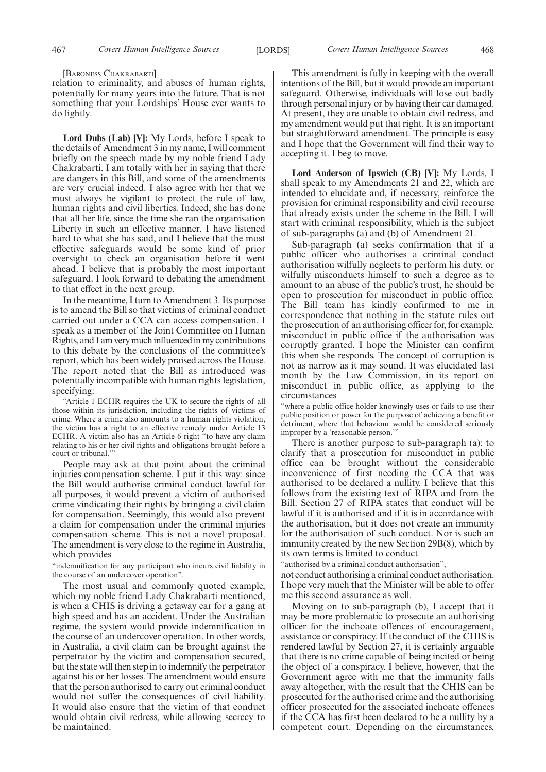[BARONESS CHAKRABARTI]

relation to criminality, and abuses of human rights, potentially for many years into the future. That is not something that your Lordships' House ever wants to do lightly.

**Lord Dubs (Lab) [V]:** My Lords, before I speak to the details of Amendment 3 in my name, I will comment briefly on the speech made by my noble friend Lady Chakrabarti. I am totally with her in saying that there are dangers in this Bill, and some of the amendments are very crucial indeed. I also agree with her that we must always be vigilant to protect the rule of law, human rights and civil liberties. Indeed, she has done that all her life, since the time she ran the organisation Liberty in such an effective manner. I have listened hard to what she has said, and I believe that the most effective safeguards would be some kind of prior oversight to check an organisation before it went ahead. I believe that is probably the most important safeguard. I look forward to debating the amendment to that effect in the next group.

In the meantime, I turn to Amendment 3. Its purpose is to amend the Bill so that victims of criminal conduct carried out under a CCA can access compensation. I speak as a member of the Joint Committee on Human Rights, and I am very much influenced in my contributions to this debate by the conclusions of the committee's report, which has been widely praised across the House. The report noted that the Bill as introduced was potentially incompatible with human rights legislation, specifying:

"Article 1 ECHR requires the UK to secure the rights of all those within its jurisdiction, including the rights of victims of crime. Where a crime also amounts to a human rights violation, the victim has a right to an effective remedy under Article 13 ECHR. A victim also has an Article 6 right "to have any claim relating to his or her civil rights and obligations brought before a court or tribunal.'"

People may ask at that point about the criminal injuries compensation scheme. I put it this way: since the Bill would authorise criminal conduct lawful for all purposes, it would prevent a victim of authorised crime vindicating their rights by bringing a civil claim for compensation. Seemingly, this would also prevent a claim for compensation under the criminal injuries compensation scheme. This is not a novel proposal. The amendment is very close to the regime in Australia, which provides

"indemnification for any participant who incurs civil liability in the course of an undercover operation".

The most usual and commonly quoted example, which my noble friend Lady Chakrabarti mentioned, is when a CHIS is driving a getaway car for a gang at high speed and has an accident. Under the Australian regime, the system would provide indemnification in the course of an undercover operation. In other words, in Australia, a civil claim can be brought against the perpetrator by the victim and compensation secured, but the state will then step in to indemnify the perpetrator against his or her losses. The amendment would ensure that the person authorised to carry out criminal conduct would not suffer the consequences of civil liability. It would also ensure that the victim of that conduct would obtain civil redress, while allowing secrecy to be maintained.

This amendment is fully in keeping with the overall intentions of the Bill, but it would provide an important safeguard. Otherwise, individuals will lose out badly through personal injury or by having their car damaged. At present, they are unable to obtain civil redress, and my amendment would put that right. It is an important but straightforward amendment. The principle is easy and I hope that the Government will find their way to accepting it. I beg to move.

**Lord Anderson of Ipswich (CB) [V]:** My Lords, I shall speak to my Amendments 21 and 22, which are intended to elucidate and, if necessary, reinforce the provision for criminal responsibility and civil recourse that already exists under the scheme in the Bill. I will start with criminal responsibility, which is the subject of sub-paragraphs (a) and (b) of Amendment 21.

Sub-paragraph (a) seeks confirmation that if a public officer who authorises a criminal conduct authorisation wilfully neglects to perform his duty, or wilfully misconducts himself to such a degree as to amount to an abuse of the public's trust, he should be open to prosecution for misconduct in public office. The Bill team has kindly confirmed to me in correspondence that nothing in the statute rules out the prosecution of an authorising officer for, for example, misconduct in public office if the authorisation was corruptly granted. I hope the Minister can confirm this when she responds. The concept of corruption is not as narrow as it may sound. It was elucidated last month by the Law Commission, in its report on misconduct in public office, as applying to the circumstances

"where a public office holder knowingly uses or fails to use their public position or power for the purpose of achieving a benefit or detriment, where that behaviour would be considered seriously improper by a 'reasonable person.'

There is another purpose to sub-paragraph (a): to clarify that a prosecution for misconduct in public office can be brought without the considerable inconvenience of first needing the CCA that was authorised to be declared a nullity. I believe that this follows from the existing text of RIPA and from the Bill. Section 27 of RIPA states that conduct will be lawful if it is authorised and if it is in accordance with the authorisation, but it does not create an immunity for the authorisation of such conduct. Nor is such an immunity created by the new Section 29B(8), which by its own terms is limited to conduct

"authorised by a criminal conduct authorisation",

not conduct authorising a criminal conduct authorisation. I hope very much that the Minister will be able to offer me this second assurance as well.

Moving on to sub-paragraph (b), I accept that it may be more problematic to prosecute an authorising officer for the inchoate offences of encouragement, assistance or conspiracy. If the conduct of the CHIS is rendered lawful by Section 27, it is certainly arguable that there is no crime capable of being incited or being the object of a conspiracy. I believe, however, that the Government agree with me that the immunity falls away altogether, with the result that the CHIS can be prosecuted for the authorised crime and the authorising officer prosecuted for the associated inchoate offences if the CCA has first been declared to be a nullity by a competent court. Depending on the circumstances,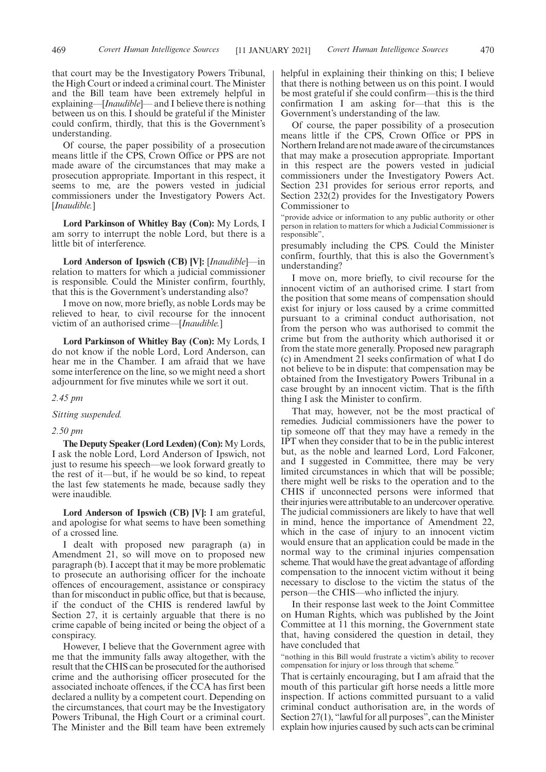that court may be the Investigatory Powers Tribunal, the High Court or indeed a criminal court. The Minister and the Bill team have been extremely helpful in explaining—[*Inaudible*]— and I believe there is nothing between us on this. I should be grateful if the Minister could confirm, thirdly, that this is the Government's understanding.

Of course, the paper possibility of a prosecution means little if the CPS, Crown Office or PPS are not made aware of the circumstances that may make a prosecution appropriate. Important in this respect, it seems to me, are the powers vested in judicial commissioners under the Investigatory Powers Act. [*Inaudible.*]

**Lord Parkinson of Whitley Bay (Con):** My Lords, I am sorry to interrupt the noble Lord, but there is a little bit of interference.

**Lord Anderson of Ipswich (CB) [V]:** [*Inaudible*]—in relation to matters for which a judicial commissioner is responsible. Could the Minister confirm, fourthly, that this is the Government's understanding also?

I move on now, more briefly, as noble Lords may be relieved to hear, to civil recourse for the innocent victim of an authorised crime—[*Inaudible.*]

**Lord Parkinson of Whitley Bay (Con):** My Lords, I do not know if the noble Lord, Lord Anderson, can hear me in the Chamber. I am afraid that we have some interference on the line, so we might need a short adjournment for five minutes while we sort it out.

## *2.45 pm*

*Sitting suspended.*

#### *2.50 pm*

**The Deputy Speaker (Lord Lexden) (Con):** My Lords, I ask the noble Lord, Lord Anderson of Ipswich, not just to resume his speech—we look forward greatly to the rest of it—but, if he would be so kind, to repeat the last few statements he made, because sadly they were inaudible.

**Lord Anderson of Ipswich (CB) [V]:** I am grateful, and apologise for what seems to have been something of a crossed line.

I dealt with proposed new paragraph (a) in Amendment 21, so will move on to proposed new paragraph (b). I accept that it may be more problematic to prosecute an authorising officer for the inchoate offences of encouragement, assistance or conspiracy than for misconduct in public office, but that is because, if the conduct of the CHIS is rendered lawful by Section 27, it is certainly arguable that there is no crime capable of being incited or being the object of a conspiracy.

However, I believe that the Government agree with me that the immunity falls away altogether, with the result that the CHIS can be prosecuted for the authorised crime and the authorising officer prosecuted for the associated inchoate offences, if the CCA has first been declared a nullity by a competent court. Depending on the circumstances, that court may be the Investigatory Powers Tribunal, the High Court or a criminal court. The Minister and the Bill team have been extremely helpful in explaining their thinking on this; I believe that there is nothing between us on this point. I would be most grateful if she could confirm—this is the third confirmation I am asking for—that this is the Government's understanding of the law.

Of course, the paper possibility of a prosecution means little if the CPS, Crown Office or PPS in Northern Ireland are not made aware of the circumstances that may make a prosecution appropriate. Important in this respect are the powers vested in judicial commissioners under the Investigatory Powers Act. Section 231 provides for serious error reports, and Section 232(2) provides for the Investigatory Powers Commissioner to

"provide advice or information to any public authority or other person in relation to matters for which a Judicial Commissioner is responsible",

presumably including the CPS. Could the Minister confirm, fourthly, that this is also the Government's understanding?

I move on, more briefly, to civil recourse for the innocent victim of an authorised crime. I start from the position that some means of compensation should exist for injury or loss caused by a crime committed pursuant to a criminal conduct authorisation, not from the person who was authorised to commit the crime but from the authority which authorised it or from the state more generally. Proposed new paragraph (c) in Amendment 21 seeks confirmation of what I do not believe to be in dispute: that compensation may be obtained from the Investigatory Powers Tribunal in a case brought by an innocent victim. That is the fifth thing I ask the Minister to confirm.

That may, however, not be the most practical of remedies. Judicial commissioners have the power to tip someone off that they may have a remedy in the IPT when they consider that to be in the public interest but, as the noble and learned Lord, Lord Falconer, and I suggested in Committee, there may be very limited circumstances in which that will be possible; there might well be risks to the operation and to the CHIS if unconnected persons were informed that their injuries were attributable to an undercover operative. The judicial commissioners are likely to have that well in mind, hence the importance of Amendment 22, which in the case of injury to an innocent victim would ensure that an application could be made in the normal way to the criminal injuries compensation scheme. That would have the great advantage of affording compensation to the innocent victim without it being necessary to disclose to the victim the status of the person—the CHIS—who inflicted the injury.

In their response last week to the Joint Committee on Human Rights, which was published by the Joint Committee at 11 this morning, the Government state that, having considered the question in detail, they have concluded that

"nothing in this Bill would frustrate a victim's ability to recover compensation for injury or loss through that scheme."

That is certainly encouraging, but I am afraid that the mouth of this particular gift horse needs a little more inspection. If actions committed pursuant to a valid criminal conduct authorisation are, in the words of Section 27(1), "lawful for all purposes", can the Minister explain how injuries caused by such acts can be criminal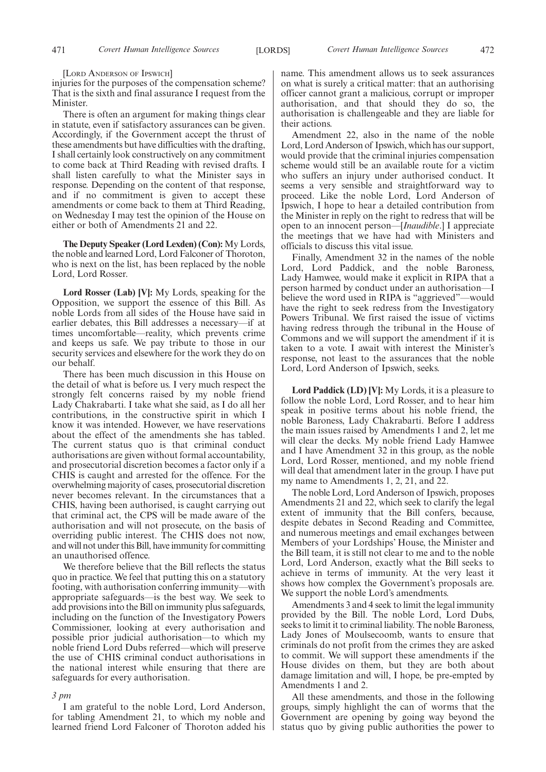[LORD ANDERSON OF IPSWICH]

injuries for the purposes of the compensation scheme? That is the sixth and final assurance I request from the Minister.

There is often an argument for making things clear in statute, even if satisfactory assurances can be given. Accordingly, if the Government accept the thrust of these amendments but have difficulties with the drafting, I shall certainly look constructively on any commitment to come back at Third Reading with revised drafts. I shall listen carefully to what the Minister says in response. Depending on the content of that response, and if no commitment is given to accept these amendments or come back to them at Third Reading, on Wednesday I may test the opinion of the House on either or both of Amendments 21 and 22.

**The Deputy Speaker (Lord Lexden) (Con):** My Lords, the noble and learned Lord, Lord Falconer of Thoroton, who is next on the list, has been replaced by the noble Lord, Lord Rosser.

**Lord Rosser (Lab) [V]:** My Lords, speaking for the Opposition, we support the essence of this Bill. As noble Lords from all sides of the House have said in earlier debates, this Bill addresses a necessary—if at times uncomfortable—reality, which prevents crime and keeps us safe. We pay tribute to those in our security services and elsewhere for the work they do on our behalf.

There has been much discussion in this House on the detail of what is before us. I very much respect the strongly felt concerns raised by my noble friend Lady Chakrabarti. I take what she said, as I do all her contributions, in the constructive spirit in which I know it was intended. However, we have reservations about the effect of the amendments she has tabled. The current status quo is that criminal conduct authorisations are given without formal accountability, and prosecutorial discretion becomes a factor only if a CHIS is caught and arrested for the offence. For the overwhelming majority of cases, prosecutorial discretion never becomes relevant. In the circumstances that a CHIS, having been authorised, is caught carrying out that criminal act, the CPS will be made aware of the authorisation and will not prosecute, on the basis of overriding public interest. The CHIS does not now, and will not under this Bill, have immunity for committing an unauthorised offence.

We therefore believe that the Bill reflects the status quo in practice. We feel that putting this on a statutory footing, with authorisation conferring immunity—with appropriate safeguards—is the best way. We seek to add provisions into the Bill on immunity plus safeguards, including on the function of the Investigatory Powers Commissioner, looking at every authorisation and possible prior judicial authorisation—to which my noble friend Lord Dubs referred—which will preserve the use of CHIS criminal conduct authorisations in the national interest while ensuring that there are safeguards for every authorisation.

#### *3 pm*

I am grateful to the noble Lord, Lord Anderson, for tabling Amendment 21, to which my noble and learned friend Lord Falconer of Thoroton added his name. This amendment allows us to seek assurances on what is surely a critical matter: that an authorising officer cannot grant a malicious, corrupt or improper authorisation, and that should they do so, the authorisation is challengeable and they are liable for their actions.

Amendment 22, also in the name of the noble Lord, Lord Anderson of Ipswich, which has our support, would provide that the criminal injuries compensation scheme would still be an available route for a victim who suffers an injury under authorised conduct. It seems a very sensible and straightforward way to proceed. Like the noble Lord, Lord Anderson of Ipswich, I hope to hear a detailed contribution from the Minister in reply on the right to redress that will be open to an innocent person—[*Inaudible*.] I appreciate the meetings that we have had with Ministers and officials to discuss this vital issue.

Finally, Amendment 32 in the names of the noble Lord, Lord Paddick, and the noble Baroness, Lady Hamwee, would make it explicit in RIPA that a person harmed by conduct under an authorisation—I believe the word used in RIPA is "aggrieved"—would have the right to seek redress from the Investigatory Powers Tribunal. We first raised the issue of victims having redress through the tribunal in the House of Commons and we will support the amendment if it is taken to a vote. I await with interest the Minister's response, not least to the assurances that the noble Lord, Lord Anderson of Ipswich, seeks.

**Lord Paddick (LD) [V]:** My Lords, it is a pleasure to follow the noble Lord, Lord Rosser, and to hear him speak in positive terms about his noble friend, the noble Baroness, Lady Chakrabarti. Before I address the main issues raised by Amendments 1 and 2, let me will clear the decks. My noble friend Lady Hamwee and I have Amendment 32 in this group, as the noble Lord, Lord Rosser, mentioned, and my noble friend will deal that amendment later in the group. I have put my name to Amendments 1, 2, 21, and 22.

The noble Lord, Lord Anderson of Ipswich, proposes Amendments 21 and 22, which seek to clarify the legal extent of immunity that the Bill confers, because, despite debates in Second Reading and Committee, and numerous meetings and email exchanges between Members of your Lordships' House, the Minister and the Bill team, it is still not clear to me and to the noble Lord, Lord Anderson, exactly what the Bill seeks to achieve in terms of immunity. At the very least it shows how complex the Government's proposals are. We support the noble Lord's amendments.

Amendments 3 and 4 seek to limit the legal immunity provided by the Bill. The noble Lord, Lord Dubs, seeks to limit it to criminal liability. The noble Baroness, Lady Jones of Moulsecoomb, wants to ensure that criminals do not profit from the crimes they are asked to commit. We will support these amendments if the House divides on them, but they are both about damage limitation and will, I hope, be pre-empted by Amendments 1 and 2.

All these amendments, and those in the following groups, simply highlight the can of worms that the Government are opening by going way beyond the status quo by giving public authorities the power to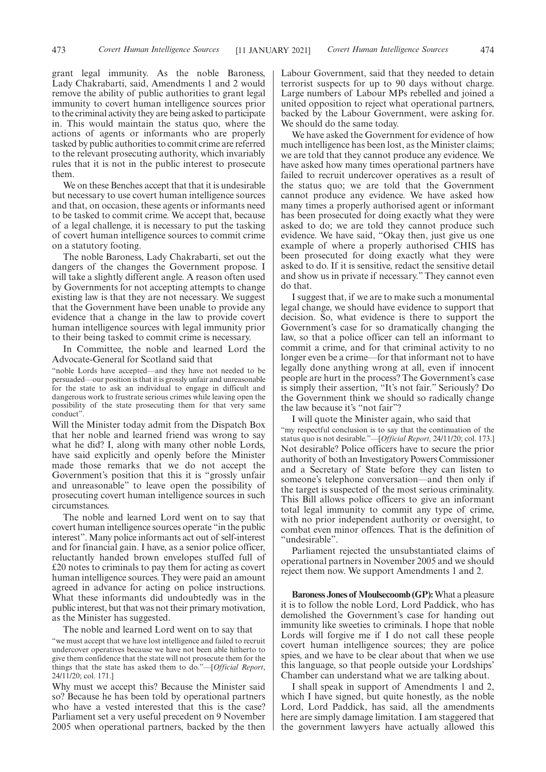grant legal immunity. As the noble Baroness, Lady Chakrabarti, said, Amendments 1 and 2 would remove the ability of public authorities to grant legal immunity to covert human intelligence sources prior to the criminal activity they are being asked to participate in. This would maintain the status quo, where the actions of agents or informants who are properly tasked by public authorities to commit crime are referred to the relevant prosecuting authority, which invariably rules that it is not in the public interest to prosecute them.

We on these Benches accept that that it is undesirable. but necessary to use covert human intelligence sources and that, on occasion, these agents or informants need to be tasked to commit crime. We accept that, because of a legal challenge, it is necessary to put the tasking of covert human intelligence sources to commit crime on a statutory footing.

The noble Baroness, Lady Chakrabarti, set out the dangers of the changes the Government propose. I will take a slightly different angle. A reason often used by Governments for not accepting attempts to change existing law is that they are not necessary. We suggest that the Government have been unable to provide any evidence that a change in the law to provide covert human intelligence sources with legal immunity prior to their being tasked to commit crime is necessary.

In Committee, the noble and learned Lord the Advocate-General for Scotland said that

"noble Lords have accepted—and they have not needed to be persuaded—our position is that it is grossly unfair and unreasonable for the state to ask an individual to engage in difficult and dangerous work to frustrate serious crimes while leaving open the possibility of the state prosecuting them for that very same conduct".

Will the Minister today admit from the Dispatch Box that her noble and learned friend was wrong to say what he did? I, along with many other noble Lords, have said explicitly and openly before the Minister made those remarks that we do not accept the Government's position that this it is "grossly unfair and unreasonable" to leave open the possibility of prosecuting covert human intelligence sources in such circumstances.

The noble and learned Lord went on to say that covert human intelligence sources operate "in the public interest". Many police informants act out of self-interest and for financial gain. I have, as a senior police officer, reluctantly handed brown envelopes stuffed full of £20 notes to criminals to pay them for acting as covert human intelligence sources. They were paid an amount agreed in advance for acting on police instructions. What these informants did undoubtedly was in the public interest, but that was not their primary motivation, as the Minister has suggested.

The noble and learned Lord went on to say that

"we must accept that we have lost intelligence and failed to recruit undercover operatives because we have not been able hitherto to give them confidence that the state will not prosecute them for the things that the state has asked them to do."—[*Official Report*, 24/11/20; col. 171.]

Why must we accept this? Because the Minister said so? Because he has been told by operational partners who have a vested interested that this is the case? Parliament set a very useful precedent on 9 November 2005 when operational partners, backed by the then Labour Government, said that they needed to detain terrorist suspects for up to 90 days without charge. Large numbers of Labour MPs rebelled and joined a united opposition to reject what operational partners, backed by the Labour Government, were asking for. We should do the same today.

We have asked the Government for evidence of how much intelligence has been lost, as the Minister claims; we are told that they cannot produce any evidence. We have asked how many times operational partners have failed to recruit undercover operatives as a result of the status quo; we are told that the Government cannot produce any evidence. We have asked how many times a properly authorised agent or informant has been prosecuted for doing exactly what they were asked to do; we are told they cannot produce such evidence. We have said, "Okay then, just give us one example of where a properly authorised CHIS has been prosecuted for doing exactly what they were asked to do. If it is sensitive, redact the sensitive detail and show us in private if necessary." They cannot even do that.

I suggest that, if we are to make such a monumental legal change, we should have evidence to support that decision. So, what evidence is there to support the Government's case for so dramatically changing the law, so that a police officer can tell an informant to commit a crime, and for that criminal activity to no longer even be a crime—for that informant not to have legally done anything wrong at all, even if innocent people are hurt in the process? The Government's case is simply their assertion, "It's not fair." Seriously? Do the Government think we should so radically change the law because it's "not fair"?

I will quote the Minister again, who said that "my respectful conclusion is to say that the continuation of the status quo is not desirable."—[*Official Report,* 24/11/20; col. 173.] Not desirable? Police officers have to secure the prior authority of both an Investigatory Powers Commissioner and a Secretary of State before they can listen to someone's telephone conversation—and then only if the target is suspected of the most serious criminality. This Bill allows police officers to give an informant total legal immunity to commit any type of crime, with no prior independent authority or oversight, to combat even minor offences. That is the definition of "undesirable".

Parliament rejected the unsubstantiated claims of operational partners in November 2005 and we should reject them now. We support Amendments 1 and 2.

**Baroness Jones of Moulsecoomb (GP):**What a pleasure it is to follow the noble Lord, Lord Paddick, who has demolished the Government's case for handing out immunity like sweeties to criminals. I hope that noble Lords will forgive me if I do not call these people covert human intelligence sources; they are police spies, and we have to be clear about that when we use this language, so that people outside your Lordships' Chamber can understand what we are talking about.

I shall speak in support of Amendments 1 and 2, which I have signed, but quite honestly, as the noble Lord, Lord Paddick, has said, all the amendments here are simply damage limitation. I am staggered that the government lawyers have actually allowed this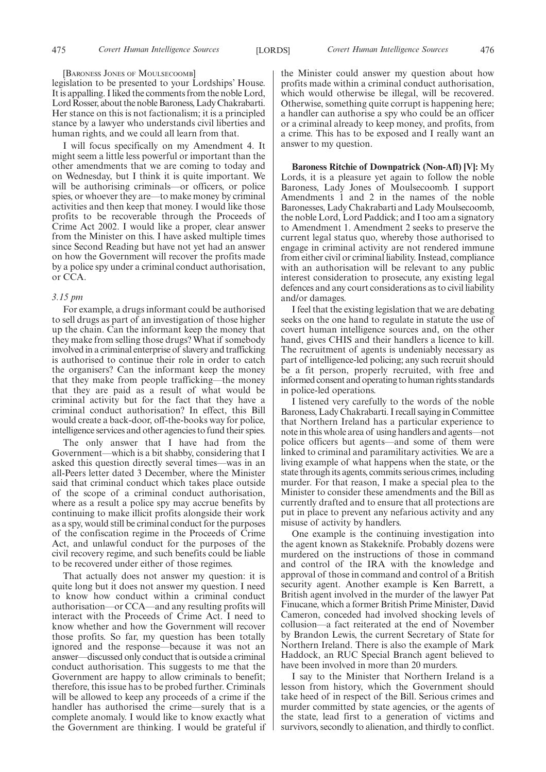[BARONESS JONES OF MOULSECOOMB]

legislation to be presented to your Lordships' House. It is appalling. I liked the comments from the noble Lord, Lord Rosser, about the noble Baroness, Lady Chakrabarti. Her stance on this is not factionalism; it is a principled stance by a lawyer who understands civil liberties and human rights, and we could all learn from that.

I will focus specifically on my Amendment 4. It might seem a little less powerful or important than the other amendments that we are coming to today and on Wednesday, but I think it is quite important. We will be authorising criminals—or officers, or police spies, or whoever they are—to make money by criminal activities and then keep that money. I would like those profits to be recoverable through the Proceeds of Crime Act 2002. I would like a proper, clear answer from the Minister on this. I have asked multiple times since Second Reading but have not yet had an answer on how the Government will recover the profits made by a police spy under a criminal conduct authorisation, or CCA.

## *3.15 pm*

For example, a drugs informant could be authorised to sell drugs as part of an investigation of those higher up the chain. Can the informant keep the money that they make from selling those drugs? What if somebody involved in a criminal enterprise of slavery and trafficking is authorised to continue their role in order to catch the organisers? Can the informant keep the money that they make from people trafficking—the money that they are paid as a result of what would be criminal activity but for the fact that they have a criminal conduct authorisation? In effect, this Bill would create a back-door, off-the-books way for police, intelligence services and other agencies to fund their spies.

The only answer that I have had from the Government—which is a bit shabby, considering that I asked this question directly several times—was in an all-Peers letter dated 3 December, where the Minister said that criminal conduct which takes place outside of the scope of a criminal conduct authorisation, where as a result a police spy may accrue benefits by continuing to make illicit profits alongside their work as a spy, would still be criminal conduct for the purposes of the confiscation regime in the Proceeds of Crime Act, and unlawful conduct for the purposes of the civil recovery regime, and such benefits could be liable to be recovered under either of those regimes.

That actually does not answer my question: it is quite long but it does not answer my question. I need to know how conduct within a criminal conduct authorisation—or CCA—and any resulting profits will interact with the Proceeds of Crime Act. I need to know whether and how the Government will recover those profits. So far, my question has been totally ignored and the response—because it was not an answer—discussed only conduct that is outside a criminal conduct authorisation. This suggests to me that the Government are happy to allow criminals to benefit; therefore, this issue has to be probed further. Criminals will be allowed to keep any proceeds of a crime if the handler has authorised the crime—surely that is a complete anomaly. I would like to know exactly what the Government are thinking. I would be grateful if the Minister could answer my question about how profits made within a criminal conduct authorisation, which would otherwise be illegal, will be recovered. Otherwise, something quite corrupt is happening here; a handler can authorise a spy who could be an officer or a criminal already to keep money, and profits, from a crime. This has to be exposed and I really want an answer to my question.

**Baroness Ritchie of Downpatrick (Non-Afl) [V]:** My Lords, it is a pleasure yet again to follow the noble Baroness, Lady Jones of Moulsecoomb. I support Amendments 1 and 2 in the names of the noble Baronesses, Lady Chakrabarti and Lady Moulsecoomb, the noble Lord, Lord Paddick; and I too am a signatory to Amendment 1. Amendment 2 seeks to preserve the current legal status quo, whereby those authorised to engage in criminal activity are not rendered immune from either civil or criminal liability. Instead, compliance with an authorisation will be relevant to any public interest consideration to prosecute, any existing legal defences and any court considerations as to civil liability and/or damages.

I feel that the existing legislation that we are debating seeks on the one hand to regulate in statute the use of covert human intelligence sources and, on the other hand, gives CHIS and their handlers a licence to kill. The recruitment of agents is undeniably necessary as part of intelligence-led policing; any such recruit should be a fit person, properly recruited, with free and informed consent and operating to human rights standards in police-led operations.

I listened very carefully to the words of the noble Baroness, Lady Chakrabarti. I recall saying in Committee that Northern Ireland has a particular experience to note in this whole area of using handlers and agents—not police officers but agents—and some of them were linked to criminal and paramilitary activities. We are a living example of what happens when the state, or the state through its agents, commits serious crimes, including murder. For that reason, I make a special plea to the Minister to consider these amendments and the Bill as currently drafted and to ensure that all protections are put in place to prevent any nefarious activity and any misuse of activity by handlers.

One example is the continuing investigation into the agent known as Stakeknife. Probably dozens were murdered on the instructions of those in command and control of the IRA with the knowledge and approval of those in command and control of a British security agent. Another example is Ken Barrett, a British agent involved in the murder of the lawyer Pat Finucane, which a former British Prime Minister, David Cameron, conceded had involved shocking levels of collusion—a fact reiterated at the end of November by Brandon Lewis, the current Secretary of State for Northern Ireland. There is also the example of Mark Haddock, an RUC Special Branch agent believed to have been involved in more than 20 murders.

I say to the Minister that Northern Ireland is a lesson from history, which the Government should take heed of in respect of the Bill. Serious crimes and murder committed by state agencies, or the agents of the state, lead first to a generation of victims and survivors, secondly to alienation, and thirdly to conflict.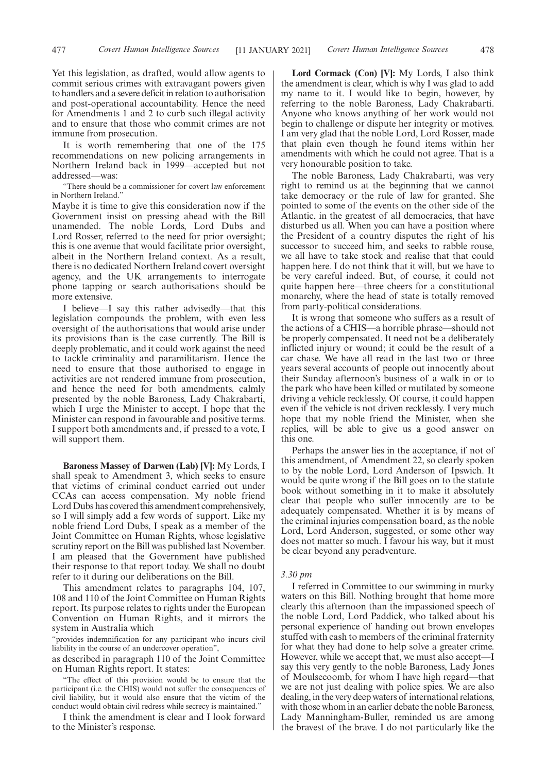Yet this legislation, as drafted, would allow agents to commit serious crimes with extravagant powers given to handlers and a severe deficit in relation to authorisation and post-operational accountability. Hence the need for Amendments 1 and 2 to curb such illegal activity and to ensure that those who commit crimes are not immune from prosecution.

It is worth remembering that one of the 175 recommendations on new policing arrangements in Northern Ireland back in 1999—accepted but not addressed—was:

"There should be a commissioner for covert law enforcement in Northern Ireland."

Maybe it is time to give this consideration now if the Government insist on pressing ahead with the Bill unamended. The noble Lords, Lord Dubs and Lord Rosser, referred to the need for prior oversight; this is one avenue that would facilitate prior oversight, albeit in the Northern Ireland context. As a result, there is no dedicated Northern Ireland covert oversight agency, and the UK arrangements to interrogate phone tapping or search authorisations should be more extensive.

I believe—I say this rather advisedly—that this legislation compounds the problem, with even less oversight of the authorisations that would arise under its provisions than is the case currently. The Bill is deeply problematic, and it could work against the need to tackle criminality and paramilitarism. Hence the need to ensure that those authorised to engage in activities are not rendered immune from prosecution, and hence the need for both amendments, calmly presented by the noble Baroness, Lady Chakrabarti, which I urge the Minister to accept. I hope that the Minister can respond in favourable and positive terms. I support both amendments and, if pressed to a vote, I will support them.

**Baroness Massey of Darwen (Lab) [V]:** My Lords, I shall speak to Amendment 3, which seeks to ensure that victims of criminal conduct carried out under CCAs can access compensation. My noble friend Lord Dubs has covered this amendment comprehensively, so I will simply add a few words of support. Like my noble friend Lord Dubs, I speak as a member of the Joint Committee on Human Rights, whose legislative scrutiny report on the Bill was published last November. I am pleased that the Government have published their response to that report today. We shall no doubt refer to it during our deliberations on the Bill.

This amendment relates to paragraphs 104, 107, 108 and 110 of the Joint Committee on Human Rights report. Its purpose relates to rights under the European Convention on Human Rights, and it mirrors the system in Australia which

"provides indemnification for any participant who incurs civil liability in the course of an undercover operation",

as described in paragraph 110 of the Joint Committee on Human Rights report. It states:

"The effect of this provision would be to ensure that the participant (i.e. the CHIS) would not suffer the consequences of civil liability, but it would also ensure that the victim of the conduct would obtain civil redress while secrecy is maintained."

I think the amendment is clear and I look forward to the Minister's response.

**Lord Cormack (Con) [V]:** My Lords, I also think the amendment is clear, which is why I was glad to add my name to it. I would like to begin, however, by referring to the noble Baroness, Lady Chakrabarti. Anyone who knows anything of her work would not begin to challenge or dispute her integrity or motives. I am very glad that the noble Lord, Lord Rosser, made that plain even though he found items within her amendments with which he could not agree. That is a very honourable position to take.

The noble Baroness, Lady Chakrabarti, was very right to remind us at the beginning that we cannot take democracy or the rule of law for granted. She pointed to some of the events on the other side of the Atlantic, in the greatest of all democracies, that have disturbed us all. When you can have a position where the President of a country disputes the right of his successor to succeed him, and seeks to rabble rouse, we all have to take stock and realise that that could happen here. I do not think that it will, but we have to be very careful indeed. But, of course, it could not quite happen here—three cheers for a constitutional monarchy, where the head of state is totally removed from party-political considerations.

It is wrong that someone who suffers as a result of the actions of a CHIS—a horrible phrase—should not be properly compensated. It need not be a deliberately inflicted injury or wound; it could be the result of a car chase. We have all read in the last two or three years several accounts of people out innocently about their Sunday afternoon's business of a walk in or to the park who have been killed or mutilated by someone driving a vehicle recklessly. Of course, it could happen even if the vehicle is not driven recklessly. I very much hope that my noble friend the Minister, when she replies, will be able to give us a good answer on this one.

Perhaps the answer lies in the acceptance, if not of this amendment, of Amendment 22, so clearly spoken to by the noble Lord, Lord Anderson of Ipswich. It would be quite wrong if the Bill goes on to the statute book without something in it to make it absolutely clear that people who suffer innocently are to be adequately compensated. Whether it is by means of the criminal injuries compensation board, as the noble Lord, Lord Anderson, suggested, or some other way does not matter so much. I favour his way, but it must be clear beyond any peradventure.

#### *3.30 pm*

I referred in Committee to our swimming in murky waters on this Bill. Nothing brought that home more clearly this afternoon than the impassioned speech of the noble Lord, Lord Paddick, who talked about his personal experience of handing out brown envelopes stuffed with cash to members of the criminal fraternity for what they had done to help solve a greater crime. However, while we accept that, we must also accept—I say this very gently to the noble Baroness, Lady Jones of Moulsecoomb, for whom I have high regard—that we are not just dealing with police spies. We are also dealing, in the very deep waters of international relations, with those whom in an earlier debate the noble Baroness, Lady Manningham-Buller, reminded us are among the bravest of the brave. I do not particularly like the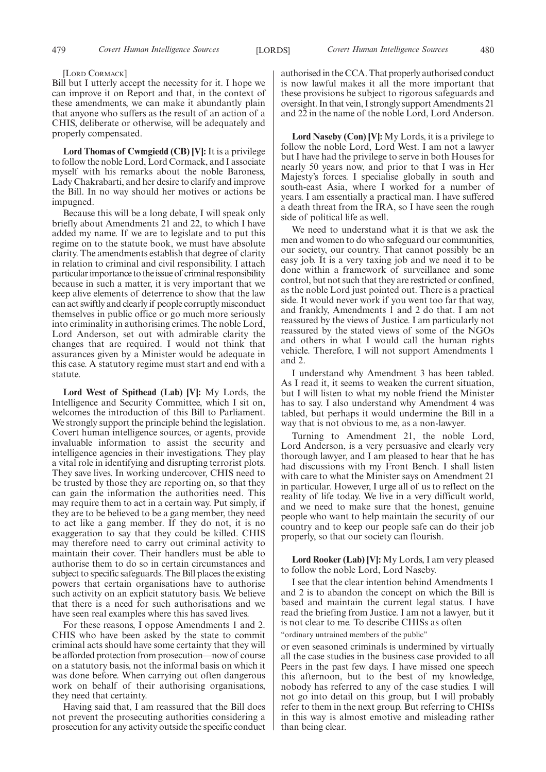#### [LORD CORMACK]

Bill but I utterly accept the necessity for it. I hope we can improve it on Report and that, in the context of these amendments, we can make it abundantly plain that anyone who suffers as the result of an action of a CHIS, deliberate or otherwise, will be adequately and properly compensated.

**Lord Thomas of Cwmgiedd (CB) [V]:** It is a privilege to follow the noble Lord, Lord Cormack, and I associate myself with his remarks about the noble Baroness, Lady Chakrabarti, and her desire to clarify and improve the Bill. In no way should her motives or actions be impugned.

Because this will be a long debate, I will speak only briefly about Amendments 21 and 22, to which I have added my name. If we are to legislate and to put this regime on to the statute book, we must have absolute clarity. The amendments establish that degree of clarity in relation to criminal and civil responsibility. I attach particular importance to the issue of criminal responsibility because in such a matter, it is very important that we keep alive elements of deterrence to show that the law can act swiftly and clearly if people corruptly misconduct themselves in public office or go much more seriously into criminality in authorising crimes. The noble Lord, Lord Anderson, set out with admirable clarity the changes that are required. I would not think that assurances given by a Minister would be adequate in this case. A statutory regime must start and end with a statute.

**Lord West of Spithead (Lab) [V]:** My Lords, the Intelligence and Security Committee, which I sit on, welcomes the introduction of this Bill to Parliament. We strongly support the principle behind the legislation. Covert human intelligence sources, or agents, provide invaluable information to assist the security and intelligence agencies in their investigations. They play a vital role in identifying and disrupting terrorist plots. They save lives. In working undercover, CHIS need to be trusted by those they are reporting on, so that they can gain the information the authorities need. This may require them to act in a certain way. Put simply, if they are to be believed to be a gang member, they need to act like a gang member. If they do not, it is no exaggeration to say that they could be killed. CHIS may therefore need to carry out criminal activity to maintain their cover. Their handlers must be able to authorise them to do so in certain circumstances and subject to specific safeguards. The Bill places the existing powers that certain organisations have to authorise such activity on an explicit statutory basis. We believe that there is a need for such authorisations and we have seen real examples where this has saved lives.

For these reasons, I oppose Amendments 1 and 2. CHIS who have been asked by the state to commit criminal acts should have some certainty that they will be afforded protection from prosecution—now of course on a statutory basis, not the informal basis on which it was done before. When carrying out often dangerous work on behalf of their authorising organisations, they need that certainty.

Having said that, I am reassured that the Bill does not prevent the prosecuting authorities considering a prosecution for any activity outside the specific conduct authorised in the CCA. That properly authorised conduct is now lawful makes it all the more important that these provisions be subject to rigorous safeguards and oversight. In that vein, I strongly support Amendments 21 and 22 in the name of the noble Lord, Lord Anderson.

**Lord Naseby (Con) [V]:** My Lords, it is a privilege to follow the noble Lord, Lord West. I am not a lawyer but I have had the privilege to serve in both Houses for nearly 50 years now, and prior to that I was in Her Majesty's forces. I specialise globally in south and south-east Asia, where I worked for a number of years. I am essentially a practical man. I have suffered a death threat from the IRA, so I have seen the rough side of political life as well.

We need to understand what it is that we ask the men and women to do who safeguard our communities, our society, our country. That cannot possibly be an easy job. It is a very taxing job and we need it to be done within a framework of surveillance and some control, but not such that they are restricted or confined, as the noble Lord just pointed out. There is a practical side. It would never work if you went too far that way, and frankly, Amendments 1 and 2 do that. I am not reassured by the views of Justice. I am particularly not reassured by the stated views of some of the NGOs and others in what I would call the human rights vehicle. Therefore, I will not support Amendments 1 and 2.

I understand why Amendment 3 has been tabled. As I read it, it seems to weaken the current situation, but I will listen to what my noble friend the Minister has to say. I also understand why Amendment 4 was tabled, but perhaps it would undermine the Bill in a way that is not obvious to me, as a non-lawyer.

Turning to Amendment 21, the noble Lord, Lord Anderson, is a very persuasive and clearly very thorough lawyer, and I am pleased to hear that he has had discussions with my Front Bench. I shall listen with care to what the Minister says on Amendment 21 in particular. However, I urge all of us to reflect on the reality of life today. We live in a very difficult world, and we need to make sure that the honest, genuine people who want to help maintain the security of our country and to keep our people safe can do their job properly, so that our society can flourish.

**Lord Rooker (Lab) [V]:** My Lords, I am very pleased to follow the noble Lord, Lord Naseby.

I see that the clear intention behind Amendments 1 and 2 is to abandon the concept on which the Bill is based and maintain the current legal status. I have read the briefing from Justice. I am not a lawyer, but it is not clear to me. To describe CHISs as often

"ordinary untrained members of the public"

or even seasoned criminals is undermined by virtually all the case studies in the business case provided to all Peers in the past few days. I have missed one speech this afternoon, but to the best of my knowledge, nobody has referred to any of the case studies. I will not go into detail on this group, but I will probably refer to them in the next group. But referring to CHISs in this way is almost emotive and misleading rather than being clear.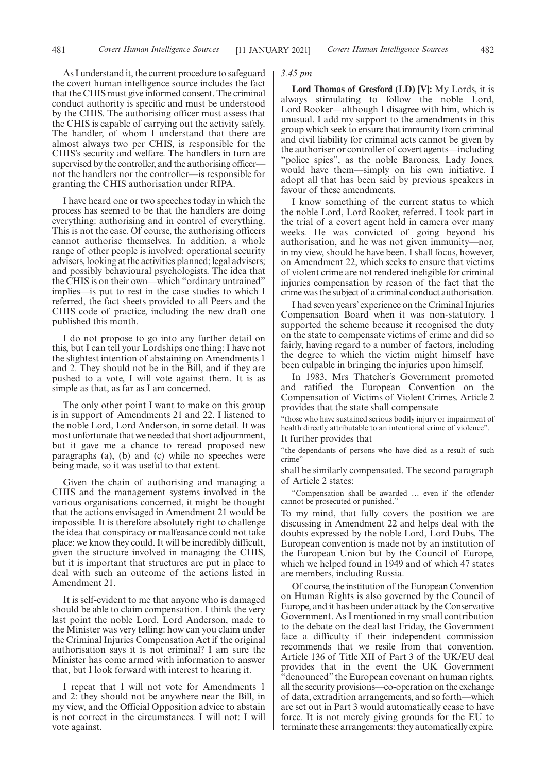As I understand it, the current procedure to safeguard the covert human intelligence source includes the fact that the CHIS must give informed consent. The criminal conduct authority is specific and must be understood by the CHIS. The authorising officer must assess that the CHIS is capable of carrying out the activity safely. The handler, of whom I understand that there are almost always two per CHIS, is responsible for the CHIS's security and welfare. The handlers in turn are supervised by the controller, and the authorising officer not the handlers nor the controller—is responsible for granting the CHIS authorisation under RIPA.

I have heard one or two speeches today in which the process has seemed to be that the handlers are doing everything: authorising and in control of everything. This is not the case. Of course, the authorising officers cannot authorise themselves. In addition, a whole range of other people is involved: operational security advisers, looking at the activities planned; legal advisers; and possibly behavioural psychologists. The idea that the CHIS is on their own—which "ordinary untrained" implies—is put to rest in the case studies to which I referred, the fact sheets provided to all Peers and the CHIS code of practice, including the new draft one published this month.

I do not propose to go into any further detail on this, but I can tell your Lordships one thing: I have not the slightest intention of abstaining on Amendments 1 and 2. They should not be in the Bill, and if they are pushed to a vote, I will vote against them. It is as simple as that, as far as I am concerned.

The only other point I want to make on this group is in support of Amendments 21 and 22. I listened to the noble Lord, Lord Anderson, in some detail. It was most unfortunate that we needed that short adjournment, but it gave me a chance to reread proposed new paragraphs (a), (b) and (c) while no speeches were being made, so it was useful to that extent.

Given the chain of authorising and managing a CHIS and the management systems involved in the various organisations concerned, it might be thought that the actions envisaged in Amendment 21 would be impossible. It is therefore absolutely right to challenge the idea that conspiracy or malfeasance could not take place: we know they could. It will be incredibly difficult, given the structure involved in managing the CHIS, but it is important that structures are put in place to deal with such an outcome of the actions listed in Amendment 21.

It is self-evident to me that anyone who is damaged should be able to claim compensation. I think the very last point the noble Lord, Lord Anderson, made to the Minister was very telling: how can you claim under the Criminal Injuries Compensation Act if the original authorisation says it is not criminal? I am sure the Minister has come armed with information to answer that, but I look forward with interest to hearing it.

I repeat that I will not vote for Amendments 1 and 2: they should not be anywhere near the Bill, in my view, and the Official Opposition advice to abstain is not correct in the circumstances. I will not: I will vote against.

#### *3.45 pm*

**Lord Thomas of Gresford (LD) [V]:** My Lords, it is always stimulating to follow the noble Lord, Lord Rooker—although I disagree with him, which is unusual. I add my support to the amendments in this group which seek to ensure that immunity from criminal and civil liability for criminal acts cannot be given by the authoriser or controller of covert agents—including "police spies", as the noble Baroness, Lady Jones, would have them—simply on his own initiative. I adopt all that has been said by previous speakers in favour of these amendments.

I know something of the current status to which the noble Lord, Lord Rooker, referred. I took part in the trial of a covert agent held in camera over many weeks. He was convicted of going beyond his authorisation, and he was not given immunity—nor, in my view, should he have been. I shall focus, however, on Amendment 22, which seeks to ensure that victims of violent crime are not rendered ineligible for criminal injuries compensation by reason of the fact that the crime was the subject of a criminal conduct authorisation.

I had seven years' experience on the Criminal Injuries Compensation Board when it was non-statutory. I supported the scheme because it recognised the duty on the state to compensate victims of crime and did so fairly, having regard to a number of factors, including the degree to which the victim might himself have been culpable in bringing the injuries upon himself.

In 1983, Mrs Thatcher's Government promoted and ratified the European Convention on the Compensation of Victims of Violent Crimes. Article 2 provides that the state shall compensate

"those who have sustained serious bodily injury or impairment of health directly attributable to an intentional crime of violence".

It further provides that

"the dependants of persons who have died as a result of such crime"

shall be similarly compensated. The second paragraph of Article 2 states:

"Compensation shall be awarded … even if the offender cannot be prosecuted or punished."

To my mind, that fully covers the position we are discussing in Amendment 22 and helps deal with the doubts expressed by the noble Lord, Lord Dubs. The European convention is made not by an institution of the European Union but by the Council of Europe, which we helped found in 1949 and of which 47 states are members, including Russia.

Of course, the institution of the European Convention on Human Rights is also governed by the Council of Europe, and it has been under attack by the Conservative Government. As I mentioned in my small contribution to the debate on the deal last Friday, the Government face a difficulty if their independent commission recommends that we resile from that convention. Article 136 of Title XII of Part 3 of the UK/EU deal provides that in the event the UK Government "denounced" the European covenant on human rights, all the security provisions—co-operation on the exchange of data, extradition arrangements, and so forth—which are set out in Part 3 would automatically cease to have force. It is not merely giving grounds for the EU to terminate these arrangements: they automatically expire.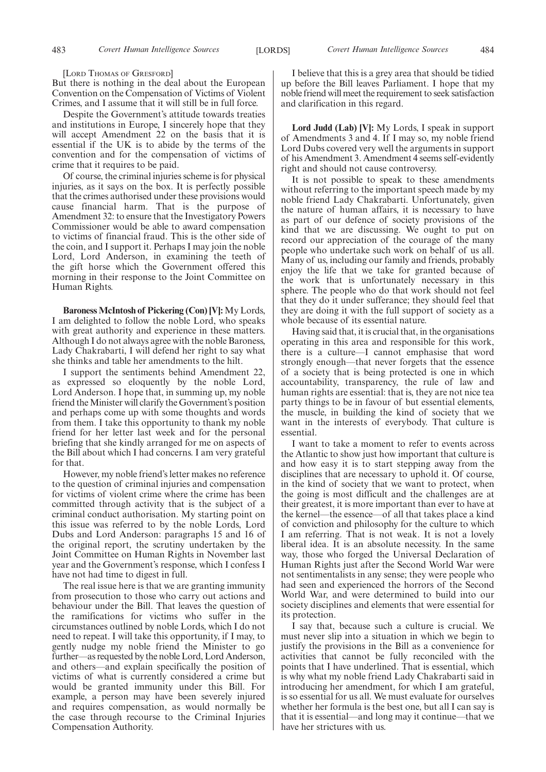[LORD THOMAS OF GRESFORD]

But there is nothing in the deal about the European Convention on the Compensation of Victims of Violent Crimes, and I assume that it will still be in full force.

Despite the Government's attitude towards treaties and institutions in Europe, I sincerely hope that they will accept Amendment 22 on the basis that it is essential if the UK is to abide by the terms of the convention and for the compensation of victims of crime that it requires to be paid.

Of course, the criminal injuries scheme is for physical injuries, as it says on the box. It is perfectly possible that the crimes authorised under these provisions would cause financial harm. That is the purpose of Amendment 32: to ensure that the Investigatory Powers Commissioner would be able to award compensation to victims of financial fraud. This is the other side of the coin, and I support it. Perhaps I may join the noble Lord, Lord Anderson, in examining the teeth of the gift horse which the Government offered this morning in their response to the Joint Committee on Human Rights.

**Baroness McIntosh of Pickering (Con) [V]:** My Lords, I am delighted to follow the noble Lord, who speaks with great authority and experience in these matters. Although I do not always agree with the noble Baroness, Lady Chakrabarti, I will defend her right to say what she thinks and table her amendments to the hilt.

I support the sentiments behind Amendment 22, as expressed so eloquently by the noble Lord, Lord Anderson. I hope that, in summing up, my noble friend the Minister will clarify the Government's position and perhaps come up with some thoughts and words from them. I take this opportunity to thank my noble friend for her letter last week and for the personal briefing that she kindly arranged for me on aspects of the Bill about which I had concerns. I am very grateful for that.

However, my noble friend's letter makes no reference to the question of criminal injuries and compensation for victims of violent crime where the crime has been committed through activity that is the subject of a criminal conduct authorisation. My starting point on this issue was referred to by the noble Lords, Lord Dubs and Lord Anderson: paragraphs 15 and 16 of the original report, the scrutiny undertaken by the Joint Committee on Human Rights in November last year and the Government's response, which I confess I have not had time to digest in full.

The real issue here is that we are granting immunity from prosecution to those who carry out actions and behaviour under the Bill. That leaves the question of the ramifications for victims who suffer in the circumstances outlined by noble Lords, which I do not need to repeat. I will take this opportunity, if I may, to gently nudge my noble friend the Minister to go further—as requested by the noble Lord, Lord Anderson, and others—and explain specifically the position of victims of what is currently considered a crime but would be granted immunity under this Bill. For example, a person may have been severely injured and requires compensation, as would normally be the case through recourse to the Criminal Injuries Compensation Authority.

I believe that this is a grey area that should be tidied up before the Bill leaves Parliament. I hope that my noble friend will meet the requirement to seek satisfaction and clarification in this regard.

**Lord Judd (Lab) [V]:** My Lords, I speak in support of Amendments 3 and 4. If I may so, my noble friend Lord Dubs covered very well the arguments in support of his Amendment 3. Amendment 4 seems self-evidently right and should not cause controversy.

It is not possible to speak to these amendments without referring to the important speech made by my noble friend Lady Chakrabarti. Unfortunately, given the nature of human affairs, it is necessary to have as part of our defence of society provisions of the kind that we are discussing. We ought to put on record our appreciation of the courage of the many people who undertake such work on behalf of us all. Many of us, including our family and friends, probably enjoy the life that we take for granted because of the work that is unfortunately necessary in this sphere. The people who do that work should not feel that they do it under sufferance; they should feel that they are doing it with the full support of society as a whole because of its essential nature.

Having said that, it is crucial that, in the organisations operating in this area and responsible for this work, there is a culture—I cannot emphasise that word strongly enough—that never forgets that the essence of a society that is being protected is one in which accountability, transparency, the rule of law and human rights are essential: that is, they are not nice tea party things to be in favour of but essential elements, the muscle, in building the kind of society that we want in the interests of everybody. That culture is essential.

I want to take a moment to refer to events across the Atlantic to show just how important that culture is and how easy it is to start stepping away from the disciplines that are necessary to uphold it. Of course, in the kind of society that we want to protect, when the going is most difficult and the challenges are at their greatest, it is more important than ever to have at the kernel—the essence—of all that takes place a kind of conviction and philosophy for the culture to which I am referring. That is not weak. It is not a lovely liberal idea. It is an absolute necessity. In the same way, those who forged the Universal Declaration of Human Rights just after the Second World War were not sentimentalists in any sense; they were people who had seen and experienced the horrors of the Second World War, and were determined to build into our society disciplines and elements that were essential for its protection.

I say that, because such a culture is crucial. We must never slip into a situation in which we begin to justify the provisions in the Bill as a convenience for activities that cannot be fully reconciled with the points that I have underlined. That is essential, which is why what my noble friend Lady Chakrabarti said in introducing her amendment, for which I am grateful, is so essential for us all. We must evaluate for ourselves whether her formula is the best one, but all I can say is that it is essential—and long may it continue—that we have her strictures with us.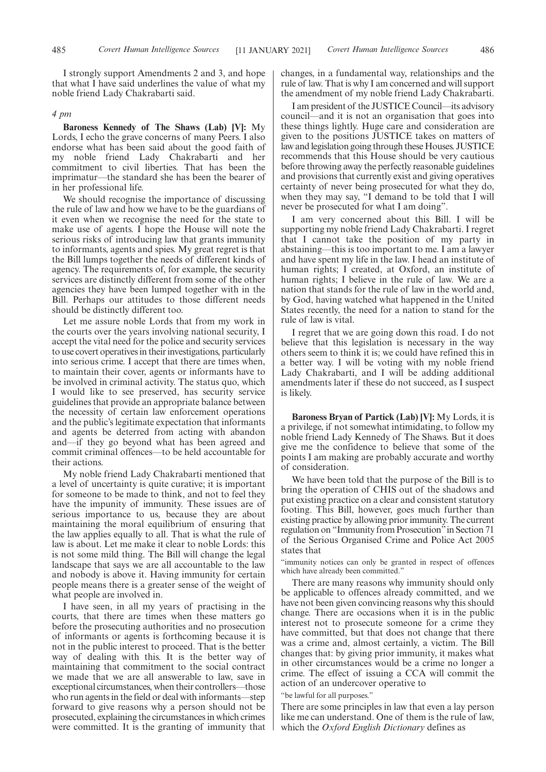I strongly support Amendments 2 and 3, and hope that what I have said underlines the value of what my noble friend Lady Chakrabarti said.

#### *4 pm*

**Baroness Kennedy of The Shaws (Lab) [V]:** My Lords, I echo the grave concerns of many Peers. I also endorse what has been said about the good faith of my noble friend Lady Chakrabarti and her commitment to civil liberties. That has been the imprimatur—the standard she has been the bearer of in her professional life.

We should recognise the importance of discussing the rule of law and how we have to be the guardians of it even when we recognise the need for the state to make use of agents. I hope the House will note the serious risks of introducing law that grants immunity to informants, agents and spies. My great regret is that the Bill lumps together the needs of different kinds of agency. The requirements of, for example, the security services are distinctly different from some of the other agencies they have been lumped together with in the Bill. Perhaps our attitudes to those different needs should be distinctly different too.

Let me assure noble Lords that from my work in the courts over the years involving national security, I accept the vital need for the police and security services to use covert operatives in their investigations, particularly into serious crime. I accept that there are times when, to maintain their cover, agents or informants have to be involved in criminal activity. The status quo, which I would like to see preserved, has security service guidelines that provide an appropriate balance between the necessity of certain law enforcement operations and the public's legitimate expectation that informants and agents be deterred from acting with abandon and—if they go beyond what has been agreed and commit criminal offences—to be held accountable for their actions.

My noble friend Lady Chakrabarti mentioned that a level of uncertainty is quite curative; it is important for someone to be made to think, and not to feel they have the impunity of immunity. These issues are of serious importance to us, because they are about maintaining the moral equilibrium of ensuring that the law applies equally to all. That is what the rule of law is about. Let me make it clear to noble Lords: this is not some mild thing. The Bill will change the legal landscape that says we are all accountable to the law and nobody is above it. Having immunity for certain people means there is a greater sense of the weight of what people are involved in.

I have seen, in all my years of practising in the courts, that there are times when these matters go before the prosecuting authorities and no prosecution of informants or agents is forthcoming because it is not in the public interest to proceed. That is the better way of dealing with this. It is the better way of maintaining that commitment to the social contract we made that we are all answerable to law, save in exceptional circumstances, when their controllers—those who run agents in the field or deal with informants—step forward to give reasons why a person should not be prosecuted, explaining the circumstances in which crimes were committed. It is the granting of immunity that

changes, in a fundamental way, relationships and the rule of law. That is why I am concerned and will support the amendment of my noble friend Lady Chakrabarti.

I am president of the JUSTICE Council—its advisory council—and it is not an organisation that goes into these things lightly. Huge care and consideration are given to the positions JUSTICE takes on matters of law and legislation going through these Houses. JUSTICE recommends that this House should be very cautious before throwing away the perfectly reasonable guidelines and provisions that currently exist and giving operatives certainty of never being prosecuted for what they do, when they may say, "I demand to be told that I will never be prosecuted for what I am doing".

I am very concerned about this Bill. I will be supporting my noble friend Lady Chakrabarti. I regret that I cannot take the position of my party in abstaining—this is too important to me. I am a lawyer and have spent my life in the law. I head an institute of human rights; I created, at Oxford, an institute of human rights; I believe in the rule of law. We are a nation that stands for the rule of law in the world and, by God, having watched what happened in the United States recently, the need for a nation to stand for the rule of law is vital.

I regret that we are going down this road. I do not believe that this legislation is necessary in the way others seem to think it is; we could have refined this in a better way. I will be voting with my noble friend Lady Chakrabarti, and I will be adding additional amendments later if these do not succeed, as I suspect is likely.

**Baroness Bryan of Partick (Lab) [V]:** My Lords, it is a privilege, if not somewhat intimidating, to follow my noble friend Lady Kennedy of The Shaws. But it does give me the confidence to believe that some of the points I am making are probably accurate and worthy of consideration.

We have been told that the purpose of the Bill is to bring the operation of CHIS out of the shadows and put existing practice on a clear and consistent statutory footing. This Bill, however, goes much further than existing practice by allowing prior immunity. The current regulation on "Immunity from Prosecution"in Section 71 of the Serious Organised Crime and Police Act 2005 states that

"immunity notices can only be granted in respect of offences which have already been committed."

There are many reasons why immunity should only be applicable to offences already committed, and we have not been given convincing reasons why this should change. There are occasions when it is in the public interest not to prosecute someone for a crime they have committed, but that does not change that there was a crime and, almost certainly, a victim. The Bill changes that: by giving prior immunity, it makes what in other circumstances would be a crime no longer a crime. The effect of issuing a CCA will commit the action of an undercover operative to

"be lawful for all purposes."

There are some principles in law that even a lay person like me can understand. One of them is the rule of law, which the *Oxford English Dictionary* defines as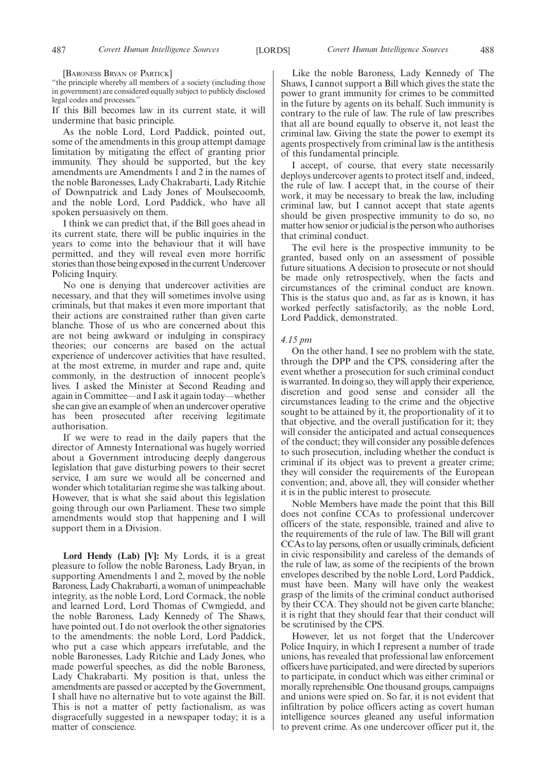[BARONESS BRYAN OF PARTICK]

"the principle whereby all members of a society (including those in government) are considered equally subject to publicly disclosed legal codes and processes."

If this Bill becomes law in its current state, it will undermine that basic principle.

As the noble Lord, Lord Paddick, pointed out, some of the amendments in this group attempt damage limitation by mitigating the effect of granting prior immunity. They should be supported, but the key amendments are Amendments 1 and 2 in the names of the noble Baronesses, Lady Chakrabarti, Lady Ritchie of Downpatrick and Lady Jones of Moulsecoomb, and the noble Lord, Lord Paddick, who have all spoken persuasively on them.

I think we can predict that, if the Bill goes ahead in its current state, there will be public inquiries in the years to come into the behaviour that it will have permitted, and they will reveal even more horrific stories than those being exposed in the current Undercover Policing Inquiry.

No one is denying that undercover activities are necessary, and that they will sometimes involve using criminals, but that makes it even more important that their actions are constrained rather than given carte blanche. Those of us who are concerned about this are not being awkward or indulging in conspiracy theories; our concerns are based on the actual experience of undercover activities that have resulted, at the most extreme, in murder and rape and, quite commonly, in the destruction of innocent people's lives. I asked the Minister at Second Reading and again in Committee—and I ask it again today—whether she can give an example of when an undercover operative has been prosecuted after receiving legitimate authorisation.

If we were to read in the daily papers that the director of Amnesty International was hugely worried about a Government introducing deeply dangerous legislation that gave disturbing powers to their secret service, I am sure we would all be concerned and wonder which totalitarian regime she was talking about. However, that is what she said about this legislation going through our own Parliament. These two simple amendments would stop that happening and I will support them in a Division.

**Lord Hendy (Lab) [V]:** My Lords, it is a great pleasure to follow the noble Baroness, Lady Bryan, in supporting Amendments 1 and 2, moved by the noble Baroness, Lady Chakrabarti, a woman of unimpeachable integrity, as the noble Lord, Lord Cormack, the noble and learned Lord, Lord Thomas of Cwmgiedd, and the noble Baroness, Lady Kennedy of The Shaws, have pointed out. I do not overlook the other signatories to the amendments: the noble Lord, Lord Paddick, who put a case which appears irrefutable, and the noble Baronesses, Lady Ritchie and Lady Jones, who made powerful speeches, as did the noble Baroness, Lady Chakrabarti. My position is that, unless the amendments are passed or accepted by the Government, I shall have no alternative but to vote against the Bill. This is not a matter of petty factionalism, as was disgracefully suggested in a newspaper today; it is a matter of conscience.

Like the noble Baroness, Lady Kennedy of The Shaws, I cannot support a Bill which gives the state the power to grant immunity for crimes to be committed in the future by agents on its behalf. Such immunity is contrary to the rule of law. The rule of law prescribes that all are bound equally to observe it, not least the criminal law. Giving the state the power to exempt its agents prospectively from criminal law is the antithesis of this fundamental principle.

I accept, of course, that every state necessarily deploys undercover agents to protect itself and, indeed, the rule of law. I accept that, in the course of their work, it may be necessary to break the law, including criminal law, but I cannot accept that state agents should be given prospective immunity to do so, no matter how senior or judicial is the person who authorises that criminal conduct.

The evil here is the prospective immunity to be granted, based only on an assessment of possible future situations. A decision to prosecute or not should be made only retrospectively, when the facts and circumstances of the criminal conduct are known. This is the status quo and, as far as is known, it has worked perfectly satisfactorily, as the noble Lord, Lord Paddick, demonstrated.

#### *4.15 pm*

On the other hand, I see no problem with the state, through the DPP and the CPS, considering after the event whether a prosecution for such criminal conduct is warranted. In doing so, they will apply their experience, discretion and good sense and consider all the circumstances leading to the crime and the objective sought to be attained by it, the proportionality of it to that objective, and the overall justification for it; they will consider the anticipated and actual consequences of the conduct; they will consider any possible defences to such prosecution, including whether the conduct is criminal if its object was to prevent a greater crime; they will consider the requirements of the European convention; and, above all, they will consider whether it is in the public interest to prosecute.

Noble Members have made the point that this Bill does not confine CCAs to professional undercover officers of the state, responsible, trained and alive to the requirements of the rule of law. The Bill will grant CCAs to lay persons, often or usually criminals, deficient in civic responsibility and careless of the demands of the rule of law, as some of the recipients of the brown envelopes described by the noble Lord, Lord Paddick, must have been. Many will have only the weakest grasp of the limits of the criminal conduct authorised by their CCA. They should not be given carte blanche; it is right that they should fear that their conduct will be scrutinised by the CPS.

However, let us not forget that the Undercover Police Inquiry, in which I represent a number of trade unions, has revealed that professional law enforcement officers have participated, and were directed by superiors to participate, in conduct which was either criminal or morally reprehensible. One thousand groups, campaigns and unions were spied on. So far, it is not evident that infiltration by police officers acting as covert human intelligence sources gleaned any useful information to prevent crime. As one undercover officer put it, the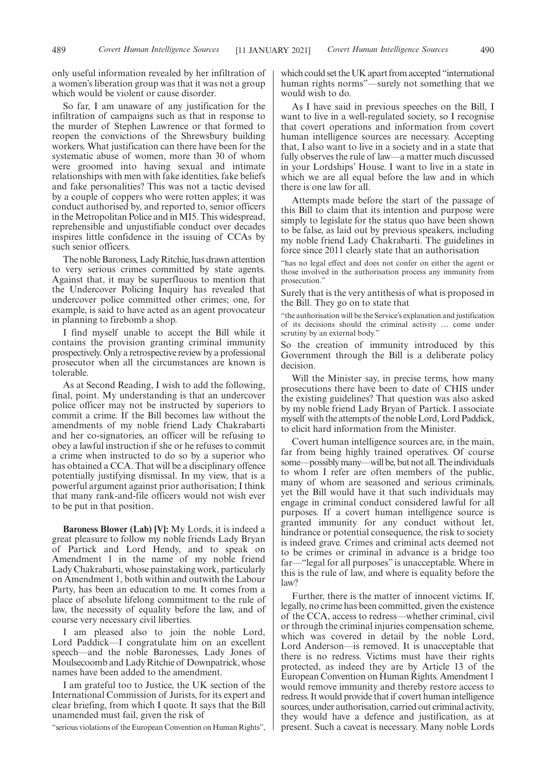So far, I am unaware of any justification for the infiltration of campaigns such as that in response to the murder of Stephen Lawrence or that formed to reopen the convictions of the Shrewsbury building workers. What justification can there have been for the systematic abuse of women, more than 30 of whom were groomed into having sexual and intimate relationships with men with fake identities, fake beliefs and fake personalities? This was not a tactic devised by a couple of coppers who were rotten apples; it was conduct authorised by, and reported to, senior officers in the Metropolitan Police and in MI5. This widespread, reprehensible and unjustifiable conduct over decades inspires little confidence in the issuing of CCAs by such senior officers.

The noble Baroness, Lady Ritchie, has drawn attention to very serious crimes committed by state agents. Against that, it may be superfluous to mention that the Undercover Policing Inquiry has revealed that undercover police committed other crimes; one, for example, is said to have acted as an agent provocateur in planning to firebomb a shop.

I find myself unable to accept the Bill while it contains the provision granting criminal immunity prospectively. Only a retrospective review by a professional prosecutor when all the circumstances are known is tolerable.

As at Second Reading, I wish to add the following, final, point. My understanding is that an undercover police officer may not be instructed by superiors to commit a crime. If the Bill becomes law without the amendments of my noble friend Lady Chakrabarti and her co-signatories, an officer will be refusing to obey a lawful instruction if she or he refuses to commit a crime when instructed to do so by a superior who has obtained a CCA. That will be a disciplinary offence potentially justifying dismissal. In my view, that is a powerful argument against prior authorisation; I think that many rank-and-file officers would not wish ever to be put in that position.

**Baroness Blower (Lab) [V]:** My Lords, it is indeed a great pleasure to follow my noble friends Lady Bryan of Partick and Lord Hendy, and to speak on Amendment 1 in the name of my noble friend Lady Chakrabarti, whose painstaking work, particularly on Amendment 1, both within and outwith the Labour Party, has been an education to me. It comes from a place of absolute lifelong commitment to the rule of law, the necessity of equality before the law, and of course very necessary civil liberties.

I am pleased also to join the noble Lord, Lord Paddick—I congratulate him on an excellent speech—and the noble Baronesses, Lady Jones of Moulsecoomb and Lady Ritchie of Downpatrick, whose names have been added to the amendment.

I am grateful too to Justice, the UK section of the International Commission of Jurists, for its expert and clear briefing, from which I quote. It says that the Bill unamended must fail, given the risk of

"serious violations of the European Convention on Human Rights",

which could set the UK apart from accepted "international" human rights norms"—surely not something that we would wish to do.

As I have said in previous speeches on the Bill, I want to live in a well-regulated society, so I recognise that covert operations and information from covert human intelligence sources are necessary. Accepting that, I also want to live in a society and in a state that fully observes the rule of law—a matter much discussed in your Lordships' House. I want to live in a state in which we are all equal before the law and in which there is one law for all.

Attempts made before the start of the passage of this Bill to claim that its intention and purpose were simply to legislate for the status quo have been shown to be false, as laid out by previous speakers, including my noble friend Lady Chakrabarti. The guidelines in force since 2011 clearly state that an authorisation

"has no legal effect and does not confer on either the agent or those involved in the authorisation process any immunity from prosecution."

Surely that is the very antithesis of what is proposed in the Bill. They go on to state that

"the authorisation will be the Service's explanation and justification of its decisions should the criminal activity … come under scrutiny by an external body."

So the creation of immunity introduced by this Government through the Bill is a deliberate policy decision.

Will the Minister say, in precise terms, how many prosecutions there have been to date of CHIS under the existing guidelines? That question was also asked by my noble friend Lady Bryan of Partick. I associate myself with the attempts of the noble Lord, Lord Paddick, to elicit hard information from the Minister.

Covert human intelligence sources are, in the main, far from being highly trained operatives. Of course some—possibly many—will be, but not all. The individuals to whom I refer are often members of the public, many of whom are seasoned and serious criminals, yet the Bill would have it that such individuals may engage in criminal conduct considered lawful for all purposes. If a covert human intelligence source is granted immunity for any conduct without let, hindrance or potential consequence, the risk to society is indeed grave. Crimes and criminal acts deemed not to be crimes or criminal in advance is a bridge too far—"legal for all purposes" is unacceptable. Where in this is the rule of law, and where is equality before the law?

Further, there is the matter of innocent victims. If, legally, no crime has been committed, given the existence of the CCA, access to redress—whether criminal, civil or through the criminal injuries compensation scheme, which was covered in detail by the noble Lord, Lord Anderson—is removed. It is unacceptable that there is no redress. Victims must have their rights protected, as indeed they are by Article 13 of the European Convention on Human Rights. Amendment 1 would remove immunity and thereby restore access to redress. It would provide that if covert human intelligence sources, under authorisation, carried out criminal activity, they would have a defence and justification, as at present. Such a caveat is necessary. Many noble Lords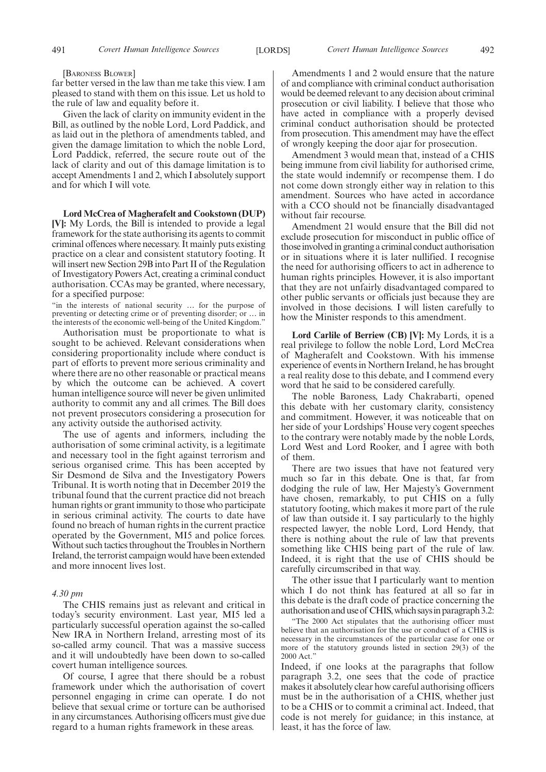#### [BARONESS BLOWER]

far better versed in the law than me take this view. I am pleased to stand with them on this issue. Let us hold to the rule of law and equality before it.

Given the lack of clarity on immunity evident in the Bill, as outlined by the noble Lord, Lord Paddick, and as laid out in the plethora of amendments tabled, and given the damage limitation to which the noble Lord, Lord Paddick, referred, the secure route out of the lack of clarity and out of this damage limitation is to accept Amendments 1 and 2, which I absolutely support and for which I will vote.

**Lord McCrea of Magherafelt and Cookstown (DUP) [V]:** My Lords, the Bill is intended to provide a legal framework for the state authorising its agents to commit criminal offences where necessary. It mainly puts existing practice on a clear and consistent statutory footing. It will insert new Section 29B into Part II of the Regulation of Investigatory Powers Act, creating a criminal conduct authorisation. CCAs may be granted, where necessary, for a specified purpose:

"in the interests of national security … for the purpose of preventing or detecting crime or of preventing disorder; or … in the interests of the economic well-being of the United Kingdom."

Authorisation must be proportionate to what is sought to be achieved. Relevant considerations when considering proportionality include where conduct is part of efforts to prevent more serious criminality and where there are no other reasonable or practical means by which the outcome can be achieved. A covert human intelligence source will never be given unlimited authority to commit any and all crimes. The Bill does not prevent prosecutors considering a prosecution for any activity outside the authorised activity.

The use of agents and informers, including the authorisation of some criminal activity, is a legitimate and necessary tool in the fight against terrorism and serious organised crime. This has been accepted by Sir Desmond de Silva and the Investigatory Powers Tribunal. It is worth noting that in December 2019 the tribunal found that the current practice did not breach human rights or grant immunity to those who participate in serious criminal activity. The courts to date have found no breach of human rights in the current practice operated by the Government, MI5 and police forces. Without such tactics throughout the Troubles in Northern Ireland, the terrorist campaign would have been extended and more innocent lives lost.

#### *4.30 pm*

The CHIS remains just as relevant and critical in today's security environment. Last year, MI5 led a particularly successful operation against the so-called New IRA in Northern Ireland, arresting most of its so-called army council. That was a massive success and it will undoubtedly have been down to so-called covert human intelligence sources.

Of course, I agree that there should be a robust framework under which the authorisation of covert personnel engaging in crime can operate. I do not believe that sexual crime or torture can be authorised in any circumstances. Authorising officers must give due regard to a human rights framework in these areas.

Amendments 1 and 2 would ensure that the nature of and compliance with criminal conduct authorisation would be deemed relevant to any decision about criminal prosecution or civil liability. I believe that those who have acted in compliance with a properly devised criminal conduct authorisation should be protected from prosecution. This amendment may have the effect of wrongly keeping the door ajar for prosecution.

Amendment 3 would mean that, instead of a CHIS being immune from civil liability for authorised crime, the state would indemnify or recompense them. I do not come down strongly either way in relation to this amendment. Sources who have acted in accordance with a CCO should not be financially disadvantaged without fair recourse.

Amendment 21 would ensure that the Bill did not exclude prosecution for misconduct in public office of those involved in granting a criminal conduct authorisation or in situations where it is later nullified. I recognise the need for authorising officers to act in adherence to human rights principles. However, it is also important that they are not unfairly disadvantaged compared to other public servants or officials just because they are involved in those decisions. I will listen carefully to how the Minister responds to this amendment.

**Lord Carlile of Berriew (CB) [V]:** My Lords, it is a real privilege to follow the noble Lord, Lord McCrea of Magherafelt and Cookstown. With his immense experience of events in Northern Ireland, he has brought a real reality dose to this debate, and I commend every word that he said to be considered carefully.

The noble Baroness, Lady Chakrabarti, opened this debate with her customary clarity, consistency and commitment. However, it was noticeable that on her side of your Lordships' House very cogent speeches to the contrary were notably made by the noble Lords, Lord West and Lord Rooker, and I agree with both of them.

There are two issues that have not featured very much so far in this debate. One is that, far from dodging the rule of law, Her Majesty's Government have chosen, remarkably, to put CHIS on a fully statutory footing, which makes it more part of the rule of law than outside it. I say particularly to the highly respected lawyer, the noble Lord, Lord Hendy, that there is nothing about the rule of law that prevents something like CHIS being part of the rule of law. Indeed, it is right that the use of CHIS should be carefully circumscribed in that way.

The other issue that I particularly want to mention which I do not think has featured at all so far in this debate is the draft code of practice concerning the authorisation and use of CHIS, which says in paragraph 3.2:

"The 2000 Act stipulates that the authorising officer must believe that an authorisation for the use or conduct of a CHIS is necessary in the circumstances of the particular case for one or more of the statutory grounds listed in section 29(3) of the 2000 Act."

Indeed, if one looks at the paragraphs that follow paragraph 3.2, one sees that the code of practice makes it absolutely clear how careful authorising officers must be in the authorisation of a CHIS, whether just to be a CHIS or to commit a criminal act. Indeed, that code is not merely for guidance; in this instance, at least, it has the force of law.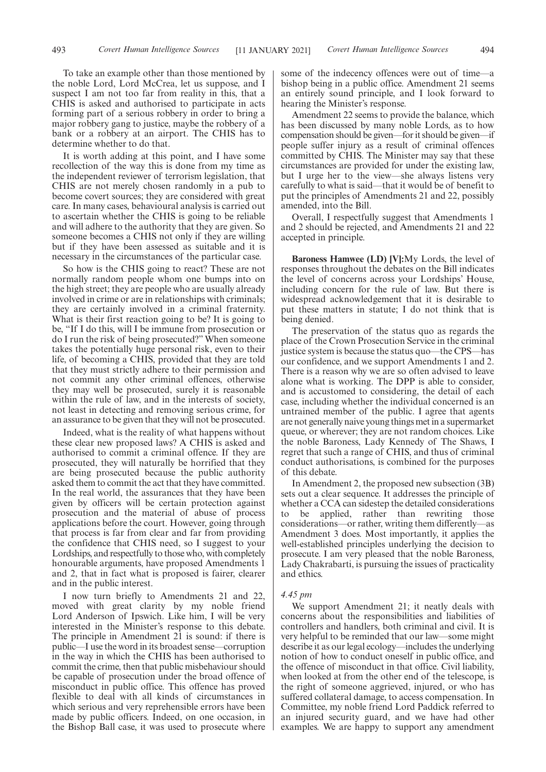To take an example other than those mentioned by the noble Lord, Lord McCrea, let us suppose, and I suspect I am not too far from reality in this, that a CHIS is asked and authorised to participate in acts forming part of a serious robbery in order to bring a major robbery gang to justice, maybe the robbery of a bank or a robbery at an airport. The CHIS has to determine whether to do that.

It is worth adding at this point, and I have some recollection of the way this is done from my time as the independent reviewer of terrorism legislation, that CHIS are not merely chosen randomly in a pub to become covert sources; they are considered with great care. In many cases, behavioural analysis is carried out to ascertain whether the CHIS is going to be reliable and will adhere to the authority that they are given. So someone becomes a CHIS not only if they are willing but if they have been assessed as suitable and it is necessary in the circumstances of the particular case.

So how is the CHIS going to react? These are not normally random people whom one bumps into on the high street; they are people who are usually already involved in crime or are in relationships with criminals; they are certainly involved in a criminal fraternity. What is their first reaction going to be? It is going to be, "If I do this, will I be immune from prosecution or do I run the risk of being prosecuted?" When someone takes the potentially huge personal risk, even to their life, of becoming a CHIS, provided that they are told that they must strictly adhere to their permission and not commit any other criminal offences, otherwise they may well be prosecuted, surely it is reasonable within the rule of law, and in the interests of society, not least in detecting and removing serious crime, for an assurance to be given that they will not be prosecuted.

Indeed, what is the reality of what happens without these clear new proposed laws? A CHIS is asked and authorised to commit a criminal offence. If they are prosecuted, they will naturally be horrified that they are being prosecuted because the public authority asked them to commit the act that they have committed. In the real world, the assurances that they have been given by officers will be certain protection against prosecution and the material of abuse of process applications before the court. However, going through that process is far from clear and far from providing the confidence that CHIS need, so I suggest to your Lordships, and respectfully to those who, with completely honourable arguments, have proposed Amendments 1 and 2, that in fact what is proposed is fairer, clearer and in the public interest.

I now turn briefly to Amendments 21 and 22, moved with great clarity by my noble friend Lord Anderson of Ipswich. Like him, I will be very interested in the Minister's response to this debate. The principle in Amendment 21 is sound: if there is public—I use the word in its broadest sense—corruption in the way in which the CHIS has been authorised to commit the crime, then that public misbehaviour should be capable of prosecution under the broad offence of misconduct in public office. This offence has proved flexible to deal with all kinds of circumstances in which serious and very reprehensible errors have been made by public officers. Indeed, on one occasion, in the Bishop Ball case, it was used to prosecute where some of the indecency offences were out of time—a bishop being in a public office. Amendment 21 seems an entirely sound principle, and I look forward to hearing the Minister's response.

Amendment 22 seems to provide the balance, which has been discussed by many noble Lords, as to how compensation should be given—for it should be given—if people suffer injury as a result of criminal offences committed by CHIS. The Minister may say that these circumstances are provided for under the existing law, but I urge her to the view—she always listens very carefully to what is said—that it would be of benefit to put the principles of Amendments 21 and 22, possibly amended, into the Bill.

Overall, I respectfully suggest that Amendments 1 and 2 should be rejected, and Amendments 21 and 22 accepted in principle.

**Baroness Hamwee (LD) [V]:**My Lords, the level of responses throughout the debates on the Bill indicates the level of concerns across your Lordships' House, including concern for the rule of law. But there is widespread acknowledgement that it is desirable to put these matters in statute; I do not think that is being denied.

The preservation of the status quo as regards the place of the Crown Prosecution Service in the criminal justice system is because the status quo—the CPS—has our confidence, and we support Amendments 1 and 2. There is a reason why we are so often advised to leave alone what is working. The DPP is able to consider, and is accustomed to considering, the detail of each case, including whether the individual concerned is an untrained member of the public. I agree that agents are not generally naive young things met in a supermarket queue, or wherever; they are not random choices. Like the noble Baroness, Lady Kennedy of The Shaws, I regret that such a range of CHIS, and thus of criminal conduct authorisations, is combined for the purposes of this debate.

In Amendment 2, the proposed new subsection (3B) sets out a clear sequence. It addresses the principle of whether a CCA can sidestep the detailed considerations to be applied, rather than rewriting those considerations—or rather, writing them differently—as Amendment 3 does. Most importantly, it applies the well-established principles underlying the decision to prosecute. I am very pleased that the noble Baroness, Lady Chakrabarti, is pursuing the issues of practicality and ethics.

## *4.45 pm*

We support Amendment 21; it neatly deals with concerns about the responsibilities and liabilities of controllers and handlers, both criminal and civil. It is very helpful to be reminded that our law—some might describe it as our legal ecology—includes the underlying notion of how to conduct oneself in public office, and the offence of misconduct in that office. Civil liability, when looked at from the other end of the telescope, is the right of someone aggrieved, injured, or who has suffered collateral damage, to access compensation. In Committee, my noble friend Lord Paddick referred to an injured security guard, and we have had other examples. We are happy to support any amendment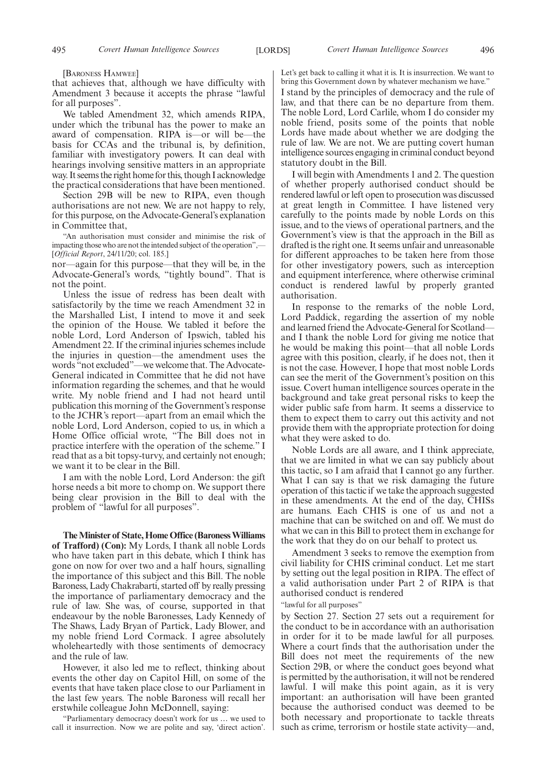[BARONESS HAMWEE]

that achieves that, although we have difficulty with Amendment 3 because it accepts the phrase "lawful for all purposes".

We tabled Amendment 32, which amends RIPA, under which the tribunal has the power to make an award of compensation. RIPA is—or will be—the basis for CCAs and the tribunal is, by definition, familiar with investigatory powers. It can deal with hearings involving sensitive matters in an appropriate way. It seems the right home for this, though I acknowledge the practical considerations that have been mentioned.

Section 29B will be new to RIPA, even though authorisations are not new. We are not happy to rely, for this purpose, on the Advocate-General's explanation in Committee that,

"An authorisation must consider and minimise the risk of impacting those who are not the intended subject of the operation",— [*Official Report*, 24/11/20; col. 185.]

nor—again for this purpose—that they will be, in the Advocate-General's words, "tightly bound". That is not the point.

Unless the issue of redress has been dealt with satisfactorily by the time we reach Amendment 32 in the Marshalled List, I intend to move it and seek the opinion of the House. We tabled it before the noble Lord, Lord Anderson of Ipswich, tabled his Amendment 22. If the criminal injuries schemes include the injuries in question—the amendment uses the words "not excluded"—we welcome that. The Advocate-General indicated in Committee that he did not have information regarding the schemes, and that he would write. My noble friend and I had not heard until publication this morning of the Government's response to the JCHR's report—apart from an email which the noble Lord, Lord Anderson, copied to us, in which a Home Office official wrote, "The Bill does not in practice interfere with the operation of the scheme." I read that as a bit topsy-turvy, and certainly not enough; we want it to be clear in the Bill.

I am with the noble Lord, Lord Anderson: the gift horse needs a bit more to chomp on. We support there being clear provision in the Bill to deal with the problem of "lawful for all purposes".

**The Minister of State, Home Office (Baroness Williams of Trafford) (Con):** My Lords, I thank all noble Lords who have taken part in this debate, which I think has gone on now for over two and a half hours, signalling the importance of this subject and this Bill. The noble Baroness, Lady Chakrabarti, started off by really pressing the importance of parliamentary democracy and the rule of law. She was, of course, supported in that endeavour by the noble Baronesses, Lady Kennedy of The Shaws, Lady Bryan of Partick, Lady Blower, and my noble friend Lord Cormack. I agree absolutely wholeheartedly with those sentiments of democracy and the rule of law.

However, it also led me to reflect, thinking about events the other day on Capitol Hill, on some of the events that have taken place close to our Parliament in the last few years. The noble Baroness will recall her erstwhile colleague John McDonnell, saying:

"Parliamentary democracy doesn't work for us … we used to call it insurrection. Now we are polite and say, 'direct action'. Let's get back to calling it what it is. It is insurrection. We want to bring this Government down by whatever mechanism we have.

I stand by the principles of democracy and the rule of law, and that there can be no departure from them. The noble Lord, Lord Carlile, whom I do consider my noble friend, posits some of the points that noble Lords have made about whether we are dodging the rule of law. We are not. We are putting covert human intelligence sources engaging in criminal conduct beyond statutory doubt in the Bill.

I will begin with Amendments 1 and 2. The question of whether properly authorised conduct should be rendered lawful or left open to prosecution was discussed at great length in Committee. I have listened very carefully to the points made by noble Lords on this issue, and to the views of operational partners, and the Government's view is that the approach in the Bill as drafted is the right one. It seems unfair and unreasonable for different approaches to be taken here from those for other investigatory powers, such as interception and equipment interference, where otherwise criminal conduct is rendered lawful by properly granted authorisation.

In response to the remarks of the noble Lord, Lord Paddick, regarding the assertion of my noble and learned friend the Advocate-General for Scotland and I thank the noble Lord for giving me notice that he would be making this point—that all noble Lords agree with this position, clearly, if he does not, then it is not the case. However, I hope that most noble Lords can see the merit of the Government's position on this issue. Covert human intelligence sources operate in the background and take great personal risks to keep the wider public safe from harm. It seems a disservice to them to expect them to carry out this activity and not provide them with the appropriate protection for doing what they were asked to do.

Noble Lords are all aware, and I think appreciate, that we are limited in what we can say publicly about this tactic, so I am afraid that I cannot go any further. What I can say is that we risk damaging the future operation of this tactic if we take the approach suggested in these amendments. At the end of the day, CHISs are humans. Each CHIS is one of us and not a machine that can be switched on and off. We must do what we can in this Bill to protect them in exchange for the work that they do on our behalf to protect us.

Amendment 3 seeks to remove the exemption from civil liability for CHIS criminal conduct. Let me start by setting out the legal position in RIPA. The effect of a valid authorisation under Part 2 of RIPA is that authorised conduct is rendered

"lawful for all purposes"

by Section 27. Section 27 sets out a requirement for the conduct to be in accordance with an authorisation in order for it to be made lawful for all purposes. Where a court finds that the authorisation under the Bill does not meet the requirements of the new Section 29B, or where the conduct goes beyond what is permitted by the authorisation, it will not be rendered lawful. I will make this point again, as it is very important: an authorisation will have been granted because the authorised conduct was deemed to be both necessary and proportionate to tackle threats such as crime, terrorism or hostile state activity—and,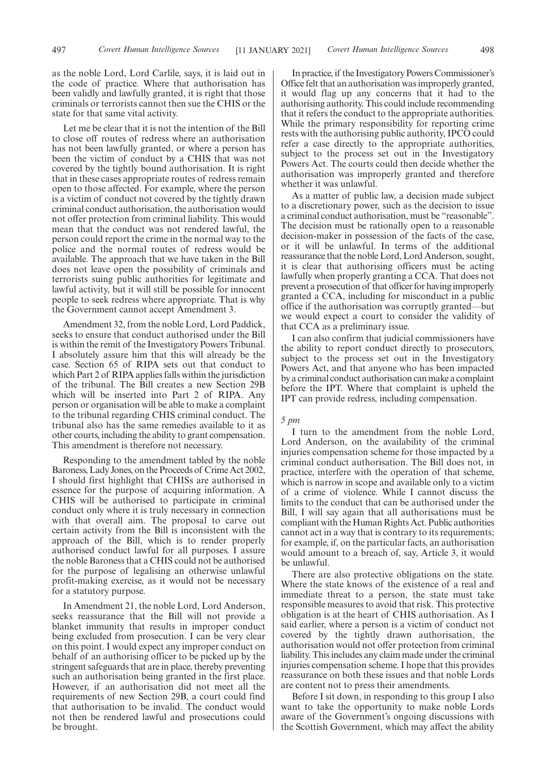as the noble Lord, Lord Carlile, says, it is laid out in the code of practice. Where that authorisation has been validly and lawfully granted, it is right that those criminals or terrorists cannot then sue the CHIS or the state for that same vital activity.

Let me be clear that it is not the intention of the Bill to close off routes of redress where an authorisation has not been lawfully granted, or where a person has been the victim of conduct by a CHIS that was not covered by the tightly bound authorisation. It is right that in these cases appropriate routes of redress remain open to those affected. For example, where the person is a victim of conduct not covered by the tightly drawn criminal conduct authorisation, the authorisation would not offer protection from criminal liability. This would mean that the conduct was not rendered lawful, the person could report the crime in the normal way to the police and the normal routes of redress would be available. The approach that we have taken in the Bill does not leave open the possibility of criminals and terrorists suing public authorities for legitimate and lawful activity, but it will still be possible for innocent people to seek redress where appropriate. That is why the Government cannot accept Amendment 3.

Amendment 32, from the noble Lord, Lord Paddick, seeks to ensure that conduct authorised under the Bill is within the remit of the Investigatory Powers Tribunal. I absolutely assure him that this will already be the case. Section 65 of RIPA sets out that conduct to which Part 2 of RIPA applies falls within the jurisdiction of the tribunal. The Bill creates a new Section 29B which will be inserted into Part 2 of RIPA. Any person or organisation will be able to make a complaint to the tribunal regarding CHIS criminal conduct. The tribunal also has the same remedies available to it as other courts, including the ability to grant compensation. This amendment is therefore not necessary.

Responding to the amendment tabled by the noble Baroness, Lady Jones, on the Proceeds of Crime Act 2002, I should first highlight that CHISs are authorised in essence for the purpose of acquiring information. A CHIS will be authorised to participate in criminal conduct only where it is truly necessary in connection with that overall aim. The proposal to carve out certain activity from the Bill is inconsistent with the approach of the Bill, which is to render properly authorised conduct lawful for all purposes. I assure the noble Baroness that a CHIS could not be authorised for the purpose of legalising an otherwise unlawful profit-making exercise, as it would not be necessary for a statutory purpose.

In Amendment 21, the noble Lord, Lord Anderson, seeks reassurance that the Bill will not provide a blanket immunity that results in improper conduct being excluded from prosecution. I can be very clear on this point. I would expect any improper conduct on behalf of an authorising officer to be picked up by the stringent safeguards that are in place, thereby preventing such an authorisation being granted in the first place. However, if an authorisation did not meet all the requirements of new Section 29B, a court could find that authorisation to be invalid. The conduct would not then be rendered lawful and prosecutions could be brought.

In practice, if the Investigatory Powers Commissioner's Office felt that an authorisation was improperly granted, it would flag up any concerns that it had to the authorising authority. This could include recommending that it refers the conduct to the appropriate authorities. While the primary responsibility for reporting crime rests with the authorising public authority, IPCO could refer a case directly to the appropriate authorities, subject to the process set out in the Investigatory Powers Act. The courts could then decide whether the authorisation was improperly granted and therefore whether it was unlawful.

As a matter of public law, a decision made subject to a discretionary power, such as the decision to issue a criminal conduct authorisation, must be "reasonable". The decision must be rationally open to a reasonable decision-maker in possession of the facts of the case, or it will be unlawful. In terms of the additional reassurance that the noble Lord, Lord Anderson, sought, it is clear that authorising officers must be acting lawfully when properly granting a CCA. That does not prevent a prosecution of that officer for having improperly granted a CCA, including for misconduct in a public office if the authorisation was corruptly granted—but we would expect a court to consider the validity of that CCA as a preliminary issue.

I can also confirm that judicial commissioners have the ability to report conduct directly to prosecutors, subject to the process set out in the Investigatory Powers Act, and that anyone who has been impacted by a criminal conduct authorisation can make a complaint before the IPT. Where that complaint is upheld the IPT can provide redress, including compensation.

#### *5 pm*

I turn to the amendment from the noble Lord, Lord Anderson, on the availability of the criminal injuries compensation scheme for those impacted by a criminal conduct authorisation. The Bill does not, in practice, interfere with the operation of that scheme, which is narrow in scope and available only to a victim of a crime of violence. While I cannot discuss the limits to the conduct that can be authorised under the Bill, I will say again that all authorisations must be compliant with the Human Rights Act. Public authorities cannot act in a way that is contrary to its requirements; for example, if, on the particular facts, an authorisation would amount to a breach of, say, Article 3, it would be unlawful.

There are also protective obligations on the state. Where the state knows of the existence of a real and immediate threat to a person, the state must take responsible measures to avoid that risk. This protective obligation is at the heart of CHIS authorisation. As I said earlier, where a person is a victim of conduct not covered by the tightly drawn authorisation, the authorisation would not offer protection from criminal liability. This includes any claim made under the criminal injuries compensation scheme. I hope that this provides reassurance on both these issues and that noble Lords are content not to press their amendments.

Before I sit down, in responding to this group I also want to take the opportunity to make noble Lords aware of the Government's ongoing discussions with the Scottish Government, which may affect the ability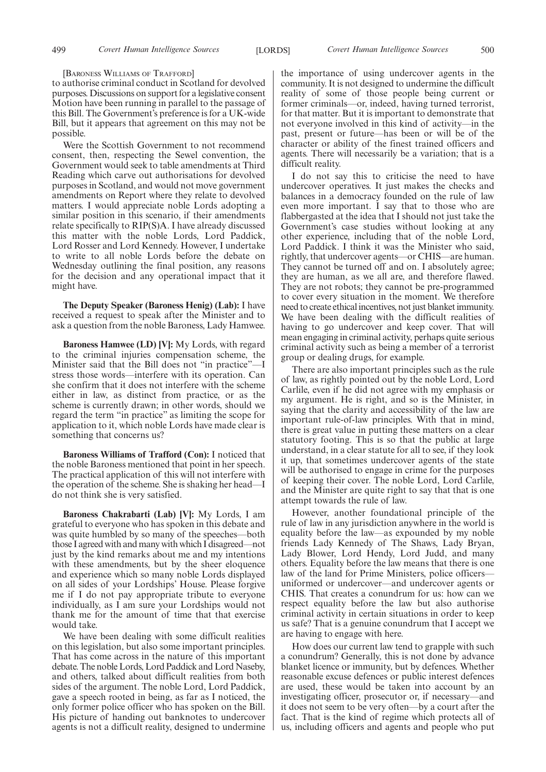499 *Covert Human Intelligence Sources Covert Human Intelligence Sources* [LORDS] 500

[BARONESS WILLIAMS OF TRAFFORD]

to authorise criminal conduct in Scotland for devolved purposes. Discussions on support for a legislative consent Motion have been running in parallel to the passage of this Bill. The Government's preference is for a UK-wide Bill, but it appears that agreement on this may not be possible.

Were the Scottish Government to not recommend consent, then, respecting the Sewel convention, the Government would seek to table amendments at Third Reading which carve out authorisations for devolved purposes in Scotland, and would not move government amendments on Report where they relate to devolved matters. I would appreciate noble Lords adopting a similar position in this scenario, if their amendments relate specifically to RIP(S)A. I have already discussed this matter with the noble Lords, Lord Paddick, Lord Rosser and Lord Kennedy. However, I undertake to write to all noble Lords before the debate on Wednesday outlining the final position, any reasons for the decision and any operational impact that it might have.

**The Deputy Speaker (Baroness Henig) (Lab):** I have received a request to speak after the Minister and to ask a question from the noble Baroness, Lady Hamwee.

**Baroness Hamwee (LD) [V]:** My Lords, with regard to the criminal injuries compensation scheme, the Minister said that the Bill does not "in practice"—I stress those words—interfere with its operation. Can she confirm that it does not interfere with the scheme either in law, as distinct from practice, or as the scheme is currently drawn; in other words, should we regard the term "in practice" as limiting the scope for application to it, which noble Lords have made clear is something that concerns us?

**Baroness Williams of Trafford (Con):** I noticed that the noble Baroness mentioned that point in her speech. The practical application of this will not interfere with the operation of the scheme. She is shaking her head—I do not think she is very satisfied.

**Baroness Chakrabarti (Lab) [V]:** My Lords, I am grateful to everyone who has spoken in this debate and was quite humbled by so many of the speeches—both those I agreed with and many with which I disagreed—not just by the kind remarks about me and my intentions with these amendments, but by the sheer eloquence and experience which so many noble Lords displayed on all sides of your Lordships' House. Please forgive me if I do not pay appropriate tribute to everyone individually, as I am sure your Lordships would not thank me for the amount of time that that exercise would take.

We have been dealing with some difficult realities on this legislation, but also some important principles. That has come across in the nature of this important debate. The noble Lords, Lord Paddick and Lord Naseby, and others, talked about difficult realities from both sides of the argument. The noble Lord, Lord Paddick, gave a speech rooted in being, as far as I noticed, the only former police officer who has spoken on the Bill. His picture of handing out banknotes to undercover agents is not a difficult reality, designed to undermine

the importance of using undercover agents in the community. It is not designed to undermine the difficult reality of some of those people being current or former criminals—or, indeed, having turned terrorist, for that matter. But it is important to demonstrate that not everyone involved in this kind of activity—in the past, present or future—has been or will be of the character or ability of the finest trained officers and agents. There will necessarily be a variation; that is a difficult reality.

I do not say this to criticise the need to have undercover operatives. It just makes the checks and balances in a democracy founded on the rule of law even more important. I say that to those who are flabbergasted at the idea that I should not just take the Government's case studies without looking at any other experience, including that of the noble Lord, Lord Paddick. I think it was the Minister who said, rightly, that undercover agents—or CHIS—are human. They cannot be turned off and on. I absolutely agree; they are human, as we all are, and therefore flawed. They are not robots; they cannot be pre-programmed to cover every situation in the moment. We therefore need to create ethical incentives, not just blanket immunity. We have been dealing with the difficult realities of having to go undercover and keep cover. That will mean engaging in criminal activity, perhaps quite serious criminal activity such as being a member of a terrorist group or dealing drugs, for example.

There are also important principles such as the rule of law, as rightly pointed out by the noble Lord, Lord Carlile, even if he did not agree with my emphasis or my argument. He is right, and so is the Minister, in saying that the clarity and accessibility of the law are important rule-of-law principles. With that in mind, there is great value in putting these matters on a clear statutory footing. This is so that the public at large understand, in a clear statute for all to see, if they look it up, that sometimes undercover agents of the state will be authorised to engage in crime for the purposes of keeping their cover. The noble Lord, Lord Carlile, and the Minister are quite right to say that that is one attempt towards the rule of law.

However, another foundational principle of the rule of law in any jurisdiction anywhere in the world is equality before the law—as expounded by my noble friends Lady Kennedy of The Shaws, Lady Bryan, Lady Blower, Lord Hendy, Lord Judd, and many others. Equality before the law means that there is one law of the land for Prime Ministers, police officersuniformed or undercover—and undercover agents or CHIS. That creates a conundrum for us: how can we respect equality before the law but also authorise criminal activity in certain situations in order to keep us safe? That is a genuine conundrum that I accept we are having to engage with here.

How does our current law tend to grapple with such a conundrum? Generally, this is not done by advance blanket licence or immunity, but by defences. Whether reasonable excuse defences or public interest defences are used, these would be taken into account by an investigating officer, prosecutor or, if necessary—and it does not seem to be very often—by a court after the fact. That is the kind of regime which protects all of us, including officers and agents and people who put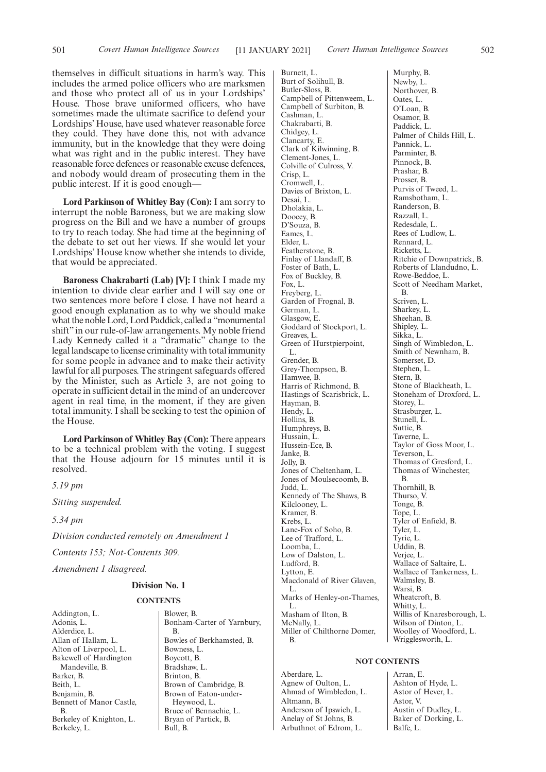themselves in difficult situations in harm's way. This includes the armed police officers who are marksmen and those who protect all of us in your Lordships' House. Those brave uniformed officers, who have sometimes made the ultimate sacrifice to defend your Lordships' House, have used whatever reasonable force they could. They have done this, not with advance immunity, but in the knowledge that they were doing what was right and in the public interest. They have reasonable force defences or reasonable excuse defences, and nobody would dream of prosecuting them in the public interest. If it is good enough—

**Lord Parkinson of Whitley Bay (Con):** I am sorry to interrupt the noble Baroness, but we are making slow progress on the Bill and we have a number of groups to try to reach today. She had time at the beginning of the debate to set out her views. If she would let your Lordships' House know whether she intends to divide, that would be appreciated.

**Baroness Chakrabarti (Lab) [V]:** I think I made my intention to divide clear earlier and I will say one or two sentences more before I close. I have not heard a good enough explanation as to why we should make what the noble Lord, Lord Paddick, called a "monumental shift" in our rule-of-law arrangements. My noble friend Lady Kennedy called it a "dramatic" change to the legal landscape to license criminality with total immunity for some people in advance and to make their activity lawful for all purposes. The stringent safeguards offered by the Minister, such as Article 3, are not going to operate in sufficient detail in the mind of an undercover agent in real time, in the moment, if they are given total immunity. I shall be seeking to test the opinion of the House.

**Lord Parkinson of Whitley Bay (Con):** There appears to be a technical problem with the voting. I suggest that the House adjourn for 15 minutes until it is resolved.

*5.19 pm*

*Sitting suspended.*

*5.34 pm*

*Division conducted remotely on Amendment 1*

*Contents 153; Not-Contents 309.*

*Amendment 1 disagreed.*

## **Division No. 1**

## **CONTENTS**

Addington, L. Adonis, L. Alderdice, L. Allan of Hallam, L. Alton of Liverpool, L. Bakewell of Hardington Mandeville, B. Barker, B. Beith, L. Benjamin, B. Bennett of Manor Castle, B. Berkeley of Knighton, L. Berkeley, L.

Blower, B. Bonham-Carter of Yarnbury, B. Bowles of Berkhamsted, B. Bowness, L. Boycott, B. Bradshaw, L. Brinton, B. Brown of Cambridge, B. Brown of Eaton-under-Heywood, L. Bruce of Bennachie, L. Bryan of Partick, B. Bull, B.

Burnett, L. Burt of Solihull, B. Butler-Sloss, B. Campbell of Pittenweem, L. Campbell of Surbiton, B. Cashman, L. Chakrabarti, B. Chidgey, L. Clancarty, E. Clark of Kilwinning, B. Clement-Jones, L. Colville of Culross, V. Crisp, L. Cromwell, L. Davies of Brixton, L. Desai, L. Dholakia, L. Doocey, B. D'Souza, B. Eames, L. Elder, L. Featherstone, B. Finlay of Llandaff, B. Foster of Bath, L. Fox of Buckley, B. Fox, L. Freyberg, L. Garden of Frognal, B. German, L. Glasgow, E. Goddard of Stockport, L. Greaves, L. Green of Hurstpierpoint, L. Grender, B. Grey-Thompson, B. Hamwee, B. Harris of Richmond, B. Hastings of Scarisbrick, L. Hayman, B. Hendy, L. Hollins, B. Humphreys, B. Hussain, L. Hussein-Ece, B. Janke, B. Jolly, B. Jones of Cheltenham, L. Jones of Moulsecoomb, B. Judd, L. Kennedy of The Shaws, B. Kilclooney, L. Kramer, B. Krebs, L. Lane-Fox of Soho, B. Lee of Trafford, L. Loomba, L. Low of Dalston, L. Ludford, B. Lytton, E. Macdonald of River Glaven, L. Marks of Henley-on-Thames, L. Masham of Ilton, B. McNally, L. Miller of Chilthorne Domer. B.

Murphy, B. Newby, L. Northover, B. Oates, L. O'Loan, B. Osamor, B. Paddick, L. Palmer of Childs Hill, L. Pannick, L. Parminter, B. Pinnock, B. Prashar, B. Prosser, B. Purvis of Tweed, L. Ramsbotham, L. Randerson, B. Razzall, L. Redesdale, L. Rees of Ludlow, L. Rennard, L. Ricketts, L. Ritchie of Downpatrick, B. Roberts of Llandudno, L. Rowe-Beddoe, L. Scott of Needham Market, B. Scriven, L. Sharkey, L. Sheehan, B. Shipley, L. Sikka, L. Singh of Wimbledon, L. Smith of Newnham, B. Somerset, D. Stephen, L. Stern, B. Stone of Blackheath, L. Stoneham of Droxford, L. Storey, L. Strasburger, L. Stunell, L. Suttie, B. Taverne, L. Taylor of Goss Moor, L. Teverson, L. Thomas of Gresford, L. Thomas of Winchester, B. Thornhill, B. Thurso, V. Tonge, B. Tope, L. Tyler of Enfield, B. Tyler, L. Tyrie, L. Uddin, B. Verjee, L. Wallace of Saltaire, L. Wallace of Tankerness, L. Walmsley, B. Warsi, B. Wheatcroft, B. Whitty, L. Willis of Knaresborough, L. Wilson of Dinton, L. Woolley of Woodford, L. Wrigglesworth, L.

## **NOT CONTENTS**

Aberdare, L. Agnew of Oulton, L. Ahmad of Wimbledon, L. Altmann, B. Anderson of Ipswich, L. Anelay of St Johns, B. Arbuthnot of Edrom, L.

Arran, E. Ashton of Hyde, L. Astor of Hever, L. Astor, V. Austin of Dudley, L. Baker of Dorking, L. Balfe, L.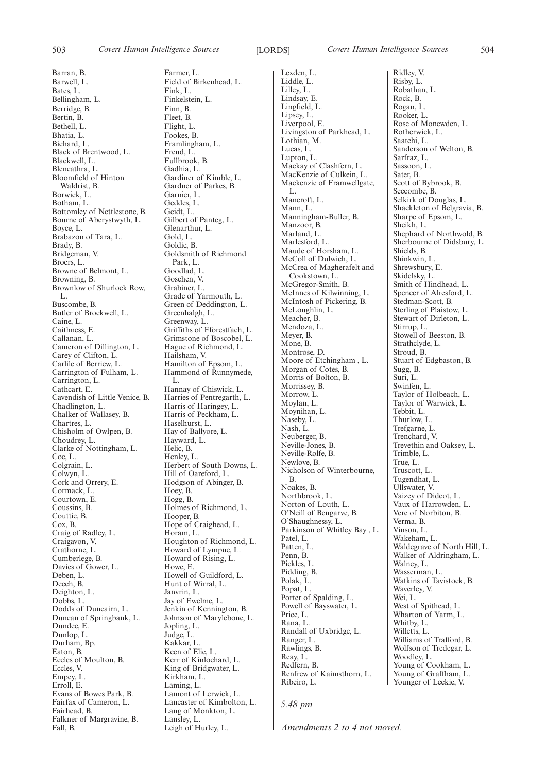Barran, B. Barwell, L. Bates, L. Bellingham, L. Berridge, B. Bertin, B. Bethell, L. Bhatia, L. Bichard, L. Black of Brentwood, L. Blackwell, L. Blencathra, L. Bloomfield of Hinton Waldrist, B. Borwick, L. Botham, L. Bottomley of Nettlestone, B. Bourne of Aberystwyth, L. Boyce, L. Brabazon of Tara, L. Brady, B. Bridgeman, V. Broers, L. Browne of Belmont, L. Browning, B. Brownlow of Shurlock Row, L. Buscombe, B. Butler of Brockwell, L. Caine, L. Caithness, E. Callanan, L. Cameron of Dillington, L. Carey of Clifton, L. Carlile of Berriew, L. Carrington of Fulham, L. Carrington, L. Cathcart, E. Cavendish of Little Venice, B. Chadlington, L. Chalker of Wallasey, B. Chartres, L. Chisholm of Owlpen, B. Choudrey, L. Clarke of Nottingham, L. Coe, L. Colgrain, L. Colwyn, L. Cork and Orrery, E. Cormack, L. Courtown, E. Coussins, B. Couttie, B. Cox, B. Craig of Radley, L. Craigavon, V. Crathorne, L. Cumberlege, B. Davies of Gower, L. Deben, L. Deech, B. Deighton, L. Dobbs, L. Dodds of Duncairn, L. Duncan of Springbank, L. Dundee, E. Dunlop, L. Durham, Bp. Eaton, B. Eccles of Moulton, B. Eccles, V. Empey, L. Erroll, E. Evans of Bowes Park, B. Fairfax of Cameron, L. Fairhead, B. Falkner of Margravine, B.

Fall, B.

Farmer, L. Field of Birkenhead, L. Fink, L. Finkelstein, L. Finn, B. Fleet, B. Flight, L. Fookes, B. Framlingham, L. Freud, L. Fullbrook, B. Gadhia, L. Gardiner of Kimble, L. Gardner of Parkes, B. Garnier, L. Geddes, L. Geidt, L. Gilbert of Panteg, L. Glenarthur, L. Gold, L. Goldie, B. Goldsmith of Richmond Park, L. Goodlad, L. Goschen, V. Grabiner, L. Grade of Yarmouth, L. Green of Deddington, L. Greenhalgh, L. Greenway, L. Griffiths of Fforestfach, L. Grimstone of Boscobel, L. Hague of Richmond, L. Hailsham, V. Hamilton of Epsom, L. Hammond of Runnymede, L. Hannay of Chiswick, L. Harries of Pentregarth, L. Harris of Haringey, L. Harris of Peckham, L. Haselhurst, L. Hay of Ballyore, L. Hayward, L. Helic, B. Henley, L. Herbert of South Downs, L. Hill of Oareford, L. Hodgson of Abinger, B. Hoey, B. Hogg, B. Holmes of Richmond, L. Hooper, B. Hope of Craighead, L. Horam, L. Houghton of Richmond, L. Howard of Lympne, L. Howard of Rising, L. Howe, E. Howell of Guildford, L. Hunt of Wirral, L. Janvrin, L. Jay of Ewelme, L. Jenkin of Kennington, B. Johnson of Marylebone, L. Jopling, L. Judge, L. Kakkar, L. Keen of Elie, L. Kerr of Kinlochard, L. King of Bridgwater, L. Kirkham, L. Laming, L. Lamont of Lerwick, L. Lancaster of Kimbolton, L. Lang of Monkton, L. Lansley, L.

Leigh of Hurley, L.

Lexden, L. Liddle, L. Lilley, L. Lindsay, E. Lingfield, L. Lipsey, L. Liverpool, E. Livingston of Parkhead, L. Lothian, M. Lucas, L. Lupton, L. Mackay of Clashfern, L. MacKenzie of Culkein, L. Mackenzie of Framwellgate, L. Mancroft, L. Mann, L. Manningham-Buller, B. Manzoor, B. Marland, L. Marlesford, L. Maude of Horsham, L. McColl of Dulwich, L. McCrea of Magherafelt and Cookstown, L. McGregor-Smith, B. McInnes of Kilwinning, L. McIntosh of Pickering, B. McLoughlin, L. Meacher, B. Mendoza, L. Meyer, B. Mone, B. Montrose, D. Moore of Etchingham , L. Morgan of Cotes, B. Morris of Bolton, B. Morrissey, B. Morrow, L. Moylan, L. Moynihan, L. Naseby, L. Nash, L. Neuberger, B. Neville-Jones, B. Neville-Rolfe, B. Newlove, B. Nicholson of Winterbourne, B. Noakes, B. Northbrook, L. Norton of Louth, L. O'Neill of Bengarve, B. O'Shaughnessy, L. Parkinson of Whitley Bay , L. Patel, L. Patten, L. Penn, B. Pickles, L. Pidding, B. Polak, L. Popat, L. Porter of Spalding, L. Powell of Bayswater, L. Price, L. Rana, L. Randall of Uxbridge, L. Ranger, L. Rawlings, B. Reay, L. Redfern, B. Renfrew of Kaimsthorn, L. Ribeiro, L.

Ridley, V. Risby, L. Robathan, L. Rock, B. Rogan, L. Rooker, L. Rose of Monewden, L. Rotherwick, L. Saatchi, L. Sanderson of Welton, B. Sarfraz, L. Sassoon, L. Sater, B. Scott of Bybrook, B. Seccombe, B. Selkirk of Douglas, L. Shackleton of Belgravia, B. Sharpe of Epsom, L. Sheikh, L. Shephard of Northwold, B. Sherbourne of Didsbury, L. Shields, B. Shinkwin, L. Shrewsbury, E. Skidelsky, L. Smith of Hindhead, L. Spencer of Alresford, L. Stedman-Scott, B. Sterling of Plaistow, L. Stewart of Dirleton, L. Stirrup, L. Stowell of Beeston, B. Strathclyde, L. Stroud, B. Stuart of Edgbaston, B. Sugg, B. Suri, L. Swinfen, L. Taylor of Holbeach, L. Taylor of Warwick, L. Tebbit, L. Thurlow, L. Trefgarne, L. Trenchard, V. Trevethin and Oaksey, L. Trimble, L. True, L. Truscott, L. Tugendhat, L. Ullswater, V. Vaizey of Didcot, L. Vaux of Harrowden, L. Vere of Norbiton, B. Verma, B. Vinson, L. Wakeham, L. Waldegrave of North Hill, L. Walker of Aldringham, L. Walney, L. Wasserman, L. Watkins of Tavistock, B. Waverley, V. Wei, L. West of Spithead, L. Wharton of Yarm, L. Whitby, L. Willetts, L. Williams of Trafford, B. Wolfson of Tredegar, L. Woodley, L. Young of Cookham, L. Young of Graffham, L. Younger of Leckie, V.

*5.48 pm*

*Amendments 2 to 4 not moved.*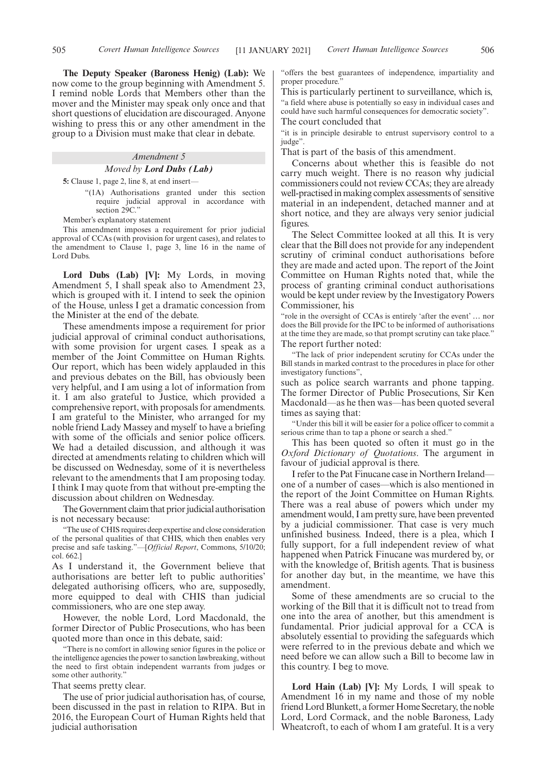**The Deputy Speaker (Baroness Henig) (Lab):** We now come to the group beginning with Amendment 5. I remind noble Lords that Members other than the mover and the Minister may speak only once and that short questions of elucidation are discouraged. Anyone wishing to press this or any other amendment in the group to a Division must make that clear in debate.

## *Amendment 5 Moved by Lord Dubs (Lab)*

**5:** Clause 1, page 2, line 8, at end insert—

"(1A) Authorisations granted under this section require judicial approval in accordance with section 29C."

Member's explanatory statement

This amendment imposes a requirement for prior judicial approval of CCAs (with provision for urgent cases), and relates to the amendment to Clause 1, page 3, line 16 in the name of Lord Dubs.

**Lord Dubs (Lab) [V]:** My Lords, in moving Amendment 5, I shall speak also to Amendment 23, which is grouped with it. I intend to seek the opinion of the House, unless I get a dramatic concession from the Minister at the end of the debate.

These amendments impose a requirement for prior judicial approval of criminal conduct authorisations, with some provision for urgent cases. I speak as a member of the Joint Committee on Human Rights. Our report, which has been widely applauded in this and previous debates on the Bill, has obviously been very helpful, and I am using a lot of information from it. I am also grateful to Justice, which provided a comprehensive report, with proposals for amendments. I am grateful to the Minister, who arranged for my noble friend Lady Massey and myself to have a briefing with some of the officials and senior police officers. We had a detailed discussion, and although it was directed at amendments relating to children which will be discussed on Wednesday, some of it is nevertheless relevant to the amendments that I am proposing today. I think I may quote from that without pre-empting the discussion about children on Wednesday.

The Government claim that prior judicial authorisation is not necessary because:

"The use of CHIS requires deep expertise and close consideration of the personal qualities of that CHIS, which then enables very precise and safe tasking."—[*Official Report*, Commons, 5/10/20; col. 662.]

As I understand it, the Government believe that authorisations are better left to public authorities' delegated authorising officers, who are, supposedly, more equipped to deal with CHIS than judicial commissioners, who are one step away.

However, the noble Lord, Lord Macdonald, the former Director of Public Prosecutions, who has been quoted more than once in this debate, said:

"There is no comfort in allowing senior figures in the police or the intelligence agencies the power to sanction lawbreaking, without the need to first obtain independent warrants from judges or some other authority."

That seems pretty clear.

The use of prior judicial authorisation has, of course, been discussed in the past in relation to RIPA. But in 2016, the European Court of Human Rights held that judicial authorisation

"offers the best guarantees of independence, impartiality and proper procedure.

This is particularly pertinent to surveillance, which is, "a field where abuse is potentially so easy in individual cases and could have such harmful consequences for democratic society". The court concluded that

"it is in principle desirable to entrust supervisory control to a judge".

That is part of the basis of this amendment.

Concerns about whether this is feasible do not carry much weight. There is no reason why judicial commissioners could not review CCAs; they are already well-practised in making complex assessments of sensitive material in an independent, detached manner and at short notice, and they are always very senior judicial figures.

The Select Committee looked at all this. It is very clear that the Bill does not provide for any independent scrutiny of criminal conduct authorisations before they are made and acted upon. The report of the Joint Committee on Human Rights noted that, while the process of granting criminal conduct authorisations would be kept under review by the Investigatory Powers Commissioner, his

"role in the oversight of CCAs is entirely 'after the event' … nor does the Bill provide for the IPC to be informed of authorisations at the time they are made, so that prompt scrutiny can take place." The report further noted:

"The lack of prior independent scrutiny for CCAs under the Bill stands in marked contrast to the procedures in place for other investigatory functions",

such as police search warrants and phone tapping. The former Director of Public Prosecutions, Sir Ken Macdonald—as he then was—has been quoted several times as saying that:

"Under this bill it will be easier for a police officer to commit a serious crime than to tap a phone or search a shed."

This has been quoted so often it must go in the *Oxford Dictionary of Quotations*. The argument in favour of judicial approval is there.

I refer to the Pat Finucane case in Northern Ireland one of a number of cases—which is also mentioned in the report of the Joint Committee on Human Rights. There was a real abuse of powers which under my amendment would, I am pretty sure, have been prevented by a judicial commissioner. That case is very much unfinished business. Indeed, there is a plea, which I fully support, for a full independent review of what happened when Patrick Finucane was murdered by, or with the knowledge of, British agents. That is business for another day but, in the meantime, we have this amendment.

Some of these amendments are so crucial to the working of the Bill that it is difficult not to tread from one into the area of another, but this amendment is fundamental. Prior judicial approval for a CCA is absolutely essential to providing the safeguards which were referred to in the previous debate and which we need before we can allow such a Bill to become law in this country. I beg to move.

**Lord Hain (Lab) [V]:** My Lords, I will speak to Amendment 16 in my name and those of my noble friend Lord Blunkett, a former Home Secretary, the noble Lord, Lord Cormack, and the noble Baroness, Lady Wheatcroft, to each of whom I am grateful. It is a very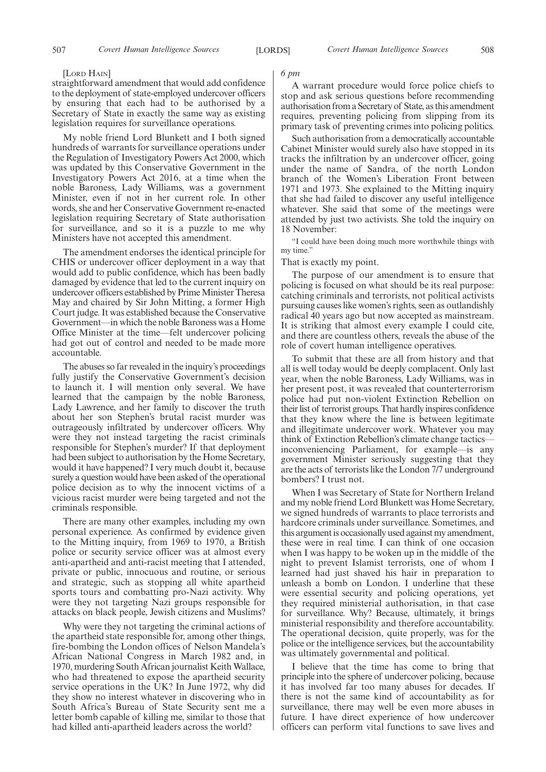#### [LORD HAIN]

straightforward amendment that would add confidence to the deployment of state-employed undercover officers by ensuring that each had to be authorised by a Secretary of State in exactly the same way as existing legislation requires for surveillance operations.

My noble friend Lord Blunkett and I both signed hundreds of warrants for surveillance operations under the Regulation of Investigatory Powers Act 2000, which was updated by this Conservative Government in the Investigatory Powers Act 2016, at a time when the noble Baroness, Lady Williams, was a government Minister, even if not in her current role. In other words, she and her Conservative Government re-enacted legislation requiring Secretary of State authorisation for surveillance, and so it is a puzzle to me why Ministers have not accepted this amendment.

The amendment endorses the identical principle for CHIS or undercover officer deployment in a way that would add to public confidence, which has been badly damaged by evidence that led to the current inquiry on undercover officers established by Prime Minister Theresa May and chaired by Sir John Mitting, a former High Court judge. It was established because the Conservative Government—in which the noble Baroness was a Home Office Minister at the time—felt undercover policing had got out of control and needed to be made more accountable.

The abuses so far revealed in the inquiry's proceedings fully justify the Conservative Government's decision to launch it. I will mention only several. We have learned that the campaign by the noble Baroness, Lady Lawrence, and her family to discover the truth about her son Stephen's brutal racist murder was outrageously infiltrated by undercover officers. Why were they not instead targeting the racist criminals responsible for Stephen's murder? If that deployment had been subject to authorisation by the Home Secretary, would it have happened? I very much doubt it, because surely a question would have been asked of the operational police decision as to why the innocent victims of a vicious racist murder were being targeted and not the criminals responsible.

There are many other examples, including my own personal experience. As confirmed by evidence given to the Mitting inquiry, from 1969 to 1970, a British police or security service officer was at almost every anti-apartheid and anti-racist meeting that I attended, private or public, innocuous and routine, or serious and strategic, such as stopping all white apartheid sports tours and combatting pro-Nazi activity. Why were they not targeting Nazi groups responsible for attacks on black people, Jewish citizens and Muslims?

Why were they not targeting the criminal actions of the apartheid state responsible for, among other things, fire-bombing the London offices of Nelson Mandela's African National Congress in March 1982 and, in 1970, murdering South African journalist Keith Wallace, who had threatened to expose the apartheid security service operations in the UK? In June 1972, why did they show no interest whatever in discovering who in South Africa's Bureau of State Security sent me a letter bomb capable of killing me, similar to those that had killed anti-apartheid leaders across the world?

#### *6 pm*

A warrant procedure would force police chiefs to stop and ask serious questions before recommending authorisation from a Secretary of State, as this amendment requires, preventing policing from slipping from its primary task of preventing crimes into policing politics.

Such authorisation from a democratically accountable Cabinet Minister would surely also have stopped in its tracks the infiltration by an undercover officer, going under the name of Sandra, of the north London branch of the Women's Liberation Front between 1971 and 1973. She explained to the Mitting inquiry that she had failed to discover any useful intelligence whatever. She said that some of the meetings were attended by just two activists. She told the inquiry on 18 November:

"I could have been doing much more worthwhile things with my time."

That is exactly my point.

The purpose of our amendment is to ensure that policing is focused on what should be its real purpose: catching criminals and terrorists, not political activists pursuing causes like women's rights, seen as outlandishly radical 40 years ago but now accepted as mainstream. It is striking that almost every example I could cite, and there are countless others, reveals the abuse of the role of covert human intelligence operatives.

To submit that these are all from history and that all is well today would be deeply complacent. Only last year, when the noble Baroness, Lady Williams, was in her present post, it was revealed that counterterrorism police had put non-violent Extinction Rebellion on their list of terrorist groups. That hardly inspires confidence that they know where the line is between legitimate and illegitimate undercover work. Whatever you may think of Extinction Rebellion's climate change tactics inconveniencing Parliament, for example—is any government Minister seriously suggesting that they are the acts of terrorists like the London 7/7 underground bombers? I trust not.

When I was Secretary of State for Northern Ireland and my noble friend Lord Blunkett was Home Secretary, we signed hundreds of warrants to place terrorists and hardcore criminals under surveillance. Sometimes, and this argument is occasionally used against my amendment, these were in real time. I can think of one occasion when I was happy to be woken up in the middle of the night to prevent Islamist terrorists, one of whom I learned had just shaved his hair in preparation to unleash a bomb on London. I underline that these were essential security and policing operations, yet they required ministerial authorisation, in that case for surveillance. Why? Because, ultimately, it brings ministerial responsibility and therefore accountability. The operational decision, quite properly, was for the police or the intelligence services, but the accountability was ultimately governmental and political.

I believe that the time has come to bring that principle into the sphere of undercover policing, because it has involved far too many abuses for decades. If there is not the same kind of accountability as for surveillance, there may well be even more abuses in future. I have direct experience of how undercover officers can perform vital functions to save lives and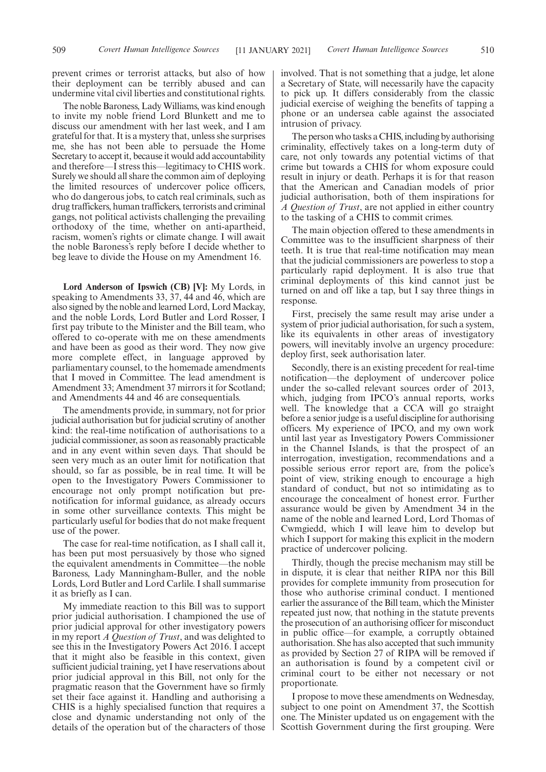The noble Baroness, Lady Williams, was kind enough to invite my noble friend Lord Blunkett and me to discuss our amendment with her last week, and I am grateful for that. It is a mystery that, unless she surprises me, she has not been able to persuade the Home Secretary to accept it, because it would add accountability and therefore—I stress this—legitimacy to CHIS work. Surely we should all share the common aim of deploying the limited resources of undercover police officers, who do dangerous jobs, to catch real criminals, such as drug traffickers, human traffickers, terrorists and criminal gangs, not political activists challenging the prevailing orthodoxy of the time, whether on anti-apartheid, racism, women's rights or climate change. I will await the noble Baroness's reply before I decide whether to beg leave to divide the House on my Amendment 16.

**Lord Anderson of Ipswich (CB) [V]:** My Lords, in speaking to Amendments 33, 37, 44 and 46, which are also signed by the noble and learned Lord, Lord Mackay, and the noble Lords, Lord Butler and Lord Rosser, I first pay tribute to the Minister and the Bill team, who offered to co-operate with me on these amendments and have been as good as their word. They now give more complete effect, in language approved by parliamentary counsel, to the homemade amendments that I moved in Committee. The lead amendment is Amendment 33; Amendment 37 mirrors it for Scotland; and Amendments 44 and 46 are consequentials.

The amendments provide, in summary, not for prior judicial authorisation but for judicial scrutiny of another kind: the real-time notification of authorisations to a judicial commissioner, as soon as reasonably practicable and in any event within seven days. That should be seen very much as an outer limit for notification that should, so far as possible, be in real time. It will be open to the Investigatory Powers Commissioner to encourage not only prompt notification but prenotification for informal guidance, as already occurs in some other surveillance contexts. This might be particularly useful for bodies that do not make frequent use of the power.

The case for real-time notification, as I shall call it, has been put most persuasively by those who signed the equivalent amendments in Committee—the noble Baroness, Lady Manningham-Buller, and the noble Lords, Lord Butler and Lord Carlile. I shall summarise it as briefly as I can.

My immediate reaction to this Bill was to support prior judicial authorisation. I championed the use of prior judicial approval for other investigatory powers in my report *A Question of Trust*, and was delighted to see this in the Investigatory Powers Act 2016. I accept that it might also be feasible in this context, given sufficient judicial training, yet I have reservations about prior judicial approval in this Bill, not only for the pragmatic reason that the Government have so firmly set their face against it. Handling and authorising a CHIS is a highly specialised function that requires a close and dynamic understanding not only of the details of the operation but of the characters of those

involved. That is not something that a judge, let alone a Secretary of State, will necessarily have the capacity to pick up. It differs considerably from the classic judicial exercise of weighing the benefits of tapping a phone or an undersea cable against the associated intrusion of privacy.

The person who tasks a CHIS, including by authorising criminality, effectively takes on a long-term duty of care, not only towards any potential victims of that crime but towards a CHIS for whom exposure could result in injury or death. Perhaps it is for that reason that the American and Canadian models of prior judicial authorisation, both of them inspirations for *A Question of Trust*, are not applied in either country to the tasking of a CHIS to commit crimes.

The main objection offered to these amendments in Committee was to the insufficient sharpness of their teeth. It is true that real-time notification may mean that the judicial commissioners are powerless to stop a particularly rapid deployment. It is also true that criminal deployments of this kind cannot just be turned on and off like a tap, but I say three things in response.

First, precisely the same result may arise under a system of prior judicial authorisation, for such a system, like its equivalents in other areas of investigatory powers, will inevitably involve an urgency procedure: deploy first, seek authorisation later.

Secondly, there is an existing precedent for real-time notification—the deployment of undercover police under the so-called relevant sources order of 2013, which, judging from IPCO's annual reports, works well. The knowledge that a CCA will go straight before a senior judge is a useful discipline for authorising officers. My experience of IPCO, and my own work until last year as Investigatory Powers Commissioner in the Channel Islands, is that the prospect of an interrogation, investigation, recommendations and a possible serious error report are, from the police's point of view, striking enough to encourage a high standard of conduct, but not so intimidating as to encourage the concealment of honest error. Further assurance would be given by Amendment 34 in the name of the noble and learned Lord, Lord Thomas of Cwmgiedd, which I will leave him to develop but which I support for making this explicit in the modern practice of undercover policing.

Thirdly, though the precise mechanism may still be in dispute, it is clear that neither RIPA nor this Bill provides for complete immunity from prosecution for those who authorise criminal conduct. I mentioned earlier the assurance of the Bill team, which the Minister repeated just now, that nothing in the statute prevents the prosecution of an authorising officer for misconduct in public office—for example, a corruptly obtained authorisation. She has also accepted that such immunity as provided by Section 27 of RIPA will be removed if an authorisation is found by a competent civil or criminal court to be either not necessary or not proportionate.

I propose to move these amendments on Wednesday, subject to one point on Amendment 37, the Scottish one. The Minister updated us on engagement with the Scottish Government during the first grouping. Were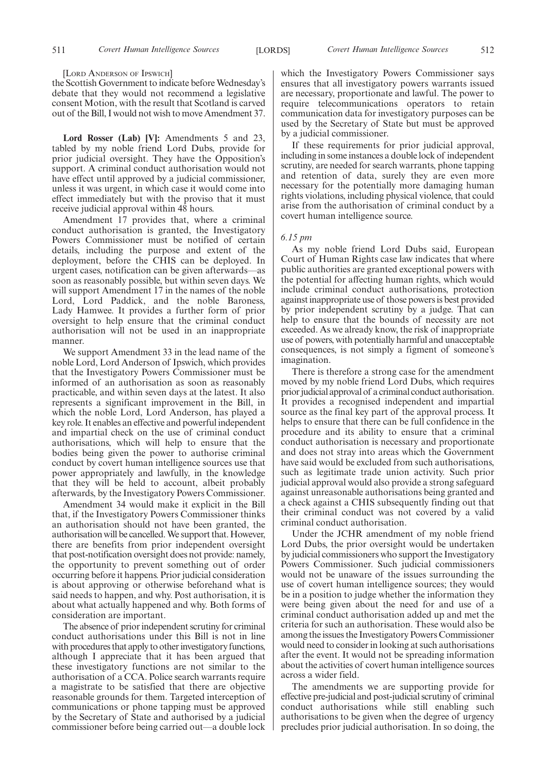[LORD ANDERSON OF IPSWICH]

the Scottish Government to indicate before Wednesday's debate that they would not recommend a legislative consent Motion, with the result that Scotland is carved out of the Bill, I would not wish to move Amendment 37.

**Lord Rosser (Lab) [V]:** Amendments 5 and 23, tabled by my noble friend Lord Dubs, provide for prior judicial oversight. They have the Opposition's support. A criminal conduct authorisation would not have effect until approved by a judicial commissioner, unless it was urgent, in which case it would come into effect immediately but with the proviso that it must receive judicial approval within 48 hours.

Amendment 17 provides that, where a criminal conduct authorisation is granted, the Investigatory Powers Commissioner must be notified of certain details, including the purpose and extent of the deployment, before the CHIS can be deployed. In urgent cases, notification can be given afterwards—as soon as reasonably possible, but within seven days. We will support Amendment 17 in the names of the noble Lord, Lord Paddick, and the noble Baroness, Lady Hamwee. It provides a further form of prior oversight to help ensure that the criminal conduct authorisation will not be used in an inappropriate manner.

We support Amendment 33 in the lead name of the noble Lord, Lord Anderson of Ipswich, which provides that the Investigatory Powers Commissioner must be informed of an authorisation as soon as reasonably practicable, and within seven days at the latest. It also represents a significant improvement in the Bill, in which the noble Lord, Lord Anderson, has played a key role. It enables an effective and powerful independent and impartial check on the use of criminal conduct authorisations, which will help to ensure that the bodies being given the power to authorise criminal conduct by covert human intelligence sources use that power appropriately and lawfully, in the knowledge that they will be held to account, albeit probably afterwards, by the Investigatory Powers Commissioner.

Amendment 34 would make it explicit in the Bill that, if the Investigatory Powers Commissioner thinks an authorisation should not have been granted, the authorisation will be cancelled. We support that. However, there are benefits from prior independent oversight that post-notification oversight does not provide: namely, the opportunity to prevent something out of order occurring before it happens. Prior judicial consideration is about approving or otherwise beforehand what is said needs to happen, and why. Post authorisation, it is about what actually happened and why. Both forms of consideration are important.

The absence of prior independent scrutiny for criminal conduct authorisations under this Bill is not in line with procedures that apply to other investigatory functions, although I appreciate that it has been argued that these investigatory functions are not similar to the authorisation of a CCA. Police search warrants require a magistrate to be satisfied that there are objective reasonable grounds for them. Targeted interception of communications or phone tapping must be approved by the Secretary of State and authorised by a judicial commissioner before being carried out—a double lock which the Investigatory Powers Commissioner says ensures that all investigatory powers warrants issued are necessary, proportionate and lawful. The power to require telecommunications operators to retain communication data for investigatory purposes can be used by the Secretary of State but must be approved by a judicial commissioner.

If these requirements for prior judicial approval, including in some instances a double lock of independent scrutiny, are needed for search warrants, phone tapping and retention of data, surely they are even more necessary for the potentially more damaging human rights violations, including physical violence, that could arise from the authorisation of criminal conduct by a covert human intelligence source.

#### *6.15 pm*

As my noble friend Lord Dubs said, European Court of Human Rights case law indicates that where public authorities are granted exceptional powers with the potential for affecting human rights, which would include criminal conduct authorisations, protection against inappropriate use of those powers is best provided by prior independent scrutiny by a judge. That can help to ensure that the bounds of necessity are not exceeded. As we already know, the risk of inappropriate use of powers, with potentially harmful and unacceptable consequences, is not simply a figment of someone's imagination.

There is therefore a strong case for the amendment moved by my noble friend Lord Dubs, which requires prior judicial approval of a criminal conduct authorisation. It provides a recognised independent and impartial source as the final key part of the approval process. It helps to ensure that there can be full confidence in the procedure and its ability to ensure that a criminal conduct authorisation is necessary and proportionate and does not stray into areas which the Government have said would be excluded from such authorisations, such as legitimate trade union activity. Such prior judicial approval would also provide a strong safeguard against unreasonable authorisations being granted and a check against a CHIS subsequently finding out that their criminal conduct was not covered by a valid criminal conduct authorisation.

Under the JCHR amendment of my noble friend Lord Dubs, the prior oversight would be undertaken by judicial commissioners who support the Investigatory Powers Commissioner. Such judicial commissioners would not be unaware of the issues surrounding the use of covert human intelligence sources; they would be in a position to judge whether the information they were being given about the need for and use of a criminal conduct authorisation added up and met the criteria for such an authorisation. These would also be among the issues the Investigatory Powers Commissioner would need to consider in looking at such authorisations after the event. It would not be spreading information about the activities of covert human intelligence sources across a wider field.

The amendments we are supporting provide for effective pre-judicial and post-judicial scrutiny of criminal conduct authorisations while still enabling such authorisations to be given when the degree of urgency precludes prior judicial authorisation. In so doing, the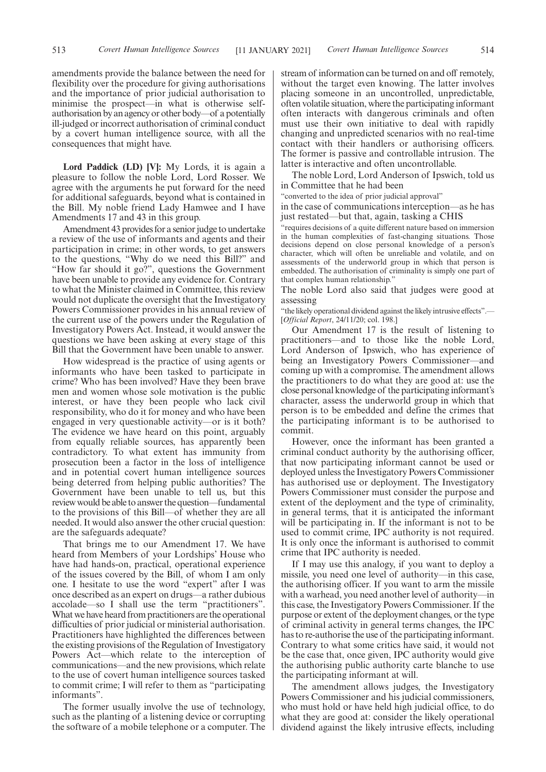amendments provide the balance between the need for flexibility over the procedure for giving authorisations and the importance of prior judicial authorisation to minimise the prospect—in what is otherwise selfauthorisation by an agency or other body—of a potentially ill-judged or incorrect authorisation of criminal conduct by a covert human intelligence source, with all the consequences that might have.

**Lord Paddick (LD) [V]:** My Lords, it is again a pleasure to follow the noble Lord, Lord Rosser. We agree with the arguments he put forward for the need for additional safeguards, beyond what is contained in the Bill. My noble friend Lady Hamwee and I have Amendments 17 and 43 in this group.

Amendment 43 provides for a senior judge to undertake a review of the use of informants and agents and their participation in crime; in other words, to get answers to the questions, "Why do we need this Bill?" and "How far should it go?", questions the Government have been unable to provide any evidence for. Contrary to what the Minister claimed in Committee, this review would not duplicate the oversight that the Investigatory Powers Commissioner provides in his annual review of the current use of the powers under the Regulation of Investigatory Powers Act. Instead, it would answer the questions we have been asking at every stage of this Bill that the Government have been unable to answer.

How widespread is the practice of using agents or informants who have been tasked to participate in crime? Who has been involved? Have they been brave men and women whose sole motivation is the public interest, or have they been people who lack civil responsibility, who do it for money and who have been engaged in very questionable activity—or is it both? The evidence we have heard on this point, arguably from equally reliable sources, has apparently been contradictory. To what extent has immunity from prosecution been a factor in the loss of intelligence and in potential covert human intelligence sources being deterred from helping public authorities? The Government have been unable to tell us, but this review would be able to answer the question—fundamental to the provisions of this Bill—of whether they are all needed. It would also answer the other crucial question: are the safeguards adequate?

That brings me to our Amendment 17. We have heard from Members of your Lordships' House who have had hands-on, practical, operational experience of the issues covered by the Bill, of whom I am only one. I hesitate to use the word "expert" after I was once described as an expert on drugs—a rather dubious accolade—so I shall use the term "practitioners". What we have heard from practitioners are the operational difficulties of prior judicial or ministerial authorisation. Practitioners have highlighted the differences between the existing provisions of the Regulation of Investigatory Powers Act—which relate to the interception of communications—and the new provisions, which relate to the use of covert human intelligence sources tasked to commit crime; I will refer to them as "participating informants".

The former usually involve the use of technology, such as the planting of a listening device or corrupting the software of a mobile telephone or a computer. The stream of information can be turned on and off remotely, without the target even knowing. The latter involves placing someone in an uncontrolled, unpredictable, often volatile situation, where the participating informant often interacts with dangerous criminals and often must use their own initiative to deal with rapidly changing and unpredicted scenarios with no real-time contact with their handlers or authorising officers. The former is passive and controllable intrusion. The latter is interactive and often uncontrollable.

The noble Lord, Lord Anderson of Ipswich, told us in Committee that he had been

"converted to the idea of prior judicial approval"

in the case of communications interception—as he has just restated—but that, again, tasking a CHIS

"requires decisions of a quite different nature based on immersion in the human complexities of fast-changing situations. Those decisions depend on close personal knowledge of a person's character, which will often be unreliable and volatile, and on assessments of the underworld group in which that person is embedded. The authorisation of criminality is simply one part of that complex human relationship."

The noble Lord also said that judges were good at assessing

"the likely operational dividend against the likely intrusive effects".— [*Official Report*, 24/11/20; col. 198.]

Our Amendment 17 is the result of listening to practitioners—and to those like the noble Lord, Lord Anderson of Ipswich, who has experience of being an Investigatory Powers Commissioner—and coming up with a compromise. The amendment allows the practitioners to do what they are good at: use the close personal knowledge of the participating informant's character, assess the underworld group in which that person is to be embedded and define the crimes that the participating informant is to be authorised to commit.

However, once the informant has been granted a criminal conduct authority by the authorising officer, that now participating informant cannot be used or deployed unless the Investigatory Powers Commissioner has authorised use or deployment. The Investigatory Powers Commissioner must consider the purpose and extent of the deployment and the type of criminality, in general terms, that it is anticipated the informant will be participating in. If the informant is not to be used to commit crime, IPC authority is not required. It is only once the informant is authorised to commit crime that IPC authority is needed.

If I may use this analogy, if you want to deploy a missile, you need one level of authority—in this case, the authorising officer. If you want to arm the missile with a warhead, you need another level of authority—in this case, the Investigatory Powers Commissioner. If the purpose or extent of the deployment changes, or the type of criminal activity in general terms changes, the IPC has to re-authorise the use of the participating informant. Contrary to what some critics have said, it would not be the case that, once given, IPC authority would give the authorising public authority carte blanche to use the participating informant at will.

The amendment allows judges, the Investigatory Powers Commissioner and his judicial commissioners, who must hold or have held high judicial office, to do what they are good at: consider the likely operational dividend against the likely intrusive effects, including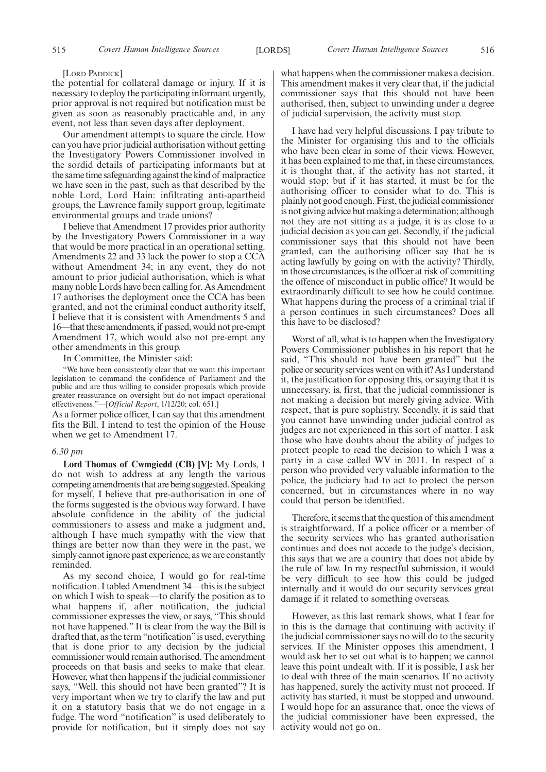#### [LORD PADDICK]

the potential for collateral damage or injury. If it is necessary to deploy the participating informant urgently, prior approval is not required but notification must be given as soon as reasonably practicable and, in any event, not less than seven days after deployment.

Our amendment attempts to square the circle. How can you have prior judicial authorisation without getting the Investigatory Powers Commissioner involved in the sordid details of participating informants but at the same time safeguarding against the kind of malpractice we have seen in the past, such as that described by the noble Lord, Lord Hain: infiltrating anti-apartheid groups, the Lawrence family support group, legitimate environmental groups and trade unions?

I believe that Amendment 17 provides prior authority by the Investigatory Powers Commissioner in a way that would be more practical in an operational setting. Amendments 22 and 33 lack the power to stop a CCA without Amendment 34; in any event, they do not amount to prior judicial authorisation, which is what many noble Lords have been calling for. As Amendment 17 authorises the deployment once the CCA has been granted, and not the criminal conduct authority itself, I believe that it is consistent with Amendments 5 and 16—that these amendments, if passed, would not pre-empt Amendment 17, which would also not pre-empt any other amendments in this group.

In Committee, the Minister said:

"We have been consistently clear that we want this important legislation to command the confidence of Parliament and the public and are thus willing to consider proposals which provide greater reassurance on oversight but do not impact operational effectiveness."—[*Official Report*, 1/12/20; col. 651.]

As a former police officer, I can say that this amendment fits the Bill. I intend to test the opinion of the House when we get to Amendment 17.

#### *6.30 pm*

**Lord Thomas of Cwmgiedd (CB) [V]:** My Lords, I do not wish to address at any length the various competing amendments that are being suggested. Speaking for myself, I believe that pre-authorisation in one of the forms suggested is the obvious way forward. I have absolute confidence in the ability of the judicial commissioners to assess and make a judgment and, although I have much sympathy with the view that things are better now than they were in the past, we simply cannot ignore past experience, as we are constantly reminded.

As my second choice, I would go for real-time notification. I tabled Amendment 34—this is the subject on which I wish to speak—to clarify the position as to what happens if, after notification, the judicial commissioner expresses the view, or says, "This should not have happened." It is clear from the way the Bill is drafted that, as the term "notification"is used, everything that is done prior to any decision by the judicial commissioner would remain authorised. The amendment proceeds on that basis and seeks to make that clear. However, what then happens if the judicial commissioner says, "Well, this should not have been granted"? It is very important when we try to clarify the law and put it on a statutory basis that we do not engage in a fudge. The word "notification" is used deliberately to provide for notification, but it simply does not say

what happens when the commissioner makes a decision. This amendment makes it very clear that, if the judicial commissioner says that this should not have been authorised, then, subject to unwinding under a degree of judicial supervision, the activity must stop.

I have had very helpful discussions. I pay tribute to the Minister for organising this and to the officials who have been clear in some of their views. However, it has been explained to me that, in these circumstances, it is thought that, if the activity has not started, it would stop; but if it has started, it must be for the authorising officer to consider what to do. This is plainly not good enough. First, the judicial commissioner is not giving advice but making a determination; although not they are not sitting as a judge, it is as close to a judicial decision as you can get. Secondly, if the judicial commissioner says that this should not have been granted, can the authorising officer say that he is acting lawfully by going on with the activity? Thirdly, in those circumstances, is the officer at risk of committing the offence of misconduct in public office? It would be extraordinarily difficult to see how he could continue. What happens during the process of a criminal trial if a person continues in such circumstances? Does all this have to be disclosed?

Worst of all, what is to happen when the Investigatory Powers Commissioner publishes in his report that he said, "This should not have been granted" but the police or security services went on with it? As I understand it, the justification for opposing this, or saying that it is unnecessary, is, first, that the judicial commissioner is not making a decision but merely giving advice. With respect, that is pure sophistry. Secondly, it is said that you cannot have unwinding under judicial control as judges are not experienced in this sort of matter. I ask those who have doubts about the ability of judges to protect people to read the decision to which I was a party in a case called WV in 2011. In respect of a person who provided very valuable information to the police, the judiciary had to act to protect the person concerned, but in circumstances where in no way could that person be identified.

Therefore, it seems that the question of this amendment is straightforward. If a police officer or a member of the security services who has granted authorisation continues and does not accede to the judge's decision, this says that we are a country that does not abide by the rule of law. In my respectful submission, it would be very difficult to see how this could be judged internally and it would do our security services great damage if it related to something overseas.

However, as this last remark shows, what I fear for in this is the damage that continuing with activity if the judicial commissioner says no will do to the security services. If the Minister opposes this amendment, I would ask her to set out what is to happen; we cannot leave this point undealt with. If it is possible, I ask her to deal with three of the main scenarios. If no activity has happened, surely the activity must not proceed. If activity has started, it must be stopped and unwound. I would hope for an assurance that, once the views of the judicial commissioner have been expressed, the activity would not go on.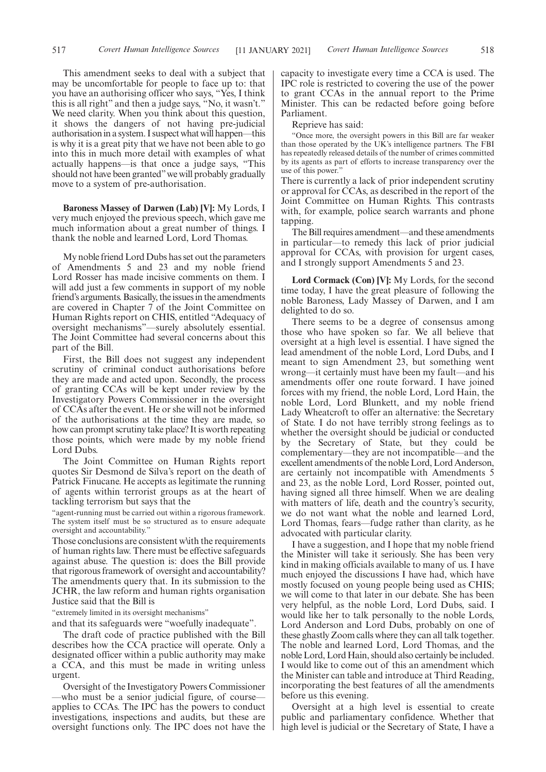517 *Covert Human Intelligence Sources Covert Human Intelligence Sources* [11 JANUARY 2021] 518

This amendment seeks to deal with a subject that may be uncomfortable for people to face up to: that you have an authorising officer who says, "Yes, I think this is all right" and then a judge says, "No, it wasn't." We need clarity. When you think about this question, it shows the dangers of not having pre-judicial authorisation in a system. I suspect what will happen—this is why it is a great pity that we have not been able to go into this in much more detail with examples of what actually happens—is that once a judge says, "This should not have been granted" we will probably gradually move to a system of pre-authorisation.

**Baroness Massey of Darwen (Lab) [V]:** My Lords, I very much enjoyed the previous speech, which gave me much information about a great number of things. I thank the noble and learned Lord, Lord Thomas.

My noble friend Lord Dubs has set out the parameters of Amendments 5 and 23 and my noble friend Lord Rosser has made incisive comments on them. I will add just a few comments in support of my noble friend's arguments. Basically, the issues in the amendments are covered in Chapter 7 of the Joint Committee on Human Rights report on CHIS, entitled "Adequacy of oversight mechanisms"—surely absolutely essential. The Joint Committee had several concerns about this part of the Bill.

First, the Bill does not suggest any independent scrutiny of criminal conduct authorisations before they are made and acted upon. Secondly, the process of granting CCAs will be kept under review by the Investigatory Powers Commissioner in the oversight of CCAs after the event. He or she will not be informed of the authorisations at the time they are made, so how can prompt scrutiny take place? It is worth repeating those points, which were made by my noble friend Lord Dubs.

The Joint Committee on Human Rights report quotes Sir Desmond de Silva's report on the death of Patrick Finucane. He accepts as legitimate the running of agents within terrorist groups as at the heart of tackling terrorism but says that the

"agent-running must be carried out within a rigorous framework. The system itself must be so structured as to ensure adequate oversight and accountability."

Those conclusions are consistent w\ith the requirements of human rights law. There must be effective safeguards against abuse. The question is: does the Bill provide that rigorous framework of oversight and accountability? The amendments query that. In its submission to the JCHR, the law reform and human rights organisation Justice said that the Bill is

"extremely limited in its oversight mechanisms"

and that its safeguards were "woefully inadequate".

The draft code of practice published with the Bill describes how the CCA practice will operate. Only a designated officer within a public authority may make a CCA, and this must be made in writing unless urgent.

Oversight of the Investigatory Powers Commissioner who must be a senior judicial figure, of courseapplies to CCAs. The IPC has the powers to conduct investigations, inspections and audits, but these are oversight functions only. The IPC does not have the capacity to investigate every time a CCA is used. The IPC role is restricted to covering the use of the power to grant CCAs in the annual report to the Prime Minister. This can be redacted before going before Parliament.

Reprieve has said:

"Once more, the oversight powers in this Bill are far weaker than those operated by the UK's intelligence partners. The FBI has repeatedly released details of the number of crimes committed by its agents as part of efforts to increase transparency over the use of this power.'

There is currently a lack of prior independent scrutiny or approval for CCAs, as described in the report of the Joint Committee on Human Rights. This contrasts with, for example, police search warrants and phone tapping.

The Bill requires amendment—and these amendments in particular—to remedy this lack of prior judicial approval for CCAs, with provision for urgent cases, and I strongly support Amendments 5 and 23.

**Lord Cormack (Con) [V]:** My Lords, for the second time today, I have the great pleasure of following the noble Baroness, Lady Massey of Darwen, and I am delighted to do so.

There seems to be a degree of consensus among those who have spoken so far. We all believe that oversight at a high level is essential. I have signed the lead amendment of the noble Lord, Lord Dubs, and I meant to sign Amendment 23, but something went wrong—it certainly must have been my fault—and his amendments offer one route forward. I have joined forces with my friend, the noble Lord, Lord Hain, the noble Lord, Lord Blunkett, and my noble friend Lady Wheatcroft to offer an alternative: the Secretary of State. I do not have terribly strong feelings as to whether the oversight should be judicial or conducted by the Secretary of State, but they could be complementary—they are not incompatible—and the excellent amendments of the noble Lord, Lord Anderson, are certainly not incompatible with Amendments 5 and 23, as the noble Lord, Lord Rosser, pointed out, having signed all three himself. When we are dealing with matters of life, death and the country's security, we do not want what the noble and learned Lord, Lord Thomas, fears—fudge rather than clarity, as he advocated with particular clarity.

I have a suggestion, and I hope that my noble friend the Minister will take it seriously. She has been very kind in making officials available to many of us. I have much enjoyed the discussions I have had, which have mostly focused on young people being used as CHIS; we will come to that later in our debate. She has been very helpful, as the noble Lord, Lord Dubs, said. I would like her to talk personally to the noble Lords, Lord Anderson and Lord Dubs, probably on one of these ghastly Zoom calls where they can all talk together. The noble and learned Lord, Lord Thomas, and the noble Lord, Lord Hain, should also certainly be included. I would like to come out of this an amendment which the Minister can table and introduce at Third Reading, incorporating the best features of all the amendments before us this evening.

Oversight at a high level is essential to create public and parliamentary confidence. Whether that high level is judicial or the Secretary of State, I have a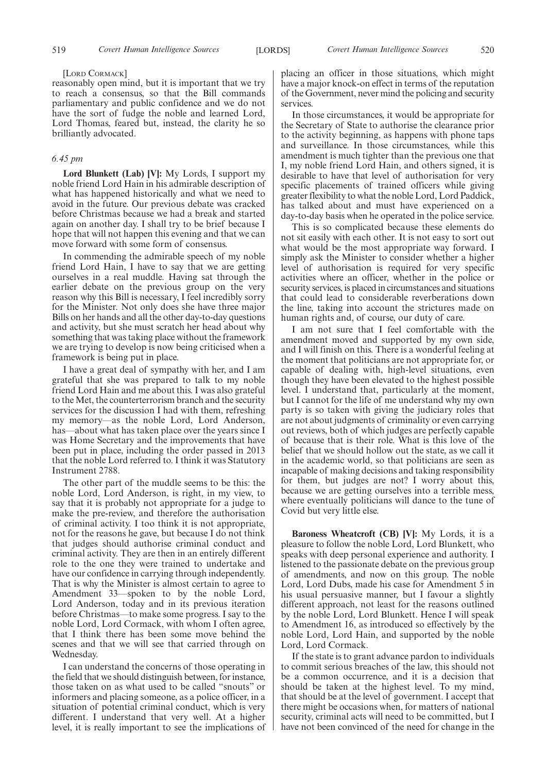#### [LORD CORMACK]

reasonably open mind, but it is important that we try to reach a consensus, so that the Bill commands parliamentary and public confidence and we do not have the sort of fudge the noble and learned Lord, Lord Thomas, feared but, instead, the clarity he so brilliantly advocated.

## *6.45 pm*

**Lord Blunkett (Lab) [V]:** My Lords, I support my noble friend Lord Hain in his admirable description of what has happened historically and what we need to avoid in the future. Our previous debate was cracked before Christmas because we had a break and started again on another day. I shall try to be brief because I hope that will not happen this evening and that we can move forward with some form of consensus.

In commending the admirable speech of my noble friend Lord Hain, I have to say that we are getting ourselves in a real muddle. Having sat through the earlier debate on the previous group on the very reason why this Bill is necessary, I feel incredibly sorry for the Minister. Not only does she have three major Bills on her hands and all the other day-to-day questions and activity, but she must scratch her head about why something that was taking place without the framework we are trying to develop is now being criticised when a framework is being put in place.

I have a great deal of sympathy with her, and I am grateful that she was prepared to talk to my noble friend Lord Hain and me about this. I was also grateful to the Met, the counterterrorism branch and the security services for the discussion I had with them, refreshing my memory—as the noble Lord, Lord Anderson, has—about what has taken place over the years since I was Home Secretary and the improvements that have been put in place, including the order passed in 2013 that the noble Lord referred to. I think it was Statutory Instrument 2788.

The other part of the muddle seems to be this: the noble Lord, Lord Anderson, is right, in my view, to say that it is probably not appropriate for a judge to make the pre-review, and therefore the authorisation of criminal activity. I too think it is not appropriate, not for the reasons he gave, but because I do not think that judges should authorise criminal conduct and criminal activity. They are then in an entirely different role to the one they were trained to undertake and have our confidence in carrying through independently. That is why the Minister is almost certain to agree to Amendment 33—spoken to by the noble Lord, Lord Anderson, today and in its previous iteration before Christmas—to make some progress. I say to the noble Lord, Lord Cormack, with whom I often agree, that I think there has been some move behind the scenes and that we will see that carried through on Wednesday.

I can understand the concerns of those operating in the field that we should distinguish between, for instance, those taken on as what used to be called "snouts" or informers and placing someone, as a police officer, in a situation of potential criminal conduct, which is very different. I understand that very well. At a higher level, it is really important to see the implications of placing an officer in those situations, which might have a major knock-on effect in terms of the reputation of the Government, never mind the policing and security services.

In those circumstances, it would be appropriate for the Secretary of State to authorise the clearance prior to the activity beginning, as happens with phone taps and surveillance. In those circumstances, while this amendment is much tighter than the previous one that I, my noble friend Lord Hain, and others signed, it is desirable to have that level of authorisation for very specific placements of trained officers while giving greater flexibility to what the noble Lord, Lord Paddick, has talked about and must have experienced on a day-to-day basis when he operated in the police service.

This is so complicated because these elements do not sit easily with each other. It is not easy to sort out what would be the most appropriate way forward. I simply ask the Minister to consider whether a higher level of authorisation is required for very specific activities where an officer, whether in the police or security services, is placed in circumstances and situations that could lead to considerable reverberations down the line, taking into account the strictures made on human rights and, of course, our duty of care.

I am not sure that I feel comfortable with the amendment moved and supported by my own side, and I will finish on this. There is a wonderful feeling at the moment that politicians are not appropriate for, or capable of dealing with, high-level situations, even though they have been elevated to the highest possible level. I understand that, particularly at the moment, but I cannot for the life of me understand why my own party is so taken with giving the judiciary roles that are not about judgments of criminality or even carrying out reviews, both of which judges are perfectly capable of because that is their role. What is this love of the belief that we should hollow out the state, as we call it in the academic world, so that politicians are seen as incapable of making decisions and taking responsibility for them, but judges are not? I worry about this, because we are getting ourselves into a terrible mess, where eventually politicians will dance to the tune of Covid but very little else.

**Baroness Wheatcroft (CB) [V]:** My Lords, it is a pleasure to follow the noble Lord, Lord Blunkett, who speaks with deep personal experience and authority. I listened to the passionate debate on the previous group of amendments, and now on this group. The noble Lord, Lord Dubs, made his case for Amendment 5 in his usual persuasive manner, but I favour a slightly different approach, not least for the reasons outlined by the noble Lord, Lord Blunkett. Hence I will speak to Amendment 16, as introduced so effectively by the noble Lord, Lord Hain, and supported by the noble Lord, Lord Cormack.

If the state is to grant advance pardon to individuals to commit serious breaches of the law, this should not be a common occurrence, and it is a decision that should be taken at the highest level. To my mind, that should be at the level of government. I accept that there might be occasions when, for matters of national security, criminal acts will need to be committed, but I have not been convinced of the need for change in the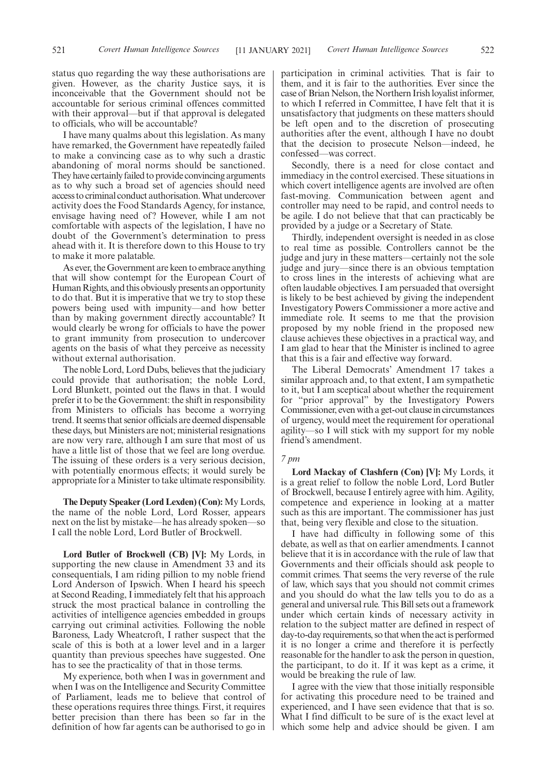I have many qualms about this legislation. As many have remarked, the Government have repeatedly failed to make a convincing case as to why such a drastic abandoning of moral norms should be sanctioned. They have certainly failed to provide convincing arguments as to why such a broad set of agencies should need access to criminal conduct authorisation. What undercover activity does the Food Standards Agency, for instance, envisage having need of? However, while I am not comfortable with aspects of the legislation, I have no doubt of the Government's determination to press ahead with it. It is therefore down to this House to try to make it more palatable.

As ever, the Government are keen to embrace anything that will show contempt for the European Court of Human Rights, and this obviously presents an opportunity to do that. But it is imperative that we try to stop these powers being used with impunity—and how better than by making government directly accountable? It would clearly be wrong for officials to have the power to grant immunity from prosecution to undercover agents on the basis of what they perceive as necessity without external authorisation.

The noble Lord, Lord Dubs, believes that the judiciary could provide that authorisation; the noble Lord, Lord Blunkett, pointed out the flaws in that. I would prefer it to be the Government: the shift in responsibility from Ministers to officials has become a worrying trend. It seems that senior officials are deemed dispensable these days, but Ministers are not; ministerial resignations are now very rare, although I am sure that most of us have a little list of those that we feel are long overdue. The issuing of these orders is a very serious decision, with potentially enormous effects; it would surely be appropriate for a Minister to take ultimate responsibility.

**The Deputy Speaker (Lord Lexden) (Con):** My Lords, the name of the noble Lord, Lord Rosser, appears next on the list by mistake—he has already spoken—so I call the noble Lord, Lord Butler of Brockwell.

**Lord Butler of Brockwell (CB) [V]:** My Lords, in supporting the new clause in Amendment 33 and its consequentials, I am riding pillion to my noble friend Lord Anderson of Ipswich. When I heard his speech at Second Reading, I immediately felt that his approach struck the most practical balance in controlling the activities of intelligence agencies embedded in groups carrying out criminal activities. Following the noble Baroness, Lady Wheatcroft, I rather suspect that the scale of this is both at a lower level and in a larger quantity than previous speeches have suggested. One has to see the practicality of that in those terms.

My experience, both when I was in government and when I was on the Intelligence and Security Committee of Parliament, leads me to believe that control of these operations requires three things. First, it requires better precision than there has been so far in the definition of how far agents can be authorised to go in participation in criminal activities. That is fair to them, and it is fair to the authorities. Ever since the

case of Brian Nelson, the Northern Irish loyalist informer, to which I referred in Committee, I have felt that it is unsatisfactory that judgments on these matters should be left open and to the discretion of prosecuting authorities after the event, although I have no doubt that the decision to prosecute Nelson—indeed, he confessed—was correct.

Secondly, there is a need for close contact and immediacy in the control exercised. These situations in which covert intelligence agents are involved are often fast-moving. Communication between agent and controller may need to be rapid, and control needs to be agile. I do not believe that that can practicably be provided by a judge or a Secretary of State.

Thirdly, independent oversight is needed in as close to real time as possible. Controllers cannot be the judge and jury in these matters—certainly not the sole judge and jury—since there is an obvious temptation to cross lines in the interests of achieving what are often laudable objectives. I am persuaded that oversight is likely to be best achieved by giving the independent Investigatory Powers Commissioner a more active and immediate role. It seems to me that the provision proposed by my noble friend in the proposed new clause achieves these objectives in a practical way, and I am glad to hear that the Minister is inclined to agree that this is a fair and effective way forward.

The Liberal Democrats' Amendment 17 takes a similar approach and, to that extent, I am sympathetic to it, but I am sceptical about whether the requirement for "prior approval" by the Investigatory Powers Commissioner, even with a get-out clause in circumstances of urgency, would meet the requirement for operational agility—so I will stick with my support for my noble friend's amendment.

#### *7 pm*

**Lord Mackay of Clashfern (Con) [V]:** My Lords, it is a great relief to follow the noble Lord, Lord Butler of Brockwell, because I entirely agree with him. Agility, competence and experience in looking at a matter such as this are important. The commissioner has just that, being very flexible and close to the situation.

I have had difficulty in following some of this debate, as well as that on earlier amendments. I cannot believe that it is in accordance with the rule of law that Governments and their officials should ask people to commit crimes. That seems the very reverse of the rule of law, which says that you should not commit crimes and you should do what the law tells you to do as a general and universal rule. This Bill sets out a framework under which certain kinds of necessary activity in relation to the subject matter are defined in respect of day-to-day requirements, so that when the act is performed it is no longer a crime and therefore it is perfectly reasonable for the handler to ask the person in question, the participant, to do it. If it was kept as a crime, it would be breaking the rule of law.

I agree with the view that those initially responsible for activating this procedure need to be trained and experienced, and I have seen evidence that that is so. What I find difficult to be sure of is the exact level at which some help and advice should be given. I am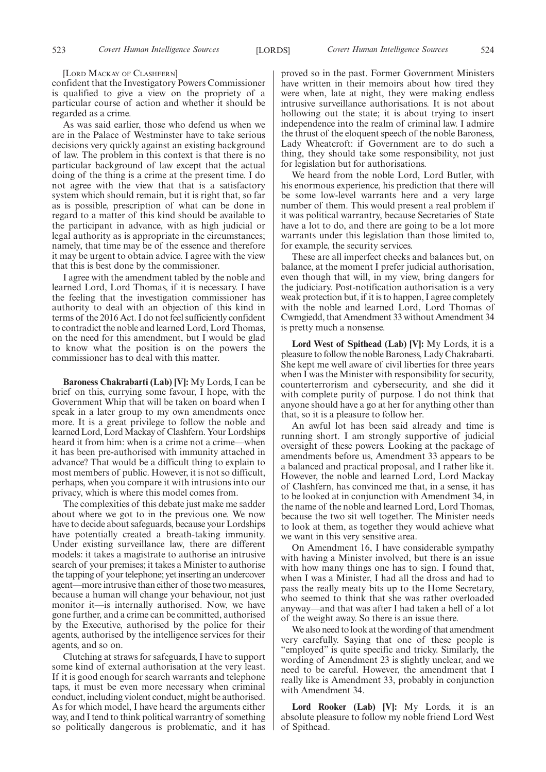#### [LORD MACKAY OF CLASHFERN]

confident that the Investigatory Powers Commissioner is qualified to give a view on the propriety of a particular course of action and whether it should be regarded as a crime.

As was said earlier, those who defend us when we are in the Palace of Westminster have to take serious decisions very quickly against an existing background of law. The problem in this context is that there is no particular background of law except that the actual doing of the thing is a crime at the present time. I do not agree with the view that that is a satisfactory system which should remain, but it is right that, so far as is possible, prescription of what can be done in regard to a matter of this kind should be available to the participant in advance, with as high judicial or legal authority as is appropriate in the circumstances; namely, that time may be of the essence and therefore it may be urgent to obtain advice. I agree with the view that this is best done by the commissioner.

I agree with the amendment tabled by the noble and learned Lord, Lord Thomas, if it is necessary. I have the feeling that the investigation commissioner has authority to deal with an objection of this kind in terms of the 2016 Act. I do not feel sufficiently confident to contradict the noble and learned Lord, Lord Thomas, on the need for this amendment, but I would be glad to know what the position is on the powers the commissioner has to deal with this matter.

**Baroness Chakrabarti (Lab) [V]:** My Lords, I can be brief on this, currying some favour, I hope, with the Government Whip that will be taken on board when I speak in a later group to my own amendments once more. It is a great privilege to follow the noble and learned Lord, Lord Mackay of Clashfern. Your Lordships heard it from him: when is a crime not a crime—when it has been pre-authorised with immunity attached in advance? That would be a difficult thing to explain to most members of public. However, it is not so difficult, perhaps, when you compare it with intrusions into our privacy, which is where this model comes from.

The complexities of this debate just make me sadder about where we got to in the previous one. We now have to decide about safeguards, because your Lordships have potentially created a breath-taking immunity. Under existing surveillance law, there are different models: it takes a magistrate to authorise an intrusive search of your premises; it takes a Minister to authorise the tapping of your telephone; yet inserting an undercover agent—more intrusive than either of those two measures, because a human will change your behaviour, not just monitor it—is internally authorised. Now, we have gone further, and a crime can be committed, authorised by the Executive, authorised by the police for their agents, authorised by the intelligence services for their agents, and so on.

Clutching at straws for safeguards, I have to support some kind of external authorisation at the very least. If it is good enough for search warrants and telephone taps, it must be even more necessary when criminal conduct, including violent conduct, might be authorised. As for which model, I have heard the arguments either way, and I tend to think political warrantry of something so politically dangerous is problematic, and it has

proved so in the past. Former Government Ministers have written in their memoirs about how tired they were when, late at night, they were making endless intrusive surveillance authorisations. It is not about hollowing out the state; it is about trying to insert independence into the realm of criminal law. I admire the thrust of the eloquent speech of the noble Baroness, Lady Wheatcroft: if Government are to do such a thing, they should take some responsibility, not just for legislation but for authorisations.

We heard from the noble Lord, Lord Butler, with his enormous experience, his prediction that there will be some low-level warrants here and a very large number of them. This would present a real problem if it was political warrantry, because Secretaries of State have a lot to do, and there are going to be a lot more warrants under this legislation than those limited to, for example, the security services.

These are all imperfect checks and balances but, on balance, at the moment I prefer judicial authorisation, even though that will, in my view, bring dangers for the judiciary. Post-notification authorisation is a very weak protection but, if it is to happen, I agree completely with the noble and learned Lord, Lord Thomas of Cwmgiedd, that Amendment 33 without Amendment 34 is pretty much a nonsense.

**Lord West of Spithead (Lab) [V]:** My Lords, it is a pleasure to follow the noble Baroness, Lady Chakrabarti. She kept me well aware of civil liberties for three years when I was the Minister with responsibility for security, counterterrorism and cybersecurity, and she did it with complete purity of purpose. I do not think that anyone should have a go at her for anything other than that, so it is a pleasure to follow her.

An awful lot has been said already and time is running short. I am strongly supportive of judicial oversight of these powers. Looking at the package of amendments before us, Amendment 33 appears to be a balanced and practical proposal, and I rather like it. However, the noble and learned Lord, Lord Mackay of Clashfern, has convinced me that, in a sense, it has to be looked at in conjunction with Amendment 34, in the name of the noble and learned Lord, Lord Thomas, because the two sit well together. The Minister needs to look at them, as together they would achieve what we want in this very sensitive area.

On Amendment 16, I have considerable sympathy with having a Minister involved, but there is an issue with how many things one has to sign. I found that, when I was a Minister, I had all the dross and had to pass the really meaty bits up to the Home Secretary, who seemed to think that she was rather overloaded anyway—and that was after I had taken a hell of a lot of the weight away. So there is an issue there.

We also need to look at the wording of that amendment very carefully. Saying that one of these people is "employed" is quite specific and tricky. Similarly, the wording of Amendment 23 is slightly unclear, and we need to be careful. However, the amendment that I really like is Amendment 33, probably in conjunction with Amendment 34.

**Lord Rooker (Lab) [V]:** My Lords, it is an absolute pleasure to follow my noble friend Lord West of Spithead.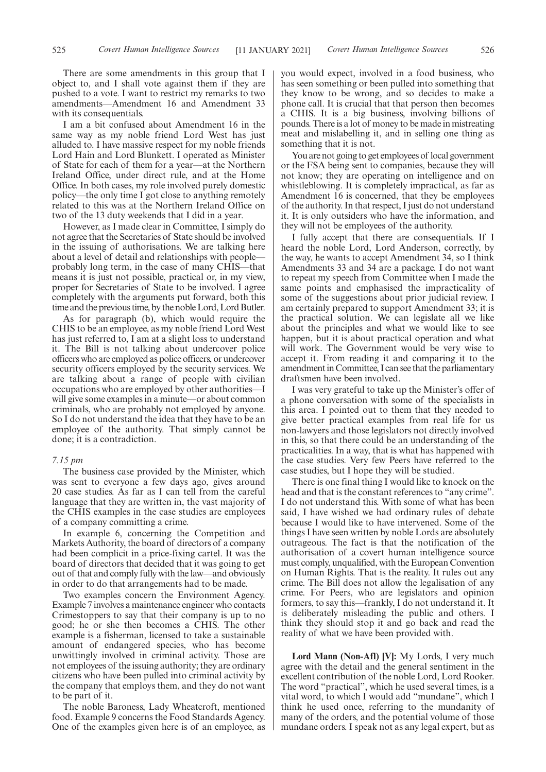There are some amendments in this group that I object to, and I shall vote against them if they are pushed to a vote. I want to restrict my remarks to two amendments—Amendment 16 and Amendment 33 with its consequentials.

I am a bit confused about Amendment 16 in the same way as my noble friend Lord West has just alluded to. I have massive respect for my noble friends Lord Hain and Lord Blunkett. I operated as Minister of State for each of them for a year—at the Northern Ireland Office, under direct rule, and at the Home Office. In both cases, my role involved purely domestic policy—the only time I got close to anything remotely related to this was at the Northern Ireland Office on two of the 13 duty weekends that I did in a year.

However, as I made clear in Committee, I simply do not agree that the Secretaries of State should be involved in the issuing of authorisations. We are talking here about a level of detail and relationships with people probably long term, in the case of many CHIS—that means it is just not possible, practical or, in my view, proper for Secretaries of State to be involved. I agree completely with the arguments put forward, both this time and the previous time, by the noble Lord, Lord Butler.

As for paragraph (b), which would require the CHIS to be an employee, as my noble friend Lord West has just referred to, I am at a slight loss to understand it. The Bill is not talking about undercover police officers who are employed as police officers, or undercover security officers employed by the security services. We are talking about a range of people with civilian occupations who are employed by other authorities—I will give some examples in a minute—or about common criminals, who are probably not employed by anyone. So I do not understand the idea that they have to be an employee of the authority. That simply cannot be done; it is a contradiction.

## *7.15 pm*

The business case provided by the Minister, which was sent to everyone a few days ago, gives around 20 case studies. As far as I can tell from the careful language that they are written in, the vast majority of the CHIS examples in the case studies are employees of a company committing a crime.

In example 6, concerning the Competition and Markets Authority, the board of directors of a company had been complicit in a price-fixing cartel. It was the board of directors that decided that it was going to get out of that and comply fully with the law—and obviously in order to do that arrangements had to be made.

Two examples concern the Environment Agency. Example 7 involves a maintenance engineer who contacts Crimestoppers to say that their company is up to no good; he or she then becomes a CHIS. The other example is a fisherman, licensed to take a sustainable amount of endangered species, who has become unwittingly involved in criminal activity. Those are not employees of the issuing authority; they are ordinary citizens who have been pulled into criminal activity by the company that employs them, and they do not want to be part of it.

The noble Baroness, Lady Wheatcroft, mentioned food. Example 9 concerns the Food Standards Agency. One of the examples given here is of an employee, as you would expect, involved in a food business, who has seen something or been pulled into something that they know to be wrong, and so decides to make a phone call. It is crucial that that person then becomes a CHIS. It is a big business, involving billions of pounds. There is a lot of money to be made in mistreating meat and mislabelling it, and in selling one thing as something that it is not.

You are not going to get employees of local government or the FSA being sent to companies, because they will not know; they are operating on intelligence and on whistleblowing. It is completely impractical, as far as Amendment 16 is concerned, that they be employees of the authority. In that respect, I just do not understand it. It is only outsiders who have the information, and they will not be employees of the authority.

I fully accept that there are consequentials. If I heard the noble Lord, Lord Anderson, correctly, by the way, he wants to accept Amendment 34, so I think Amendments 33 and 34 are a package. I do not want to repeat my speech from Committee when I made the same points and emphasised the impracticality of some of the suggestions about prior judicial review. I am certainly prepared to support Amendment 33; it is the practical solution. We can legislate all we like about the principles and what we would like to see happen, but it is about practical operation and what will work. The Government would be very wise to accept it. From reading it and comparing it to the amendment in Committee, I can see that the parliamentary draftsmen have been involved.

I was very grateful to take up the Minister's offer of a phone conversation with some of the specialists in this area. I pointed out to them that they needed to give better practical examples from real life for us non-lawyers and those legislators not directly involved in this, so that there could be an understanding of the practicalities. In a way, that is what has happened with the case studies. Very few Peers have referred to the case studies, but I hope they will be studied.

There is one final thing I would like to knock on the head and that is the constant references to "any crime". I do not understand this. With some of what has been said, I have wished we had ordinary rules of debate because I would like to have intervened. Some of the things I have seen written by noble Lords are absolutely outrageous. The fact is that the notification of the authorisation of a covert human intelligence source must comply, unqualified, with the European Convention on Human Rights. That is the reality. It rules out any crime. The Bill does not allow the legalisation of any crime. For Peers, who are legislators and opinion formers, to say this—frankly, I do not understand it. It is deliberately misleading the public and others. I think they should stop it and go back and read the reality of what we have been provided with.

**Lord Mann (Non-Afl) [V]:** My Lords, I very much agree with the detail and the general sentiment in the excellent contribution of the noble Lord, Lord Rooker. The word "practical", which he used several times, is a vital word, to which I would add "mundane", which I think he used once, referring to the mundanity of many of the orders, and the potential volume of those mundane orders. I speak not as any legal expert, but as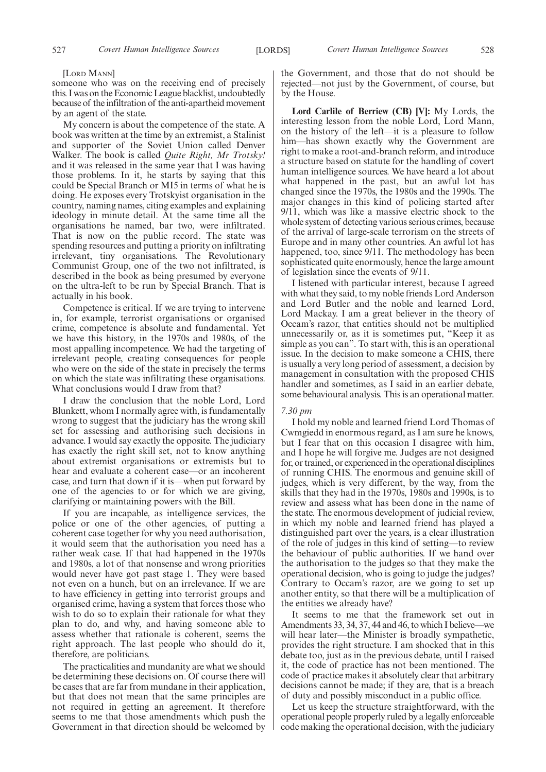#### [LORD MANN]

someone who was on the receiving end of precisely this. I was on the Economic League blacklist, undoubtedly because of the infiltration of the anti-apartheid movement by an agent of the state.

My concern is about the competence of the state. A book was written at the time by an extremist, a Stalinist and supporter of the Soviet Union called Denver Walker. The book is called *Quite Right, Mr Trotsky!* and it was released in the same year that I was having those problems. In it, he starts by saying that this could be Special Branch or MI5 in terms of what he is doing. He exposes every Trotskyist organisation in the country, naming names, citing examples and explaining ideology in minute detail. At the same time all the organisations he named, bar two, were infiltrated. That is now on the public record. The state was spending resources and putting a priority on infiltrating irrelevant, tiny organisations. The Revolutionary Communist Group, one of the two not infiltrated, is described in the book as being presumed by everyone on the ultra-left to be run by Special Branch. That is actually in his book.

Competence is critical. If we are trying to intervene in, for example, terrorist organisations or organised crime, competence is absolute and fundamental. Yet we have this history, in the 1970s and 1980s, of the most appalling incompetence. We had the targeting of irrelevant people, creating consequences for people who were on the side of the state in precisely the terms on which the state was infiltrating these organisations. What conclusions would I draw from that?

I draw the conclusion that the noble Lord, Lord Blunkett, whom I normally agree with, is fundamentally wrong to suggest that the judiciary has the wrong skill set for assessing and authorising such decisions in advance. I would say exactly the opposite. The judiciary has exactly the right skill set, not to know anything about extremist organisations or extremists but to hear and evaluate a coherent case—or an incoherent case, and turn that down if it is—when put forward by one of the agencies to or for which we are giving, clarifying or maintaining powers with the Bill.

If you are incapable, as intelligence services, the police or one of the other agencies, of putting a coherent case together for why you need authorisation, it would seem that the authorisation you need has a rather weak case. If that had happened in the 1970s and 1980s, a lot of that nonsense and wrong priorities would never have got past stage 1. They were based not even on a hunch, but on an irrelevance. If we are to have efficiency in getting into terrorist groups and organised crime, having a system that forces those who wish to do so to explain their rationale for what they plan to do, and why, and having someone able to assess whether that rationale is coherent, seems the right approach. The last people who should do it, therefore, are politicians.

The practicalities and mundanity are what we should be determining these decisions on. Of course there will be cases that are far from mundane in their application, but that does not mean that the same principles are not required in getting an agreement. It therefore seems to me that those amendments which push the Government in that direction should be welcomed by the Government, and those that do not should be rejected—not just by the Government, of course, but by the House.

**Lord Carlile of Berriew (CB) [V]:** My Lords, the interesting lesson from the noble Lord, Lord Mann, on the history of the left—it is a pleasure to follow him—has shown exactly why the Government are right to make a root-and-branch reform, and introduce a structure based on statute for the handling of covert human intelligence sources. We have heard a lot about what happened in the past, but an awful lot has changed since the 1970s, the 1980s and the 1990s. The major changes in this kind of policing started after 9/11, which was like a massive electric shock to the whole system of detecting various serious crimes, because of the arrival of large-scale terrorism on the streets of Europe and in many other countries. An awful lot has happened, too, since 9/11. The methodology has been sophisticated quite enormously, hence the large amount of legislation since the events of 9/11.

I listened with particular interest, because I agreed with what they said, to my noble friends Lord Anderson and Lord Butler and the noble and learned Lord, Lord Mackay. I am a great believer in the theory of Occam's razor, that entities should not be multiplied unnecessarily or, as it is sometimes put, "Keep it as simple as you can". To start with, this is an operational issue. In the decision to make someone a CHIS, there is usually a very long period of assessment, a decision by management in consultation with the proposed CHIS handler and sometimes, as I said in an earlier debate, some behavioural analysis. This is an operational matter.

#### *7.30 pm*

I hold my noble and learned friend Lord Thomas of Cwmgiedd in enormous regard, as I am sure he knows, but I fear that on this occasion I disagree with him, and I hope he will forgive me. Judges are not designed for, or trained, or experienced in the operational disciplines of running CHIS. The enormous and genuine skill of judges, which is very different, by the way, from the skills that they had in the 1970s, 1980s and 1990s, is to review and assess what has been done in the name of the state. The enormous development of judicial review, in which my noble and learned friend has played a distinguished part over the years, is a clear illustration of the role of judges in this kind of setting—to review the behaviour of public authorities. If we hand over the authorisation to the judges so that they make the operational decision, who is going to judge the judges? Contrary to Occam's razor, are we going to set up another entity, so that there will be a multiplication of the entities we already have?

It seems to me that the framework set out in Amendments 33, 34, 37, 44 and 46, to which I believe—we will hear later—the Minister is broadly sympathetic, provides the right structure. I am shocked that in this debate too, just as in the previous debate, until I raised it, the code of practice has not been mentioned. The code of practice makes it absolutely clear that arbitrary decisions cannot be made; if they are, that is a breach of duty and possibly misconduct in a public office.

Let us keep the structure straightforward, with the operational people properly ruled by a legally enforceable code making the operational decision, with the judiciary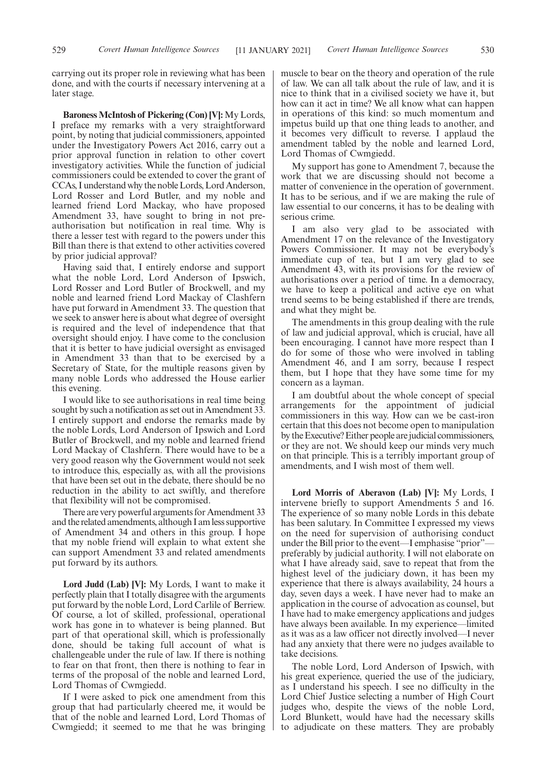carrying out its proper role in reviewing what has been done, and with the courts if necessary intervening at a later stage.

**Baroness McIntosh of Pickering (Con) [V]:** My Lords, I preface my remarks with a very straightforward point, by noting that judicial commissioners, appointed under the Investigatory Powers Act 2016, carry out a prior approval function in relation to other covert investigatory activities. While the function of judicial commissioners could be extended to cover the grant of CCAs, I understand why the noble Lords, Lord Anderson, Lord Rosser and Lord Butler, and my noble and learned friend Lord Mackay, who have proposed Amendment 33, have sought to bring in not preauthorisation but notification in real time. Why is there a lesser test with regard to the powers under this Bill than there is that extend to other activities covered by prior judicial approval?

Having said that, I entirely endorse and support what the noble Lord, Lord Anderson of Ipswich, Lord Rosser and Lord Butler of Brockwell, and my noble and learned friend Lord Mackay of Clashfern have put forward in Amendment 33. The question that we seek to answer here is about what degree of oversight is required and the level of independence that that oversight should enjoy. I have come to the conclusion that it is better to have judicial oversight as envisaged in Amendment 33 than that to be exercised by a Secretary of State, for the multiple reasons given by many noble Lords who addressed the House earlier this evening.

I would like to see authorisations in real time being sought by such a notification as set out in Amendment 33. I entirely support and endorse the remarks made by the noble Lords, Lord Anderson of Ipswich and Lord Butler of Brockwell, and my noble and learned friend Lord Mackay of Clashfern. There would have to be a very good reason why the Government would not seek to introduce this, especially as, with all the provisions that have been set out in the debate, there should be no reduction in the ability to act swiftly, and therefore that flexibility will not be compromised.

There are very powerful arguments for Amendment 33 and the related amendments, although I am less supportive of Amendment 34 and others in this group. I hope that my noble friend will explain to what extent she can support Amendment 33 and related amendments put forward by its authors.

**Lord Judd (Lab) [V]:** My Lords, I want to make it perfectly plain that I totally disagree with the arguments put forward by the noble Lord, Lord Carlile of Berriew. Of course, a lot of skilled, professional, operational work has gone in to whatever is being planned. But part of that operational skill, which is professionally done, should be taking full account of what is challengeable under the rule of law. If there is nothing to fear on that front, then there is nothing to fear in terms of the proposal of the noble and learned Lord, Lord Thomas of Cwmgiedd.

If I were asked to pick one amendment from this group that had particularly cheered me, it would be that of the noble and learned Lord, Lord Thomas of Cwmgiedd; it seemed to me that he was bringing muscle to bear on the theory and operation of the rule of law. We can all talk about the rule of law, and it is nice to think that in a civilised society we have it, but how can it act in time? We all know what can happen in operations of this kind: so much momentum and impetus build up that one thing leads to another, and it becomes very difficult to reverse. I applaud the amendment tabled by the noble and learned Lord, Lord Thomas of Cwmgiedd.

My support has gone to Amendment 7, because the work that we are discussing should not become a matter of convenience in the operation of government. It has to be serious, and if we are making the rule of law essential to our concerns, it has to be dealing with serious crime.

I am also very glad to be associated with Amendment 17 on the relevance of the Investigatory Powers Commissioner. It may not be everybody's immediate cup of tea, but I am very glad to see Amendment 43, with its provisions for the review of authorisations over a period of time. In a democracy, we have to keep a political and active eye on what trend seems to be being established if there are trends, and what they might be.

The amendments in this group dealing with the rule of law and judicial approval, which is crucial, have all been encouraging. I cannot have more respect than I do for some of those who were involved in tabling Amendment 46, and I am sorry, because I respect them, but I hope that they have some time for my concern as a layman.

I am doubtful about the whole concept of special arrangements for the appointment of judicial commissioners in this way. How can we be cast-iron certain that this does not become open to manipulation by the Executive? Either people are judicial commissioners, or they are not. We should keep our minds very much on that principle. This is a terribly important group of amendments, and I wish most of them well.

**Lord Morris of Aberavon (Lab) [V]:** My Lords, I intervene briefly to support Amendments 5 and 16. The experience of so many noble Lords in this debate has been salutary. In Committee I expressed my views on the need for supervision of authorising conduct under the Bill prior to the event—I emphasise "prior" preferably by judicial authority. I will not elaborate on what I have already said, save to repeat that from the highest level of the judiciary down, it has been my experience that there is always availability, 24 hours a day, seven days a week. I have never had to make an application in the course of advocation as counsel, but I have had to make emergency applications and judges have always been available. In my experience—limited as it was as a law officer not directly involved—I never had any anxiety that there were no judges available to take decisions.

The noble Lord, Lord Anderson of Ipswich, with his great experience, queried the use of the judiciary, as I understand his speech. I see no difficulty in the Lord Chief Justice selecting a number of High Court judges who, despite the views of the noble Lord, Lord Blunkett, would have had the necessary skills to adjudicate on these matters. They are probably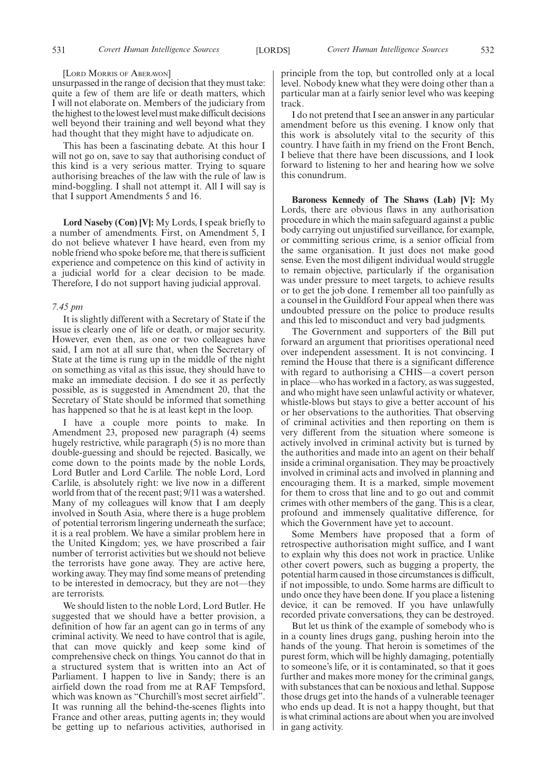#### [LORD MORRIS OF ABERAVON]

unsurpassed in the range of decision that they must take: quite a few of them are life or death matters, which I will not elaborate on. Members of the judiciary from the highest to the lowest level must make difficult decisions well beyond their training and well beyond what they had thought that they might have to adjudicate on.

This has been a fascinating debate. At this hour I will not go on, save to say that authorising conduct of this kind is a very serious matter. Trying to square authorising breaches of the law with the rule of law is mind-boggling. I shall not attempt it. All I will say is that I support Amendments 5 and 16.

**Lord Naseby (Con) [V]:** My Lords, I speak briefly to a number of amendments. First, on Amendment 5, I do not believe whatever I have heard, even from my noble friend who spoke before me, that there is sufficient experience and competence on this kind of activity in a judicial world for a clear decision to be made. Therefore, I do not support having judicial approval.

#### *7.45 pm*

It is slightly different with a Secretary of State if the issue is clearly one of life or death, or major security. However, even then, as one or two colleagues have said, I am not at all sure that, when the Secretary of State at the time is rung up in the middle of the night on something as vital as this issue, they should have to make an immediate decision. I do see it as perfectly possible, as is suggested in Amendment 20, that the Secretary of State should be informed that something has happened so that he is at least kept in the loop.

I have a couple more points to make. In Amendment 23, proposed new paragraph (4) seems hugely restrictive, while paragraph (5) is no more than double-guessing and should be rejected. Basically, we come down to the points made by the noble Lords, Lord Butler and Lord Carlile. The noble Lord, Lord Carlile, is absolutely right: we live now in a different world from that of the recent past; 9/11 was a watershed. Many of my colleagues will know that I am deeply involved in South Asia, where there is a huge problem of potential terrorism lingering underneath the surface; it is a real problem. We have a similar problem here in the United Kingdom; yes, we have proscribed a fair number of terrorist activities but we should not believe the terrorists have gone away. They are active here, working away. They may find some means of pretending to be interested in democracy, but they are not—they are terrorists.

We should listen to the noble Lord, Lord Butler. He suggested that we should have a better provision, a definition of how far an agent can go in terms of any criminal activity. We need to have control that is agile, that can move quickly and keep some kind of comprehensive check on things. You cannot do that in a structured system that is written into an Act of Parliament. I happen to live in Sandy; there is an airfield down the road from me at RAF Tempsford, which was known as "Churchill's most secret airfield". It was running all the behind-the-scenes flights into France and other areas, putting agents in; they would be getting up to nefarious activities, authorised in principle from the top, but controlled only at a local level. Nobody knew what they were doing other than a particular man at a fairly senior level who was keeping track.

I do not pretend that I see an answer in any particular amendment before us this evening. I know only that this work is absolutely vital to the security of this country. I have faith in my friend on the Front Bench, I believe that there have been discussions, and I look forward to listening to her and hearing how we solve this conundrum.

**Baroness Kennedy of The Shaws (Lab) [V]:** My Lords, there are obvious flaws in any authorisation procedure in which the main safeguard against a public body carrying out unjustified surveillance, for example, or committing serious crime, is a senior official from the same organisation. It just does not make good sense. Even the most diligent individual would struggle to remain objective, particularly if the organisation was under pressure to meet targets, to achieve results or to get the job done. I remember all too painfully as a counsel in the Guildford Four appeal when there was undoubted pressure on the police to produce results and this led to misconduct and very bad judgments.

The Government and supporters of the Bill put forward an argument that prioritises operational need over independent assessment. It is not convincing. I remind the House that there is a significant difference with regard to authorising a CHIS—a covert person in place—who has worked in a factory, as was suggested, and who might have seen unlawful activity or whatever, whistle-blows but stays to give a better account of his or her observations to the authorities. That observing of criminal activities and then reporting on them is very different from the situation where someone is actively involved in criminal activity but is turned by the authorities and made into an agent on their behalf inside a criminal organisation. They may be proactively involved in criminal acts and involved in planning and encouraging them. It is a marked, simple movement for them to cross that line and to go out and commit crimes with other members of the gang. This is a clear, profound and immensely qualitative difference, for which the Government have yet to account.

Some Members have proposed that a form of retrospective authorisation might suffice, and I want to explain why this does not work in practice. Unlike other covert powers, such as bugging a property, the potential harm caused in those circumstances is difficult, if not impossible, to undo. Some harms are difficult to undo once they have been done. If you place a listening device, it can be removed. If you have unlawfully recorded private conversations, they can be destroyed.

But let us think of the example of somebody who is in a county lines drugs gang, pushing heroin into the hands of the young. That heroin is sometimes of the purest form, which will be highly damaging, potentially to someone's life, or it is contaminated, so that it goes further and makes more money for the criminal gangs, with substances that can be noxious and lethal. Suppose those drugs get into the hands of a vulnerable teenager who ends up dead. It is not a happy thought, but that is what criminal actions are about when you are involved in gang activity.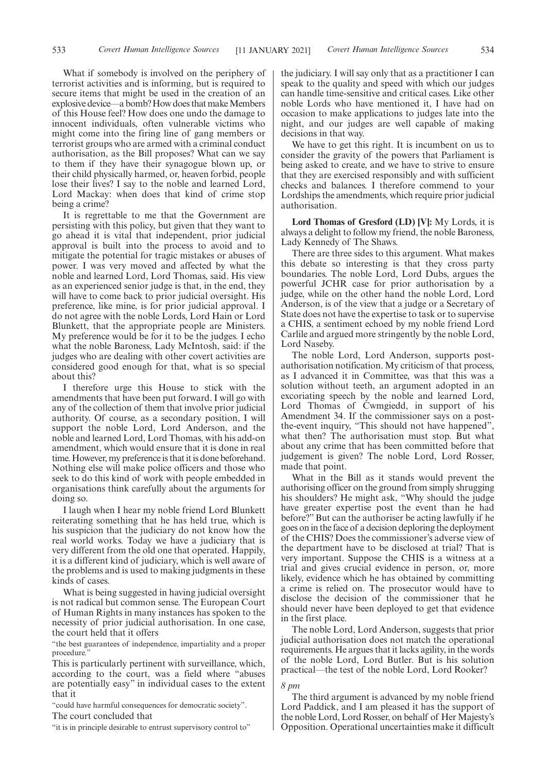What if somebody is involved on the periphery of terrorist activities and is informing, but is required to secure items that might be used in the creation of an explosive device—a bomb? How does that make Members of this House feel? How does one undo the damage to innocent individuals, often vulnerable victims who might come into the firing line of gang members or terrorist groups who are armed with a criminal conduct authorisation, as the Bill proposes? What can we say to them if they have their synagogue blown up, or their child physically harmed, or, heaven forbid, people lose their lives? I say to the noble and learned Lord, Lord Mackay: when does that kind of crime stop being a crime?

It is regrettable to me that the Government are persisting with this policy, but given that they want to go ahead it is vital that independent, prior judicial approval is built into the process to avoid and to mitigate the potential for tragic mistakes or abuses of power. I was very moved and affected by what the noble and learned Lord, Lord Thomas, said. His view as an experienced senior judge is that, in the end, they will have to come back to prior judicial oversight. His preference, like mine, is for prior judicial approval. I do not agree with the noble Lords, Lord Hain or Lord Blunkett, that the appropriate people are Ministers. My preference would be for it to be the judges. I echo what the noble Baroness, Lady McIntosh, said: if the judges who are dealing with other covert activities are considered good enough for that, what is so special about this?

I therefore urge this House to stick with the amendments that have been put forward. I will go with any of the collection of them that involve prior judicial authority. Of course, as a secondary position, I will support the noble Lord, Lord Anderson, and the noble and learned Lord, Lord Thomas, with his add-on amendment, which would ensure that it is done in real time. However, my preference is that it is done beforehand. Nothing else will make police officers and those who seek to do this kind of work with people embedded in organisations think carefully about the arguments for doing so.

I laugh when I hear my noble friend Lord Blunkett reiterating something that he has held true, which is his suspicion that the judiciary do not know how the real world works. Today we have a judiciary that is very different from the old one that operated. Happily, it is a different kind of judiciary, which is well aware of the problems and is used to making judgments in these kinds of cases.

What is being suggested in having judicial oversight is not radical but common sense. The European Court of Human Rights in many instances has spoken to the necessity of prior judicial authorisation. In one case, the court held that it offers

"the best guarantees of independence, impartiality and a proper procedure.

This is particularly pertinent with surveillance, which, according to the court, was a field where "abuses are potentially easy" in individual cases to the extent that it

"could have harmful consequences for democratic society". The court concluded that

"it is in principle desirable to entrust supervisory control to"

the judiciary. I will say only that as a practitioner I can speak to the quality and speed with which our judges can handle time-sensitive and critical cases. Like other noble Lords who have mentioned it, I have had on occasion to make applications to judges late into the night, and our judges are well capable of making decisions in that way.

We have to get this right. It is incumbent on us to consider the gravity of the powers that Parliament is being asked to create, and we have to strive to ensure that they are exercised responsibly and with sufficient checks and balances. I therefore commend to your Lordships the amendments, which require prior judicial authorisation.

**Lord Thomas of Gresford (LD) [V]:** My Lords, it is always a delight to follow my friend, the noble Baroness, Lady Kennedy of The Shaws.

There are three sides to this argument. What makes this debate so interesting is that they cross party boundaries. The noble Lord, Lord Dubs, argues the powerful JCHR case for prior authorisation by a judge, while on the other hand the noble Lord, Lord Anderson, is of the view that a judge or a Secretary of State does not have the expertise to task or to supervise a CHIS, a sentiment echoed by my noble friend Lord Carlile and argued more stringently by the noble Lord, Lord Naseby.

The noble Lord, Lord Anderson, supports postauthorisation notification. My criticism of that process, as I advanced it in Committee, was that this was a solution without teeth, an argument adopted in an excoriating speech by the noble and learned Lord, Lord Thomas of Cwmgiedd, in support of his Amendment 34. If the commissioner says on a postthe-event inquiry, "This should not have happened", what then? The authorisation must stop. But what about any crime that has been committed before that judgement is given? The noble Lord, Lord Rosser, made that point.

What in the Bill as it stands would prevent the authorising officer on the ground from simply shrugging his shoulders? He might ask, "Why should the judge have greater expertise post the event than he had before?" But can the authoriser be acting lawfully if he goes on in the face of a decision deploring the deployment of the CHIS? Does the commissioner's adverse view of the department have to be disclosed at trial? That is very important. Suppose the CHIS is a witness at a trial and gives crucial evidence in person, or, more likely, evidence which he has obtained by committing a crime is relied on. The prosecutor would have to disclose the decision of the commissioner that he should never have been deployed to get that evidence in the first place.

The noble Lord, Lord Anderson, suggests that prior judicial authorisation does not match the operational requirements. He argues that it lacks agility, in the words of the noble Lord, Lord Butler. But is his solution practical—the test of the noble Lord, Lord Rooker?

#### *8 pm*

The third argument is advanced by my noble friend Lord Paddick, and I am pleased it has the support of the noble Lord, Lord Rosser, on behalf of Her Majesty's Opposition. Operational uncertainties make it difficult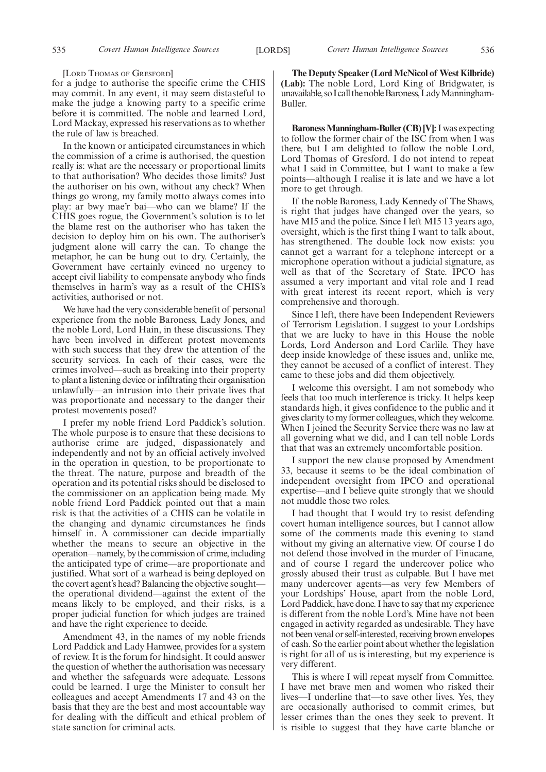#### [LORD THOMAS OF GRESFORD]

for a judge to authorise the specific crime the CHIS may commit. In any event, it may seem distasteful to make the judge a knowing party to a specific crime before it is committed. The noble and learned Lord, Lord Mackay, expressed his reservations as to whether the rule of law is breached.

In the known or anticipated circumstances in which the commission of a crime is authorised, the question really is: what are the necessary or proportional limits to that authorisation? Who decides those limits? Just the authoriser on his own, without any check? When things go wrong, my family motto always comes into play: ar bwy mae'r bai—who can we blame? If the CHIS goes rogue, the Government's solution is to let the blame rest on the authoriser who has taken the decision to deploy him on his own. The authoriser's judgment alone will carry the can. To change the metaphor, he can be hung out to dry. Certainly, the Government have certainly evinced no urgency to accept civil liability to compensate anybody who finds themselves in harm's way as a result of the CHIS's activities, authorised or not.

We have had the very considerable benefit of personal experience from the noble Baroness, Lady Jones, and the noble Lord, Lord Hain, in these discussions. They have been involved in different protest movements with such success that they drew the attention of the security services. In each of their cases, were the crimes involved—such as breaking into their property to plant a listening device or infiltrating their organisation unlawfully—an intrusion into their private lives that was proportionate and necessary to the danger their protest movements posed?

I prefer my noble friend Lord Paddick's solution. The whole purpose is to ensure that these decisions to authorise crime are judged, dispassionately and independently and not by an official actively involved in the operation in question, to be proportionate to the threat. The nature, purpose and breadth of the operation and its potential risks should be disclosed to the commissioner on an application being made. My noble friend Lord Paddick pointed out that a main risk is that the activities of a CHIS can be volatile in the changing and dynamic circumstances he finds himself in. A commissioner can decide impartially whether the means to secure an objective in the operation—namely, by the commission of crime, including the anticipated type of crime—are proportionate and justified. What sort of a warhead is being deployed on the covert agent's head? Balancing the objective sought the operational dividend—against the extent of the means likely to be employed, and their risks, is a proper judicial function for which judges are trained and have the right experience to decide.

Amendment 43, in the names of my noble friends Lord Paddick and Lady Hamwee, provides for a system of review. It is the forum for hindsight. It could answer the question of whether the authorisation was necessary and whether the safeguards were adequate. Lessons could be learned. I urge the Minister to consult her colleagues and accept Amendments 17 and 43 on the basis that they are the best and most accountable way for dealing with the difficult and ethical problem of state sanction for criminal acts.

**The Deputy Speaker (Lord McNicol of West Kilbride) (Lab):** The noble Lord, Lord King of Bridgwater, is unavailable, so I call the noble Baroness, Lady Manningham-Buller.

**Baroness Manningham-Buller (CB) [V]:**I was expecting to follow the former chair of the ISC from when I was there, but I am delighted to follow the noble Lord, Lord Thomas of Gresford. I do not intend to repeat what I said in Committee, but I want to make a few points—although I realise it is late and we have a lot more to get through.

If the noble Baroness, Lady Kennedy of The Shaws, is right that judges have changed over the years, so have MI5 and the police. Since I left MI5 13 years ago, oversight, which is the first thing I want to talk about, has strengthened. The double lock now exists: you cannot get a warrant for a telephone intercept or a microphone operation without a judicial signature, as well as that of the Secretary of State. IPCO has assumed a very important and vital role and I read with great interest its recent report, which is very comprehensive and thorough.

Since I left, there have been Independent Reviewers of Terrorism Legislation. I suggest to your Lordships that we are lucky to have in this House the noble Lords, Lord Anderson and Lord Carlile. They have deep inside knowledge of these issues and, unlike me, they cannot be accused of a conflict of interest. They came to these jobs and did them objectively.

I welcome this oversight. I am not somebody who feels that too much interference is tricky. It helps keep standards high, it gives confidence to the public and it gives clarity to my former colleagues, which they welcome. When I joined the Security Service there was no law at all governing what we did, and I can tell noble Lords that that was an extremely uncomfortable position.

I support the new clause proposed by Amendment 33, because it seems to be the ideal combination of independent oversight from IPCO and operational expertise—and I believe quite strongly that we should not muddle those two roles.

I had thought that I would try to resist defending covert human intelligence sources, but I cannot allow some of the comments made this evening to stand without my giving an alternative view. Of course I do not defend those involved in the murder of Finucane, and of course I regard the undercover police who grossly abused their trust as culpable. But I have met many undercover agents—as very few Members of your Lordships' House, apart from the noble Lord, Lord Paddick, have done. I have to say that my experience is different from the noble Lord's. Mine have not been engaged in activity regarded as undesirable. They have not been venal or self-interested, receiving brown envelopes of cash. So the earlier point about whether the legislation is right for all of us is interesting, but my experience is very different.

This is where I will repeat myself from Committee. I have met brave men and women who risked their lives—I underline that—to save other lives. Yes, they are occasionally authorised to commit crimes, but lesser crimes than the ones they seek to prevent. It is risible to suggest that they have carte blanche or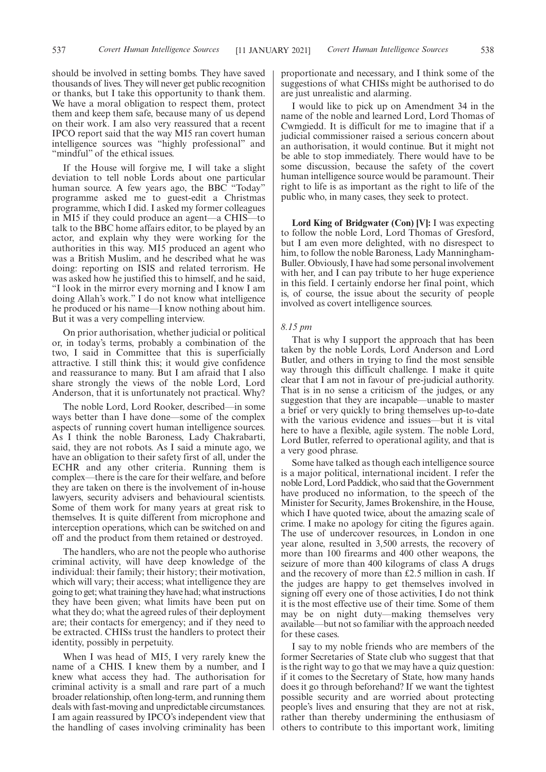should be involved in setting bombs. They have saved thousands of lives. They will never get public recognition or thanks, but I take this opportunity to thank them. We have a moral obligation to respect them, protect them and keep them safe, because many of us depend on their work. I am also very reassured that a recent IPCO report said that the way MI5 ran covert human intelligence sources was "highly professional" and "mindful" of the ethical issues.

If the House will forgive me, I will take a slight deviation to tell noble Lords about one particular human source. A few years ago, the BBC "Today" programme asked me to guest-edit a Christmas programme, which I did. I asked my former colleagues in MI5 if they could produce an agent—a CHIS—to talk to the BBC home affairs editor, to be played by an actor, and explain why they were working for the authorities in this way. MI5 produced an agent who was a British Muslim, and he described what he was doing: reporting on ISIS and related terrorism. He was asked how he justified this to himself, and he said, "I look in the mirror every morning and I know I am doing Allah's work." I do not know what intelligence he produced or his name—I know nothing about him. But it was a very compelling interview.

On prior authorisation, whether judicial or political or, in today's terms, probably a combination of the two, I said in Committee that this is superficially attractive. I still think this; it would give confidence and reassurance to many. But I am afraid that I also share strongly the views of the noble Lord, Lord Anderson, that it is unfortunately not practical. Why?

The noble Lord, Lord Rooker, described—in some ways better than I have done—some of the complex aspects of running covert human intelligence sources. As I think the noble Baroness, Lady Chakrabarti, said, they are not robots. As I said a minute ago, we have an obligation to their safety first of all, under the ECHR and any other criteria. Running them is complex—there is the care for their welfare, and before they are taken on there is the involvement of in-house lawyers, security advisers and behavioural scientists. Some of them work for many years at great risk to themselves. It is quite different from microphone and interception operations, which can be switched on and off and the product from them retained or destroyed.

The handlers, who are not the people who authorise criminal activity, will have deep knowledge of the individual: their family; their history; their motivation, which will vary; their access; what intelligence they are going to get; what training they have had; what instructions they have been given; what limits have been put on what they do; what the agreed rules of their deployment are; their contacts for emergency; and if they need to be extracted. CHISs trust the handlers to protect their identity, possibly in perpetuity.

When I was head of MI5, I very rarely knew the name of a CHIS. I knew them by a number, and I knew what access they had. The authorisation for criminal activity is a small and rare part of a much broader relationship, often long-term, and running them deals with fast-moving and unpredictable circumstances. I am again reassured by IPCO's independent view that the handling of cases involving criminality has been proportionate and necessary, and I think some of the suggestions of what CHISs might be authorised to do are just unrealistic and alarming.

I would like to pick up on Amendment 34 in the name of the noble and learned Lord, Lord Thomas of Cwmgiedd. It is difficult for me to imagine that if a judicial commissioner raised a serious concern about an authorisation, it would continue. But it might not be able to stop immediately. There would have to be some discussion, because the safety of the covert human intelligence source would be paramount. Their right to life is as important as the right to life of the public who, in many cases, they seek to protect.

**Lord King of Bridgwater (Con) [V]:** I was expecting to follow the noble Lord, Lord Thomas of Gresford, but I am even more delighted, with no disrespect to him, to follow the noble Baroness, Lady Manningham-Buller. Obviously, I have had some personal involvement with her, and I can pay tribute to her huge experience in this field. I certainly endorse her final point, which is, of course, the issue about the security of people involved as covert intelligence sources.

## *8.15 pm*

That is why I support the approach that has been taken by the noble Lords, Lord Anderson and Lord Butler, and others in trying to find the most sensible way through this difficult challenge. I make it quite clear that I am not in favour of pre-judicial authority. That is in no sense a criticism of the judges, or any suggestion that they are incapable—unable to master a brief or very quickly to bring themselves up-to-date with the various evidence and issues—but it is vital here to have a flexible, agile system. The noble Lord, Lord Butler, referred to operational agility, and that is a very good phrase.

Some have talked as though each intelligence source is a major political, international incident. I refer the noble Lord, Lord Paddick, who said that the Government have produced no information, to the speech of the Minister for Security, James Brokenshire, in the House, which I have quoted twice, about the amazing scale of crime. I make no apology for citing the figures again. The use of undercover resources, in London in one year alone, resulted in 3,500 arrests, the recovery of more than 100 firearms and 400 other weapons, the seizure of more than 400 kilograms of class A drugs and the recovery of more than £2.5 million in cash. If the judges are happy to get themselves involved in signing off every one of those activities, I do not think it is the most effective use of their time. Some of them may be on night duty—making themselves very available—but not so familiar with the approach needed for these cases.

I say to my noble friends who are members of the former Secretaries of State club who suggest that that is the right way to go that we may have a quiz question: if it comes to the Secretary of State, how many hands does it go through beforehand? If we want the tightest possible security and are worried about protecting people's lives and ensuring that they are not at risk, rather than thereby undermining the enthusiasm of others to contribute to this important work, limiting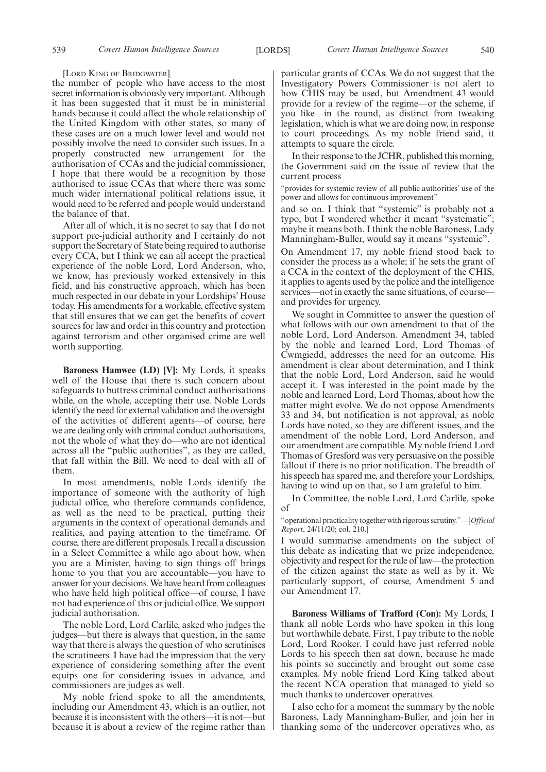#### [LORD KING OF BRIDGWATER]

the number of people who have access to the most secret information is obviously very important. Although it has been suggested that it must be in ministerial hands because it could affect the whole relationship of the United Kingdom with other states, so many of these cases are on a much lower level and would not possibly involve the need to consider such issues. In a properly constructed new arrangement for the authorisation of CCAs and the judicial commissioner, I hope that there would be a recognition by those authorised to issue CCAs that where there was some much wider international political relations issue, it would need to be referred and people would understand the balance of that.

After all of which, it is no secret to say that I do not support pre-judicial authority and I certainly do not support the Secretary of State being required to authorise every CCA, but I think we can all accept the practical experience of the noble Lord, Lord Anderson, who, we know, has previously worked extensively in this field, and his constructive approach, which has been much respected in our debate in your Lordships' House today. His amendments for a workable, effective system that still ensures that we can get the benefits of covert sources for law and order in this country and protection against terrorism and other organised crime are well worth supporting.

**Baroness Hamwee (LD) [V]:** My Lords, it speaks well of the House that there is such concern about safeguards to buttress criminal conduct authorisations while, on the whole, accepting their use. Noble Lords identify the need for external validation and the oversight of the activities of different agents—of course, here we are dealing only with criminal conduct authorisations, not the whole of what they do—who are not identical across all the "public authorities", as they are called, that fall within the Bill. We need to deal with all of them.

In most amendments, noble Lords identify the importance of someone with the authority of high judicial office, who therefore commands confidence, as well as the need to be practical, putting their arguments in the context of operational demands and realities, and paying attention to the timeframe. Of course, there are different proposals. I recall a discussion in a Select Committee a while ago about how, when you are a Minister, having to sign things off brings home to you that you are accountable—you have to answer for your decisions. We have heard from colleagues who have held high political office—of course, I have not had experience of this or judicial office. We support judicial authorisation.

The noble Lord, Lord Carlile, asked who judges the judges—but there is always that question, in the same way that there is always the question of who scrutinises the scrutineers. I have had the impression that the very experience of considering something after the event equips one for considering issues in advance, and commissioners are judges as well.

My noble friend spoke to all the amendments, including our Amendment 43, which is an outlier, not because it is inconsistent with the others—it is not—but because it is about a review of the regime rather than particular grants of CCAs. We do not suggest that the Investigatory Powers Commissioner is not alert to how CHIS may be used, but Amendment 43 would provide for a review of the regime—or the scheme, if you like—in the round, as distinct from tweaking legislation, which is what we are doing now, in response to court proceedings. As my noble friend said, it attempts to square the circle.

In their response to the JCHR, published this morning, the Government said on the issue of review that the current process

"provides for systemic review of all public authorities' use of the power and allows for continuous improvement"

and so on. I think that "systemic" is probably not a typo, but I wondered whether it meant "systematic"; maybe it means both. I think the noble Baroness, Lady Manningham-Buller, would say it means "systemic".

On Amendment 17, my noble friend stood back to consider the process as a whole; if he sets the grant of a CCA in the context of the deployment of the CHIS, it applies to agents used by the police and the intelligence services—not in exactly the same situations, of course and provides for urgency.

We sought in Committee to answer the question of what follows with our own amendment to that of the noble Lord, Lord Anderson. Amendment 34, tabled by the noble and learned Lord, Lord Thomas of Cwmgiedd, addresses the need for an outcome. His amendment is clear about determination, and I think that the noble Lord, Lord Anderson, said he would accept it. I was interested in the point made by the noble and learned Lord, Lord Thomas, about how the matter might evolve. We do not oppose Amendments 33 and 34, but notification is not approval, as noble Lords have noted, so they are different issues, and the amendment of the noble Lord, Lord Anderson, and our amendment are compatible. My noble friend Lord Thomas of Gresford was very persuasive on the possible fallout if there is no prior notification. The breadth of his speech has spared me, and therefore your Lordships, having to wind up on that, so I am grateful to him.

In Committee, the noble Lord, Lord Carlile, spoke of

"operational practicality together with rigorous scrutiny."—[*Official Report*, 24/11/20; col. 210.]

I would summarise amendments on the subject of this debate as indicating that we prize independence, objectivity and respect for the rule of law—the protection of the citizen against the state as well as by it. We particularly support, of course, Amendment 5 and our Amendment 17.

**Baroness Williams of Trafford (Con):** My Lords, I thank all noble Lords who have spoken in this long but worthwhile debate. First, I pay tribute to the noble Lord, Lord Rooker. I could have just referred noble Lords to his speech then sat down, because he made his points so succinctly and brought out some case examples. My noble friend Lord King talked about the recent NCA operation that managed to yield so much thanks to undercover operatives.

I also echo for a moment the summary by the noble Baroness, Lady Manningham-Buller, and join her in thanking some of the undercover operatives who, as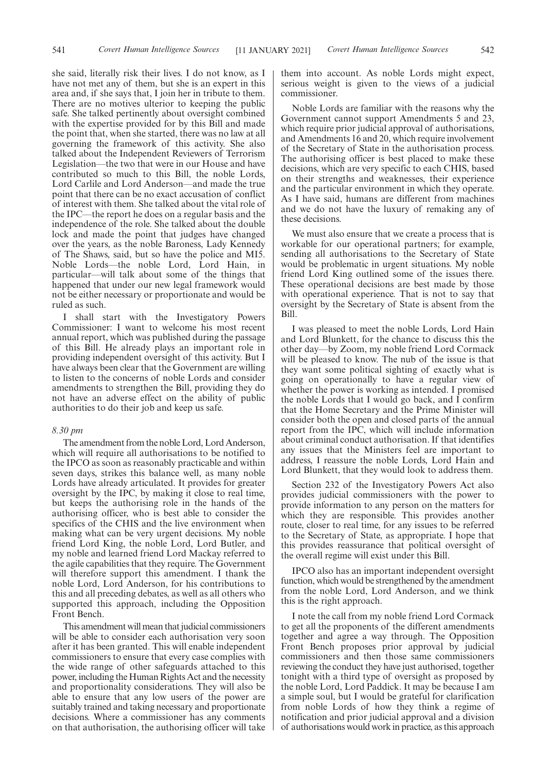she said, literally risk their lives. I do not know, as I have not met any of them, but she is an expert in this area and, if she says that, I join her in tribute to them. There are no motives ulterior to keeping the public safe. She talked pertinently about oversight combined with the expertise provided for by this Bill and made the point that, when she started, there was no law at all governing the framework of this activity. She also talked about the Independent Reviewers of Terrorism Legislation—the two that were in our House and have contributed so much to this Bill, the noble Lords, Lord Carlile and Lord Anderson—and made the true point that there can be no exact accusation of conflict of interest with them. She talked about the vital role of the IPC—the report he does on a regular basis and the independence of the role. She talked about the double lock and made the point that judges have changed over the years, as the noble Baroness, Lady Kennedy of The Shaws, said, but so have the police and MI5. Noble Lords—the noble Lord, Lord Hain, in particular—will talk about some of the things that happened that under our new legal framework would not be either necessary or proportionate and would be ruled as such.

I shall start with the Investigatory Powers Commissioner: I want to welcome his most recent annual report, which was published during the passage of this Bill. He already plays an important role in providing independent oversight of this activity. But I have always been clear that the Government are willing to listen to the concerns of noble Lords and consider amendments to strengthen the Bill, providing they do not have an adverse effect on the ability of public authorities to do their job and keep us safe.

#### *8.30 pm*

The amendment from the noble Lord, Lord Anderson, which will require all authorisations to be notified to the IPCO as soon as reasonably practicable and within seven days, strikes this balance well, as many noble Lords have already articulated. It provides for greater oversight by the IPC, by making it close to real time, but keeps the authorising role in the hands of the authorising officer, who is best able to consider the specifics of the CHIS and the live environment when making what can be very urgent decisions. My noble friend Lord King, the noble Lord, Lord Butler, and my noble and learned friend Lord Mackay referred to the agile capabilities that they require. The Government will therefore support this amendment. I thank the noble Lord, Lord Anderson, for his contributions to this and all preceding debates, as well as all others who supported this approach, including the Opposition Front Bench.

This amendment will mean that judicial commissioners will be able to consider each authorisation very soon after it has been granted. This will enable independent commissioners to ensure that every case complies with the wide range of other safeguards attached to this power, including the Human Rights Act and the necessity and proportionality considerations. They will also be able to ensure that any low users of the power are suitably trained and taking necessary and proportionate decisions. Where a commissioner has any comments on that authorisation, the authorising officer will take

them into account. As noble Lords might expect, serious weight is given to the views of a judicial commissioner.

Noble Lords are familiar with the reasons why the Government cannot support Amendments 5 and 23, which require prior judicial approval of authorisations, and Amendments 16 and 20, which require involvement of the Secretary of State in the authorisation process. The authorising officer is best placed to make these decisions, which are very specific to each CHIS, based on their strengths and weaknesses, their experience and the particular environment in which they operate. As I have said, humans are different from machines and we do not have the luxury of remaking any of these decisions.

We must also ensure that we create a process that is workable for our operational partners; for example, sending all authorisations to the Secretary of State would be problematic in urgent situations. My noble friend Lord King outlined some of the issues there. These operational decisions are best made by those with operational experience. That is not to say that oversight by the Secretary of State is absent from the Bill.

I was pleased to meet the noble Lords, Lord Hain and Lord Blunkett, for the chance to discuss this the other day—by Zoom, my noble friend Lord Cormack will be pleased to know. The nub of the issue is that they want some political sighting of exactly what is going on operationally to have a regular view of whether the power is working as intended. I promised the noble Lords that I would go back, and I confirm that the Home Secretary and the Prime Minister will consider both the open and closed parts of the annual report from the IPC, which will include information about criminal conduct authorisation. If that identifies any issues that the Ministers feel are important to address, I reassure the noble Lords, Lord Hain and Lord Blunkett, that they would look to address them.

Section 232 of the Investigatory Powers Act also provides judicial commissioners with the power to provide information to any person on the matters for which they are responsible. This provides another route, closer to real time, for any issues to be referred to the Secretary of State, as appropriate. I hope that this provides reassurance that political oversight of the overall regime will exist under this Bill.

IPCO also has an important independent oversight function, which would be strengthened by the amendment from the noble Lord, Lord Anderson, and we think this is the right approach.

I note the call from my noble friend Lord Cormack to get all the proponents of the different amendments together and agree a way through. The Opposition Front Bench proposes prior approval by judicial commissioners and then those same commissioners reviewing the conduct they have just authorised, together tonight with a third type of oversight as proposed by the noble Lord, Lord Paddick. It may be because I am a simple soul, but I would be grateful for clarification from noble Lords of how they think a regime of notification and prior judicial approval and a division of authorisations would work in practice, as this approach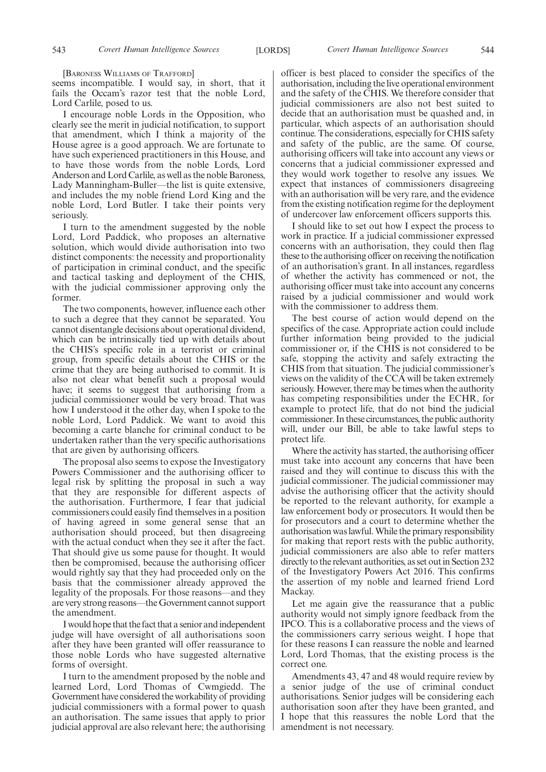[BARONESS WILLIAMS OF TRAFFORD]

seems incompatible. I would say, in short, that it fails the Occam's razor test that the noble Lord, Lord Carlile, posed to us.

I encourage noble Lords in the Opposition, who clearly see the merit in judicial notification, to support that amendment, which I think a majority of the House agree is a good approach. We are fortunate to have such experienced practitioners in this House, and to have those words from the noble Lords, Lord Anderson and Lord Carlile, as well as the noble Baroness, Lady Manningham-Buller—the list is quite extensive, and includes the my noble friend Lord King and the noble Lord, Lord Butler. I take their points very seriously.

I turn to the amendment suggested by the noble Lord, Lord Paddick, who proposes an alternative solution, which would divide authorisation into two distinct components: the necessity and proportionality of participation in criminal conduct, and the specific and tactical tasking and deployment of the CHIS, with the judicial commissioner approving only the former.

The two components, however, influence each other to such a degree that they cannot be separated. You cannot disentangle decisions about operational dividend, which can be intrinsically tied up with details about the CHIS's specific role in a terrorist or criminal group, from specific details about the CHIS or the crime that they are being authorised to commit. It is also not clear what benefit such a proposal would have; it seems to suggest that authorising from a judicial commissioner would be very broad. That was how I understood it the other day, when I spoke to the noble Lord, Lord Paddick. We want to avoid this becoming a carte blanche for criminal conduct to be undertaken rather than the very specific authorisations that are given by authorising officers.

The proposal also seems to expose the Investigatory Powers Commissioner and the authorising officer to legal risk by splitting the proposal in such a way that they are responsible for different aspects of the authorisation. Furthermore, I fear that judicial commissioners could easily find themselves in a position of having agreed in some general sense that an authorisation should proceed, but then disagreeing with the actual conduct when they see it after the fact. That should give us some pause for thought. It would then be compromised, because the authorising officer would rightly say that they had proceeded only on the basis that the commissioner already approved the legality of the proposals. For those reasons—and they are very strong reasons—the Government cannot support the amendment.

I would hope that the fact that a senior and independent judge will have oversight of all authorisations soon after they have been granted will offer reassurance to those noble Lords who have suggested alternative forms of oversight.

I turn to the amendment proposed by the noble and learned Lord, Lord Thomas of Cwmgiedd. The Government have considered the workability of providing judicial commissioners with a formal power to quash an authorisation. The same issues that apply to prior judicial approval are also relevant here; the authorising officer is best placed to consider the specifics of the authorisation, including the live operational environment and the safety of the CHIS. We therefore consider that judicial commissioners are also not best suited to decide that an authorisation must be quashed and, in particular, which aspects of an authorisation should continue. The considerations, especially for CHIS safety and safety of the public, are the same. Of course, authorising officers will take into account any views or concerns that a judicial commissioner expressed and they would work together to resolve any issues. We expect that instances of commissioners disagreeing with an authorisation will be very rare, and the evidence from the existing notification regime for the deployment of undercover law enforcement officers supports this.

I should like to set out how I expect the process to work in practice. If a judicial commissioner expressed concerns with an authorisation, they could then flag these to the authorising officer on receiving the notification of an authorisation's grant. In all instances, regardless of whether the activity has commenced or not, the authorising officer must take into account any concerns raised by a judicial commissioner and would work with the commissioner to address them.

The best course of action would depend on the specifics of the case. Appropriate action could include further information being provided to the judicial commissioner or, if the CHIS is not considered to be safe, stopping the activity and safely extracting the CHIS from that situation. The judicial commissioner's views on the validity of the CCA will be taken extremely seriously. However, there may be times when the authority has competing responsibilities under the ECHR, for example to protect life, that do not bind the judicial commissioner. In these circumstances, the public authority will, under our Bill, be able to take lawful steps to protect life.

Where the activity has started, the authorising officer must take into account any concerns that have been raised and they will continue to discuss this with the judicial commissioner. The judicial commissioner may advise the authorising officer that the activity should be reported to the relevant authority, for example a law enforcement body or prosecutors. It would then be for prosecutors and a court to determine whether the authorisation was lawful. While the primary responsibility for making that report rests with the public authority, judicial commissioners are also able to refer matters directly to the relevant authorities, as set out in Section 232 of the Investigatory Powers Act 2016. This confirms the assertion of my noble and learned friend Lord Mackay.

Let me again give the reassurance that a public authority would not simply ignore feedback from the IPCO. This is a collaborative process and the views of the commissioners carry serious weight. I hope that for these reasons I can reassure the noble and learned Lord, Lord Thomas, that the existing process is the correct one.

Amendments 43, 47 and 48 would require review by a senior judge of the use of criminal conduct authorisations. Senior judges will be considering each authorisation soon after they have been granted, and I hope that this reassures the noble Lord that the amendment is not necessary.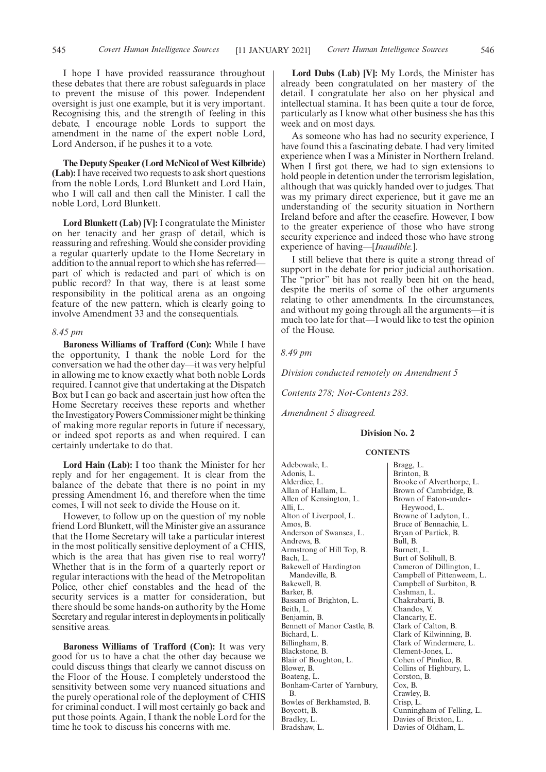I hope I have provided reassurance throughout these debates that there are robust safeguards in place to prevent the misuse of this power. Independent oversight is just one example, but it is very important. Recognising this, and the strength of feeling in this debate, I encourage noble Lords to support the amendment in the name of the expert noble Lord, Lord Anderson, if he pushes it to a vote.

**The Deputy Speaker (Lord McNicol of West Kilbride) (Lab):**I have received two requests to ask short questions from the noble Lords, Lord Blunkett and Lord Hain, who I will call and then call the Minister. I call the noble Lord, Lord Blunkett.

**Lord Blunkett (Lab) [V]:** I congratulate the Minister on her tenacity and her grasp of detail, which is reassuring and refreshing. Would she consider providing a regular quarterly update to the Home Secretary in addition to the annual report to which she has referred part of which is redacted and part of which is on public record? In that way, there is at least some responsibility in the political arena as an ongoing feature of the new pattern, which is clearly going to involve Amendment 33 and the consequentials.

#### *8.45 pm*

**Baroness Williams of Trafford (Con):** While I have the opportunity, I thank the noble Lord for the conversation we had the other day—it was very helpful in allowing me to know exactly what both noble Lords required. I cannot give that undertaking at the Dispatch Box but I can go back and ascertain just how often the Home Secretary receives these reports and whether the Investigatory Powers Commissioner might be thinking of making more regular reports in future if necessary, or indeed spot reports as and when required. I can certainly undertake to do that.

**Lord Hain (Lab):** I too thank the Minister for her reply and for her engagement. It is clear from the balance of the debate that there is no point in my pressing Amendment 16, and therefore when the time comes, I will not seek to divide the House on it.

However, to follow up on the question of my noble friend Lord Blunkett, will the Minister give an assurance that the Home Secretary will take a particular interest in the most politically sensitive deployment of a CHIS, which is the area that has given rise to real worry? Whether that is in the form of a quarterly report or regular interactions with the head of the Metropolitan Police, other chief constables and the head of the security services is a matter for consideration, but there should be some hands-on authority by the Home Secretary and regular interest in deployments in politically sensitive areas.

**Baroness Williams of Trafford (Con):** It was very good for us to have a chat the other day because we could discuss things that clearly we cannot discuss on the Floor of the House. I completely understood the sensitivity between some very nuanced situations and the purely operational role of the deployment of CHIS for criminal conduct. I will most certainly go back and put those points. Again, I thank the noble Lord for the time he took to discuss his concerns with me.

**Lord Dubs (Lab) [V]:** My Lords, the Minister has already been congratulated on her mastery of the detail. I congratulate her also on her physical and intellectual stamina. It has been quite a tour de force, particularly as I know what other business she has this week and on most days.

As someone who has had no security experience, I have found this a fascinating debate. I had very limited experience when I was a Minister in Northern Ireland. When I first got there, we had to sign extensions to hold people in detention under the terrorism legislation, although that was quickly handed over to judges. That was my primary direct experience, but it gave me an understanding of the security situation in Northern Ireland before and after the ceasefire. However, I bow to the greater experience of those who have strong security experience and indeed those who have strong experience of having—[*Inaudible.*].

I still believe that there is quite a strong thread of support in the debate for prior judicial authorisation. The "prior" bit has not really been hit on the head, despite the merits of some of the other arguments relating to other amendments. In the circumstances, and without my going through all the arguments—it is much too late for that—I would like to test the opinion of the House.

### *8.49 pm*

*Division conducted remotely on Amendment 5*

*Contents 278; Not-Contents 283.*

*Amendment 5 disagreed.*

## **Division No. 2**

#### **CONTENTS**

Adebowale, L. Adonis, L. Alderdice, L. Allan of Hallam, L. Allen of Kensington, L. Alli, L. Alton of Liverpool, L. Amos, B. Anderson of Swansea, L. Andrews, B. Armstrong of Hill Top, B. Bach, L. Bakewell of Hardington Mandeville, B. Bakewell, B. Barker, B. Bassam of Brighton, L. Beith, L. Benjamin, B. Bennett of Manor Castle, B. Bichard, L. Billingham, B. Blackstone, B. Blair of Boughton, L. Blower, B. Boateng, L. Bonham-Carter of Yarnbury, B. Bowles of Berkhamsted, B. Boycott, B. Bradley, L. Bradshaw, L.

Bragg, L. Brinton, B. Brooke of Alverthorpe, L. Brown of Cambridge, B. Brown of Eaton-under-Heywood, L. Browne of Ladyton, L. Bruce of Bennachie, L. Bryan of Partick, B. Bull, B. Burnett, L. Burt of Solihull, B. Cameron of Dillington, L. Campbell of Pittenweem, L. Campbell of Surbiton, B. Cashman, L. Chakrabarti, B. Chandos, V. Clancarty, E. Clark of Calton, B. Clark of Kilwinning, B. Clark of Windermere, L. Clement-Jones, L. Cohen of Pimlico, B. Collins of Highbury, L. Corston, B. Cox, B. Crawley, B. Crisp, L. Cunningham of Felling, L. Davies of Brixton, L. Davies of Oldham, L.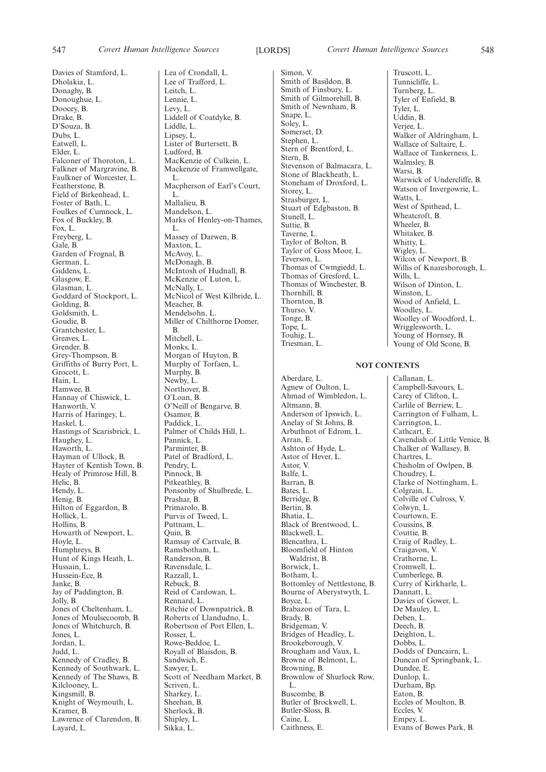Davies of Stamford, L. Dholakia, L. Donaghy, B. Donoughue, L. Doocey, B. Drake, B. D'Souza, B. Dubs, L. Eatwell, L. Elder, L. Falconer of Thoroton, L. Falkner of Margravine, B. Faulkner of Worcester, L. Featherstone, B. Field of Birkenhead, L. Foster of Bath, L. Foulkes of Cumnock, L. Fox of Buckley, B. Fox, L. Freyberg, L. Gale, B. Garden of Frognal, B. German, L. Giddens, L. Glasgow, E. Glasman, L. Goddard of Stockport, L. Golding, B. Goldsmith, L. Goudie, B. Grantchester, L. Greaves, L. Grender, B. Grey-Thompson, B. Griffiths of Burry Port, L. Grocott, L. Hain, L. Hamwee, B. Hannay of Chiswick, L. Hanworth, V. Harris of Haringey, L. Haskel, L. Hastings of Scarisbrick, L. Haughey, L. Haworth, L. Hayman of Ullock, B. Hayter of Kentish Town, B. Healy of Primrose Hill, B. Helic, B. Hendy, L. Henig, B. Hilton of Eggardon, B. Hollick, L. Hollins, B. Howarth of Newport, L. Hoyle, L. Humphreys, B. Hunt of Kings Heath, L. Hussain, L. Hussein-Ece, B. Janke, B. Jay of Paddington, B. Jolly, B. Jones of Cheltenham, L. Jones of Moulsecoomb, B. Jones of Whitchurch, B. Jones, L. Jordan, L. Judd, L. Kennedy of Cradley, B. Kennedy of Southwark, L. Kennedy of The Shaws, B. Kilclooney, L. Kingsmill, B. Knight of Weymouth, L. Kramer, B. Lawrence of Clarendon, B. Layard, L.

Lea of Crondall, L. Lee of Trafford, L. Leitch, L. Lennie, L. Levy, L. Liddell of Coatdyke, B. Liddle, L. Lipsey, L. Lister of Burtersett, B. Ludford, B. MacKenzie of Culkein, L. Mackenzie of Framwellgate, L. Macpherson of Earl's Court, L. Mallalieu, B. Mandelson, L. Marks of Henley-on-Thames, L. Massey of Darwen, B. Maxton, L. McAvoy, L. McDonagh, B. McIntosh of Hudnall, B. McKenzie of Luton, L. McNally, L. McNicol of West Kilbride, L. Meacher, B. Mendelsohn, L. Miller of Chilthorne Domer, B. Mitchell, L. Monks, L. Morgan of Huyton, B. Murphy of Torfaen, L. Murphy, B. Newby, L. Northover, B. O'Loan, B. O'Neill of Bengarve, B. Osamor, B. Paddick, L. Palmer of Childs Hill, L. Pannick, L. Parminter, B. Patel of Bradford, L. Pendry, L. Pinnock, B. Pitkeathley, B. Ponsonby of Shulbrede, L. Prashar, B. Primarolo, B. Purvis of Tweed, L. Puttnam, L. Quin, B. Ramsay of Cartvale, B. Ramsbotham, L. Randerson, B. Ravensdale, L. Razzall, L. Rebuck, B. Reid of Cardowan, L. Rennard, L. Ritchie of Downpatrick, B. Roberts of Llandudno, L. Robertson of Port Ellen, L. Rosser, L. Rowe-Beddoe, L. Royall of Blaisdon, B. Sandwich, E. Sawyer, L. Scott of Needham Market, B. Scriven, L. Sharkey, L. Sheehan, B. Sherlock, B. Shipley, L. Sikka, L.

Simon, V. Smith of Basildon, B. Smith of Finsbury, L. Smith of Gilmorehill, B. Smith of Newnham, B. Snape, L. Soley, L. Somerset, D. Stephen, L. Stern of Brentford, L. Stern, B. Stevenson of Balmacara, L. Stone of Blackheath, L. Stoneham of Droxford, L. Storey, L. Strasburger, L. Stuart of Edgbaston, B. Stunell, L. Suttie, B. Taverne, L. Taylor of Bolton, B. Taylor of Goss Moor, L. Teverson, L. Thomas of Cwmgiedd, L. Thomas of Gresford, L. Thomas of Winchester, B. Thornhill, B. Thornton, B. Thurso, V. Tonge, B. Tope, L. Touhig, L. Triesman, L.

Aberdare, L. Agnew of Oulton, L. Ahmad of Wimbledon, L. Altmann, B. Anderson of Ipswich, L. Anelay of St Johns, B. Arbuthnot of Edrom, L. Arran, E. Ashton of Hyde, L. Astor of Hever, L. Astor, V. Balfe, L. Barran, B. Bates, L. Berridge, B. Bertin, B. Bhatia, L. Black of Brentwood, L. Blackwell, L. Blencathra, L. Bloomfield of Hinton Waldrist, B. Borwick, L. Botham, L. Bottomley of Nettlestone, B. Bourne of Aberystwyth, L. Boyce, L. Brabazon of Tara, L. Brady, B. Bridgeman, V. Bridges of Headley, L. Brookeborough, V. Brougham and Vaux, L. Browne of Belmont, L. Browning, B. Brownlow of Shurlock Row, L. Buscombe, B. Butler of Brockwell, L. Butler-Sloss, B. Caine, L. Caithness, E.

Truscott, L. Tunnicliffe, L. Turnberg, L. Tyler of Enfield, B. Tyler, L. Uddin, B. Verjee, L. Walker of Aldringham, L. Wallace of Saltaire, L. Wallace of Tankerness, L. Walmsley, B. Warsi, B. Warwick of Undercliffe, B. Watson of Invergowrie, L. Watts, L. West of Spithead, L. Wheatcroft, B. Wheeler, B. Whitaker, B. Whitty, L. Wigley, L. Wilcox of Newport, B. Willis of Knaresborough, L. Wills, L. Wilson of Dinton, L. Winston, L. Wood of Anfield, L. Woodley, L. Woolley of Woodford, L. Wrigglesworth, L. Young of Hornsey, B. Young of Old Scone, B.

## **NOT CONTENTS**

Callanan, L. Campbell-Savours, L. Carey of Clifton, L. Carlile of Berriew, L. Carrington of Fulham, L. Carrington, L. Cathcart, E. Cavendish of Little Venice, B. Chalker of Wallasey, B. Chartres, L. Chisholm of Owlpen, B. Choudrey, L. Clarke of Nottingham, L. Colgrain, L. Colville of Culross, V. Colwyn, L. Courtown, E. Coussins, B. Couttie, B. Craig of Radley, L. Craigavon, V. Crathorne, L. Cromwell, L. Cumberlege, B. Curry of Kirkharle, L. Dannatt, L. Davies of Gower, L. De Mauley, L. Deben, L. Deech, B. Deighton, L. Dobbs, L. Dodds of Duncairn, L. Duncan of Springbank, L. Dundee, E. Dunlop, L. Durham, Bp. Eaton, B. Eccles of Moulton, B. Eccles, V. Empey, L. Evans of Bowes Park, B.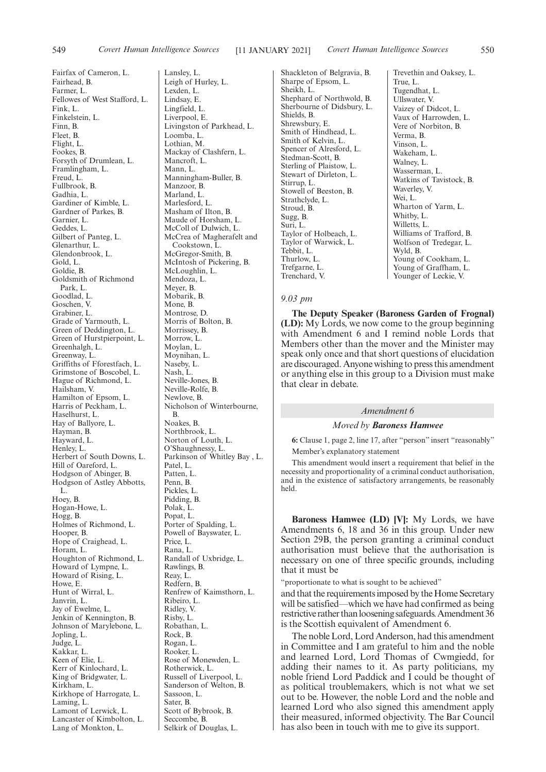Fairfax of Cameron, L. Fairhead, B. Farmer, L. Fellowes of West Stafford, L. Fink, L. Finkelstein, L. Finn, B. Fleet, B. Flight, L. Fookes, B. Forsyth of Drumlean, L. Framlingham, L. Freud, L. Fullbrook, B. Gadhia, L. Gardiner of Kimble, L. Gardner of Parkes, B. Garnier, L. Geddes, L. Gilbert of Panteg, L. Glenarthur, L. Glendonbrook, L. Gold, L. Goldie, B. Goldsmith of Richmond Park, L. Goodlad, L. Goschen, V. Grabiner, L. Grade of Yarmouth, L. Green of Deddington, L. Green of Hurstpierpoint, L. Greenhalgh, L. Greenway, L. Griffiths of Fforestfach, L. Grimstone of Boscobel, L. Hague of Richmond, L. Hailsham, V. Hamilton of Epsom, L. Harris of Peckham, L. Haselhurst, L. Hay of Ballyore, L. Hayman, B. Hayward, L. Henley, L. Herbert of South Downs, L. Hill of Oareford, L. Hodgson of Abinger, B. Hodgson of Astley Abbotts, L. Hoey, B. Hogan-Howe, L. Hogg, B. Holmes of Richmond, L. Hooper, B. Hope of Craighead, L. Horam, L. Houghton of Richmond, L. Howard of Lympne, L. Howard of Rising, L. Howe, E. Hunt of Wirral, L. Janvrin, L. Jay of Ewelme, L. Jenkin of Kennington, B. Johnson of Marylebone, L. Jopling, L. Judge, L. Kakkar, L. Keen of Elie, L. Kerr of Kinlochard, L. King of Bridgwater, L. Kirkham, L. Kirkhope of Harrogate, L. Laming, L. Lamont of Lerwick, L. Lancaster of Kimbolton, L. Lang of Monkton, L.

Lansley, L. Leigh of Hurley, L. Lexden, L. Lindsay, E. Lingfield, L. Liverpool, E. Livingston of Parkhead, L. Loomba, L. Lothian, M. Mackay of Clashfern, L. Mancroft, L. Mann, L. Manningham-Buller, B. Manzoor, B. Marland, L. Marlesford, L. Masham of Ilton, B. Maude of Horsham, L. McColl of Dulwich, L. McCrea of Magherafelt and Cookstown, L. McGregor-Smith, B. McIntosh of Pickering, B. McLoughlin, L. Mendoza, L. Meyer, B. Mobarik, B. Mone, B. Montrose, D. Morris of Bolton, B. Morrissey, B. Morrow, L. Moylan, L. Moynihan, L. Naseby, L. Nash, L. Neville-Jones, B. Neville-Rolfe, B. Newlove, B. Nicholson of Winterbourne, B. Noakes, B. Northbrook, L. Norton of Louth, L. O'Shaughnessy, L. Parkinson of Whitley Bay , L. Patel, L. Patten, L. Penn, B. Pickles, L. Pidding, B. Polak, L. Popat, L. Porter of Spalding, L. Powell of Bayswater, L. Price, L. Rana, L. Randall of Uxbridge, L. Rawlings, B. Reay, L. Redfern, B. Renfrew of Kaimsthorn, L. Ribeiro, L. Ridley, V. Risby, L. Robathan, L. Rock, B. Rogan, L. Rooker, L. Rose of Monewden, L. Rotherwick, L. Russell of Liverpool, L. Sanderson of Welton, B. Sassoon, L. Sater, B. Scott of Bybrook, B. Seccombe, B.

Selkirk of Douglas, L.

Shackleton of Belgravia, B. Sharpe of Epsom, L. Sheikh, L. Shephard of Northwold, B. Sherbourne of Didsbury, L. Shields, B. Shrewsbury, E. Smith of Hindhead, L. Smith of Kelvin, L. Spencer of Alresford, L. Stedman-Scott, B. Sterling of Plaistow, L. Stewart of Dirleton, L. Stirrup, L. Stowell of Beeston, B. Strathclyde, L. Stroud, B. Sugg, B. Suri, L. Taylor of Holbeach, L. Taylor of Warwick, L. Tebbit, L. Thurlow, L. Trefgarne, L. Trenchard, V.

Trevethin and Oaksey, L. True, L. Tugendhat, L. Ullswater, V. Vaizey of Didcot, L. Vaux of Harrowden, L. Vere of Norbiton, B. Verma, B. Vinson, L. Wakeham, L. Walney, L. Wasserman, L. Watkins of Tavistock, B. Waverley, V. Wei, L. Wharton of Yarm, L. Whitby, L. Willetts, L. Williams of Trafford, B. Wolfson of Tredegar, L. Wyld, B. Young of Cookham, L. Young of Graffham, L. Younger of Leckie, V.

## *9.03 pm*

**The Deputy Speaker (Baroness Garden of Frognal) (LD):** My Lords, we now come to the group beginning with Amendment 6 and I remind noble Lords that Members other than the mover and the Minister may speak only once and that short questions of elucidation are discouraged. Anyone wishing to press this amendment or anything else in this group to a Division must make that clear in debate.

#### *Amendment 6*

## *Moved by Baroness Hamwee*

**6:** Clause 1, page 2, line 17, after "person" insert "reasonably" Member's explanatory statement

This amendment would insert a requirement that belief in the necessity and proportionality of a criminal conduct authorisation, and in the existence of satisfactory arrangements, be reasonably held.

**Baroness Hamwee (LD) [V]:** My Lords, we have Amendments 6, 18 and 36 in this group. Under new Section 29B, the person granting a criminal conduct authorisation must believe that the authorisation is necessary on one of three specific grounds, including that it must be

"proportionate to what is sought to be achieved"

and that the requirements imposed by the Home Secretary will be satisfied—which we have had confirmed as being restrictive rather than loosening safeguards. Amendment 36 is the Scottish equivalent of Amendment 6.

The noble Lord, Lord Anderson, had this amendment in Committee and I am grateful to him and the noble and learned Lord, Lord Thomas of Cwmgiedd, for adding their names to it. As party politicians, my noble friend Lord Paddick and I could be thought of as political troublemakers, which is not what we set out to be. However, the noble Lord and the noble and learned Lord who also signed this amendment apply their measured, informed objectivity. The Bar Council has also been in touch with me to give its support.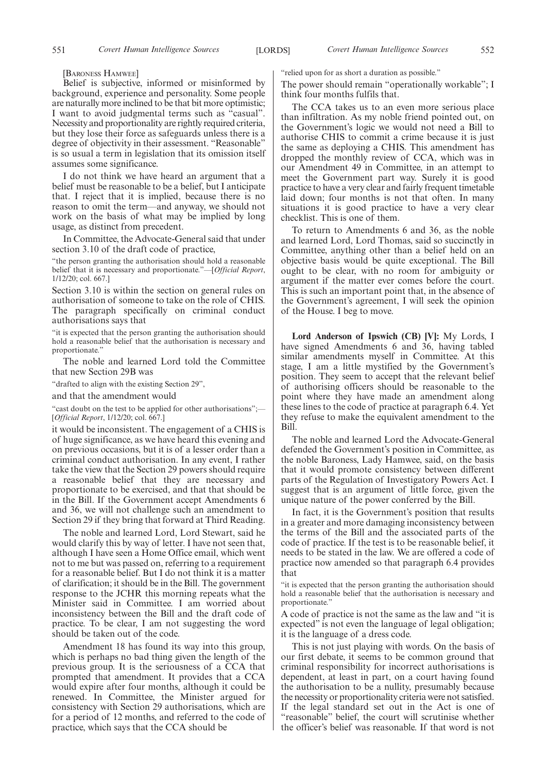[BARONESS HAMWEE]

Belief is subjective, informed or misinformed by background, experience and personality. Some people are naturally more inclined to be that bit more optimistic; I want to avoid judgmental terms such as "casual". Necessity and proportionality are rightly required criteria, but they lose their force as safeguards unless there is a degree of objectivity in their assessment. "Reasonable" is so usual a term in legislation that its omission itself assumes some significance.

I do not think we have heard an argument that a belief must be reasonable to be a belief, but I anticipate that. I reject that it is implied, because there is no reason to omit the term—and anyway, we should not work on the basis of what may be implied by long usage, as distinct from precedent.

In Committee, the Advocate-General said that under section 3.10 of the draft code of practice,

"the person granting the authorisation should hold a reasonable belief that it is necessary and proportionate."—[*Official Report*, 1/12/20; col. 667.]

Section 3.10 is within the section on general rules on authorisation of someone to take on the role of CHIS. The paragraph specifically on criminal conduct authorisations says that

"it is expected that the person granting the authorisation should hold a reasonable belief that the authorisation is necessary and proportionate."

The noble and learned Lord told the Committee that new Section 29B was

"drafted to align with the existing Section 29",

and that the amendment would

"cast doubt on the test to be applied for other authorisations";-[*Official Report*, 1/12/20; col. 667.]

it would be inconsistent. The engagement of a CHIS is of huge significance, as we have heard this evening and on previous occasions, but it is of a lesser order than a criminal conduct authorisation. In any event, I rather take the view that the Section 29 powers should require a reasonable belief that they are necessary and proportionate to be exercised, and that that should be in the Bill. If the Government accept Amendments 6 and 36, we will not challenge such an amendment to Section 29 if they bring that forward at Third Reading.

The noble and learned Lord, Lord Stewart, said he would clarify this by way of letter. I have not seen that, although I have seen a Home Office email, which went not to me but was passed on, referring to a requirement for a reasonable belief. But I do not think it is a matter of clarification; it should be in the Bill. The government response to the JCHR this morning repeats what the Minister said in Committee. I am worried about inconsistency between the Bill and the draft code of practice. To be clear, I am not suggesting the word should be taken out of the code.

Amendment 18 has found its way into this group, which is perhaps no bad thing given the length of the previous group. It is the seriousness of a CCA that prompted that amendment. It provides that a CCA would expire after four months, although it could be renewed. In Committee, the Minister argued for consistency with Section 29 authorisations, which are for a period of 12 months, and referred to the code of practice, which says that the CCA should be

"relied upon for as short a duration as possible."

The power should remain "operationally workable"; I think four months fulfils that.

The CCA takes us to an even more serious place than infiltration. As my noble friend pointed out, on the Government's logic we would not need a Bill to authorise CHIS to commit a crime because it is just the same as deploying a CHIS. This amendment has dropped the monthly review of CCA, which was in our Amendment 49 in Committee, in an attempt to meet the Government part way. Surely it is good practice to have a very clear and fairly frequent timetable laid down; four months is not that often. In many situations it is good practice to have a very clear checklist. This is one of them.

To return to Amendments 6 and 36, as the noble and learned Lord, Lord Thomas, said so succinctly in Committee, anything other than a belief held on an objective basis would be quite exceptional. The Bill ought to be clear, with no room for ambiguity or argument if the matter ever comes before the court. This is such an important point that, in the absence of the Government's agreement, I will seek the opinion of the House. I beg to move.

**Lord Anderson of Ipswich (CB) [V]:** My Lords, I have signed Amendments 6 and 36, having tabled similar amendments myself in Committee. At this stage, I am a little mystified by the Government's position. They seem to accept that the relevant belief of authorising officers should be reasonable to the point where they have made an amendment along these lines to the code of practice at paragraph 6.4. Yet they refuse to make the equivalent amendment to the Bill.

The noble and learned Lord the Advocate-General defended the Government's position in Committee, as the noble Baroness, Lady Hamwee, said, on the basis that it would promote consistency between different parts of the Regulation of Investigatory Powers Act. I suggest that is an argument of little force, given the unique nature of the power conferred by the Bill.

In fact, it is the Government's position that results in a greater and more damaging inconsistency between the terms of the Bill and the associated parts of the code of practice. If the test is to be reasonable belief, it needs to be stated in the law. We are offered a code of practice now amended so that paragraph 6.4 provides that

"it is expected that the person granting the authorisation should hold a reasonable belief that the authorisation is necessary and proportionate.'

A code of practice is not the same as the law and "it is expected" is not even the language of legal obligation; it is the language of a dress code.

This is not just playing with words. On the basis of our first debate, it seems to be common ground that criminal responsibility for incorrect authorisations is dependent, at least in part, on a court having found the authorisation to be a nullity, presumably because the necessity or proportionality criteria were not satisfied. If the legal standard set out in the Act is one of "reasonable" belief, the court will scrutinise whether the officer's belief was reasonable. If that word is not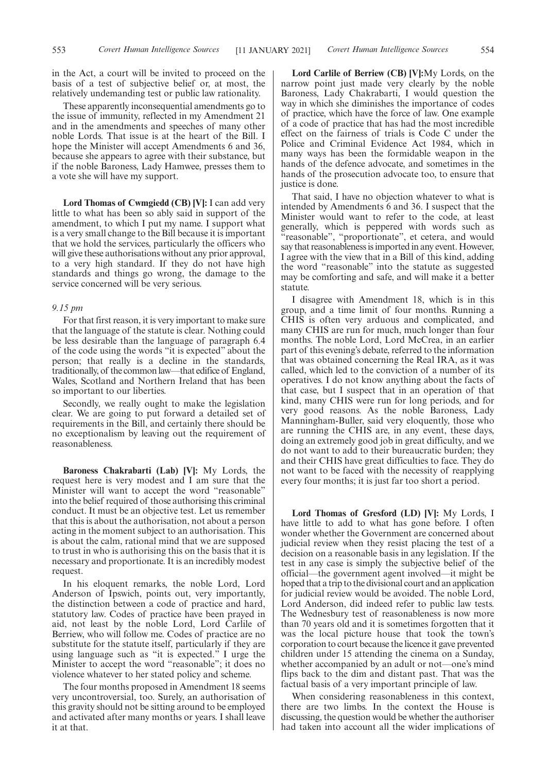These apparently inconsequential amendments go to the issue of immunity, reflected in my Amendment 21 and in the amendments and speeches of many other noble Lords. That issue is at the heart of the Bill. I hope the Minister will accept Amendments 6 and 36, because she appears to agree with their substance, but if the noble Baroness, Lady Hamwee, presses them to a vote she will have my support.

**Lord Thomas of Cwmgiedd (CB) [V]:** I can add very little to what has been so ably said in support of the amendment, to which I put my name. I support what is a very small change to the Bill because it is important that we hold the services, particularly the officers who will give these authorisations without any prior approval, to a very high standard. If they do not have high standards and things go wrong, the damage to the service concerned will be very serious.

#### *9.15 pm*

For that first reason, it is very important to make sure that the language of the statute is clear. Nothing could be less desirable than the language of paragraph 6.4 of the code using the words "it is expected" about the person; that really is a decline in the standards, traditionally, of the common law—that edifice of England, Wales, Scotland and Northern Ireland that has been so important to our liberties.

Secondly, we really ought to make the legislation clear. We are going to put forward a detailed set of requirements in the Bill, and certainly there should be no exceptionalism by leaving out the requirement of reasonableness.

**Baroness Chakrabarti (Lab) [V]:** My Lords, the request here is very modest and I am sure that the Minister will want to accept the word "reasonable" into the belief required of those authorising this criminal conduct. It must be an objective test. Let us remember that this is about the authorisation, not about a person acting in the moment subject to an authorisation. This is about the calm, rational mind that we are supposed to trust in who is authorising this on the basis that it is necessary and proportionate. It is an incredibly modest request.

In his eloquent remarks, the noble Lord, Lord Anderson of Ipswich, points out, very importantly, the distinction between a code of practice and hard, statutory law. Codes of practice have been prayed in aid, not least by the noble Lord, Lord Carlile of Berriew, who will follow me. Codes of practice are no substitute for the statute itself, particularly if they are using language such as "it is expected." I urge the Minister to accept the word "reasonable"; it does no violence whatever to her stated policy and scheme.

The four months proposed in Amendment 18 seems very uncontroversial, too. Surely, an authorisation of this gravity should not be sitting around to be employed and activated after many months or years. I shall leave it at that.

**Lord Carlile of Berriew (CB) [V]:**My Lords, on the narrow point just made very clearly by the noble Baroness, Lady Chakrabarti, I would question the way in which she diminishes the importance of codes of practice, which have the force of law. One example of a code of practice that has had the most incredible effect on the fairness of trials is Code C under the Police and Criminal Evidence Act 1984, which in many ways has been the formidable weapon in the hands of the defence advocate, and sometimes in the hands of the prosecution advocate too, to ensure that justice is done.

That said, I have no objection whatever to what is intended by Amendments 6 and 36. I suspect that the Minister would want to refer to the code, at least generally, which is peppered with words such as "reasonable", "proportionate", et cetera, and would say that reasonableness is imported in any event. However, I agree with the view that in a Bill of this kind, adding the word "reasonable" into the statute as suggested may be comforting and safe, and will make it a better statute.

I disagree with Amendment 18, which is in this group, and a time limit of four months. Running a CHIS is often very arduous and complicated, and many CHIS are run for much, much longer than four months. The noble Lord, Lord McCrea, in an earlier part of this evening's debate, referred to the information that was obtained concerning the Real IRA, as it was called, which led to the conviction of a number of its operatives. I do not know anything about the facts of that case, but I suspect that in an operation of that kind, many CHIS were run for long periods, and for very good reasons. As the noble Baroness, Lady Manningham-Buller, said very eloquently, those who are running the CHIS are, in any event, these days, doing an extremely good job in great difficulty, and we do not want to add to their bureaucratic burden; they and their CHIS have great difficulties to face. They do not want to be faced with the necessity of reapplying every four months; it is just far too short a period.

**Lord Thomas of Gresford (LD) [V]:** My Lords, I have little to add to what has gone before. I often wonder whether the Government are concerned about judicial review when they resist placing the test of a decision on a reasonable basis in any legislation. If the test in any case is simply the subjective belief of the official—the government agent involved—it might be hoped that a trip to the divisional court and an application for judicial review would be avoided. The noble Lord, Lord Anderson, did indeed refer to public law tests. The Wednesbury test of reasonableness is now more than 70 years old and it is sometimes forgotten that it was the local picture house that took the town's corporation to court because the licence it gave prevented children under 15 attending the cinema on a Sunday, whether accompanied by an adult or not—one's mind flips back to the dim and distant past. That was the factual basis of a very important principle of law.

When considering reasonableness in this context, there are two limbs. In the context the House is discussing, the question would be whether the authoriser had taken into account all the wider implications of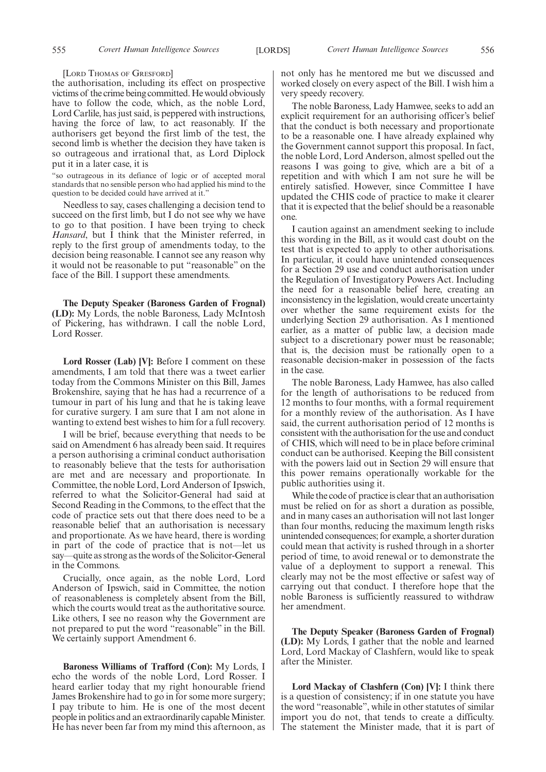[LORD THOMAS OF GRESFORD]

the authorisation, including its effect on prospective victims of the crime being committed. He would obviously have to follow the code, which, as the noble Lord, Lord Carlile, has just said, is peppered with instructions, having the force of law, to act reasonably. If the authorisers get beyond the first limb of the test, the second limb is whether the decision they have taken is so outrageous and irrational that, as Lord Diplock put it in a later case, it is

"so outrageous in its defiance of logic or of accepted moral standards that no sensible person who had applied his mind to the question to be decided could have arrived at it."

Needless to say, cases challenging a decision tend to succeed on the first limb, but I do not see why we have to go to that position. I have been trying to check *Hansard*, but I think that the Minister referred, in reply to the first group of amendments today, to the decision being reasonable. I cannot see any reason why it would not be reasonable to put "reasonable" on the face of the Bill. I support these amendments.

**The Deputy Speaker (Baroness Garden of Frognal) (LD):** My Lords, the noble Baroness, Lady McIntosh of Pickering, has withdrawn. I call the noble Lord, Lord Rosser.

**Lord Rosser (Lab) [V]:** Before I comment on these amendments, I am told that there was a tweet earlier today from the Commons Minister on this Bill, James Brokenshire, saying that he has had a recurrence of a tumour in part of his lung and that he is taking leave for curative surgery. I am sure that I am not alone in wanting to extend best wishes to him for a full recovery.

I will be brief, because everything that needs to be said on Amendment 6 has already been said. It requires a person authorising a criminal conduct authorisation to reasonably believe that the tests for authorisation are met and are necessary and proportionate. In Committee, the noble Lord, Lord Anderson of Ipswich, referred to what the Solicitor-General had said at Second Reading in the Commons, to the effect that the code of practice sets out that there does need to be a reasonable belief that an authorisation is necessary and proportionate. As we have heard, there is wording in part of the code of practice that is not—let us say—quite as strong as the words of the Solicitor-General in the Commons.

Crucially, once again, as the noble Lord, Lord Anderson of Ipswich, said in Committee, the notion of reasonableness is completely absent from the Bill, which the courts would treat as the authoritative source. Like others, I see no reason why the Government are not prepared to put the word "reasonable" in the Bill. We certainly support Amendment 6.

**Baroness Williams of Trafford (Con):** My Lords, I echo the words of the noble Lord, Lord Rosser. I heard earlier today that my right honourable friend James Brokenshire had to go in for some more surgery; I pay tribute to him. He is one of the most decent people in politics and an extraordinarily capable Minister. He has never been far from my mind this afternoon, as

not only has he mentored me but we discussed and worked closely on every aspect of the Bill. I wish him a very speedy recovery.

The noble Baroness, Lady Hamwee, seeks to add an explicit requirement for an authorising officer's belief that the conduct is both necessary and proportionate to be a reasonable one. I have already explained why the Government cannot support this proposal. In fact, the noble Lord, Lord Anderson, almost spelled out the reasons I was going to give, which are a bit of a repetition and with which I am not sure he will be entirely satisfied. However, since Committee I have updated the CHIS code of practice to make it clearer that it is expected that the belief should be a reasonable one.

I caution against an amendment seeking to include this wording in the Bill, as it would cast doubt on the test that is expected to apply to other authorisations. In particular, it could have unintended consequences for a Section 29 use and conduct authorisation under the Regulation of Investigatory Powers Act. Including the need for a reasonable belief here, creating an inconsistency in the legislation, would create uncertainty over whether the same requirement exists for the underlying Section 29 authorisation. As I mentioned earlier, as a matter of public law, a decision made subject to a discretionary power must be reasonable; that is, the decision must be rationally open to a reasonable decision-maker in possession of the facts in the case.

The noble Baroness, Lady Hamwee, has also called for the length of authorisations to be reduced from 12 months to four months, with a formal requirement for a monthly review of the authorisation. As I have said, the current authorisation period of 12 months is consistent with the authorisation for the use and conduct of CHIS, which will need to be in place before criminal conduct can be authorised. Keeping the Bill consistent with the powers laid out in Section 29 will ensure that this power remains operationally workable for the public authorities using it.

While the code of practice is clear that an authorisation must be relied on for as short a duration as possible, and in many cases an authorisation will not last longer than four months, reducing the maximum length risks unintended consequences; for example, a shorter duration could mean that activity is rushed through in a shorter period of time, to avoid renewal or to demonstrate the value of a deployment to support a renewal. This clearly may not be the most effective or safest way of carrying out that conduct. I therefore hope that the noble Baroness is sufficiently reassured to withdraw her amendment.

**The Deputy Speaker (Baroness Garden of Frognal) (LD):** My Lords, I gather that the noble and learned Lord, Lord Mackay of Clashfern, would like to speak after the Minister.

**Lord Mackay of Clashfern (Con) [V]:** I think there is a question of consistency; if in one statute you have the word "reasonable", while in other statutes of similar import you do not, that tends to create a difficulty. The statement the Minister made, that it is part of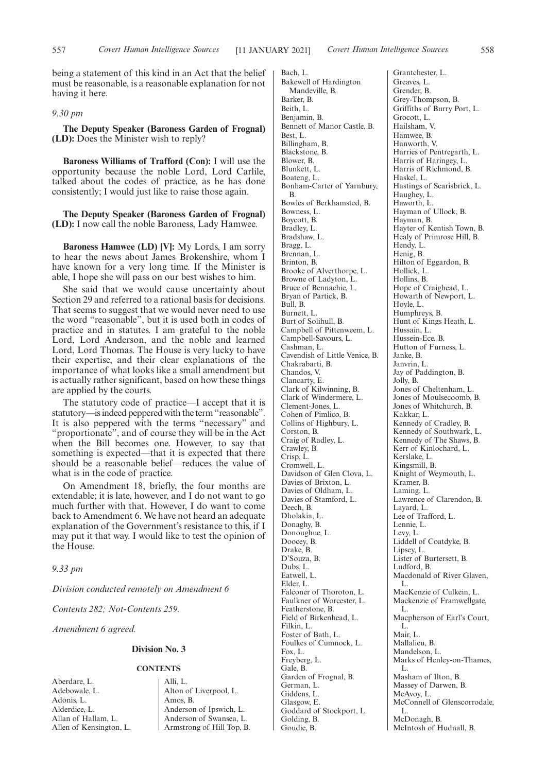being a statement of this kind in an Act that the belief must be reasonable, is a reasonable explanation for not having it here.

#### *9.30 pm*

**The Deputy Speaker (Baroness Garden of Frognal) (LD):** Does the Minister wish to reply?

**Baroness Williams of Trafford (Con):** I will use the opportunity because the noble Lord, Lord Carlile, talked about the codes of practice, as he has done consistently; I would just like to raise those again.

**The Deputy Speaker (Baroness Garden of Frognal) (LD):** I now call the noble Baroness, Lady Hamwee.

**Baroness Hamwee (LD) [V]:** My Lords, I am sorry to hear the news about James Brokenshire, whom I have known for a very long time. If the Minister is able, I hope she will pass on our best wishes to him.

She said that we would cause uncertainty about Section 29 and referred to a rational basis for decisions. That seems to suggest that we would never need to use the word "reasonable", but it is used both in codes of practice and in statutes. I am grateful to the noble Lord, Lord Anderson, and the noble and learned Lord, Lord Thomas. The House is very lucky to have their expertise, and their clear explanations of the importance of what looks like a small amendment but is actually rather significant, based on how these things are applied by the courts.

The statutory code of practice—I accept that it is statutory—is indeed peppered with the term "reasonable". It is also peppered with the terms "necessary" and "proportionate", and of course they will be in the Act when the Bill becomes one. However, to say that something is expected—that it is expected that there should be a reasonable belief—reduces the value of what is in the code of practice.

On Amendment 18, briefly, the four months are extendable; it is late, however, and I do not want to go much further with that. However, I do want to come back to Amendment 6. We have not heard an adequate explanation of the Government's resistance to this, if I may put it that way. I would like to test the opinion of the House.

*9.33 pm*

*Division conducted remotely on Amendment 6*

*Contents 282; Not-Contents 259.*

*Amendment 6 agreed.*

## **Division No. 3**

## **CONTENTS**

Aberdare, L. Adebowale, L. Adonis, L. Alderdice, L. Allan of Hallam, L. Allen of Kensington, L.

Alli, L. Alton of Liverpool, L. Amos, B. Anderson of Ipswich, L. Anderson of Swansea, L. Armstrong of Hill Top, B. Bach, L. Bakewell of Hardington Mandeville, B. Barker, B. Beith, L. Benjamin, B. Bennett of Manor Castle, B. Best, L. Billingham, B. Blackstone, B. Blower, B. Blunkett, L. Boateng, L. Bonham-Carter of Yarnbury, B. Bowles of Berkhamsted, B. Bowness, L. Boycott, B. Bradley, L. Bradshaw, L. Bragg, L. Brennan, L. Brinton, B. Brooke of Alverthorpe, L. Browne of Ladyton, L. Bruce of Bennachie, L. Bryan of Partick, B. Bull, B. Burnett, L. Burt of Solihull, B. Campbell of Pittenweem, L. Campbell-Savours, L. Cashman, L. Cavendish of Little Venice, B. Chakrabarti, B. Chandos, V. Clancarty, E. Clark of Kilwinning, B. Clark of Windermere, L. Clement-Jones, L. Cohen of Pimlico, B. Collins of Highbury, L. Corston, B. Craig of Radley, L. Crawley, B. Crisp, L. Cromwell, L. Davidson of Glen Clova, L. Davies of Brixton, L. Davies of Oldham, L. Davies of Stamford, L. Deech, B. Dholakia, L. Donaghy, B. Donoughue, L. Doocey, B. Drake, B. D'Souza, B. Dubs, L. Eatwell, L. Elder, L. Falconer of Thoroton, L. Faulkner of Worcester, L. Featherstone, B. Field of Birkenhead, L. Filkin, L. Foster of Bath, L. Foulkes of Cumnock, L. Fox, L. Freyberg, L. Gale, B. Garden of Frognal, B. German, L. Giddens, L. Glasgow, E. Goddard of Stockport, L. Golding, B. Goudie, B.

Grantchester, L. Greaves, L. Grender, B. Grey-Thompson, B. Griffiths of Burry Port, L. Grocott, L. Hailsham, V. Hamwee, B. Hanworth, V. Harries of Pentregarth, L. Harris of Haringey, L. Harris of Richmond, B. Haskel, L. Hastings of Scarisbrick, L. Haughey, L. Haworth, L. Hayman of Ullock, B. Hayman, B. Hayter of Kentish Town, B. Healy of Primrose Hill, B. Hendy, L. Henig, B. Hilton of Eggardon, B. Hollick, L. Hollins, B. Hope of Craighead, L. Howarth of Newport, L. Hoyle, L. Humphreys, B. Hunt of Kings Heath, L. Hussain, L. Hussein-Ece, B. Hutton of Furness, L. Janke, B. Janvrin, L. Jay of Paddington, B. Jolly, B. Jones of Cheltenham, L. Jones of Moulsecoomb, B. Jones of Whitchurch, B. Kakkar, L. Kennedy of Cradley, B. Kennedy of Southwark, L. Kennedy of The Shaws, B. Kerr of Kinlochard, L. Kerslake, L. Kingsmill, B. Knight of Weymouth, L. Kramer, B. Laming, L. Lawrence of Clarendon, B. Layard, L. Lee of Trafford, L. Lennie, L. Levy, L. Liddell of Coatdyke, B. Lipsey, L. Lister of Burtersett, B. Ludford, B. Macdonald of River Glaven, L. MacKenzie of Culkein, L. Mackenzie of Framwellgate, L. Macpherson of Earl's Court, L. Mair, L. Mallalieu, B. Mandelson, L. Marks of Henley-on-Thames, L. Masham of Ilton, B. Massey of Darwen, B. McAvoy, L. McConnell of Glenscorrodale, L. McDonagh, B. McIntosh of Hudnall, B.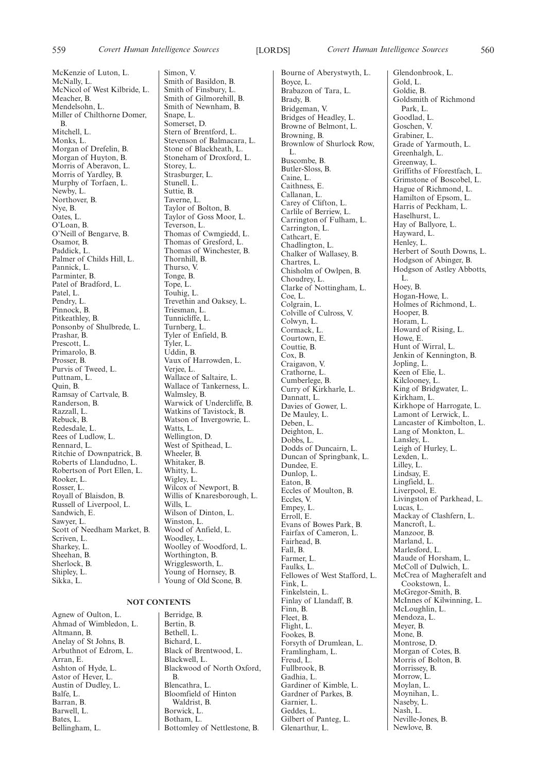McKenzie of Luton, L. McNally, L. McNicol of West Kilbride, L. Meacher, B. Mendelsohn, L. Miller of Chilthorne Domer, B. Mitchell, L. Monks, L. Morgan of Drefelin, B. Morgan of Huyton, B. Morris of Aberavon, L. Morris of Yardley, B. Murphy of Torfaen, L. Newby, L. Northover, B. Nye, B. Oates, L. O'Loan, B. O'Neill of Bengarve, B. Osamor, B. Paddick, L. Palmer of Childs Hill, L. Pannick, L. Parminter, B. Patel of Bradford, L. Patel, L. Pendry, L. Pinnock, B. Pitkeathley, B. Ponsonby of Shulbrede, L. Prashar, B. Prescott, L. Primarolo, B. Prosser, B. Purvis of Tweed, L. Puttnam, L. Quin, B. Ramsay of Cartvale, B. Randerson, B. Razzall, L. Rebuck, B. Redesdale, L. Rees of Ludlow, L. Rennard, L. Ritchie of Downpatrick, B. Roberts of Llandudno, L. Robertson of Port Ellen, L. Rooker, L. Rosser, L. Royall of Blaisdon, B. Russell of Liverpool, L. Sandwich, E. Sawyer, L. Scott of Needham Market, B. Scriven, L. Sharkey, L. Sheehan, B. Sherlock, B. Shipley, L. Sikka, L.

#### **NOT CONTENTS**

Agnew of Oulton, L. Ahmad of Wimbledon, L. Altmann, B. Anelay of St Johns, B. Arbuthnot of Edrom, L. Arran, E. Ashton of Hyde, L. Astor of Hever, L. Austin of Dudley, L. Balfe, L. Barran, B. Barwell, L. Bates, L. Bellingham, L.

Simon, V. Smith of Basildon, B. Smith of Finsbury, L. Smith of Gilmorehill, B. Smith of Newnham, B. Snape, L. Somerset, D. Stern of Brentford, L. Stevenson of Balmacara, L. Stone of Blackheath, L. Stoneham of Droxford, L. Storey, L. Strasburger, L. Stunell, L. Suttie, B. Taverne, L. Taylor of Bolton, B. Taylor of Goss Moor, L. Teverson, L. Thomas of Cwmgiedd, L. Thomas of Gresford, L. Thomas of Winchester, B. Thornhill, B. Thurso, V. Tonge, B. Tope, L. Touhig, L. Trevethin and Oaksey, L. Triesman, L. Tunnicliffe, L. Turnberg, L. Tyler of Enfield, B. Tyler, L. Uddin, B. Vaux of Harrowden, L. Verjee, L. Wallace of Saltaire, L. Wallace of Tankerness, L. Walmsley, B. Warwick of Undercliffe, B. Watkins of Tavistock, B. Watson of Invergowrie, L. Watts, L. Wellington, D. West of Spithead, L. Wheeler, B. Whitaker, B. Whitty, L. Wigley, L. Wilcox of Newport, B. Willis of Knaresborough, L. Wills, L. Wilson of Dinton, L. Winston, L. Wood of Anfield, L. Woodley, L. Woolley of Woodford, L. Worthington, B. Wrigglesworth, L. Young of Hornsey, B. Young of Old Scone, B.

Berridge, B. Bertin, B. Bethell, L. Bichard, L. Black of Brentwood, L. Blackwell, L. Blackwood of North Oxford, B. Blencathra, L. Bloomfield of Hinton Waldrist, B. Borwick, L. Botham, L. Bottomley of Nettlestone, B.

Bourne of Aberystwyth, L. Boyce, L. Brabazon of Tara, L. Brady, B. Bridgeman, V. Bridges of Headley, L. Browne of Belmont, L. Browning, B. Brownlow of Shurlock Row, L. Buscombe, B. Butler-Sloss, B. Caine, L. Caithness, E. Callanan, L. Carey of Clifton, L. Carlile of Berriew, L. Carrington of Fulham, L. Carrington, L. Cathcart, E. Chadlington, L. Chalker of Wallasey, B. Chartres, L. Chisholm of Owlpen, B. Choudrey, L. Clarke of Nottingham, L. Coe, L. Colgrain, L. Colville of Culross, V. Colwyn, L. Cormack, L. Courtown, E. Couttie, B. Cox, B. Craigavon, V. Crathorne, L. Cumberlege, B. Curry of Kirkharle, L. Dannatt, L. Davies of Gower, L. De Mauley, L. Deben, L. Deighton, L. Dobbs, L. Dodds of Duncairn, L. Duncan of Springbank, L. Dundee, E. Dunlop, L. Eaton, B. Eccles of Moulton, B. Eccles, V. Empey, L. Erroll, E. Evans of Bowes Park, B. Fairfax of Cameron, L. Fairhead, B. Fall, B. Farmer, L. Faulks, L. Fellowes of West Stafford, L. Fink, L. Finkelstein, L. Finlay of Llandaff, B. Finn, B. Fleet, B. Flight, L. Fookes, B. Forsyth of Drumlean, L. Framlingham, L. Freud, L. Fullbrook, B. Gadhia, L. Gardiner of Kimble, L. Gardner of Parkes, B. Garnier, L. Geddes, L. Gilbert of Panteg, L. Glenarthur, L.

Glendonbrook, L. Gold, L. Goldie, B. Goldsmith of Richmond Park, L. Goodlad, L. Goschen, V. Grabiner, L. Grade of Yarmouth, L. Greenhalgh, L. Greenway, L. Griffiths of Fforestfach, L. Grimstone of Boscobel, L. Hague of Richmond, L. Hamilton of Epsom, L. Harris of Peckham, L. Haselhurst, L. Hay of Ballyore, L. Hayward, L. Henley, L. Herbert of South Downs, L. Hodgson of Abinger, B. Hodgson of Astley Abbotts, L. Hoey, B. Hogan-Howe, L. Holmes of Richmond, L. Hooper, B. Horam, L. Howard of Rising, L. Howe, E. Hunt of Wirral, L. Jenkin of Kennington, B. Jopling, L. Keen of Elie, L. Kilclooney, L. King of Bridgwater, L. Kirkham, L. Kirkhope of Harrogate, L. Lamont of Lerwick, L. Lancaster of Kimbolton, L. Lang of Monkton, L. Lansley, L. Leigh of Hurley, L. Lexden, L. Lilley, L. Lindsay, E. Lingfield, L. Liverpool, E. Livingston of Parkhead, L. Lucas, L. Mackay of Clashfern, L. Mancroft, L. Manzoor, B. Marland, L. Marlesford, L. Maude of Horsham, L. McColl of Dulwich, L. McCrea of Magherafelt and Cookstown, L. McGregor-Smith, B. McInnes of Kilwinning, L. McLoughlin, L. Mendoza, L. Meyer, B. Mone, B. Montrose, D. Morgan of Cotes, B. Morris of Bolton, B. Morrissey, B. Morrow, L. Moylan, L. Moynihan, L. Naseby, L. Nash, L. Neville-Jones, B. Newlove, B.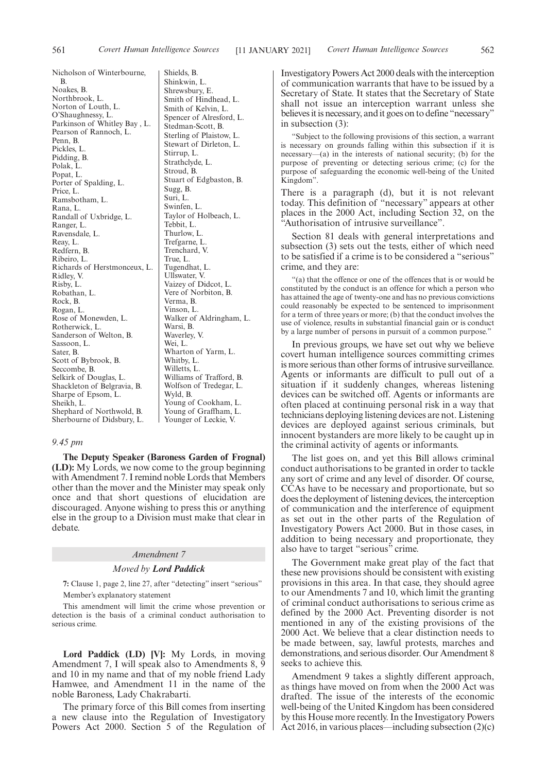Nicholson of Winterbourne, B. Noakes, B. Northbrook, L. Norton of Louth, L. O'Shaughnessy, L. Parkinson of Whitley Bay , L. Pearson of Rannoch, L. Penn, B. Pickles, L. Pidding, B. Polak, L. Popat, L. Porter of Spalding, L. Price, L. Ramsbotham, L. Rana, L. Randall of Uxbridge, L. Ranger, L. Ravensdale, L. Reay, L. Redfern, B. Ribeiro, L. Richards of Herstmonceux, L. Ridley, V. Risby, L. Robathan, L. Rock, B. Rogan, L. Rose of Monewden, L. Rotherwick, L. Sanderson of Welton, B. Sassoon, L. Sater, B. Scott of Bybrook, B. Seccombe, B. Selkirk of Douglas, L. Shackleton of Belgravia, B. Sharpe of Epsom, L. Sheikh, L. Shephard of Northwold, B. Sherbourne of Didsbury, L. Shields, B. Shinkwin, L. Shrewsbury, E. Smith of Hindhead, L. Smith of Kelvin, L. Spencer of Alresford, L. Stedman-Scott, B. Sterling of Plaistow, L. Stewart of Dirleton, L. Stirrup, L. Strathclyde, L. Stroud, B. Stuart of Edgbaston, B. Sugg, B. Suri, L. Swinfen, L. Taylor of Holbeach, L. Tebbit, L. Thurlow, L. Trefgarne, L. Trenchard, V. True, L. Tugendhat, L. Ullswater, V. Vaizey of Didcot, L. Vere of Norbiton, B. Verma, B. Vinson, L. Walker of Aldringham, L. Warsi, B. Waverley, V. Wei, L. Wharton of Yarm, L. Whitby, L. Willetts, L. Williams of Trafford, B. Wolfson of Tredegar, L. Wyld, B. Young of Cookham, L. Young of Graffham, L. Younger of Leckie, V.

#### *9.45 pm*

**The Deputy Speaker (Baroness Garden of Frognal) (LD):** My Lords, we now come to the group beginning with Amendment 7. I remind noble Lords that Members other than the mover and the Minister may speak only once and that short questions of elucidation are discouraged. Anyone wishing to press this or anything else in the group to a Division must make that clear in debate.

#### *Amendment 7*

#### *Moved by Lord Paddick*

**7:** Clause 1, page 2, line 27, after "detecting" insert "serious" Member's explanatory statement

This amendment will limit the crime whose prevention or detection is the basis of a criminal conduct authorisation to serious crime.

**Lord Paddick (LD) [V]:** My Lords, in moving Amendment 7, I will speak also to Amendments 8, 9 and 10 in my name and that of my noble friend Lady Hamwee, and Amendment 11 in the name of the noble Baroness, Lady Chakrabarti.

The primary force of this Bill comes from inserting a new clause into the Regulation of Investigatory Powers Act 2000. Section 5 of the Regulation of Investigatory Powers Act 2000 deals with the interception of communication warrants that have to be issued by a Secretary of State. It states that the Secretary of State shall not issue an interception warrant unless she believes it is necessary, and it goes on to define "necessary" in subsection (3):

"Subject to the following provisions of this section, a warrant is necessary on grounds falling within this subsection if it is necessary—(a) in the interests of national security; (b) for the purpose of preventing or detecting serious crime; (c) for the purpose of safeguarding the economic well-being of the United Kingdom".

There is a paragraph (d), but it is not relevant today. This definition of "necessary" appears at other places in the 2000 Act, including Section 32, on the "Authorisation of intrusive surveillance".

Section 81 deals with general interpretations and subsection (3) sets out the tests, either of which need to be satisfied if a crime is to be considered a "serious" crime, and they are:

"(a) that the offence or one of the offences that is or would be constituted by the conduct is an offence for which a person who has attained the age of twenty-one and has no previous convictions could reasonably be expected to be sentenced to imprisonment for a term of three years or more; (b) that the conduct involves the use of violence, results in substantial financial gain or is conduct by a large number of persons in pursuit of a common purpose."

In previous groups, we have set out why we believe covert human intelligence sources committing crimes is more serious than other forms of intrusive surveillance. Agents or informants are difficult to pull out of a situation if it suddenly changes, whereas listening devices can be switched off. Agents or informants are often placed at continuing personal risk in a way that technicians deploying listening devices are not. Listening devices are deployed against serious criminals, but innocent bystanders are more likely to be caught up in the criminal activity of agents or informants.

The list goes on, and yet this Bill allows criminal conduct authorisations to be granted in order to tackle any sort of crime and any level of disorder. Of course, CCAs have to be necessary and proportionate, but so does the deployment of listening devices, the interception of communication and the interference of equipment as set out in the other parts of the Regulation of Investigatory Powers Act 2000. But in those cases, in addition to being necessary and proportionate, they also have to target "serious" crime.

The Government make great play of the fact that these new provisions should be consistent with existing provisions in this area. In that case, they should agree to our Amendments 7 and 10, which limit the granting of criminal conduct authorisations to serious crime as defined by the 2000 Act. Preventing disorder is not mentioned in any of the existing provisions of the 2000 Act. We believe that a clear distinction needs to be made between, say, lawful protests, marches and demonstrations, and serious disorder. Our Amendment 8 seeks to achieve this.

Amendment 9 takes a slightly different approach, as things have moved on from when the 2000 Act was drafted. The issue of the interests of the economic well-being of the United Kingdom has been considered by this House more recently. In the Investigatory Powers Act 2016, in various places—including subsection (2)(c)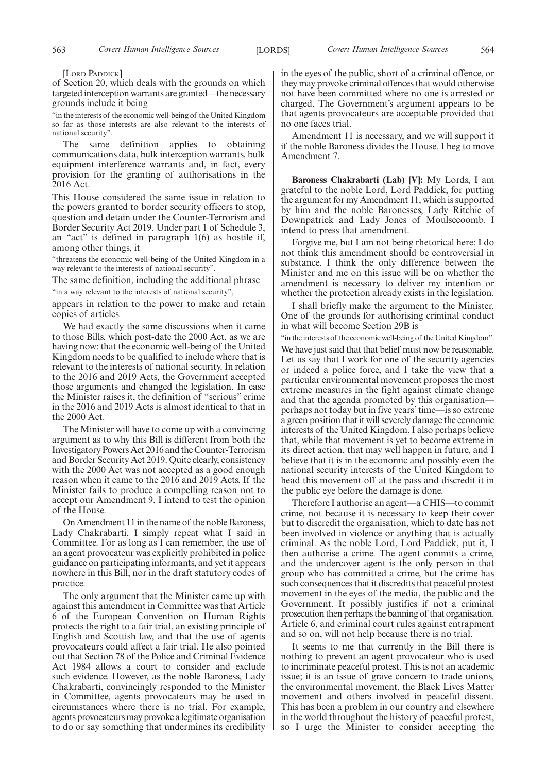[LORD PADDICK]

of Section 20, which deals with the grounds on which targeted interception warrants are granted—the necessary grounds include it being

"in the interests of the economic well-being of the United Kingdom so far as those interests are also relevant to the interests of national security".

The same definition applies to obtaining communications data, bulk interception warrants, bulk equipment interference warrants and, in fact, every provision for the granting of authorisations in the 2016 Act.

This House considered the same issue in relation to the powers granted to border security officers to stop, question and detain under the Counter-Terrorism and Border Security Act 2019. Under part 1 of Schedule 3, an "act" is defined in paragraph 1(6) as hostile if, among other things, it

"threatens the economic well-being of the United Kingdom in a way relevant to the interests of national security".

The same definition, including the additional phrase "in a way relevant to the interests of national security",

appears in relation to the power to make and retain copies of articles.

We had exactly the same discussions when it came to those Bills, which post-date the 2000 Act, as we are having now: that the economic well-being of the United Kingdom needs to be qualified to include where that is relevant to the interests of national security. In relation to the 2016 and 2019 Acts, the Government accepted those arguments and changed the legislation. In case the Minister raises it, the definition of "serious" crime in the 2016 and 2019 Acts is almost identical to that in the 2000 Act.

The Minister will have to come up with a convincing argument as to why this Bill is different from both the Investigatory Powers Act 2016 and the Counter-Terrorism and Border Security Act 2019. Quite clearly, consistency with the 2000 Act was not accepted as a good enough reason when it came to the 2016 and 2019 Acts. If the Minister fails to produce a compelling reason not to accept our Amendment 9, I intend to test the opinion of the House.

On Amendment 11 in the name of the noble Baroness, Lady Chakrabarti, I simply repeat what I said in Committee. For as long as I can remember, the use of an agent provocateur was explicitly prohibited in police guidance on participating informants, and yet it appears nowhere in this Bill, nor in the draft statutory codes of practice.

The only argument that the Minister came up with against this amendment in Committee was that Article 6 of the European Convention on Human Rights protects the right to a fair trial, an existing principle of English and Scottish law, and that the use of agents provocateurs could affect a fair trial. He also pointed out that Section 78 of the Police and Criminal Evidence Act 1984 allows a court to consider and exclude such evidence. However, as the noble Baroness, Lady Chakrabarti, convincingly responded to the Minister in Committee, agents provocateurs may be used in circumstances where there is no trial. For example, agents provocateurs may provoke a legitimate organisation to do or say something that undermines its credibility in the eyes of the public, short of a criminal offence, or they may provoke criminal offences that would otherwise not have been committed where no one is arrested or charged. The Government's argument appears to be that agents provocateurs are acceptable provided that no one faces trial.

Amendment 11 is necessary, and we will support it if the noble Baroness divides the House. I beg to move Amendment 7.

**Baroness Chakrabarti (Lab) [V]:** My Lords, I am grateful to the noble Lord, Lord Paddick, for putting the argument for my Amendment 11, which is supported by him and the noble Baronesses, Lady Ritchie of Downpatrick and Lady Jones of Moulsecoomb. I intend to press that amendment.

Forgive me, but I am not being rhetorical here: I do not think this amendment should be controversial in substance. I think the only difference between the Minister and me on this issue will be on whether the amendment is necessary to deliver my intention or whether the protection already exists in the legislation.

I shall briefly make the argument to the Minister. One of the grounds for authorising criminal conduct in what will become Section 29B is

"in the interests of the economic well-being of the United Kingdom".

We have just said that that belief must now be reasonable. Let us say that I work for one of the security agencies or indeed a police force, and I take the view that a particular environmental movement proposes the most extreme measures in the fight against climate change and that the agenda promoted by this organisation perhaps not today but in five years' time—is so extreme a green position that it will severely damage the economic interests of the United Kingdom. I also perhaps believe that, while that movement is yet to become extreme in its direct action, that may well happen in future, and I believe that it is in the economic and possibly even the national security interests of the United Kingdom to head this movement off at the pass and discredit it in the public eye before the damage is done.

Therefore I authorise an agent—a CHIS—to commit crime, not because it is necessary to keep their cover but to discredit the organisation, which to date has not been involved in violence or anything that is actually criminal. As the noble Lord, Lord Paddick, put it, I then authorise a crime. The agent commits a crime, and the undercover agent is the only person in that group who has committed a crime, but the crime has such consequences that it discredits that peaceful protest movement in the eyes of the media, the public and the Government. It possibly justifies if not a criminal prosecution then perhaps the banning of that organisation. Article 6, and criminal court rules against entrapment and so on, will not help because there is no trial.

It seems to me that currently in the Bill there is nothing to prevent an agent provocateur who is used to incriminate peaceful protest. This is not an academic issue; it is an issue of grave concern to trade unions, the environmental movement, the Black Lives Matter movement and others involved in peaceful dissent. This has been a problem in our country and elsewhere in the world throughout the history of peaceful protest, so I urge the Minister to consider accepting the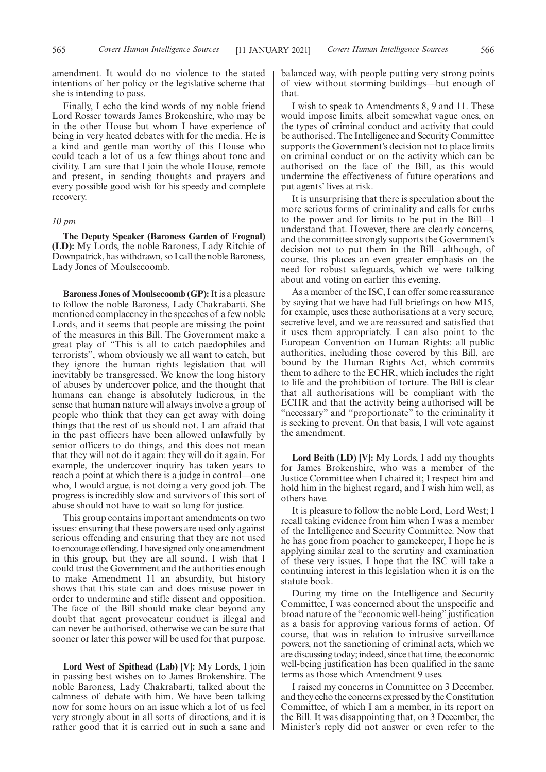Finally, I echo the kind words of my noble friend Lord Rosser towards James Brokenshire, who may be in the other House but whom I have experience of being in very heated debates with for the media. He is a kind and gentle man worthy of this House who could teach a lot of us a few things about tone and civility. I am sure that I join the whole House, remote and present, in sending thoughts and prayers and every possible good wish for his speedy and complete recovery.

## *10 pm*

**The Deputy Speaker (Baroness Garden of Frognal) (LD):** My Lords, the noble Baroness, Lady Ritchie of Downpatrick, has withdrawn, so I call the noble Baroness, Lady Jones of Moulsecoomb.

**Baroness Jones of Moulsecoomb (GP):**It is a pleasure to follow the noble Baroness, Lady Chakrabarti. She mentioned complacency in the speeches of a few noble Lords, and it seems that people are missing the point of the measures in this Bill. The Government make a great play of "This is all to catch paedophiles and terrorists", whom obviously we all want to catch, but they ignore the human rights legislation that will inevitably be transgressed. We know the long history of abuses by undercover police, and the thought that humans can change is absolutely ludicrous, in the sense that human nature will always involve a group of people who think that they can get away with doing things that the rest of us should not. I am afraid that in the past officers have been allowed unlawfully by senior officers to do things, and this does not mean that they will not do it again: they will do it again. For example, the undercover inquiry has taken years to reach a point at which there is a judge in control—one who, I would argue, is not doing a very good job. The progress is incredibly slow and survivors of this sort of abuse should not have to wait so long for justice.

This group contains important amendments on two issues: ensuring that these powers are used only against serious offending and ensuring that they are not used to encourage offending. I have signed only one amendment in this group, but they are all sound. I wish that I could trust the Government and the authorities enough to make Amendment 11 an absurdity, but history shows that this state can and does misuse power in order to undermine and stifle dissent and opposition. The face of the Bill should make clear beyond any doubt that agent provocateur conduct is illegal and can never be authorised, otherwise we can be sure that sooner or later this power will be used for that purpose.

**Lord West of Spithead (Lab) [V]:** My Lords, I join in passing best wishes on to James Brokenshire. The noble Baroness, Lady Chakrabarti, talked about the calmness of debate with him. We have been talking now for some hours on an issue which a lot of us feel very strongly about in all sorts of directions, and it is rather good that it is carried out in such a sane and balanced way, with people putting very strong points of view without storming buildings—but enough of that.

I wish to speak to Amendments 8, 9 and 11. These would impose limits, albeit somewhat vague ones, on the types of criminal conduct and activity that could be authorised. The Intelligence and Security Committee supports the Government's decision not to place limits on criminal conduct or on the activity which can be authorised on the face of the Bill, as this would undermine the effectiveness of future operations and put agents' lives at risk.

It is unsurprising that there is speculation about the more serious forms of criminality and calls for curbs to the power and for limits to be put in the Bill—I understand that. However, there are clearly concerns, and the committee strongly supports the Government's decision not to put them in the Bill—although, of course, this places an even greater emphasis on the need for robust safeguards, which we were talking about and voting on earlier this evening.

As a member of the ISC, I can offer some reassurance by saying that we have had full briefings on how MI5, for example, uses these authorisations at a very secure, secretive level, and we are reassured and satisfied that it uses them appropriately. I can also point to the European Convention on Human Rights: all public authorities, including those covered by this Bill, are bound by the Human Rights Act, which commits them to adhere to the ECHR, which includes the right to life and the prohibition of torture. The Bill is clear that all authorisations will be compliant with the ECHR and that the activity being authorised will be "necessary" and "proportionate" to the criminality it is seeking to prevent. On that basis, I will vote against the amendment.

**Lord Beith (LD) [V]:** My Lords, I add my thoughts for James Brokenshire, who was a member of the Justice Committee when I chaired it; I respect him and hold him in the highest regard, and I wish him well, as others have.

It is pleasure to follow the noble Lord, Lord West; I recall taking evidence from him when I was a member of the Intelligence and Security Committee. Now that he has gone from poacher to gamekeeper, I hope he is applying similar zeal to the scrutiny and examination of these very issues. I hope that the ISC will take a continuing interest in this legislation when it is on the statute book.

During my time on the Intelligence and Security Committee, I was concerned about the unspecific and broad nature of the "economic well-being" justification as a basis for approving various forms of action. Of course, that was in relation to intrusive surveillance powers, not the sanctioning of criminal acts, which we are discussing today; indeed, since that time, the economic well-being justification has been qualified in the same terms as those which Amendment 9 uses.

I raised my concerns in Committee on 3 December, and they echo the concerns expressed by the Constitution Committee, of which I am a member, in its report on the Bill. It was disappointing that, on 3 December, the Minister's reply did not answer or even refer to the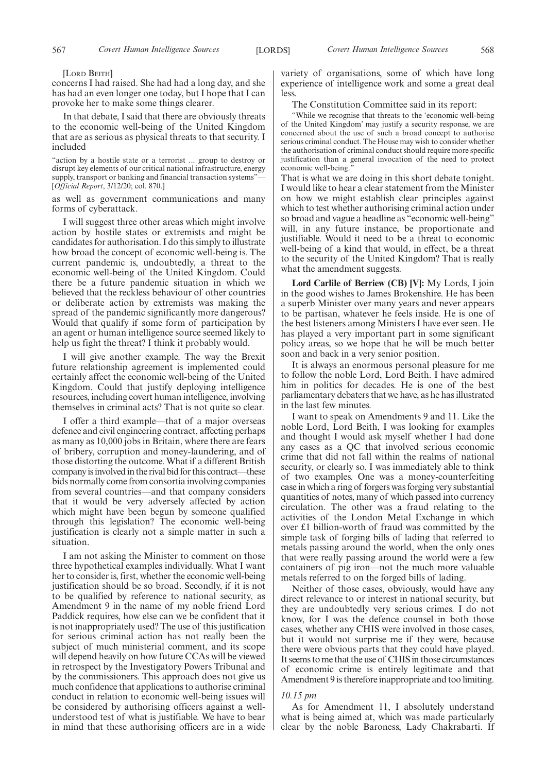[LORD BEITH]

concerns I had raised. She had had a long day, and she has had an even longer one today, but I hope that I can provoke her to make some things clearer.

In that debate, I said that there are obviously threats to the economic well-being of the United Kingdom that are as serious as physical threats to that security. I included

"action by a hostile state or a terrorist ... group to destroy or disrupt key elements of our critical national infrastructure, energy supply, transport or banking and financial transaction systems"— [*Official Report*, 3/12/20; col. 870.]

as well as government communications and many forms of cyberattack.

I will suggest three other areas which might involve action by hostile states or extremists and might be candidates for authorisation. I do this simply to illustrate how broad the concept of economic well-being is. The current pandemic is, undoubtedly, a threat to the economic well-being of the United Kingdom. Could there be a future pandemic situation in which we believed that the reckless behaviour of other countries or deliberate action by extremists was making the spread of the pandemic significantly more dangerous? Would that qualify if some form of participation by an agent or human intelligence source seemed likely to help us fight the threat? I think it probably would.

I will give another example. The way the Brexit future relationship agreement is implemented could certainly affect the economic well-being of the United Kingdom. Could that justify deploying intelligence resources, including covert human intelligence, involving themselves in criminal acts? That is not quite so clear.

I offer a third example—that of a major overseas defence and civil engineering contract, affecting perhaps as many as 10,000 jobs in Britain, where there are fears of bribery, corruption and money-laundering, and of those distorting the outcome. What if a different British company is involved in the rival bid for this contract—these bids normally come from consortia involving companies from several countries—and that company considers that it would be very adversely affected by action which might have been begun by someone qualified through this legislation? The economic well-being justification is clearly not a simple matter in such a situation.

I am not asking the Minister to comment on those three hypothetical examples individually. What I want her to consider is, first, whether the economic well-being justification should be so broad. Secondly, if it is not to be qualified by reference to national security, as Amendment 9 in the name of my noble friend Lord Paddick requires, how else can we be confident that it is not inappropriately used? The use of this justification for serious criminal action has not really been the subject of much ministerial comment, and its scope will depend heavily on how future CCAs will be viewed in retrospect by the Investigatory Powers Tribunal and by the commissioners. This approach does not give us much confidence that applications to authorise criminal conduct in relation to economic well-being issues will be considered by authorising officers against a wellunderstood test of what is justifiable. We have to bear in mind that these authorising officers are in a wide

variety of organisations, some of which have long experience of intelligence work and some a great deal less.

The Constitution Committee said in its report:

"While we recognise that threats to the 'economic well-being of the United Kingdom' may justify a security response, we are concerned about the use of such a broad concept to authorise serious criminal conduct. The House may wish to consider whether the authorisation of criminal conduct should require more specific justification than a general invocation of the need to protect economic well-being.

That is what we are doing in this short debate tonight. I would like to hear a clear statement from the Minister on how we might establish clear principles against which to test whether authorising criminal action under so broad and vague a headline as "economic well-being" will, in any future instance, be proportionate and justifiable. Would it need to be a threat to economic well-being of a kind that would, in effect, be a threat to the security of the United Kingdom? That is really what the amendment suggests.

**Lord Carlile of Berriew (CB) [V]:** My Lords, I join in the good wishes to James Brokenshire. He has been a superb Minister over many years and never appears to be partisan, whatever he feels inside. He is one of the best listeners among Ministers I have ever seen. He has played a very important part in some significant policy areas, so we hope that he will be much better soon and back in a very senior position.

It is always an enormous personal pleasure for me to follow the noble Lord, Lord Beith. I have admired him in politics for decades. He is one of the best parliamentary debaters that we have, as he has illustrated in the last few minutes.

I want to speak on Amendments 9 and 11. Like the noble Lord, Lord Beith, I was looking for examples and thought I would ask myself whether I had done any cases as a QC that involved serious economic crime that did not fall within the realms of national security, or clearly so. I was immediately able to think of two examples. One was a money-counterfeiting case in which a ring of forgers was forging very substantial quantities of notes, many of which passed into currency circulation. The other was a fraud relating to the activities of the London Metal Exchange in which over £1 billion-worth of fraud was committed by the simple task of forging bills of lading that referred to metals passing around the world, when the only ones that were really passing around the world were a few containers of pig iron—not the much more valuable metals referred to on the forged bills of lading.

Neither of those cases, obviously, would have any direct relevance to or interest in national security, but they are undoubtedly very serious crimes. I do not know, for I was the defence counsel in both those cases, whether any CHIS were involved in those cases, but it would not surprise me if they were, because there were obvious parts that they could have played. It seems to me that the use of CHIS in those circumstances of economic crime is entirely legitimate and that Amendment 9 is therefore inappropriate and too limiting.

#### *10.15 pm*

As for Amendment 11, I absolutely understand what is being aimed at, which was made particularly clear by the noble Baroness, Lady Chakrabarti. If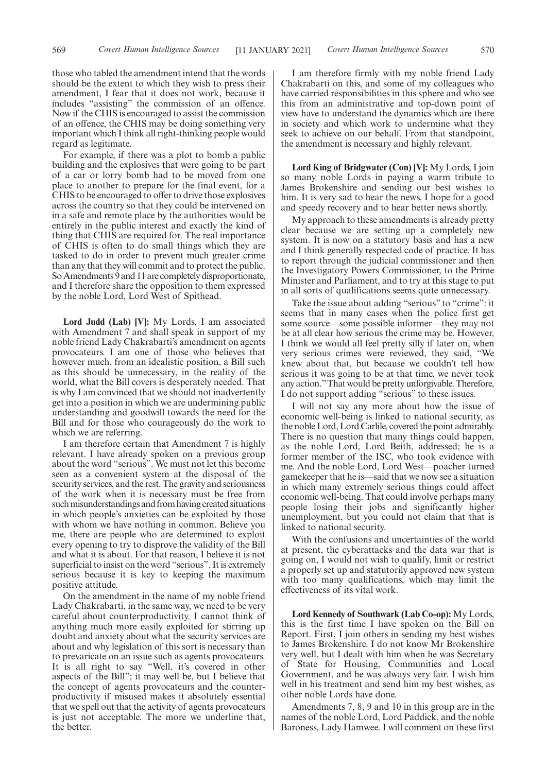those who tabled the amendment intend that the words should be the extent to which they wish to press their amendment, I fear that it does not work, because it includes "assisting" the commission of an offence. Now if the CHIS is encouraged to assist the commission of an offence, the CHIS may be doing something very important which I think all right-thinking people would regard as legitimate.

For example, if there was a plot to bomb a public building and the explosives that were going to be part of a car or lorry bomb had to be moved from one place to another to prepare for the final event, for a CHIS to be encouraged to offer to drive those explosives across the country so that they could be intervened on in a safe and remote place by the authorities would be entirely in the public interest and exactly the kind of thing that CHIS are required for. The real importance of CHIS is often to do small things which they are tasked to do in order to prevent much greater crime than any that they will commit and to protect the public. So Amendments 9 and 11 are completely disproportionate, and I therefore share the opposition to them expressed by the noble Lord, Lord West of Spithead.

**Lord Judd (Lab) [V]:** My Lords, I am associated with Amendment 7 and shall speak in support of my noble friend Lady Chakrabarti's amendment on agents provocateurs. I am one of those who believes that however much, from an idealistic position, a Bill such as this should be unnecessary, in the reality of the world, what the Bill covers is desperately needed. That is why I am convinced that we should not inadvertently get into a position in which we are undermining public understanding and goodwill towards the need for the Bill and for those who courageously do the work to which we are referring.

I am therefore certain that Amendment 7 is highly relevant. I have already spoken on a previous group about the word "serious". We must not let this become seen as a convenient system at the disposal of the security services, and the rest. The gravity and seriousness of the work when it is necessary must be free from such misunderstandings and from having created situations in which people's anxieties can be exploited by those with whom we have nothing in common. Believe you me, there are people who are determined to exploit every opening to try to disprove the validity of the Bill and what it is about. For that reason, I believe it is not superficial to insist on the word "serious". It is extremely serious because it is key to keeping the maximum positive attitude.

On the amendment in the name of my noble friend Lady Chakrabarti, in the same way, we need to be very careful about counterproductivity. I cannot think of anything much more easily exploited for stirring up doubt and anxiety about what the security services are about and why legislation of this sort is necessary than to prevaricate on an issue such as agents provocateurs. It is all right to say "Well, it's covered in other aspects of the Bill"; it may well be, but I believe that the concept of agents provocateurs and the counterproductivity if misused makes it absolutely essential that we spell out that the activity of agents provocateurs is just not acceptable. The more we underline that, the better.

I am therefore firmly with my noble friend Lady Chakrabarti on this, and some of my colleagues who have carried responsibilities in this sphere and who see this from an administrative and top-down point of view have to understand the dynamics which are there in society and which work to undermine what they seek to achieve on our behalf. From that standpoint, the amendment is necessary and highly relevant.

**Lord King of Bridgwater (Con) [V]:** My Lords, I join so many noble Lords in paying a warm tribute to James Brokenshire and sending our best wishes to him. It is very sad to hear the news. I hope for a good and speedy recovery and to hear better news shortly.

My approach to these amendments is already pretty clear because we are setting up a completely new system. It is now on a statutory basis and has a new and I think generally respected code of practice. It has to report through the judicial commissioner and then the Investigatory Powers Commissioner, to the Prime Minister and Parliament, and to try at this stage to put in all sorts of qualifications seems quite unnecessary.

Take the issue about adding "serious" to "crime": it seems that in many cases when the police first get some source—some possible informer—they may not be at all clear how serious the crime may be. However, I think we would all feel pretty silly if later on, when very serious crimes were reviewed, they said, "We knew about that, but because we couldn't tell how serious it was going to be at that time, we never took any action."That would be pretty unforgivable. Therefore, I do not support adding "serious" to these issues.

I will not say any more about how the issue of economic well-being is linked to national security, as the noble Lord, Lord Carlile, covered the point admirably. There is no question that many things could happen, as the noble Lord, Lord Beith, addressed; he is a former member of the ISC, who took evidence with me. And the noble Lord, Lord West—poacher turned gamekeeper that he is—said that we now see a situation in which many extremely serious things could affect economic well-being. That could involve perhaps many people losing their jobs and significantly higher unemployment, but you could not claim that that is linked to national security.

With the confusions and uncertainties of the world at present, the cyberattacks and the data war that is going on, I would not wish to qualify, limit or restrict a properly set up and statutorily approved new system with too many qualifications, which may limit the effectiveness of its vital work.

**Lord Kennedy of Southwark (Lab Co-op):** My Lords, this is the first time I have spoken on the Bill on Report. First, I join others in sending my best wishes to James Brokenshire. I do not know Mr Brokenshire very well, but I dealt with him when he was Secretary of State for Housing, Communities and Local Government, and he was always very fair. I wish him well in his treatment and send him my best wishes, as other noble Lords have done.

Amendments 7, 8, 9 and 10 in this group are in the names of the noble Lord, Lord Paddick, and the noble Baroness, Lady Hamwee. I will comment on these first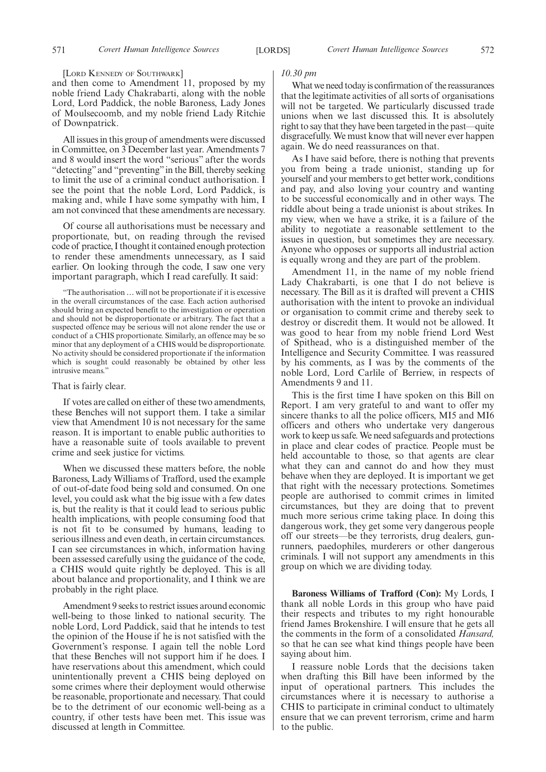[LORD KENNEDY OF SOUTHWARK]

and then come to Amendment 11, proposed by my noble friend Lady Chakrabarti, along with the noble Lord, Lord Paddick, the noble Baroness, Lady Jones of Moulsecoomb, and my noble friend Lady Ritchie of Downpatrick.

All issues in this group of amendments were discussed in Committee, on 3 December last year. Amendments 7 and 8 would insert the word "serious" after the words "detecting" and "preventing" in the Bill, thereby seeking to limit the use of a criminal conduct authorisation. I see the point that the noble Lord, Lord Paddick, is making and, while I have some sympathy with him, I am not convinced that these amendments are necessary.

Of course all authorisations must be necessary and proportionate, but, on reading through the revised code of practice, I thought it contained enough protection to render these amendments unnecessary, as I said earlier. On looking through the code, I saw one very important paragraph, which I read carefully. It said:

"The authorisation … will not be proportionate if it is excessive in the overall circumstances of the case. Each action authorised should bring an expected benefit to the investigation or operation and should not be disproportionate or arbitrary. The fact that a suspected offence may be serious will not alone render the use or conduct of a CHIS proportionate. Similarly, an offence may be so minor that any deployment of a CHIS would be disproportionate. No activity should be considered proportionate if the information which is sought could reasonably be obtained by other less intrusive means.'

#### That is fairly clear.

If votes are called on either of these two amendments, these Benches will not support them. I take a similar view that Amendment 10 is not necessary for the same reason. It is important to enable public authorities to have a reasonable suite of tools available to prevent crime and seek justice for victims.

When we discussed these matters before, the noble Baroness, Lady Williams of Trafford, used the example of out-of-date food being sold and consumed. On one level, you could ask what the big issue with a few dates is, but the reality is that it could lead to serious public health implications, with people consuming food that is not fit to be consumed by humans, leading to serious illness and even death, in certain circumstances. I can see circumstances in which, information having been assessed carefully using the guidance of the code, a CHIS would quite rightly be deployed. This is all about balance and proportionality, and I think we are probably in the right place.

Amendment 9 seeks to restrict issues around economic well-being to those linked to national security. The noble Lord, Lord Paddick, said that he intends to test the opinion of the House if he is not satisfied with the Government's response. I again tell the noble Lord that these Benches will not support him if he does. I have reservations about this amendment, which could unintentionally prevent a CHIS being deployed on some crimes where their deployment would otherwise be reasonable, proportionate and necessary. That could be to the detriment of our economic well-being as a country, if other tests have been met. This issue was discussed at length in Committee.

#### *10.30 pm*

What we need today is confirmation of the reassurances that the legitimate activities of all sorts of organisations will not be targeted. We particularly discussed trade unions when we last discussed this. It is absolutely right to say that they have been targeted in the past—quite disgracefully. We must know that will never ever happen again. We do need reassurances on that.

As I have said before, there is nothing that prevents you from being a trade unionist, standing up for yourself and your members to get better work, conditions and pay, and also loving your country and wanting to be successful economically and in other ways. The riddle about being a trade unionist is about strikes. In my view, when we have a strike, it is a failure of the ability to negotiate a reasonable settlement to the issues in question, but sometimes they are necessary. Anyone who opposes or supports all industrial action is equally wrong and they are part of the problem.

Amendment 11, in the name of my noble friend Lady Chakrabarti, is one that I do not believe is necessary. The Bill as it is drafted will prevent a CHIS authorisation with the intent to provoke an individual or organisation to commit crime and thereby seek to destroy or discredit them. It would not be allowed. It was good to hear from my noble friend Lord West of Spithead, who is a distinguished member of the Intelligence and Security Committee. I was reassured by his comments, as I was by the comments of the noble Lord, Lord Carlile of Berriew, in respects of Amendments 9 and 11.

This is the first time I have spoken on this Bill on Report. I am very grateful to and want to offer my sincere thanks to all the police officers, MI5 and MI6 officers and others who undertake very dangerous work to keep us safe. We need safeguards and protections in place and clear codes of practice. People must be held accountable to those, so that agents are clear what they can and cannot do and how they must behave when they are deployed. It is important we get that right with the necessary protections. Sometimes people are authorised to commit crimes in limited circumstances, but they are doing that to prevent much more serious crime taking place. In doing this dangerous work, they get some very dangerous people off our streets—be they terrorists, drug dealers, gunrunners, paedophiles, murderers or other dangerous criminals. I will not support any amendments in this group on which we are dividing today.

**Baroness Williams of Trafford (Con):** My Lords, I thank all noble Lords in this group who have paid their respects and tributes to my right honourable friend James Brokenshire. I will ensure that he gets all the comments in the form of a consolidated *Hansard,* so that he can see what kind things people have been saying about him.

I reassure noble Lords that the decisions taken when drafting this Bill have been informed by the input of operational partners. This includes the circumstances where it is necessary to authorise a CHIS to participate in criminal conduct to ultimately ensure that we can prevent terrorism, crime and harm to the public.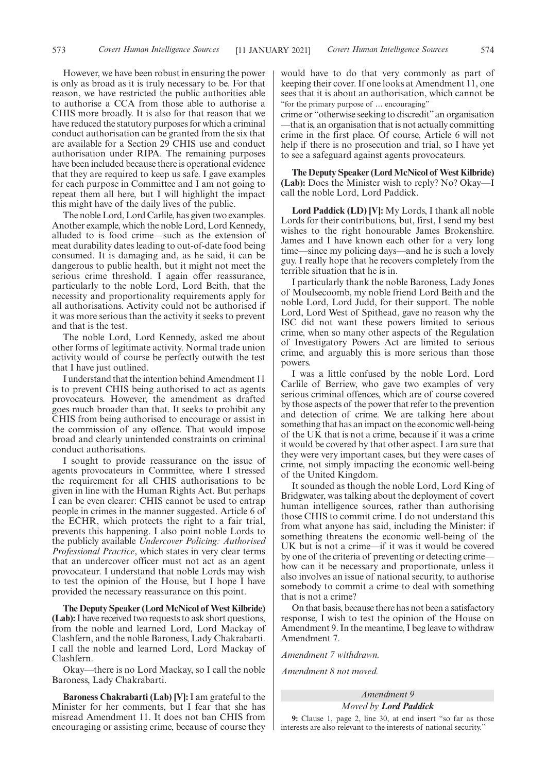However, we have been robust in ensuring the power is only as broad as it is truly necessary to be. For that reason, we have restricted the public authorities able to authorise a CCA from those able to authorise a CHIS more broadly. It is also for that reason that we have reduced the statutory purposes for which a criminal conduct authorisation can be granted from the six that are available for a Section 29 CHIS use and conduct authorisation under RIPA. The remaining purposes have been included because there is operational evidence that they are required to keep us safe. I gave examples for each purpose in Committee and I am not going to repeat them all here, but I will highlight the impact this might have of the daily lives of the public.

The noble Lord, Lord Carlile, has given two examples. Another example, which the noble Lord, Lord Kennedy, alluded to is food crime—such as the extension of meat durability dates leading to out-of-date food being consumed. It is damaging and, as he said, it can be dangerous to public health, but it might not meet the serious crime threshold. I again offer reassurance, particularly to the noble Lord, Lord Beith, that the necessity and proportionality requirements apply for all authorisations. Activity could not be authorised if it was more serious than the activity it seeks to prevent and that is the test.

The noble Lord, Lord Kennedy, asked me about other forms of legitimate activity. Normal trade union activity would of course be perfectly outwith the test that I have just outlined.

I understand that the intention behind Amendment 11 is to prevent CHIS being authorised to act as agents provocateurs. However, the amendment as drafted goes much broader than that. It seeks to prohibit any CHIS from being authorised to encourage or assist in the commission of any offence. That would impose broad and clearly unintended constraints on criminal conduct authorisations.

I sought to provide reassurance on the issue of agents provocateurs in Committee, where I stressed the requirement for all CHIS authorisations to be given in line with the Human Rights Act. But perhaps I can be even clearer: CHIS cannot be used to entrap people in crimes in the manner suggested. Article 6 of the ECHR, which protects the right to a fair trial, prevents this happening. I also point noble Lords to the publicly available *Undercover Policing: Authorised Professional Practice*, which states in very clear terms that an undercover officer must not act as an agent provocateur. I understand that noble Lords may wish to test the opinion of the House, but I hope I have provided the necessary reassurance on this point.

**The Deputy Speaker (Lord McNicol of West Kilbride) (Lab):**I have received two requests to ask short questions, from the noble and learned Lord, Lord Mackay of Clashfern, and the noble Baroness, Lady Chakrabarti. I call the noble and learned Lord, Lord Mackay of Clashfern.

Okay—there is no Lord Mackay, so I call the noble Baroness, Lady Chakrabarti.

**Baroness Chakrabarti (Lab) [V]:** I am grateful to the Minister for her comments, but I fear that she has misread Amendment 11. It does not ban CHIS from encouraging or assisting crime, because of course they would have to do that very commonly as part of keeping their cover. If one looks at Amendment 11, one sees that it is about an authorisation, which cannot be "for the primary purpose of … encouraging"

crime or "otherwise seeking to discredit"an organisation —that is, an organisation that is not actually committing crime in the first place. Of course, Article 6 will not help if there is no prosecution and trial, so I have yet to see a safeguard against agents provocateurs.

**The Deputy Speaker (Lord McNicol of West Kilbride) (Lab):** Does the Minister wish to reply? No? Okay—I call the noble Lord, Lord Paddick.

**Lord Paddick (LD) [V]:** My Lords, I thank all noble Lords for their contributions, but, first, I send my best wishes to the right honourable James Brokenshire. James and I have known each other for a very long time—since my policing days—and he is such a lovely guy. I really hope that he recovers completely from the terrible situation that he is in.

I particularly thank the noble Baroness, Lady Jones of Moulsecoomb, my noble friend Lord Beith and the noble Lord, Lord Judd, for their support. The noble Lord, Lord West of Spithead, gave no reason why the ISC did not want these powers limited to serious crime, when so many other aspects of the Regulation of Investigatory Powers Act are limited to serious crime, and arguably this is more serious than those powers.

I was a little confused by the noble Lord, Lord Carlile of Berriew, who gave two examples of very serious criminal offences, which are of course covered by those aspects of the power that refer to the prevention and detection of crime. We are talking here about something that has an impact on the economic well-being of the UK that is not a crime, because if it was a crime it would be covered by that other aspect. I am sure that they were very important cases, but they were cases of crime, not simply impacting the economic well-being of the United Kingdom.

It sounded as though the noble Lord, Lord King of Bridgwater, was talking about the deployment of covert human intelligence sources, rather than authorising those CHIS to commit crime. I do not understand this from what anyone has said, including the Minister: if something threatens the economic well-being of the UK but is not a crime—if it was it would be covered by one of the criteria of preventing or detecting crime how can it be necessary and proportionate, unless it also involves an issue of national security, to authorise somebody to commit a crime to deal with something that is not a crime?

On that basis, because there has not been a satisfactory response, I wish to test the opinion of the House on Amendment 9. In the meantime, I beg leave to withdraw Amendment 7.

*Amendment 7 withdrawn.*

*Amendment 8 not moved.*

## *Amendment 9 Moved by Lord Paddick*

**9:** Clause 1, page 2, line 30, at end insert "so far as those interests are also relevant to the interests of national security."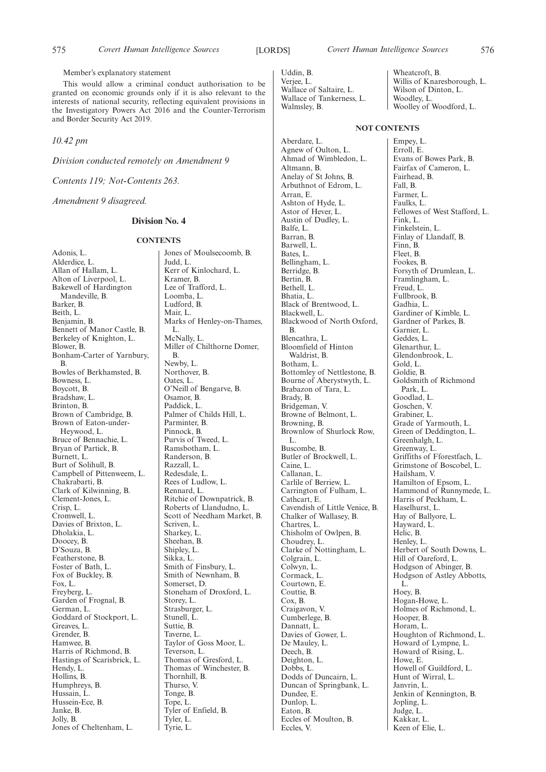Uddin, B. Verjee, L. Wallace of Saltaire, L. Wallace of Tankerness, L. Walmsley, B.

Aberdare, L.

Wheatcroft, B. Willis of Knaresborough, L. Wilson of Dinton, L. Woodley, L. Woolley of Woodford, L.

Agnew of Oulton, L. Ahmad of Wimbledon, L. Altmann, B. Anelay of St Johns, B. Arbuthnot of Edrom, L. Arran, E. Ashton of Hyde, L. Astor of Hever, L. Austin of Dudley, L. Balfe, L. Barran, B. Barwell, L. Bates, L. Bellingham, L. Berridge, B. Bertin, B. Bethell, L. Bhatia, L. Black of Brentwood, L. Blackwell, L. Blackwood of North Oxford, B. Blencathra, L. Bloomfield of Hinton Waldrist, B. Botham, L. Bottomley of Nettlestone, B. Bourne of Aberystwyth, L. Brabazon of Tara, L. Brady, B. Bridgeman, V. Browne of Belmont, L. Browning, B. Brownlow of Shurlock Row, L. Buscombe, B. Butler of Brockwell, L. Caine, L. Callanan, L. Carlile of Berriew, L. Carrington of Fulham, L. Cathcart, E. Cavendish of Little Venice, B. Chalker of Wallasey, B. Chartres, L. Chisholm of Owlpen, B. Choudrey, L. Clarke of Nottingham, L. Colgrain, L. Colwyn, L. Cormack, L. Courtown, E. Couttie, B. Cox, B. Craigavon, V. Cumberlege, B. Dannatt, L. Davies of Gower, L. De Mauley, L. Deech, B. Deighton, L. Dobbs, L. Dodds of Duncairn, L. Duncan of Springbank, L. Dundee, E. Dunlop, L. Eaton, B. Eccles of Moulton, B. Eccles, V.

**NOT CONTENTS** Empey, L.

Erroll, E. Evans of Bowes Park, B. Fairfax of Cameron, L. Fairhead, B. Fall, B. Farmer, L. Faulks, L. Fellowes of West Stafford, L. Fink, L. Finkelstein, L. Finlay of Llandaff, B. Finn, B. Fleet, B. Fookes, B. Forsyth of Drumlean, L. Framlingham, L. Freud, L. Fullbrook, B. Gadhia, L. Gardiner of Kimble, L. Gardner of Parkes, B. Garnier, L. Geddes<sup>1</sup>. Glenarthur, L. Glendonbrook, L. Gold, L. Goldie, B. Goldsmith of Richmond Park, L. Goodlad, L. Goschen, V. Grabiner, L. Grade of Yarmouth, L. Green of Deddington, L. Greenhalgh, L. Greenway, L. Griffiths of Fforestfach, L. Grimstone of Boscobel, L. Hailsham, V. Hamilton of Epsom, L. Hammond of Runnymede, L. Harris of Peckham, L. Haselhurst, L. Hay of Ballyore, L. Hayward, L. Helic, B. Henley, L. Herbert of South Downs, L. Hill of Oareford, L. Hodgson of Abinger, B. Hodgson of Astley Abbotts, L. Hoey, B. Hogan-Howe, L. Holmes of Richmond, L. Hooper, B. Horam, L. Houghton of Richmond, L. Howard of Lympne, L. Howard of Rising, L. Howe, E. Howell of Guildford, L. Hunt of Wirral, L. Janvrin, L. Jenkin of Kennington, B. Jopling, L. Judge, L. Kakkar, L. Keen of Elie, L.

Member's explanatory statement

This would allow a criminal conduct authorisation to be granted on economic grounds only if it is also relevant to the interests of national security, reflecting equivalent provisions in the Investigatory Powers Act 2016 and the Counter-Terrorism and Border Security Act 2019.

*10.42 pm*

*Division conducted remotely on Amendment 9*

*Contents 119; Not-Contents 263.*

*Amendment 9 disagreed.*

## **Division No. 4**

## **CONTENTS**

Adonis, L. Alderdice, L. Allan of Hallam, L. Alton of Liverpool, L. Bakewell of Hardington Mandeville, B. Barker, B. Beith, L. Benjamin, B. Bennett of Manor Castle, B. Berkeley of Knighton, L. Blower, B. Bonham-Carter of Yarnbury, B. Bowles of Berkhamsted, B. Bowness, L. Boycott, B. Bradshaw, L. Brinton, B. Brown of Cambridge, B. Brown of Eaton-under-Heywood, L. Bruce of Bennachie, L. Bryan of Partick, B. Burnett, L. Burt of Solihull, B. Campbell of Pittenweem, L. Chakrabarti, B. Clark of Kilwinning, B. Clement-Jones, L. Crisp, L. Cromwell, L. Davies of Brixton, L. Dholakia, L. Doocey, B. D'Souza, B. Featherstone, B. Foster of Bath, L. Fox of Buckley, B. Fox, L. Freyberg, L. Garden of Frognal, B. German, L. Goddard of Stockport, L. Greaves, L. Grender, B. Hamwee, B. Harris of Richmond, B. Hastings of Scarisbrick, L. Hendy, L. Hollins, B. Humphreys, B. Hussain, L. Hussein-Ece, B. Janke, B. Jolly, B. Jones of Cheltenham, L.

Jones of Moulsecoomb, B. Judd, L. Kerr of Kinlochard, L. Kramer, B. Lee of Trafford, L. Loomba, L. Ludford, B. Mair, L. Marks of Henley-on-Thames, L. McNally, L. Miller of Chilthorne Domer, B. Newby, L. Northover, B. Oates, L. O'Neill of Bengarve, B. Osamor, B. Paddick, L. Palmer of Childs Hill, L. Parminter, B. Pinnock, B. Purvis of Tweed, L. Ramsbotham, L. Randerson, B. Razzall, L. Redesdale, L. Rees of Ludlow, L. Rennard, L. Ritchie of Downpatrick, B. Roberts of Llandudno, L. Scott of Needham Market, B. Scriven, L. Sharkey, L. Sheehan, B. Shipley, L. Sikka, L. Smith of Finsbury, L. Smith of Newnham, B. Somerset, D. Stoneham of Droxford, L. Storey, L. Strasburger, L. Stunell, L. Suttie, B. Taverne, L. Taylor of Goss Moor, L. Teverson, L. Thomas of Gresford, L. Thomas of Winchester, B. Thornhill, B. Thurso, V. Tonge, B. Tope, L. Tyler of Enfield, B. Tyler, L. Tyrie, L.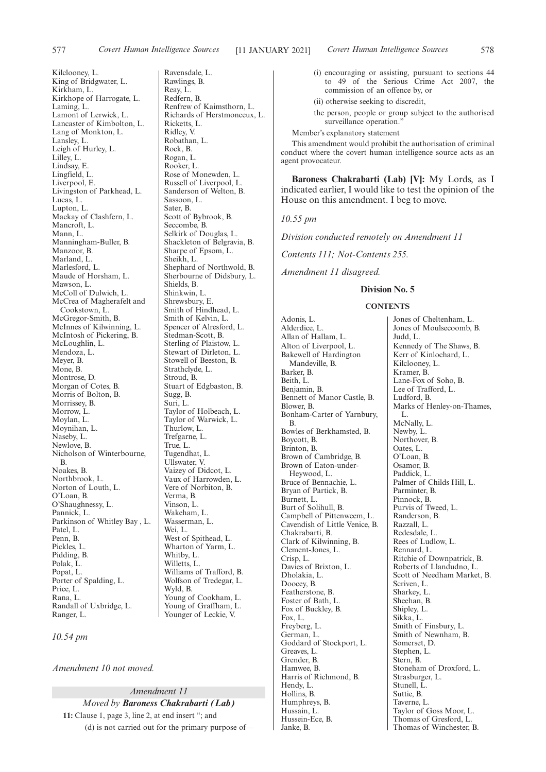Kilclooney, L.

Ravensdale, L. Rawlings, B. Reay, L. Redfern, B.

Ricketts, L. Ridley, V. Robathan, L. Rock, B. Rogan, L. Rooker, L.

Renfrew of Kaimsthorn, L. Richards of Herstmonceux, L.

Rose of Monewden, L.

(i) encouraging or assisting, pursuant to sections 44 to 49 of the Serious Crime Act 2007, the

King of Bridgwater, L. Kirkham, L. Kirkhope of Harrogate, L. Laming, L. Lamont of Lerwick, L. Lancaster of Kimbolton, L. Lang of Monkton, L. Lansley, L. Leigh of Hurley, L. Lilley, L. Lindsay, E. Lingfield, L. Liverpool, E. Livingston of Parkhead, L. Lucas, L. Lupton, L. Mackay of Clashfern, L. Mancroft<sub>L</sub> Mann, L. Manningham-Buller, B. Manzoor, B. Marland, L. Marlesford, L. Maude of Horsham, L. Mawson, L. McColl of Dulwich, L. McCrea of Magherafelt and Cookstown, L. McGregor-Smith, B. McInnes of Kilwinning, L. McIntosh of Pickering, B. McLoughlin, L. Mendoza, L. Meyer, B. Mone, B. Montrose, D. Morgan of Cotes, B. Morris of Bolton, B. Morrissey, B. Morrow, L. Moylan, L. Moynihan, L. Naseby, L. Newlove, B. Nicholson of Winterbourne, B. Noakes, B. Northbrook, L. Norton of Louth, L. O'Loan, B. O'Shaughnessy, L. Pannick, L. Parkinson of Whitley Bay , L. Patel, L. Penn, B. Pickles, L. Pidding, B. Polak, L. Popat, L. Porter of Spalding, L. Price, L. Rana, L. Randall of Uxbridge, L. Ranger, L.

Russell of Liverpool, L. Sanderson of Welton, B. Sassoon, L. Sater, B. Scott of Bybrook, B. Seccombe, B. Selkirk of Douglas, L. Shackleton of Belgravia, B. Sharpe of Epsom, L. Sheikh, L. Shephard of Northwold, B. Sherbourne of Didsbury, L. Shields, B. Shinkwin, L. Shrewsbury, E. Smith of Hindhead, L. Smith of Kelvin, L. Spencer of Alresford, L. Stedman-Scott, B. Sterling of Plaistow, L. Stewart of Dirleton, L. Stowell of Beeston, B. Strathclyde, L. Stroud, B. Stuart of Edgbaston, B. Sugg, B. Suri, L. Taylor of Holbeach, L. Taylor of Warwick, L. Thurlow, L. Trefgarne, L. True, L. Tugendhat, L. Ullswater, V. Vaizey of Didcot, L. Vaux of Harrowden, L. Vere of Norbiton, B. Verma, B. Vinson, L. Wakeham, L. Wasserman, L. Wei, L. West of Spithead, L. Wharton of Yarm, L. Whitby, L. Willetts, L. Williams of Trafford, B. Wolfson of Tredegar, L. Wyld, B. Young of Cookham, L.

Young of Graffham, L. Younger of Leckie, V.

*10.54 pm*

*Amendment 10 not moved.*

#### *Amendment 11*

*Moved by Baroness Chakrabarti (Lab)* **11:** Clause 1, page 3, line 2, at end insert "; and (d) is not carried out for the primary purpose of—

(ii) otherwise seeking to discredit, the person, people or group subject to the authorised surveillance operation." Member's explanatory statement

commission of an offence by, or

This amendment would prohibit the authorisation of criminal conduct where the covert human intelligence source acts as an agent provocateur.

**Baroness Chakrabarti (Lab) [V]:** My Lords, as I indicated earlier, I would like to test the opinion of the House on this amendment. I beg to move.

#### *10.55 pm*

*Division conducted remotely on Amendment 11*

*Contents 111; Not-Contents 255.*

*Amendment 11 disagreed.*

## **Division No. 5**

#### **CONTENTS**

Adonis, L. Alderdice, L. Allan of Hallam, L. Alton of Liverpool, L. Bakewell of Hardington Mandeville, B. Barker, B. Beith, L. Benjamin, B. Bennett of Manor Castle, B. Blower, B. Bonham-Carter of Yarnbury, B. Bowles of Berkhamsted, B. Boycott, B. Brinton, B. Brown of Cambridge, B. Brown of Eaton-under-Heywood, L. Bruce of Bennachie, L. Bryan of Partick, B. Burnett, L. Burt of Solihull, B. Campbell of Pittenweem, L. Cavendish of Little Venice, B. Chakrabarti, B. Clark of Kilwinning, B. Clement-Jones, L. Crisp, L. Davies of Brixton, L. Dholakia, L. Doocey, B. Featherstone, B. Foster of Bath, L. Fox of Buckley, B. Fox, L. Freyberg, L. German, L. Goddard of Stockport, L. Greaves, L. Grender, B. Hamwee, B. Harris of Richmond, B. Hendy, L. Hollins, B. Humphreys, B. Hussain, L. Hussein-Ece, B. Janke, B.

Jones of Cheltenham, L. Jones of Moulsecoomb, B. Judd, L. Kennedy of The Shaws, B. Kerr of Kinlochard, L. Kilclooney, L. Kramer, B. Lane-Fox of Soho, B. Lee of Trafford, L. Ludford, B. Marks of Henley-on-Thames, L. McNally, L. Newby, L. Northover, B. Oates, L. O'Loan, B. Osamor, B. Paddick, L. Palmer of Childs Hill, L. Parminter, B. Pinnock, B. Purvis of Tweed, L. Randerson, B. Razzall, L. Redesdale, L. Rees of Ludlow, L. Rennard, L. Ritchie of Downpatrick, B. Roberts of Llandudno, L. Scott of Needham Market, B. Scriven, L. Sharkey, L. Sheehan, B. Shipley, L. Sikka, L. Smith of Finsbury, L. Smith of Newnham, B. Somerset, D. Stephen, L. Stern, B. Stoneham of Droxford, L. Strasburger, L. Stunell, L. Suttie, B. Taverne, L. Taylor of Goss Moor, L. Thomas of Gresford, L. Thomas of Winchester, B.